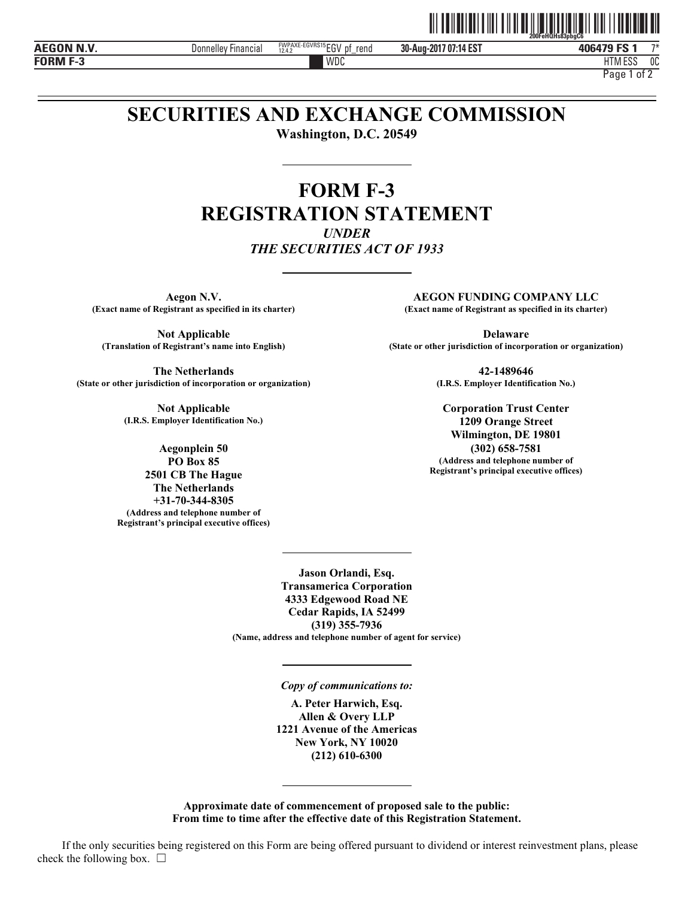

**FORM F-3**

**AEGON N.V. 406479 FS 1 Donnelley Financial ENPAXE-EGVRS15** EGV pf\_rend **30-Aug-2017 07:14 EST 406479 FS 1** <sup>7\*</sup>

**30-Aug-2017 07:14 EST**

WDC HTM HTM ESS 0C Page 1 of 2

# **SECURITIES AND EXCHANGE COMMISSION**

**Washington, D.C. 20549** 

# **FORM F-3 REGISTRATION STATEMENT**  *UNDER THE SECURITIES ACT OF 1933*

**Aegon N.V.**<br>Exact name of Registrant as specified in its charter) Because the Company of Registrant as specified in its charter

**The Netherlands** 42-1489646<br> **Action** of incorporation or organization (I.R.S. Employer Identification No.) (State or other jurisdiction of incorporation or organization)

**Not Applicable Corporation Trust Center (I.R.S. Employer Identification No.) 1209 Orange Street**

**Registrant's principal executive offices) 2501 CB The Hague The Netherlands +31-70-344-8305 (Address and telephone number of Registrant's principal executive offices)**

**(Exact name of Registrant as specified in its charter) (Exact name of Registrant as specified in its charter)**

**Not Applicable Delaware** Delaware **(Translation of Registrant's name into English) (State or other jurisdiction of incorporation or organization)**

**Wilmington, DE 19801 Aegonplein 50** (302) 658-7581<br>PO Box 85 (Address and telephone nu **PO Box 85 (Address and telephone number of**

> **Jason Orlandi, Esq. Transamerica Corporation 4333 Edgewood Road NE Cedar Rapids, IA 52499 (319) 355-7936 (Name, address and telephone number of agent for service)**

> > *Copy of communications to:*

**A. Peter Harwich, Esq. Allen & Overy LLP 1221 Avenue of the Americas New York, NY 10020 (212) 610-6300** 

**Approximate date of commencement of proposed sale to the public: From time to time after the effective date of this Registration Statement.**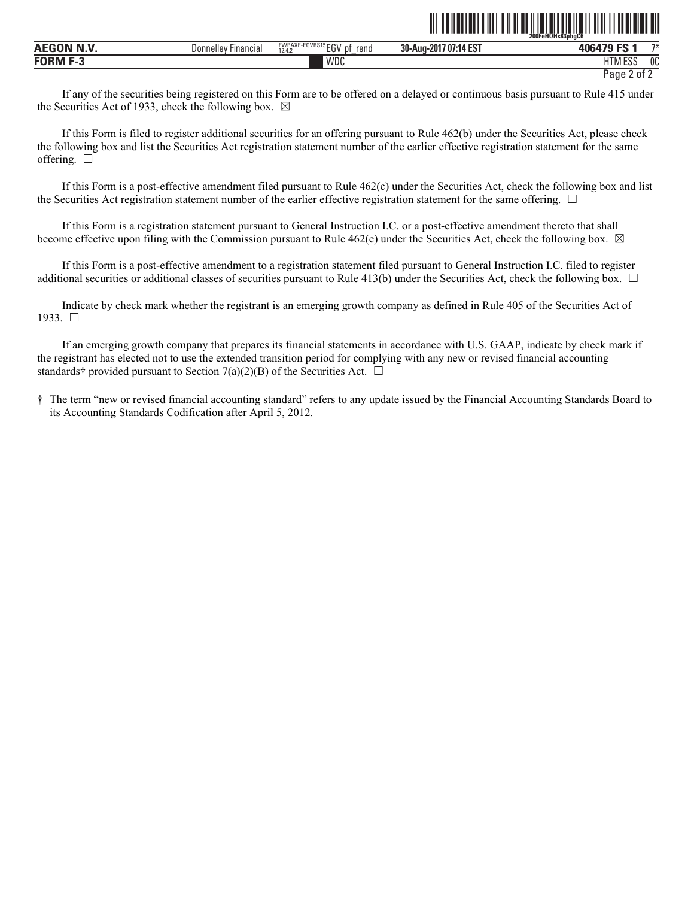|                     |                                      |                                                                    |                                                          | 200FeHQHs83pbgC6         |            |
|---------------------|--------------------------------------|--------------------------------------------------------------------|----------------------------------------------------------|--------------------------|------------|
| . <b>.</b><br>AECO. | <b>Financial</b><br><b>Donnelley</b> | <b>FWPAXE-EGVRS15ECM</b><br>reno<br>D1<br>10A<br>∼<br>12.4.<br>$-$ | $107.14 F^{-1}$<br>ົາດ<br>$-2017$<br>30-Aug-"<br>:14 E.S | $-0.000000000$           | <b>TAL</b> |
| <b>EODME?</b>       |                                      | WDC                                                                |                                                          | 11T11F00<br>∟ບເ<br>l IVI | OC         |

Page 2 of 2

ˆ200FeHQHs83pbgC6ÉŠ

If any of the securities being registered on this Form are to be offered on a delayed or continuous basis pursuant to Rule 415 under the Securities Act of 1933, check the following box.  $\boxtimes$ 

If this Form is filed to register additional securities for an offering pursuant to Rule 462(b) under the Securities Act, please check the following box and list the Securities Act registration statement number of the earlier effective registration statement for the same offering.  $\Box$ 

If this Form is a post-effective amendment filed pursuant to Rule 462(c) under the Securities Act, check the following box and list the Securities Act registration statement number of the earlier effective registration statement for the same offering.  $\Box$ 

If this Form is a registration statement pursuant to General Instruction I.C. or a post-effective amendment thereto that shall become effective upon filing with the Commission pursuant to Rule 462(e) under the Securities Act, check the following box.  $\boxtimes$ 

If this Form is a post-effective amendment to a registration statement filed pursuant to General Instruction I.C. filed to register additional securities or additional classes of securities pursuant to Rule 413(b) under the Securities Act, check the following box.  $\Box$ 

Indicate by check mark whether the registrant is an emerging growth company as defined in Rule 405 of the Securities Act of 1933. ☐

If an emerging growth company that prepares its financial statements in accordance with U.S. GAAP, indicate by check mark if the registrant has elected not to use the extended transition period for complying with any new or revised financial accounting standards† provided pursuant to Section 7(a)(2)(B) of the Securities Act.  $\Box$ 

† The term "new or revised financial accounting standard" refers to any update issued by the Financial Accounting Standards Board to its Accounting Standards Codification after April 5, 2012.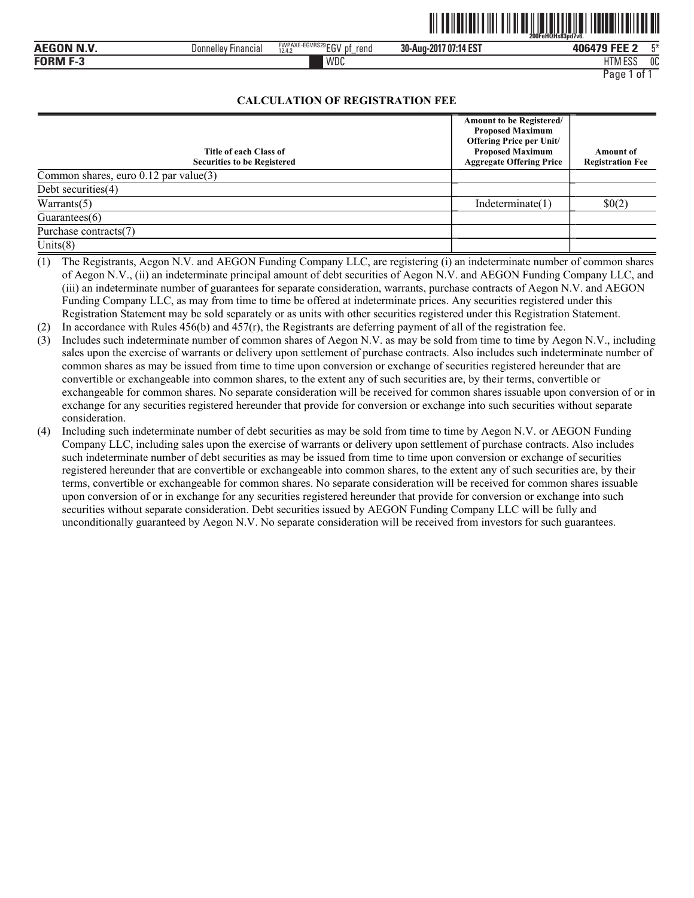|                           |                                      |                                        | ,,,,,,,,,,,,,,,,,,    | ,,,,,,,,,,,,<br>200FeHQHs83pd7v6. |     |
|---------------------------|--------------------------------------|----------------------------------------|-----------------------|-----------------------------------|-----|
| <b>AEGON N.V</b><br>IN.V. | <b>Donnelley</b><br><b>Hinancial</b> | FWPAXE-EGVRS29 $EGV$<br>rend<br>12.4.2 | 30-Aug-2017 07:14 EST | <b>ANGA79 FFF</b>                 | mж. |
| <b>FORM F</b><br>- 3      |                                      | WDC                                    |                       | <b>FOO</b><br>ШT<br>-<br>פפא וווו | 0C  |

<u>oli tehtetisti tiit tiid alliteleitiid velittisti teht</u>

# **CALCULATION OF REGISTRATION FEE**

| Title of each Class of<br><b>Securities to be Registered</b> | Amount to be Registered/<br><b>Proposed Maximum</b><br><b>Offering Price per Unit/</b><br><b>Proposed Maximum</b><br><b>Aggregate Offering Price</b> | Amount of<br><b>Registration Fee</b> |
|--------------------------------------------------------------|------------------------------------------------------------------------------------------------------------------------------------------------------|--------------------------------------|
| Common shares, euro 0.12 par value(3)                        |                                                                                                                                                      |                                      |
| Debt securities(4)                                           |                                                                                                                                                      |                                      |
| Warrants $(5)$                                               | Indeterminate(1)                                                                                                                                     | \$0(2)                               |
| Guarantees $(6)$                                             |                                                                                                                                                      |                                      |
| Purchase contracts(7)                                        |                                                                                                                                                      |                                      |
| Units $(8)$                                                  |                                                                                                                                                      |                                      |

(1) The Registrants, Aegon N.V. and AEGON Funding Company LLC, are registering (i) an indeterminate number of common shares of Aegon N.V., (ii) an indeterminate principal amount of debt securities of Aegon N.V. and AEGON Funding Company LLC, and (iii) an indeterminate number of guarantees for separate consideration, warrants, purchase contracts of Aegon N.V. and AEGON Funding Company LLC, as may from time to time be offered at indeterminate prices. Any securities registered under this Registration Statement may be sold separately or as units with other securities registered under this Registration Statement.

(2) In accordance with Rules  $456(b)$  and  $457(r)$ , the Registrants are deferring payment of all of the registration fee.

- (3) Includes such indeterminate number of common shares of Aegon N.V. as may be sold from time to time by Aegon N.V., including sales upon the exercise of warrants or delivery upon settlement of purchase contracts. Also includes such indeterminate number of common shares as may be issued from time to time upon conversion or exchange of securities registered hereunder that are convertible or exchangeable into common shares, to the extent any of such securities are, by their terms, convertible or exchangeable for common shares. No separate consideration will be received for common shares issuable upon conversion of or in exchange for any securities registered hereunder that provide for conversion or exchange into such securities without separate consideration.
- (4) Including such indeterminate number of debt securities as may be sold from time to time by Aegon N.V. or AEGON Funding Company LLC, including sales upon the exercise of warrants or delivery upon settlement of purchase contracts. Also includes such indeterminate number of debt securities as may be issued from time to time upon conversion or exchange of securities registered hereunder that are convertible or exchangeable into common shares, to the extent any of such securities are, by their terms, convertible or exchangeable for common shares. No separate consideration will be received for common shares issuable upon conversion of or in exchange for any securities registered hereunder that provide for conversion or exchange into such securities without separate consideration. Debt securities issued by AEGON Funding Company LLC will be fully and unconditionally guaranteed by Aegon N.V. No separate consideration will be received from investors for such guarantees.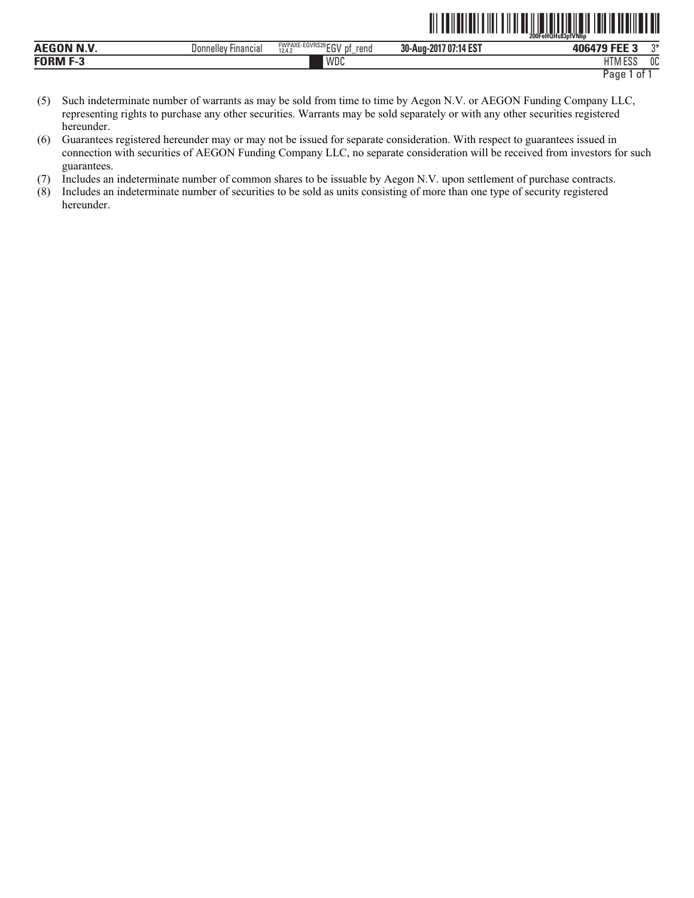|                           |                               |                                                                | 200FeHQHs83pfVN6p                               |                          |    |
|---------------------------|-------------------------------|----------------------------------------------------------------|-------------------------------------------------|--------------------------|----|
| <b>BINS</b><br>AEGON<br>N | Financial<br>Donnelle<br>۱۱۵۷ | <b>FWPAXE-EGVRS29FOV</b><br>rend<br>. .<br>12.4.2<br>IJΙ<br>ັ້ | :14 EST<br>30-Aug-<br>.107 <sup>o</sup><br>-201 | --- -<br>------          | ግ* |
| <b>FORM</b>               |                               | <b>WDC</b>                                                     |                                                 | 1.500<br>11T<br>1 I IV I | 0C |

Page 1 of 1

TITE AND AN INTERFERING THE TELEVISION OF A STATE OF A STATE OF A STATE OF A STATE OF A STATE OF A STATE OF A

- (5) Such indeterminate number of warrants as may be sold from time to time by Aegon N.V. or AEGON Funding Company LLC, representing rights to purchase any other securities. Warrants may be sold separately or with any other securities registered hereunder.
- (6) Guarantees registered hereunder may or may not be issued for separate consideration. With respect to guarantees issued in connection with securities of AEGON Funding Company LLC, no separate consideration will be received from investors for such guarantees.
- (7) Includes an indeterminate number of common shares to be issuable by Aegon N.V. upon settlement of purchase contracts.
- (8) Includes an indeterminate number of securities to be sold as units consisting of more than one type of security registered hereunder.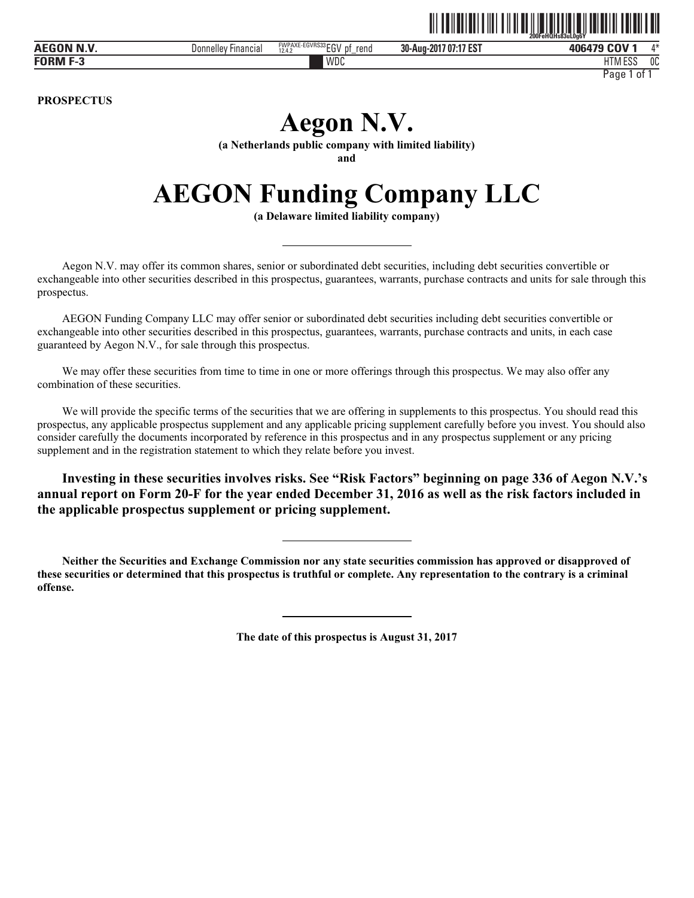|            |                        |                                                        | ║║║                   | 200FeHQHs83uL0a6Y          |  |
|------------|------------------------|--------------------------------------------------------|-----------------------|----------------------------|--|
| AEGON N.V. | Donnellev<br>Financial | FWPAXE-EGVRS33 ECV<br>rend<br>12.4.2<br>∟υ<br>υ<br>$-$ | 30-Aug-2017 07:17 EST | a COV<br>$A - L$<br>406479 |  |

WDC HTM

HTM ESS 0C Page 1 of 1

The annual contract of the United States of the Contract of Contract of Contract of Contract of Contract of Co

**PROSPECTUS** 

**FORM F-3**

# **Aegon N.V.**

**(a Netherlands public company with limited liability)** 

**and** 

# **AEGON Funding Company LLC**

**(a Delaware limited liability company)** 

Aegon N.V. may offer its common shares, senior or subordinated debt securities, including debt securities convertible or exchangeable into other securities described in this prospectus, guarantees, warrants, purchase contracts and units for sale through this prospectus.

AEGON Funding Company LLC may offer senior or subordinated debt securities including debt securities convertible or exchangeable into other securities described in this prospectus, guarantees, warrants, purchase contracts and units, in each case guaranteed by Aegon N.V., for sale through this prospectus.

We may offer these securities from time to time in one or more offerings through this prospectus. We may also offer any combination of these securities.

We will provide the specific terms of the securities that we are offering in supplements to this prospectus. You should read this prospectus, any applicable prospectus supplement and any applicable pricing supplement carefully before you invest. You should also consider carefully the documents incorporated by reference in this prospectus and in any prospectus supplement or any pricing supplement and in the registration statement to which they relate before you invest.

**Investing in these securities involves risks. See "Risk Factors" beginning on page 336 of Aegon N.V.'s annual report on Form 20-F for the year ended December 31, 2016 as well as the risk factors included in the applicable prospectus supplement or pricing supplement.** 

**Neither the Securities and Exchange Commission nor any state securities commission has approved or disapproved of these securities or determined that this prospectus is truthful or complete. Any representation to the contrary is a criminal offense.** 

**The date of this prospectus is August 31, 2017**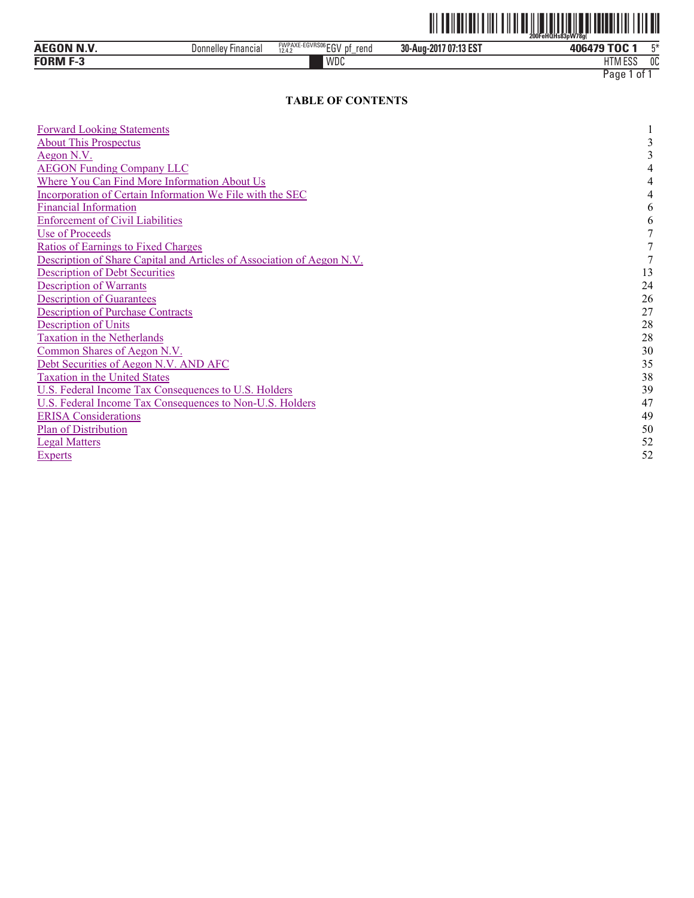

| ACCON NW<br>AEG<br>N<br>m | <b>Financial</b><br>Donnelle | <b>AN2SUP</b><br><b>FWPAXE</b><br>וח"<br>--ElivkSUb<br>рt<br>rend<br>12.4.2<br>cu | 30-Aug-2017 07:13 EST | 406479 TOC                          | mж. |
|---------------------------|------------------------------|-----------------------------------------------------------------------------------|-----------------------|-------------------------------------|-----|
| <b>FORM F-3</b>           |                              | WDC                                                                               |                       | $\cdots$<br>$F^{\alpha}$<br>HIM ESS | 0C  |

# **TABLE OF CONTENTS**

| <b>Forward Looking Statements</b>                                      |    |
|------------------------------------------------------------------------|----|
| <b>About This Prospectus</b>                                           |    |
| Aegon N.V.                                                             |    |
| <b>AEGON Funding Company LLC</b>                                       |    |
| Where You Can Find More Information About Us                           |    |
| Incorporation of Certain Information We File with the SEC              |    |
| <b>Financial Information</b>                                           | 6  |
| <b>Enforcement of Civil Liabilities</b>                                | 6  |
| <b>Use of Proceeds</b>                                                 |    |
| <b>Ratios of Earnings to Fixed Charges</b>                             |    |
| Description of Share Capital and Articles of Association of Aegon N.V. |    |
| <b>Description of Debt Securities</b>                                  | 13 |
| <b>Description of Warrants</b>                                         | 24 |
| <b>Description of Guarantees</b>                                       | 26 |
| <b>Description of Purchase Contracts</b>                               | 27 |
| <b>Description of Units</b>                                            | 28 |
| <b>Taxation in the Netherlands</b>                                     | 28 |
| Common Shares of Aegon N.V.                                            | 30 |
| Debt Securities of Aegon N.V. AND AFC                                  | 35 |
| <b>Taxation in the United States</b>                                   | 38 |
| U.S. Federal Income Tax Consequences to U.S. Holders                   | 39 |
| U.S. Federal Income Tax Consequences to Non-U.S. Holders               | 47 |
| <b>ERISA Considerations</b>                                            | 49 |
| Plan of Distribution                                                   | 50 |
| <b>Legal Matters</b>                                                   | 52 |
| <b>Experts</b>                                                         | 52 |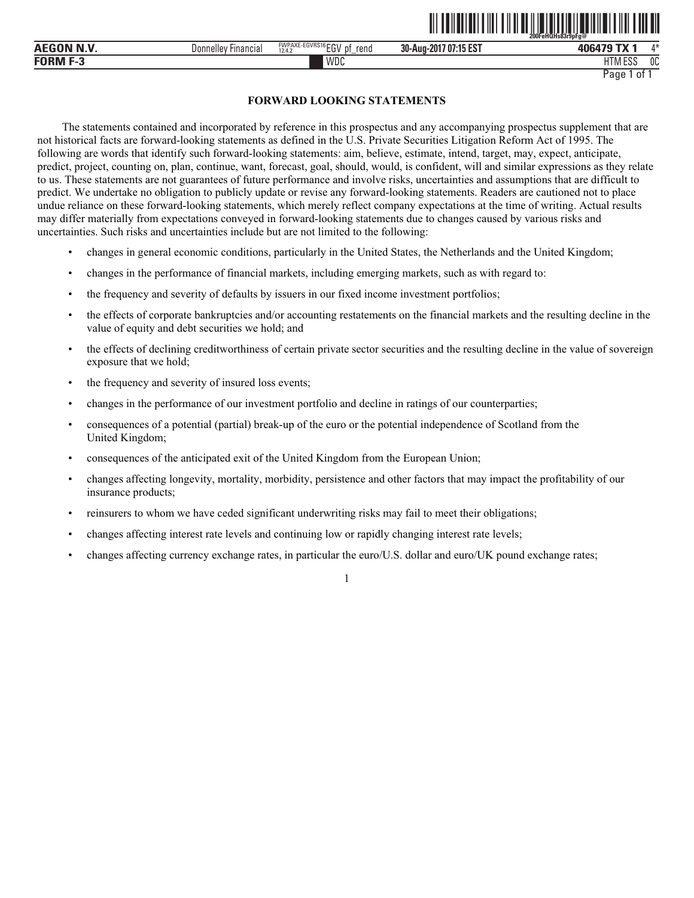| <b>AEGON N.V</b>   | Financial<br>Jonnelle <sup>v</sup> | FWPAXE-EGVRS16<br>∂רה.<br>12.4.2<br>rend<br>∟ບ | 7 07:15 EST<br>30-Aug-2017 | 106479<br>ГV            | $A \Delta$<br>$^{\prime}$ |
|--------------------|------------------------------------|------------------------------------------------|----------------------------|-------------------------|---------------------------|
| <b>FORM</b><br>. . |                                    | WDC                                            |                            | 1.177<br>roc<br>HIM ESS | 0C                        |

# **FORWARD LOOKING STATEMENTS**

The statements contained and incorporated by reference in this prospectus and any accompanying prospectus supplement that are not historical facts are forward-looking statements as defined in the U.S. Private Securities Litigation Reform Act of 1995. The following are words that identify such forward-looking statements: aim, believe, estimate, intend, target, may, expect, anticipate, predict, project, counting on, plan, continue, want, forecast, goal, should, would, is confident, will and similar expressions as they relate to us. These statements are not guarantees of future performance and involve risks, uncertainties and assumptions that are difficult to predict. We undertake no obligation to publicly update or revise any forward-looking statements. Readers are cautioned not to place undue reliance on these forward-looking statements, which merely reflect company expectations at the time of writing. Actual results may differ materially from expectations conveyed in forward-looking statements due to changes caused by various risks and uncertainties. Such risks and uncertainties include but are not limited to the following:

- changes in general economic conditions, particularly in the United States, the Netherlands and the United Kingdom;
- changes in the performance of financial markets, including emerging markets, such as with regard to:
- the frequency and severity of defaults by issuers in our fixed income investment portfolios;
- the effects of corporate bankruptcies and/or accounting restatements on the financial markets and the resulting decline in the value of equity and debt securities we hold; and
- the effects of declining creditworthiness of certain private sector securities and the resulting decline in the value of sovereign exposure that we hold;
- the frequency and severity of insured loss events;
- changes in the performance of our investment portfolio and decline in ratings of our counterparties;
- consequences of a potential (partial) break-up of the euro or the potential independence of Scotland from the United Kingdom;
- consequences of the anticipated exit of the United Kingdom from the European Union;
- changes affecting longevity, mortality, morbidity, persistence and other factors that may impact the profitability of our insurance products;
- reinsurers to whom we have ceded significant underwriting risks may fail to meet their obligations;
- changes affecting interest rate levels and continuing low or rapidly changing interest rate levels;
- changes affecting currency exchange rates, in particular the euro/U.S. dollar and euro/UK pound exchange rates;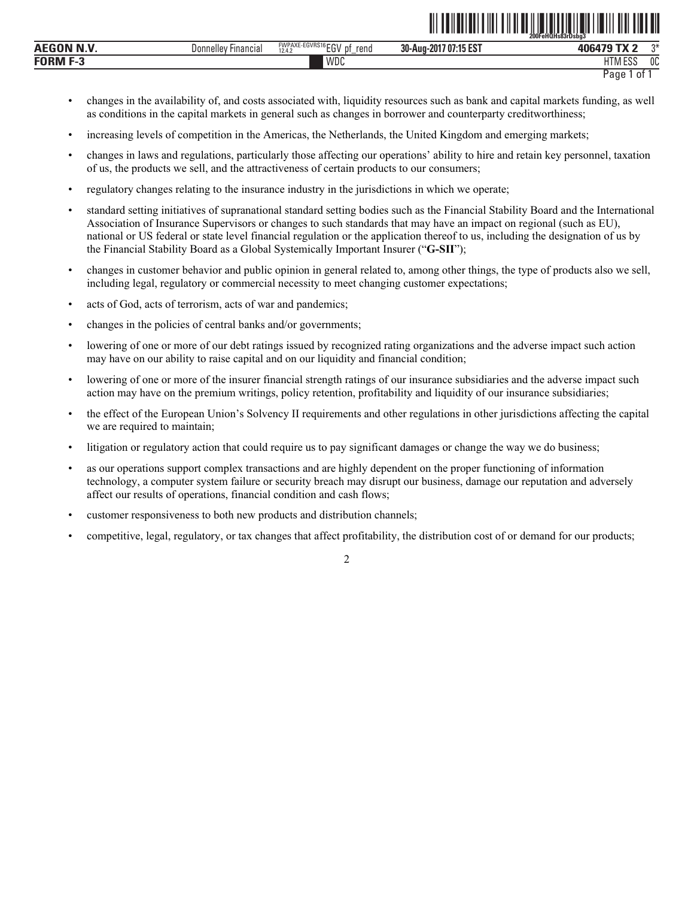|                  |                                      |                                                       |                                                           | 200FeHQHs83rDsba3     |      |
|------------------|--------------------------------------|-------------------------------------------------------|-----------------------------------------------------------|-----------------------|------|
| <b>AEGON N.V</b> | <b>Financial</b><br><b>Donnelley</b> | <b>FWPAXE-EGVRS16rru</b><br>rend<br>D1<br>12.4.2<br>∼ | $1.47 - 0.7$<br>30-Aug-2017<br>107 <sup>o</sup><br>15 E.S | <b>AOCA70</b><br>лп   | $n*$ |
| <b>FORM</b>      |                                      | WDC                                                   |                                                           | 11T11T0C<br>THIVI ESS | 0C   |

<u>oli tuliutiti tiid tiid alueelu tuliuti mit luuli titu tiid al</u>

- changes in the availability of, and costs associated with, liquidity resources such as bank and capital markets funding, as well as conditions in the capital markets in general such as changes in borrower and counterparty creditworthiness;
- increasing levels of competition in the Americas, the Netherlands, the United Kingdom and emerging markets;
- changes in laws and regulations, particularly those affecting our operations' ability to hire and retain key personnel, taxation of us, the products we sell, and the attractiveness of certain products to our consumers;
- regulatory changes relating to the insurance industry in the jurisdictions in which we operate;
- standard setting initiatives of supranational standard setting bodies such as the Financial Stability Board and the International Association of Insurance Supervisors or changes to such standards that may have an impact on regional (such as EU), national or US federal or state level financial regulation or the application thereof to us, including the designation of us by the Financial Stability Board as a Global Systemically Important Insurer ("**G-SII**");
- changes in customer behavior and public opinion in general related to, among other things, the type of products also we sell, including legal, regulatory or commercial necessity to meet changing customer expectations;
- acts of God, acts of terrorism, acts of war and pandemics;
- changes in the policies of central banks and/or governments;
- lowering of one or more of our debt ratings issued by recognized rating organizations and the adverse impact such action may have on our ability to raise capital and on our liquidity and financial condition;
- lowering of one or more of the insurer financial strength ratings of our insurance subsidiaries and the adverse impact such action may have on the premium writings, policy retention, profitability and liquidity of our insurance subsidiaries;
- the effect of the European Union's Solvency II requirements and other regulations in other jurisdictions affecting the capital we are required to maintain;
- litigation or regulatory action that could require us to pay significant damages or change the way we do business;
- as our operations support complex transactions and are highly dependent on the proper functioning of information technology, a computer system failure or security breach may disrupt our business, damage our reputation and adversely affect our results of operations, financial condition and cash flows;
- customer responsiveness to both new products and distribution channels;
- competitive, legal, regulatory, or tax changes that affect profitability, the distribution cost of or demand for our products;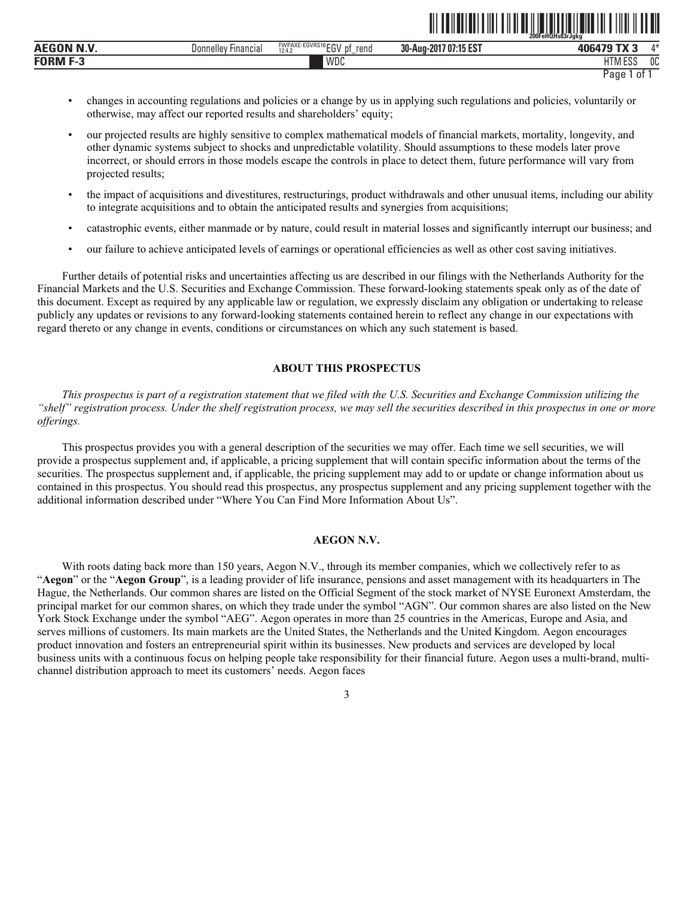|                 |                         |                                                              | ----                      | 200FeHQHs83rJgkg           | --------   |
|-----------------|-------------------------|--------------------------------------------------------------|---------------------------|----------------------------|------------|
| .<br><b>AEC</b> | Financia.<br>Donnelley' | FWPAXE-EGVRS16 FOL<br>eno'<br>12.4.<br><b>UI</b><br>ື<br>$-$ | 707:15 EST<br>30-Aug-2017 | $-11$                      | A M<br>,,, |
| FORM<br>-       |                         | <b>WDC</b>                                                   |                           | 11T11F00<br>i ivi t<br>∟ບເ | 0C         |

<u>od teherleta diri turismi ilgi saturni sus ilgi sultan dell</u>

- changes in accounting regulations and policies or a change by us in applying such regulations and policies, voluntarily or otherwise, may affect our reported results and shareholders' equity;
- our projected results are highly sensitive to complex mathematical models of financial markets, mortality, longevity, and other dynamic systems subject to shocks and unpredictable volatility. Should assumptions to these models later prove incorrect, or should errors in those models escape the controls in place to detect them, future performance will vary from projected results;
- the impact of acquisitions and divestitures, restructurings, product withdrawals and other unusual items, including our ability to integrate acquisitions and to obtain the anticipated results and synergies from acquisitions;
- catastrophic events, either manmade or by nature, could result in material losses and significantly interrupt our business; and
- our failure to achieve anticipated levels of earnings or operational efficiencies as well as other cost saving initiatives.

Further details of potential risks and uncertainties affecting us are described in our filings with the Netherlands Authority for the Financial Markets and the U.S. Securities and Exchange Commission. These forward-looking statements speak only as of the date of this document. Except as required by any applicable law or regulation, we expressly disclaim any obligation or undertaking to release publicly any updates or revisions to any forward-looking statements contained herein to reflect any change in our expectations with regard thereto or any change in events, conditions or circumstances on which any such statement is based.

# **ABOUT THIS PROSPECTUS**

*This prospectus is part of a registration statement that we filed with the U.S. Securities and Exchange Commission utilizing the "shelf" registration process. Under the shelf registration process, we may sell the securities described in this prospectus in one or more offerings.* 

This prospectus provides you with a general description of the securities we may offer. Each time we sell securities, we will provide a prospectus supplement and, if applicable, a pricing supplement that will contain specific information about the terms of the securities. The prospectus supplement and, if applicable, the pricing supplement may add to or update or change information about us contained in this prospectus. You should read this prospectus, any prospectus supplement and any pricing supplement together with the additional information described under "Where You Can Find More Information About Us".

# **AEGON N.V.**

With roots dating back more than 150 years, Aegon N.V., through its member companies, which we collectively refer to as "**Aegon**" or the "**Aegon Group**", is a leading provider of life insurance, pensions and asset management with its headquarters in The Hague, the Netherlands. Our common shares are listed on the Official Segment of the stock market of NYSE Euronext Amsterdam, the principal market for our common shares, on which they trade under the symbol "AGN". Our common shares are also listed on the New York Stock Exchange under the symbol "AEG". Aegon operates in more than 25 countries in the Americas, Europe and Asia, and serves millions of customers. Its main markets are the United States, the Netherlands and the United Kingdom. Aegon encourages product innovation and fosters an entrepreneurial spirit within its businesses. New products and services are developed by local business units with a continuous focus on helping people take responsibility for their financial future. Aegon uses a multi-brand, multichannel distribution approach to meet its customers' needs. Aegon faces

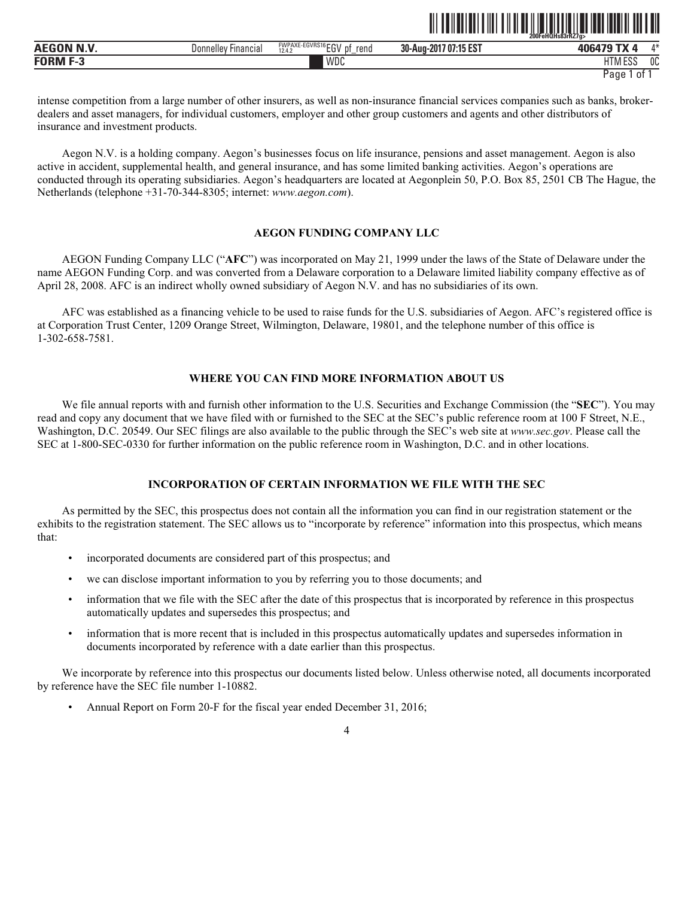|                    |                        |                                       |                                  | 200FeHQHs83rR27a> |               |
|--------------------|------------------------|---------------------------------------|----------------------------------|-------------------|---------------|
| <b>AEGON N.V</b>   | Financial<br>Donnellev | FWPAXE-EGVRS16 $EGV$<br>rend<br>12.4. | <b>707:15 EST</b><br>30-Aug-2017 | $-11$<br>406479   | $A - L$<br>71 |
| <b>FORM</b><br>г-з |                        | WDC                                   |                                  | 1000<br>шт<br>Luc | 0C            |

<u>ot to the the state of the state of the state of the state of the state of the state of the state of the state of the state of the state of the state of the state of the state of the state of the state of the state of the</u>

intense competition from a large number of other insurers, as well as non-insurance financial services companies such as banks, brokerdealers and asset managers, for individual customers, employer and other group customers and agents and other distributors of insurance and investment products.

Aegon N.V. is a holding company. Aegon's businesses focus on life insurance, pensions and asset management. Aegon is also active in accident, supplemental health, and general insurance, and has some limited banking activities. Aegon's operations are conducted through its operating subsidiaries. Aegon's headquarters are located at Aegonplein 50, P.O. Box 85, 2501 CB The Hague, the Netherlands (telephone +31-70-344-8305; internet: *www.aegon.com*).

# **AEGON FUNDING COMPANY LLC**

AEGON Funding Company LLC ("**AFC**") was incorporated on May 21, 1999 under the laws of the State of Delaware under the name AEGON Funding Corp. and was converted from a Delaware corporation to a Delaware limited liability company effective as of April 28, 2008. AFC is an indirect wholly owned subsidiary of Aegon N.V. and has no subsidiaries of its own.

AFC was established as a financing vehicle to be used to raise funds for the U.S. subsidiaries of Aegon. AFC's registered office is at Corporation Trust Center, 1209 Orange Street, Wilmington, Delaware, 19801, and the telephone number of this office is 1-302-658-7581.

# **WHERE YOU CAN FIND MORE INFORMATION ABOUT US**

We file annual reports with and furnish other information to the U.S. Securities and Exchange Commission (the "**SEC**"). You may read and copy any document that we have filed with or furnished to the SEC at the SEC's public reference room at 100 F Street, N.E., Washington, D.C. 20549. Our SEC filings are also available to the public through the SEC's web site at *www.sec.gov*. Please call the SEC at 1-800-SEC-0330 for further information on the public reference room in Washington, D.C. and in other locations.

# **INCORPORATION OF CERTAIN INFORMATION WE FILE WITH THE SEC**

As permitted by the SEC, this prospectus does not contain all the information you can find in our registration statement or the exhibits to the registration statement. The SEC allows us to "incorporate by reference" information into this prospectus, which means that:

- incorporated documents are considered part of this prospectus; and
- we can disclose important information to you by referring you to those documents; and
- information that we file with the SEC after the date of this prospectus that is incorporated by reference in this prospectus automatically updates and supersedes this prospectus; and
- information that is more recent that is included in this prospectus automatically updates and supersedes information in documents incorporated by reference with a date earlier than this prospectus.

We incorporate by reference into this prospectus our documents listed below. Unless otherwise noted, all documents incorporated by reference have the SEC file number 1-10882.

• Annual Report on Form 20-F for the fiscal year ended December 31, 2016;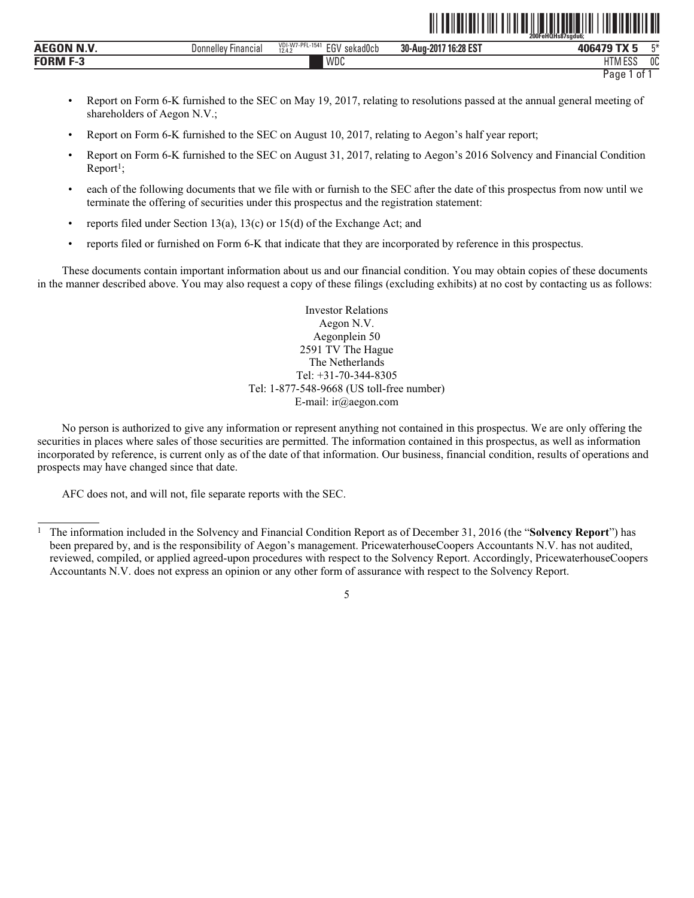|                              |                               |                                                                    | 200FeHQHs87sgdu6;                      |                              |      |
|------------------------------|-------------------------------|--------------------------------------------------------------------|----------------------------------------|------------------------------|------|
| . <b>. .</b><br><b>AEGON</b> | <b>Financial</b><br>Donnellev | W7-PFL<br>$L-1541$<br><b>In</b><br>$-0.$<br>sekadUcb<br><br>12.4.7 | 7 16:28 EST<br>30-Aug-201 <sup>-</sup> | ----<br>וחו<br>rw            | $-x$ |
| <b>FORM</b>                  |                               | 100 <sub>n</sub><br>١٨<br><b>VVUU</b>                              |                                        | 1.500<br>$-$<br>'' IV<br>LUL | 0C   |

<u>oli tehetisti ili tih tehetisti ili tehetisti ili tih element eli</u>

- Report on Form 6-K furnished to the SEC on May 19, 2017, relating to resolutions passed at the annual general meeting of shareholders of Aegon N.V.;
- Report on Form 6-K furnished to the SEC on August 10, 2017, relating to Aegon's half year report;
- Report on Form 6-K furnished to the SEC on August 31, 2017, relating to Aegon's 2016 Solvency and Financial Condition  $Report<sup>1</sup>;$
- each of the following documents that we file with or furnish to the SEC after the date of this prospectus from now until we terminate the offering of securities under this prospectus and the registration statement:
- reports filed under Section 13(a), 13(c) or 15(d) of the Exchange Act; and
- reports filed or furnished on Form 6-K that indicate that they are incorporated by reference in this prospectus.

These documents contain important information about us and our financial condition. You may obtain copies of these documents in the manner described above. You may also request a copy of these filings (excluding exhibits) at no cost by contacting us as follows:

> Investor Relations Aegon N.V. Aegonplein 50 2591 TV The Hague The Netherlands Tel: +31-70-344-8305 Tel: 1-877-548-9668 (US toll-free number) E-mail: ir@aegon.com

No person is authorized to give any information or represent anything not contained in this prospectus. We are only offering the securities in places where sales of those securities are permitted. The information contained in this prospectus, as well as information incorporated by reference, is current only as of the date of that information. Our business, financial condition, results of operations and prospects may have changed since that date.

AFC does not, and will not, file separate reports with the SEC.

<sup>1</sup> The information included in the Solvency and Financial Condition Report as of December 31, 2016 (the "**Solvency Report**") has been prepared by, and is the responsibility of Aegon's management. PricewaterhouseCoopers Accountants N.V. has not audited, reviewed, compiled, or applied agreed-upon procedures with respect to the Solvency Report. Accordingly, PricewaterhouseCoopers Accountants N.V. does not express an opinion or any other form of assurance with respect to the Solvency Report.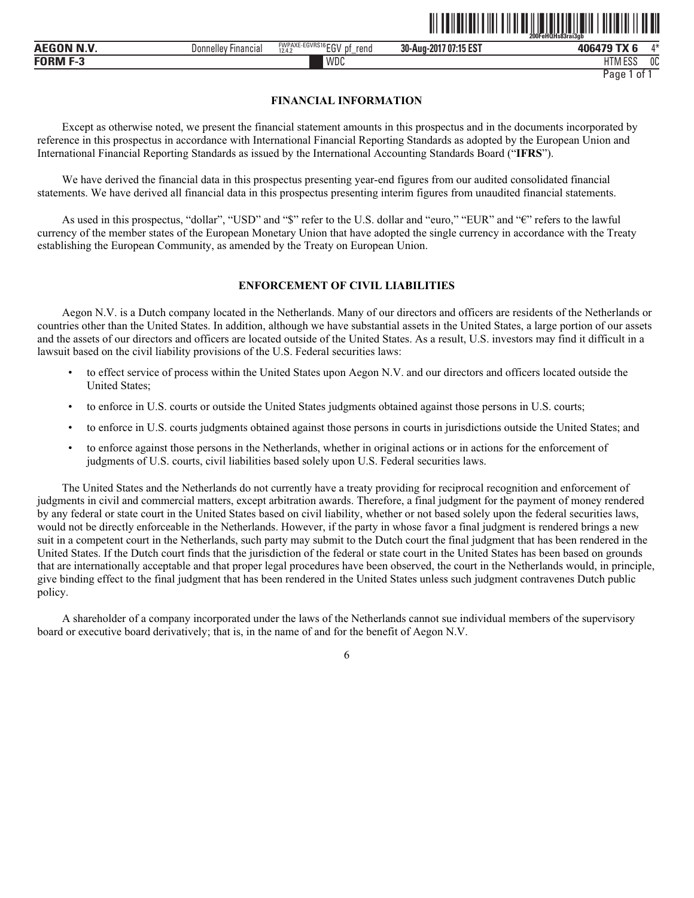|              |                     |                                                                 |                           | .<br>200FeHQHs83raí3gb |            |
|--------------|---------------------|-----------------------------------------------------------------|---------------------------|------------------------|------------|
| N.V<br>AEGON | Donnelley Financial | FWPAXE-EGVRS16<br>$^{\circ}$ CCV<br>рţ<br>rend<br>12.4.<br>∠u v | 707:15 EST<br>30-Aug-2017 | 406479                 | $A \Delta$ |
| FORM         |                     | WDC                                                             |                           | HTM ESა                | 0C         |

ˆ200FeHQHs83rai3gbŠ

# **FINANCIAL INFORMATION**

Except as otherwise noted, we present the financial statement amounts in this prospectus and in the documents incorporated by reference in this prospectus in accordance with International Financial Reporting Standards as adopted by the European Union and International Financial Reporting Standards as issued by the International Accounting Standards Board ("**IFRS**").

We have derived the financial data in this prospectus presenting year-end figures from our audited consolidated financial statements. We have derived all financial data in this prospectus presenting interim figures from unaudited financial statements.

As used in this prospectus, "dollar", "USD" and "\$" refer to the U.S. dollar and "euro," "EUR" and "€" refers to the lawful currency of the member states of the European Monetary Union that have adopted the single currency in accordance with the Treaty establishing the European Community, as amended by the Treaty on European Union.

# **ENFORCEMENT OF CIVIL LIABILITIES**

Aegon N.V. is a Dutch company located in the Netherlands. Many of our directors and officers are residents of the Netherlands or countries other than the United States. In addition, although we have substantial assets in the United States, a large portion of our assets and the assets of our directors and officers are located outside of the United States. As a result, U.S. investors may find it difficult in a lawsuit based on the civil liability provisions of the U.S. Federal securities laws:

- to effect service of process within the United States upon Aegon N.V. and our directors and officers located outside the United States;
- to enforce in U.S. courts or outside the United States judgments obtained against those persons in U.S. courts;
- to enforce in U.S. courts judgments obtained against those persons in courts in jurisdictions outside the United States; and
- to enforce against those persons in the Netherlands, whether in original actions or in actions for the enforcement of judgments of U.S. courts, civil liabilities based solely upon U.S. Federal securities laws.

The United States and the Netherlands do not currently have a treaty providing for reciprocal recognition and enforcement of judgments in civil and commercial matters, except arbitration awards. Therefore, a final judgment for the payment of money rendered by any federal or state court in the United States based on civil liability, whether or not based solely upon the federal securities laws, would not be directly enforceable in the Netherlands. However, if the party in whose favor a final judgment is rendered brings a new suit in a competent court in the Netherlands, such party may submit to the Dutch court the final judgment that has been rendered in the United States. If the Dutch court finds that the jurisdiction of the federal or state court in the United States has been based on grounds that are internationally acceptable and that proper legal procedures have been observed, the court in the Netherlands would, in principle, give binding effect to the final judgment that has been rendered in the United States unless such judgment contravenes Dutch public policy.

A shareholder of a company incorporated under the laws of the Netherlands cannot sue individual members of the supervisory board or executive board derivatively; that is, in the name of and for the benefit of Aegon N.V.

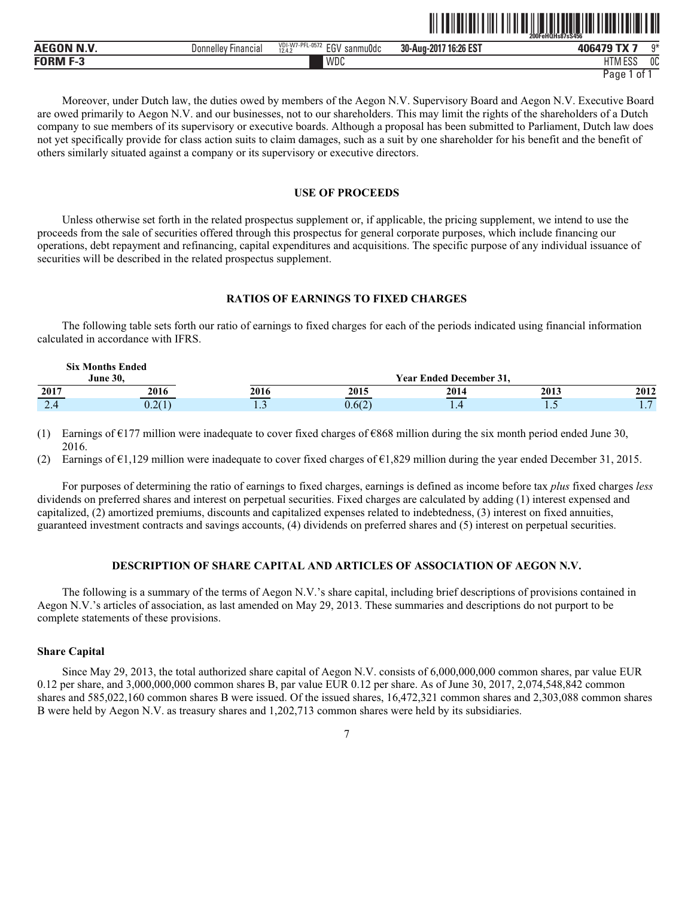|            |                               |                                                         |                             | 200FeHQHs87sS456                 |    |
|------------|-------------------------------|---------------------------------------------------------|-----------------------------|----------------------------------|----|
| AEGON N.V. | Donnelley<br><b>Financial</b> | I-W7-PFL-0572<br><b>VDI</b><br>EGV<br>sanmuOdc<br>12.4. | .7 16:26 EST<br>30-Aug-2017 | 406479                           | n* |
| FORM F-3   |                               | WDC                                                     |                             | <b>ITM FOC</b><br>ועוור<br>، د ن | 0C |

ˆ200FeHQHs87sS456‹Š **200FeHQHs87sS456**

Moreover, under Dutch law, the duties owed by members of the Aegon N.V. Supervisory Board and Aegon N.V. Executive Board are owed primarily to Aegon N.V. and our businesses, not to our shareholders. This may limit the rights of the shareholders of a Dutch company to sue members of its supervisory or executive boards. Although a proposal has been submitted to Parliament, Dutch law does not yet specifically provide for class action suits to claim damages, such as a suit by one shareholder for his benefit and the benefit of others similarly situated against a company or its supervisory or executive directors.

# **USE OF PROCEEDS**

Unless otherwise set forth in the related prospectus supplement or, if applicable, the pricing supplement, we intend to use the proceeds from the sale of securities offered through this prospectus for general corporate purposes, which include financing our operations, debt repayment and refinancing, capital expenditures and acquisitions. The specific purpose of any individual issuance of securities will be described in the related prospectus supplement.

#### **RATIOS OF EARNINGS TO FIXED CHARGES**

The following table sets forth our ratio of earnings to fixed charges for each of the periods indicated using financial information calculated in accordance with IFRS.

|      | <b>Six Months Ended</b><br>June 30. |            |        | <b>Year Ended December 31.</b> |      |                               |
|------|-------------------------------------|------------|--------|--------------------------------|------|-------------------------------|
| 2017 | 2016                                | 2016       | 2015   | 2014                           | 2013 | 2012                          |
| 2.4  | 0.2(1)<br>U <sub>1</sub> L          | <b>1.J</b> | 0.6(2) | $\cdot$ $\cdot$                | .    | $\overline{\phantom{0}}$<br>. |

(1) Earnings of  $E177$  million were inadequate to cover fixed charges of  $E868$  million during the six month period ended June 30, 2016.

(2) Earnings of €1,129 million were inadequate to cover fixed charges of €1,829 million during the year ended December 31, 2015.

For purposes of determining the ratio of earnings to fixed charges, earnings is defined as income before tax *plus* fixed charges *less* dividends on preferred shares and interest on perpetual securities. Fixed charges are calculated by adding (1) interest expensed and capitalized, (2) amortized premiums, discounts and capitalized expenses related to indebtedness, (3) interest on fixed annuities, guaranteed investment contracts and savings accounts, (4) dividends on preferred shares and (5) interest on perpetual securities.

#### **DESCRIPTION OF SHARE CAPITAL AND ARTICLES OF ASSOCIATION OF AEGON N.V.**

The following is a summary of the terms of Aegon N.V.'s share capital, including brief descriptions of provisions contained in Aegon N.V.'s articles of association, as last amended on May 29, 2013. These summaries and descriptions do not purport to be complete statements of these provisions.

# **Share Capital**

Since May 29, 2013, the total authorized share capital of Aegon N.V. consists of 6,000,000,000 common shares, par value EUR 0.12 per share, and 3,000,000,000 common shares B, par value EUR 0.12 per share. As of June 30, 2017, 2,074,548,842 common shares and 585,022,160 common shares B were issued. Of the issued shares, 16,472,321 common shares and 2,303,088 common shares B were held by Aegon N.V. as treasury shares and 1,202,713 common shares were held by its subsidiaries.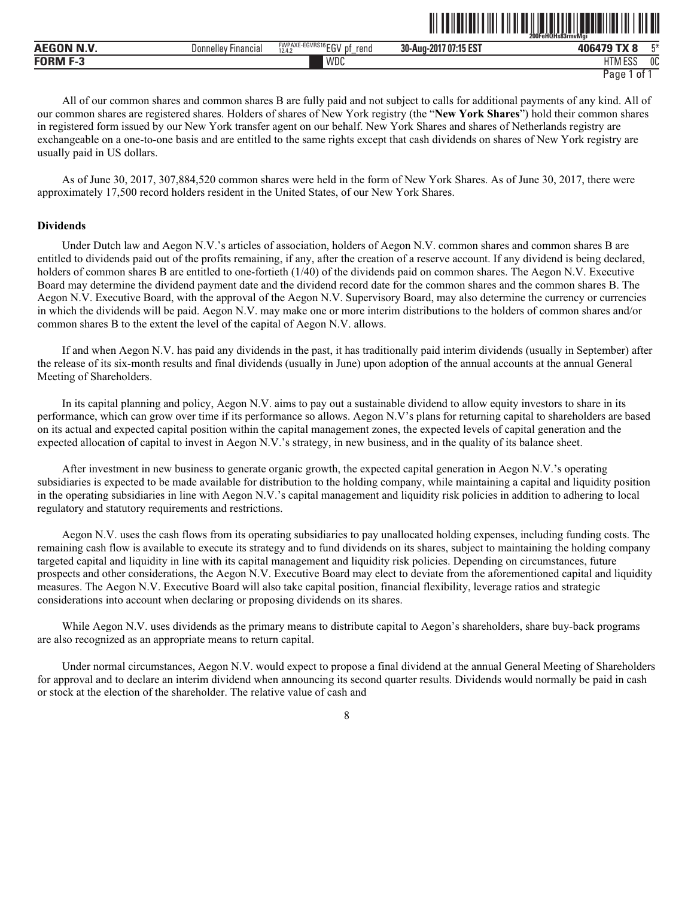|             |                               |                                                         |                            | 200FeHQHs83rmvMai                  |    |
|-------------|-------------------------------|---------------------------------------------------------|----------------------------|------------------------------------|----|
| <b>BUNS</b> | <b>Financial</b><br>Donnelley | FWPAXE-EGVRS16 CCV<br>rend<br>DŤ<br>-.-<br>12.4.2<br>∟u | / 07:15 EST<br>30-Aug-2017 | ------                             | mж |
| FUBM        |                               | WDC                                                     |                            | <b>ITMA</b><br>i roc<br>LI IVI LOJ | OC |

ˆ200FeHQHs83rmvMgiŠ

All of our common shares and common shares B are fully paid and not subject to calls for additional payments of any kind. All of our common shares are registered shares. Holders of shares of New York registry (the "**New York Shares**") hold their common shares in registered form issued by our New York transfer agent on our behalf. New York Shares and shares of Netherlands registry are exchangeable on a one-to-one basis and are entitled to the same rights except that cash dividends on shares of New York registry are usually paid in US dollars.

As of June 30, 2017, 307,884,520 common shares were held in the form of New York Shares. As of June 30, 2017, there were approximately 17,500 record holders resident in the United States, of our New York Shares.

#### **Dividends**

Under Dutch law and Aegon N.V.'s articles of association, holders of Aegon N.V. common shares and common shares B are entitled to dividends paid out of the profits remaining, if any, after the creation of a reserve account. If any dividend is being declared, holders of common shares B are entitled to one-fortieth (1/40) of the dividends paid on common shares. The Aegon N.V. Executive Board may determine the dividend payment date and the dividend record date for the common shares and the common shares B. The Aegon N.V. Executive Board, with the approval of the Aegon N.V. Supervisory Board, may also determine the currency or currencies in which the dividends will be paid. Aegon N.V. may make one or more interim distributions to the holders of common shares and/or common shares B to the extent the level of the capital of Aegon N.V. allows.

If and when Aegon N.V. has paid any dividends in the past, it has traditionally paid interim dividends (usually in September) after the release of its six-month results and final dividends (usually in June) upon adoption of the annual accounts at the annual General Meeting of Shareholders.

In its capital planning and policy, Aegon N.V. aims to pay out a sustainable dividend to allow equity investors to share in its performance, which can grow over time if its performance so allows. Aegon N.V's plans for returning capital to shareholders are based on its actual and expected capital position within the capital management zones, the expected levels of capital generation and the expected allocation of capital to invest in Aegon N.V.'s strategy, in new business, and in the quality of its balance sheet.

After investment in new business to generate organic growth, the expected capital generation in Aegon N.V.'s operating subsidiaries is expected to be made available for distribution to the holding company, while maintaining a capital and liquidity position in the operating subsidiaries in line with Aegon N.V.'s capital management and liquidity risk policies in addition to adhering to local regulatory and statutory requirements and restrictions.

Aegon N.V. uses the cash flows from its operating subsidiaries to pay unallocated holding expenses, including funding costs. The remaining cash flow is available to execute its strategy and to fund dividends on its shares, subject to maintaining the holding company targeted capital and liquidity in line with its capital management and liquidity risk policies. Depending on circumstances, future prospects and other considerations, the Aegon N.V. Executive Board may elect to deviate from the aforementioned capital and liquidity measures. The Aegon N.V. Executive Board will also take capital position, financial flexibility, leverage ratios and strategic considerations into account when declaring or proposing dividends on its shares.

While Aegon N.V. uses dividends as the primary means to distribute capital to Aegon's shareholders, share buy-back programs are also recognized as an appropriate means to return capital.

Under normal circumstances, Aegon N.V. would expect to propose a final dividend at the annual General Meeting of Shareholders for approval and to declare an interim dividend when announcing its second quarter results. Dividends would normally be paid in cash or stock at the election of the shareholder. The relative value of cash and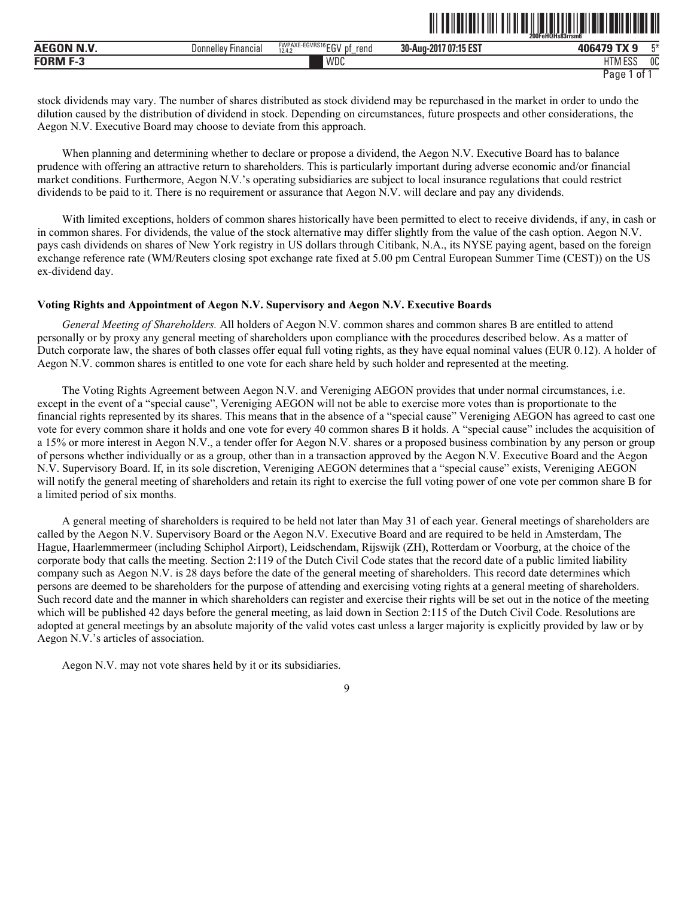|                  |                            |                                                        |                                                        | ------------------------------<br>--------------------------<br>200FeHQHs83rrsm6 |     |  |
|------------------|----------------------------|--------------------------------------------------------|--------------------------------------------------------|----------------------------------------------------------------------------------|-----|--|
| <b>AEGON N.V</b> | ' Financial<br>Donnelley ! | <b>FWPAXE-EGVRS16FOL</b><br>rend<br>рţ<br>12.4.2<br>∟∪ | $-1$ ar rot.<br>nn.<br>7 07:<br>30-Aug-2017<br>:15 E.S | AOCA.7C<br>лn                                                                    | mж. |  |
| <b>FORM</b>      |                            | <b>WDC</b>                                             |                                                        | 11T11F00<br>LIINI E99                                                            | 0C  |  |

ˆ200FeHQHs83rrsm6ÉŠ **200FeHQHs83rrsm6**

stock dividends may vary. The number of shares distributed as stock dividend may be repurchased in the market in order to undo the dilution caused by the distribution of dividend in stock. Depending on circumstances, future prospects and other considerations, the Aegon N.V. Executive Board may choose to deviate from this approach.

When planning and determining whether to declare or propose a dividend, the Aegon N.V. Executive Board has to balance prudence with offering an attractive return to shareholders. This is particularly important during adverse economic and/or financial market conditions. Furthermore, Aegon N.V.'s operating subsidiaries are subject to local insurance regulations that could restrict dividends to be paid to it. There is no requirement or assurance that Aegon N.V. will declare and pay any dividends.

With limited exceptions, holders of common shares historically have been permitted to elect to receive dividends, if any, in cash or in common shares. For dividends, the value of the stock alternative may differ slightly from the value of the cash option. Aegon N.V. pays cash dividends on shares of New York registry in US dollars through Citibank, N.A., its NYSE paying agent, based on the foreign exchange reference rate (WM/Reuters closing spot exchange rate fixed at 5.00 pm Central European Summer Time (CEST)) on the US ex-dividend day.

# **Voting Rights and Appointment of Aegon N.V. Supervisory and Aegon N.V. Executive Boards**

*General Meeting of Shareholders.* All holders of Aegon N.V. common shares and common shares B are entitled to attend personally or by proxy any general meeting of shareholders upon compliance with the procedures described below. As a matter of Dutch corporate law, the shares of both classes offer equal full voting rights, as they have equal nominal values (EUR 0.12). A holder of Aegon N.V. common shares is entitled to one vote for each share held by such holder and represented at the meeting.

The Voting Rights Agreement between Aegon N.V. and Vereniging AEGON provides that under normal circumstances, i.e. except in the event of a "special cause", Vereniging AEGON will not be able to exercise more votes than is proportionate to the financial rights represented by its shares. This means that in the absence of a "special cause" Vereniging AEGON has agreed to cast one vote for every common share it holds and one vote for every 40 common shares B it holds. A "special cause" includes the acquisition of a 15% or more interest in Aegon N.V., a tender offer for Aegon N.V. shares or a proposed business combination by any person or group of persons whether individually or as a group, other than in a transaction approved by the Aegon N.V. Executive Board and the Aegon N.V. Supervisory Board. If, in its sole discretion, Vereniging AEGON determines that a "special cause" exists, Vereniging AEGON will notify the general meeting of shareholders and retain its right to exercise the full voting power of one vote per common share B for a limited period of six months.

A general meeting of shareholders is required to be held not later than May 31 of each year. General meetings of shareholders are called by the Aegon N.V. Supervisory Board or the Aegon N.V. Executive Board and are required to be held in Amsterdam, The Hague, Haarlemmermeer (including Schiphol Airport), Leidschendam, Rijswijk (ZH), Rotterdam or Voorburg, at the choice of the corporate body that calls the meeting. Section 2:119 of the Dutch Civil Code states that the record date of a public limited liability company such as Aegon N.V. is 28 days before the date of the general meeting of shareholders. This record date determines which persons are deemed to be shareholders for the purpose of attending and exercising voting rights at a general meeting of shareholders. Such record date and the manner in which shareholders can register and exercise their rights will be set out in the notice of the meeting which will be published 42 days before the general meeting, as laid down in Section 2:115 of the Dutch Civil Code. Resolutions are adopted at general meetings by an absolute majority of the valid votes cast unless a larger majority is explicitly provided by law or by Aegon N.V.'s articles of association.

Aegon N.V. may not vote shares held by it or its subsidiaries.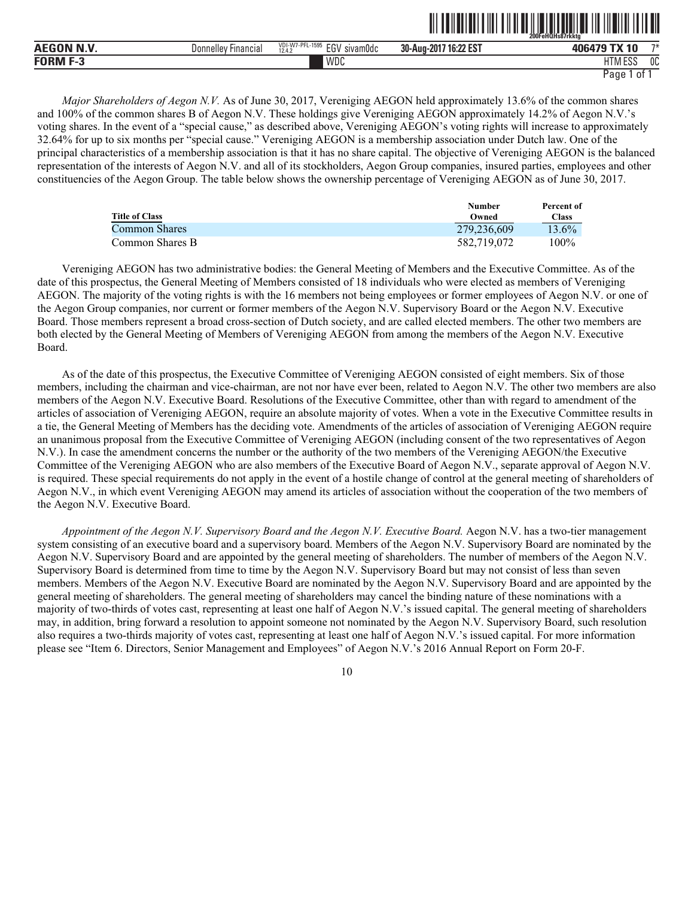|           |                               |                                                                                                   | ------------<br>_ _ . _  . _    .                      | 200FeHQHs87rkkta           |                |
|-----------|-------------------------------|---------------------------------------------------------------------------------------------------|--------------------------------------------------------|----------------------------|----------------|
| AECON N.V | <b>Donnellev</b><br>Financial | VDI-W7-PFL<br>$-1595$<br>$F_{\Omega}$<br>$\ddot{\phantom{1}}$<br>sivamüdc<br>-14<br>12.4.3<br>LU. | $140.00$ $07$<br>30-Aug-<br>$-201$<br>. 16.<br>I.LL LJ | <b>TX 10</b><br>,,,,,,     | 一つ半            |
| FORM      |                               | WDC                                                                                               |                                                        | 11T11F00<br>∟ບເ<br>. . v . | 0 <sup>C</sup> |

<u>oli toimuttuittiin tiin oli oli ole toimuttuu liitiin liitti toim</u>

*Major Shareholders of Aegon N.V.* As of June 30, 2017, Vereniging AEGON held approximately 13.6% of the common shares and 100% of the common shares B of Aegon N.V. These holdings give Vereniging AEGON approximately 14.2% of Aegon N.V.'s voting shares. In the event of a "special cause," as described above, Vereniging AEGON's voting rights will increase to approximately 32.64% for up to six months per "special cause." Vereniging AEGON is a membership association under Dutch law. One of the principal characteristics of a membership association is that it has no share capital. The objective of Vereniging AEGON is the balanced representation of the interests of Aegon N.V. and all of its stockholders, Aegon Group companies, insured parties, employees and other constituencies of the Aegon Group. The table below shows the ownership percentage of Vereniging AEGON as of June 30, 2017.

|                       | <b>Number</b> | Percent of   |
|-----------------------|---------------|--------------|
| <b>Title of Class</b> | Owned         | <b>Class</b> |
| Common Shares         | 279,236,609   | 13.6%        |
| Common Shares B       | 582.719.072   | $100\%$      |

Vereniging AEGON has two administrative bodies: the General Meeting of Members and the Executive Committee. As of the date of this prospectus, the General Meeting of Members consisted of 18 individuals who were elected as members of Vereniging AEGON. The majority of the voting rights is with the 16 members not being employees or former employees of Aegon N.V. or one of the Aegon Group companies, nor current or former members of the Aegon N.V. Supervisory Board or the Aegon N.V. Executive Board. Those members represent a broad cross-section of Dutch society, and are called elected members. The other two members are both elected by the General Meeting of Members of Vereniging AEGON from among the members of the Aegon N.V. Executive Board.

As of the date of this prospectus, the Executive Committee of Vereniging AEGON consisted of eight members. Six of those members, including the chairman and vice-chairman, are not nor have ever been, related to Aegon N.V. The other two members are also members of the Aegon N.V. Executive Board. Resolutions of the Executive Committee, other than with regard to amendment of the articles of association of Vereniging AEGON, require an absolute majority of votes. When a vote in the Executive Committee results in a tie, the General Meeting of Members has the deciding vote. Amendments of the articles of association of Vereniging AEGON require an unanimous proposal from the Executive Committee of Vereniging AEGON (including consent of the two representatives of Aegon N.V.). In case the amendment concerns the number or the authority of the two members of the Vereniging AEGON/the Executive Committee of the Vereniging AEGON who are also members of the Executive Board of Aegon N.V., separate approval of Aegon N.V. is required. These special requirements do not apply in the event of a hostile change of control at the general meeting of shareholders of Aegon N.V., in which event Vereniging AEGON may amend its articles of association without the cooperation of the two members of the Aegon N.V. Executive Board.

*Appointment of the Aegon N.V. Supervisory Board and the Aegon N.V. Executive Board.* Aegon N.V. has a two-tier management system consisting of an executive board and a supervisory board. Members of the Aegon N.V. Supervisory Board are nominated by the Aegon N.V. Supervisory Board and are appointed by the general meeting of shareholders. The number of members of the Aegon N.V. Supervisory Board is determined from time to time by the Aegon N.V. Supervisory Board but may not consist of less than seven members. Members of the Aegon N.V. Executive Board are nominated by the Aegon N.V. Supervisory Board and are appointed by the general meeting of shareholders. The general meeting of shareholders may cancel the binding nature of these nominations with a majority of two-thirds of votes cast, representing at least one half of Aegon N.V.'s issued capital. The general meeting of shareholders may, in addition, bring forward a resolution to appoint someone not nominated by the Aegon N.V. Supervisory Board, such resolution also requires a two-thirds majority of votes cast, representing at least one half of Aegon N.V.'s issued capital. For more information please see "Item 6. Directors, Senior Management and Employees" of Aegon N.V.'s 2016 Annual Report on Form 20-F.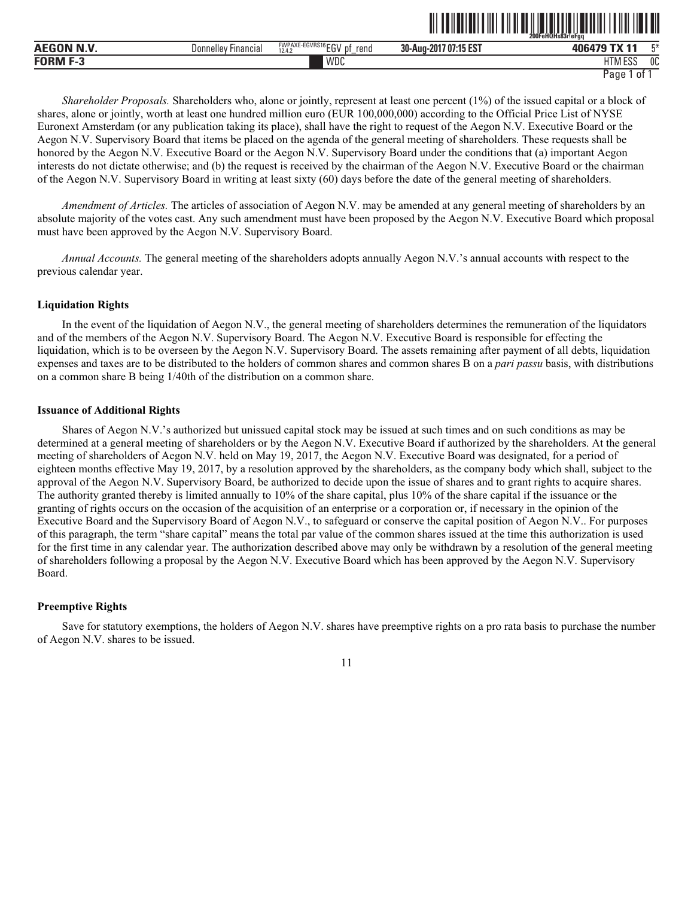|                                     |                                      |                                                        |                                      | ______<br>200FeHQHs83r!eFaa |    |
|-------------------------------------|--------------------------------------|--------------------------------------------------------|--------------------------------------|-----------------------------|----|
| $\sim$ - $\sim$ - $\sim$<br>A'<br>. | <b>Donnellev</b><br><b>Hinancial</b> | $FWPAXE-EGVRS16 FN$<br>. VV F<br>rena<br>12.4.2<br>: ب | 1.47 E2T<br>30-Aug-2017<br>. I J L J | TVIAA<br>0.00000<br>лг      | r* |
| <b>EODM</b>                         |                                      | <b>WDC</b>                                             |                                      | 11T11F00<br>Lu<br>. . v .   | OC |

ˆ200FeHQHs83r!eFgqŠ

*Shareholder Proposals.* Shareholders who, alone or jointly, represent at least one percent (1%) of the issued capital or a block of shares, alone or jointly, worth at least one hundred million euro (EUR 100,000,000) according to the Official Price List of NYSE Euronext Amsterdam (or any publication taking its place), shall have the right to request of the Aegon N.V. Executive Board or the Aegon N.V. Supervisory Board that items be placed on the agenda of the general meeting of shareholders. These requests shall be honored by the Aegon N.V. Executive Board or the Aegon N.V. Supervisory Board under the conditions that (a) important Aegon interests do not dictate otherwise; and (b) the request is received by the chairman of the Aegon N.V. Executive Board or the chairman of the Aegon N.V. Supervisory Board in writing at least sixty (60) days before the date of the general meeting of shareholders.

*Amendment of Articles.* The articles of association of Aegon N.V. may be amended at any general meeting of shareholders by an absolute majority of the votes cast. Any such amendment must have been proposed by the Aegon N.V. Executive Board which proposal must have been approved by the Aegon N.V. Supervisory Board.

*Annual Accounts.* The general meeting of the shareholders adopts annually Aegon N.V.'s annual accounts with respect to the previous calendar year.

# **Liquidation Rights**

In the event of the liquidation of Aegon N.V., the general meeting of shareholders determines the remuneration of the liquidators and of the members of the Aegon N.V. Supervisory Board. The Aegon N.V. Executive Board is responsible for effecting the liquidation, which is to be overseen by the Aegon N.V. Supervisory Board. The assets remaining after payment of all debts, liquidation expenses and taxes are to be distributed to the holders of common shares and common shares B on a *pari passu* basis, with distributions on a common share B being 1/40th of the distribution on a common share.

#### **Issuance of Additional Rights**

Shares of Aegon N.V.'s authorized but unissued capital stock may be issued at such times and on such conditions as may be determined at a general meeting of shareholders or by the Aegon N.V. Executive Board if authorized by the shareholders. At the general meeting of shareholders of Aegon N.V. held on May 19, 2017, the Aegon N.V. Executive Board was designated, for a period of eighteen months effective May 19, 2017, by a resolution approved by the shareholders, as the company body which shall, subject to the approval of the Aegon N.V. Supervisory Board, be authorized to decide upon the issue of shares and to grant rights to acquire shares. The authority granted thereby is limited annually to 10% of the share capital, plus 10% of the share capital if the issuance or the granting of rights occurs on the occasion of the acquisition of an enterprise or a corporation or, if necessary in the opinion of the Executive Board and the Supervisory Board of Aegon N.V., to safeguard or conserve the capital position of Aegon N.V.. For purposes of this paragraph, the term "share capital" means the total par value of the common shares issued at the time this authorization is used for the first time in any calendar year. The authorization described above may only be withdrawn by a resolution of the general meeting of shareholders following a proposal by the Aegon N.V. Executive Board which has been approved by the Aegon N.V. Supervisory Board.

# **Preemptive Rights**

Save for statutory exemptions, the holders of Aegon N.V. shares have preemptive rights on a pro rata basis to purchase the number of Aegon N.V. shares to be issued.

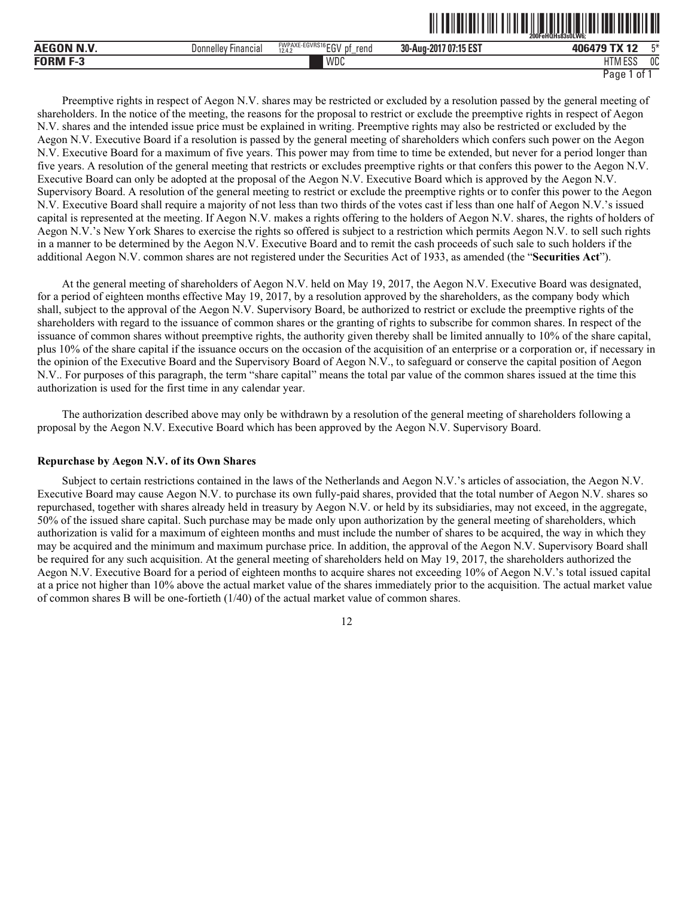|                 |                            |                                             |                       | 200FeHQHs83s0LW6. |       |
|-----------------|----------------------------|---------------------------------------------|-----------------------|-------------------|-------|
| AEGON N.V.      | <b>Donnelley Financial</b> | FWPAXE-EGVRS16EGV<br>' pt<br>rend<br>12.4.7 | 30-Aug-2017 07:15 EST | 406479 TX 12      | $F^*$ |
| <b>FORM F-3</b> |                            | WDC                                         |                       | HTM ESS           | 0C    |

Preemptive rights in respect of Aegon N.V. shares may be restricted or excluded by a resolution passed by the general meeting of shareholders. In the notice of the meeting, the reasons for the proposal to restrict or exclude the preemptive rights in respect of Aegon N.V. shares and the intended issue price must be explained in writing. Preemptive rights may also be restricted or excluded by the Aegon N.V. Executive Board if a resolution is passed by the general meeting of shareholders which confers such power on the Aegon N.V. Executive Board for a maximum of five years. This power may from time to time be extended, but never for a period longer than five years. A resolution of the general meeting that restricts or excludes preemptive rights or that confers this power to the Aegon N.V. Executive Board can only be adopted at the proposal of the Aegon N.V. Executive Board which is approved by the Aegon N.V. Supervisory Board. A resolution of the general meeting to restrict or exclude the preemptive rights or to confer this power to the Aegon N.V. Executive Board shall require a majority of not less than two thirds of the votes cast if less than one half of Aegon N.V.'s issued capital is represented at the meeting. If Aegon N.V. makes a rights offering to the holders of Aegon N.V. shares, the rights of holders of Aegon N.V.'s New York Shares to exercise the rights so offered is subject to a restriction which permits Aegon N.V. to sell such rights in a manner to be determined by the Aegon N.V. Executive Board and to remit the cash proceeds of such sale to such holders if the additional Aegon N.V. common shares are not registered under the Securities Act of 1933, as amended (the "**Securities Act**").

At the general meeting of shareholders of Aegon N.V. held on May 19, 2017, the Aegon N.V. Executive Board was designated, for a period of eighteen months effective May 19, 2017, by a resolution approved by the shareholders, as the company body which shall, subject to the approval of the Aegon N.V. Supervisory Board, be authorized to restrict or exclude the preemptive rights of the shareholders with regard to the issuance of common shares or the granting of rights to subscribe for common shares. In respect of the issuance of common shares without preemptive rights, the authority given thereby shall be limited annually to 10% of the share capital, plus 10% of the share capital if the issuance occurs on the occasion of the acquisition of an enterprise or a corporation or, if necessary in the opinion of the Executive Board and the Supervisory Board of Aegon N.V., to safeguard or conserve the capital position of Aegon N.V.. For purposes of this paragraph, the term "share capital" means the total par value of the common shares issued at the time this authorization is used for the first time in any calendar year.

The authorization described above may only be withdrawn by a resolution of the general meeting of shareholders following a proposal by the Aegon N.V. Executive Board which has been approved by the Aegon N.V. Supervisory Board.

# **Repurchase by Aegon N.V. of its Own Shares**

Subject to certain restrictions contained in the laws of the Netherlands and Aegon N.V.'s articles of association, the Aegon N.V. Executive Board may cause Aegon N.V. to purchase its own fully-paid shares, provided that the total number of Aegon N.V. shares so repurchased, together with shares already held in treasury by Aegon N.V. or held by its subsidiaries, may not exceed, in the aggregate, 50% of the issued share capital. Such purchase may be made only upon authorization by the general meeting of shareholders, which authorization is valid for a maximum of eighteen months and must include the number of shares to be acquired, the way in which they may be acquired and the minimum and maximum purchase price. In addition, the approval of the Aegon N.V. Supervisory Board shall be required for any such acquisition. At the general meeting of shareholders held on May 19, 2017, the shareholders authorized the Aegon N.V. Executive Board for a period of eighteen months to acquire shares not exceeding 10% of Aegon N.V.'s total issued capital at a price not higher than 10% above the actual market value of the shares immediately prior to the acquisition. The actual market value of common shares B will be one-fortieth (1/40) of the actual market value of common shares.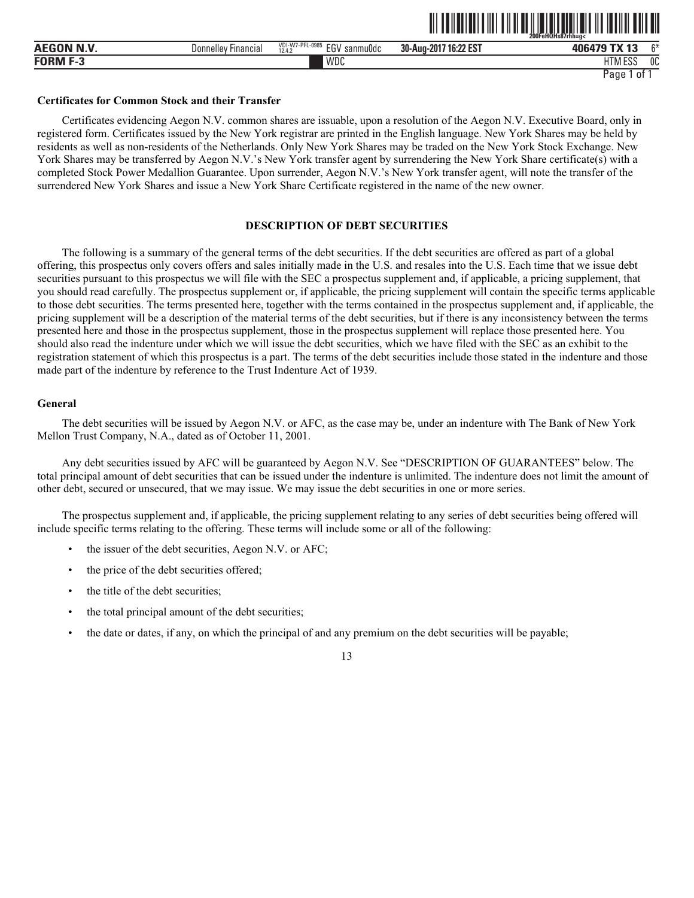| <b>AEGON N.V.</b> | Donnelley Financial | VDI-W7-PFL-0985<br>FOM<br>sanmuOdc<br>-- 1<br>12.4.2<br>LU | 30-Aug-2017 16:22 EST | $^{\sim}$<br>406479 TX 13                              |
|-------------------|---------------------|------------------------------------------------------------|-----------------------|--------------------------------------------------------|
| <b>FORM F-3</b>   |                     | WDC                                                        |                       | $^{\circ}$ PCC $^{\circ}$<br>0C<br><b>HTM</b><br>י בטב |
|                   |                     |                                                            |                       | Page<br>01                                             |

ˆ200FeHQHs87rhh=g<Š

#### **Certificates for Common Stock and their Transfer**

Certificates evidencing Aegon N.V. common shares are issuable, upon a resolution of the Aegon N.V. Executive Board, only in registered form. Certificates issued by the New York registrar are printed in the English language. New York Shares may be held by residents as well as non-residents of the Netherlands. Only New York Shares may be traded on the New York Stock Exchange. New York Shares may be transferred by Aegon N.V.'s New York transfer agent by surrendering the New York Share certificate(s) with a completed Stock Power Medallion Guarantee. Upon surrender, Aegon N.V.'s New York transfer agent, will note the transfer of the surrendered New York Shares and issue a New York Share Certificate registered in the name of the new owner.

# **DESCRIPTION OF DEBT SECURITIES**

The following is a summary of the general terms of the debt securities. If the debt securities are offered as part of a global offering, this prospectus only covers offers and sales initially made in the U.S. and resales into the U.S. Each time that we issue debt securities pursuant to this prospectus we will file with the SEC a prospectus supplement and, if applicable, a pricing supplement, that you should read carefully. The prospectus supplement or, if applicable, the pricing supplement will contain the specific terms applicable to those debt securities. The terms presented here, together with the terms contained in the prospectus supplement and, if applicable, the pricing supplement will be a description of the material terms of the debt securities, but if there is any inconsistency between the terms presented here and those in the prospectus supplement, those in the prospectus supplement will replace those presented here. You should also read the indenture under which we will issue the debt securities, which we have filed with the SEC as an exhibit to the registration statement of which this prospectus is a part. The terms of the debt securities include those stated in the indenture and those made part of the indenture by reference to the Trust Indenture Act of 1939.

#### **General**

The debt securities will be issued by Aegon N.V. or AFC, as the case may be, under an indenture with The Bank of New York Mellon Trust Company, N.A., dated as of October 11, 2001.

Any debt securities issued by AFC will be guaranteed by Aegon N.V. See "DESCRIPTION OF GUARANTEES" below. The total principal amount of debt securities that can be issued under the indenture is unlimited. The indenture does not limit the amount of other debt, secured or unsecured, that we may issue. We may issue the debt securities in one or more series.

The prospectus supplement and, if applicable, the pricing supplement relating to any series of debt securities being offered will include specific terms relating to the offering. These terms will include some or all of the following:

- the issuer of the debt securities, Aegon N.V. or AFC;
- the price of the debt securities offered;
- the title of the debt securities;
- the total principal amount of the debt securities;
- the date or dates, if any, on which the principal of and any premium on the debt securities will be payable;

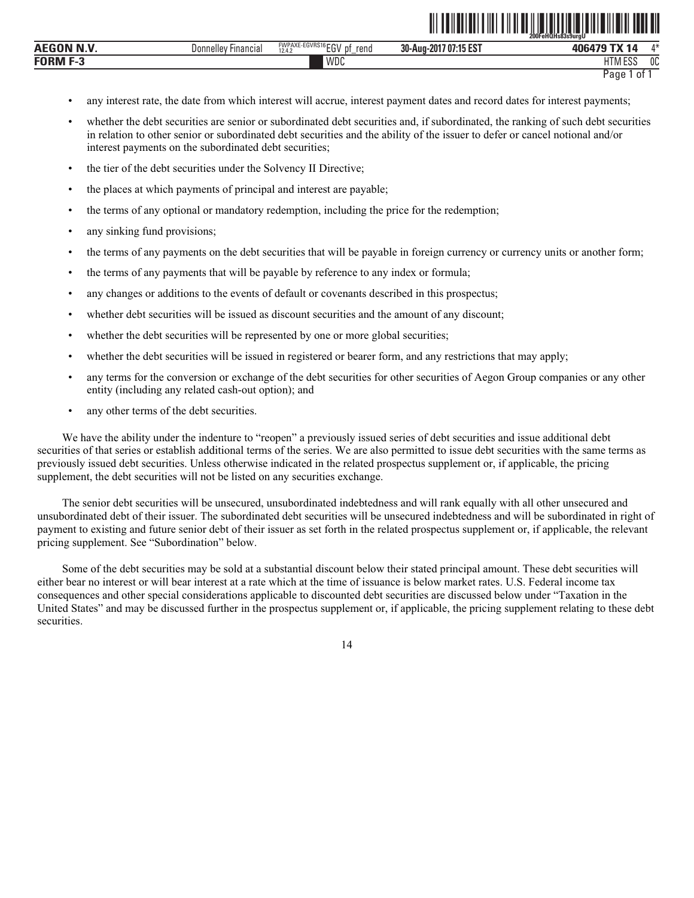|                  |                        |                                                      |                                            | 200FeHQHs83s9urav       |                      |
|------------------|------------------------|------------------------------------------------------|--------------------------------------------|-------------------------|----------------------|
| <b>AEGON N.V</b> | Financial<br>Donnellev | FWPAXE-EGVRS16<br>וחה?<br>rend<br>рţ<br>ĔŪ<br>12.4.2 | AF FOT<br>30-Aug-201<br>/ 0/:15<br>. IJ LJ | <b>AC</b>               | A.3L<br>$\mathbf{u}$ |
| FORM             |                        | WDC                                                  |                                            | 5.550<br>l IVI.<br>.ւ)ւ | 0C                   |

```
Page 1 of 1
```
<u>od tehedalisti surgusti saati mengunakan sebagai sebagai sebagai sebagai sebagai sebagai sebagai sebagai seba</u>

- any interest rate, the date from which interest will accrue, interest payment dates and record dates for interest payments;
- whether the debt securities are senior or subordinated debt securities and, if subordinated, the ranking of such debt securities in relation to other senior or subordinated debt securities and the ability of the issuer to defer or cancel notional and/or interest payments on the subordinated debt securities;
- the tier of the debt securities under the Solvency II Directive;
- the places at which payments of principal and interest are payable;
- the terms of any optional or mandatory redemption, including the price for the redemption;
- any sinking fund provisions;
- the terms of any payments on the debt securities that will be payable in foreign currency or currency units or another form;
- the terms of any payments that will be payable by reference to any index or formula;
- any changes or additions to the events of default or covenants described in this prospectus;
- whether debt securities will be issued as discount securities and the amount of any discount;
- whether the debt securities will be represented by one or more global securities;
- whether the debt securities will be issued in registered or bearer form, and any restrictions that may apply;
- any terms for the conversion or exchange of the debt securities for other securities of Aegon Group companies or any other entity (including any related cash-out option); and
- any other terms of the debt securities.

We have the ability under the indenture to "reopen" a previously issued series of debt securities and issue additional debt securities of that series or establish additional terms of the series. We are also permitted to issue debt securities with the same terms as previously issued debt securities. Unless otherwise indicated in the related prospectus supplement or, if applicable, the pricing supplement, the debt securities will not be listed on any securities exchange.

The senior debt securities will be unsecured, unsubordinated indebtedness and will rank equally with all other unsecured and unsubordinated debt of their issuer. The subordinated debt securities will be unsecured indebtedness and will be subordinated in right of payment to existing and future senior debt of their issuer as set forth in the related prospectus supplement or, if applicable, the relevant pricing supplement. See "Subordination" below.

Some of the debt securities may be sold at a substantial discount below their stated principal amount. These debt securities will either bear no interest or will bear interest at a rate which at the time of issuance is below market rates. U.S. Federal income tax consequences and other special considerations applicable to discounted debt securities are discussed below under "Taxation in the United States" and may be discussed further in the prospectus supplement or, if applicable, the pricing supplement relating to these debt securities.

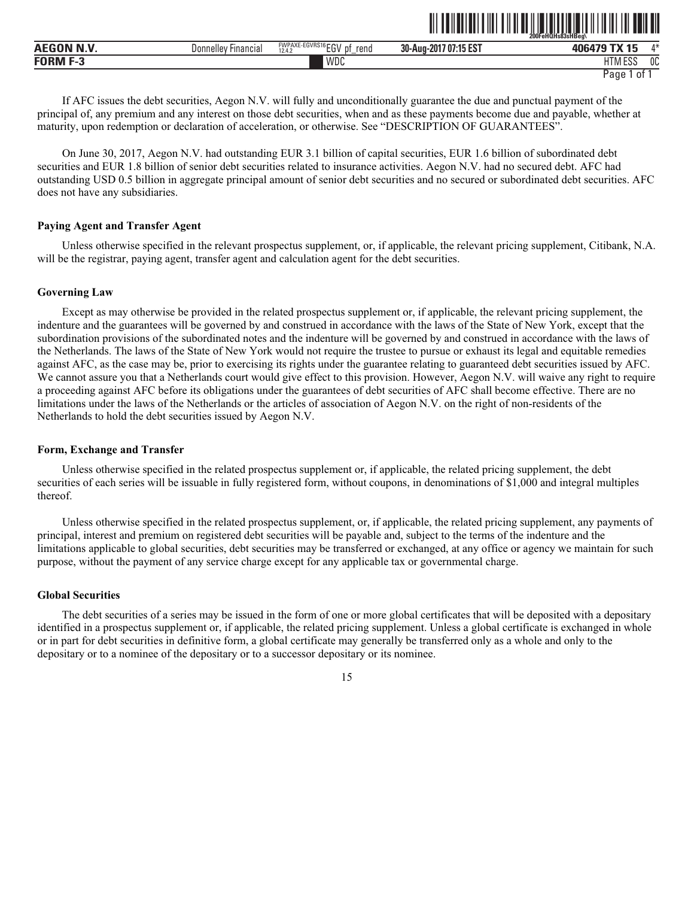|                                        |                               |                                                                    | 200FeHQHs83sHBeg\<br>                           |                                      |      |
|----------------------------------------|-------------------------------|--------------------------------------------------------------------|-------------------------------------------------|--------------------------------------|------|
| $\sim$ - $\sim$ - $\sim$<br><b>AEG</b> | <b>Donnelley</b><br>Financia. | FWPAXE-EGVRS16 FOU<br>rend<br>n1<br>. .<br>12A<br>∼<br>12.4.4<br>- | AF FOT<br>30-Aug-2<br>-201<br>7:15 ES.<br>1 U L | ------                               | A.3L |
| FORM                                   |                               | WDC                                                                |                                                 | 1.000<br>$1 - 1$<br>∟ບ<br><b>IVI</b> | 0C   |

<u>al tehelti ilmi tili med isko sha</u>

If AFC issues the debt securities, Aegon N.V. will fully and unconditionally guarantee the due and punctual payment of the principal of, any premium and any interest on those debt securities, when and as these payments become due and payable, whether at maturity, upon redemption or declaration of acceleration, or otherwise. See "DESCRIPTION OF GUARANTEES".

On June 30, 2017, Aegon N.V. had outstanding EUR 3.1 billion of capital securities, EUR 1.6 billion of subordinated debt securities and EUR 1.8 billion of senior debt securities related to insurance activities. Aegon N.V. had no secured debt. AFC had outstanding USD 0.5 billion in aggregate principal amount of senior debt securities and no secured or subordinated debt securities. AFC does not have any subsidiaries.

#### **Paying Agent and Transfer Agent**

Unless otherwise specified in the relevant prospectus supplement, or, if applicable, the relevant pricing supplement, Citibank, N.A. will be the registrar, paying agent, transfer agent and calculation agent for the debt securities.

#### **Governing Law**

Except as may otherwise be provided in the related prospectus supplement or, if applicable, the relevant pricing supplement, the indenture and the guarantees will be governed by and construed in accordance with the laws of the State of New York, except that the subordination provisions of the subordinated notes and the indenture will be governed by and construed in accordance with the laws of the Netherlands. The laws of the State of New York would not require the trustee to pursue or exhaust its legal and equitable remedies against AFC, as the case may be, prior to exercising its rights under the guarantee relating to guaranteed debt securities issued by AFC. We cannot assure you that a Netherlands court would give effect to this provision. However, Aegon N.V. will waive any right to require a proceeding against AFC before its obligations under the guarantees of debt securities of AFC shall become effective. There are no limitations under the laws of the Netherlands or the articles of association of Aegon N.V. on the right of non-residents of the Netherlands to hold the debt securities issued by Aegon N.V.

#### **Form, Exchange and Transfer**

Unless otherwise specified in the related prospectus supplement or, if applicable, the related pricing supplement, the debt securities of each series will be issuable in fully registered form, without coupons, in denominations of \$1,000 and integral multiples thereof.

Unless otherwise specified in the related prospectus supplement, or, if applicable, the related pricing supplement, any payments of principal, interest and premium on registered debt securities will be payable and, subject to the terms of the indenture and the limitations applicable to global securities, debt securities may be transferred or exchanged, at any office or agency we maintain for such purpose, without the payment of any service charge except for any applicable tax or governmental charge.

#### **Global Securities**

The debt securities of a series may be issued in the form of one or more global certificates that will be deposited with a depositary identified in a prospectus supplement or, if applicable, the related pricing supplement. Unless a global certificate is exchanged in whole or in part for debt securities in definitive form, a global certificate may generally be transferred only as a whole and only to the depositary or to a nominee of the depositary or to a successor depositary or its nominee.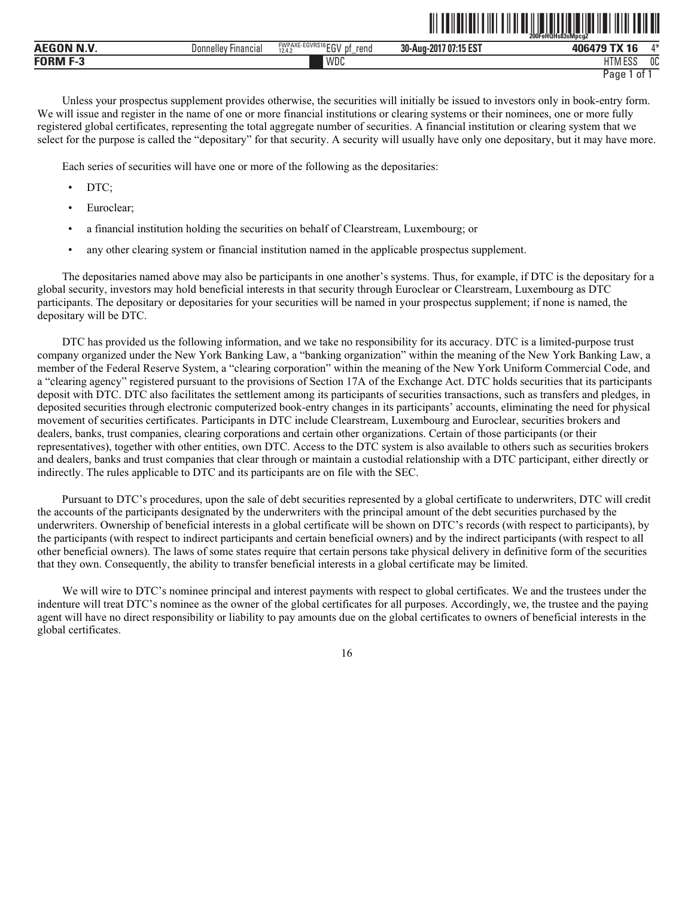|                 |                        |                                                                                      | ------------                | zuureHQHs83sMpcg2<br>--------    |         |
|-----------------|------------------------|--------------------------------------------------------------------------------------|-----------------------------|----------------------------------|---------|
| <b>AEG</b>      | Financia.<br>Donnelley | EGVRS16rrv<br><b>FIAID AVE</b><br><b>WPAAL</b><br>rend<br>рţ<br>10.11<br>∟ບ<br>12.4. | 17 07:15 EST<br>30-Aug-2017 | $\overline{a}$<br>406479<br>$-1$ | $A - L$ |
| <b>FORM F-3</b> |                        | WDC                                                                                  |                             | TTABF00<br>1 I IVI<br>∟ບເ        | OC      |

<u>od tehedalisti oli tahun sahiji sebagai ke</u>hada dan sebagai sebagai sebagai sebagai sebagai sebagai sebagai se

Unless your prospectus supplement provides otherwise, the securities will initially be issued to investors only in book-entry form. We will issue and register in the name of one or more financial institutions or clearing systems or their nominees, one or more fully registered global certificates, representing the total aggregate number of securities. A financial institution or clearing system that we select for the purpose is called the "depositary" for that security. A security will usually have only one depositary, but it may have more.

Each series of securities will have one or more of the following as the depositaries:

- DTC;
- Euroclear;
- a financial institution holding the securities on behalf of Clearstream, Luxembourg; or
- any other clearing system or financial institution named in the applicable prospectus supplement.

The depositaries named above may also be participants in one another's systems. Thus, for example, if DTC is the depositary for a global security, investors may hold beneficial interests in that security through Euroclear or Clearstream, Luxembourg as DTC participants. The depositary or depositaries for your securities will be named in your prospectus supplement; if none is named, the depositary will be DTC.

DTC has provided us the following information, and we take no responsibility for its accuracy. DTC is a limited-purpose trust company organized under the New York Banking Law, a "banking organization" within the meaning of the New York Banking Law, a member of the Federal Reserve System, a "clearing corporation" within the meaning of the New York Uniform Commercial Code, and a "clearing agency" registered pursuant to the provisions of Section 17A of the Exchange Act. DTC holds securities that its participants deposit with DTC. DTC also facilitates the settlement among its participants of securities transactions, such as transfers and pledges, in deposited securities through electronic computerized book-entry changes in its participants' accounts, eliminating the need for physical movement of securities certificates. Participants in DTC include Clearstream, Luxembourg and Euroclear, securities brokers and dealers, banks, trust companies, clearing corporations and certain other organizations. Certain of those participants (or their representatives), together with other entities, own DTC. Access to the DTC system is also available to others such as securities brokers and dealers, banks and trust companies that clear through or maintain a custodial relationship with a DTC participant, either directly or indirectly. The rules applicable to DTC and its participants are on file with the SEC.

Pursuant to DTC's procedures, upon the sale of debt securities represented by a global certificate to underwriters, DTC will credit the accounts of the participants designated by the underwriters with the principal amount of the debt securities purchased by the underwriters. Ownership of beneficial interests in a global certificate will be shown on DTC's records (with respect to participants), by the participants (with respect to indirect participants and certain beneficial owners) and by the indirect participants (with respect to all other beneficial owners). The laws of some states require that certain persons take physical delivery in definitive form of the securities that they own. Consequently, the ability to transfer beneficial interests in a global certificate may be limited.

We will wire to DTC's nominee principal and interest payments with respect to global certificates. We and the trustees under the indenture will treat DTC's nominee as the owner of the global certificates for all purposes. Accordingly, we, the trustee and the paying agent will have no direct responsibility or liability to pay amounts due on the global certificates to owners of beneficial interests in the global certificates.

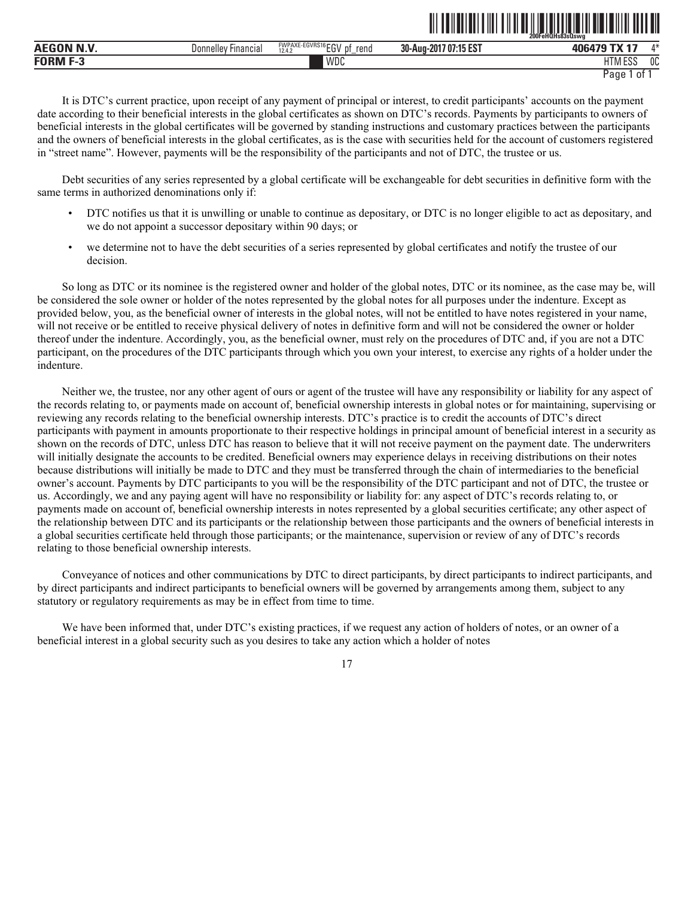|                                             |                                 |                                                                        | ____________________            | ∠00FeHQHs83sQswa              |      |
|---------------------------------------------|---------------------------------|------------------------------------------------------------------------|---------------------------------|-------------------------------|------|
| $\mathbf{r}$ and $\mathbf{r}$<br><b>AEG</b> | : Financial<br><b>Donnelley</b> | <b>EGVRS16</b><br><b>FWPAXE-E</b><br>$-0$<br>rend<br>D1<br>12.4.2<br>∼ | <b>707:15 EST</b><br>30-Aug-201 |                               | A.3L |
| <b>FORM</b>                                 |                                 | WDC                                                                    |                                 | 11T11F0C<br>LU.<br><b>IVI</b> | 0C   |

```
Page 1 of 1
```
ˆ200FeHQHs83sQswgÀŠ

It is DTC's current practice, upon receipt of any payment of principal or interest, to credit participants' accounts on the payment date according to their beneficial interests in the global certificates as shown on DTC's records. Payments by participants to owners of beneficial interests in the global certificates will be governed by standing instructions and customary practices between the participants and the owners of beneficial interests in the global certificates, as is the case with securities held for the account of customers registered in "street name". However, payments will be the responsibility of the participants and not of DTC, the trustee or us.

Debt securities of any series represented by a global certificate will be exchangeable for debt securities in definitive form with the same terms in authorized denominations only if:

- DTC notifies us that it is unwilling or unable to continue as depositary, or DTC is no longer eligible to act as depositary, and we do not appoint a successor depositary within 90 days; or
- we determine not to have the debt securities of a series represented by global certificates and notify the trustee of our decision.

So long as DTC or its nominee is the registered owner and holder of the global notes, DTC or its nominee, as the case may be, will be considered the sole owner or holder of the notes represented by the global notes for all purposes under the indenture. Except as provided below, you, as the beneficial owner of interests in the global notes, will not be entitled to have notes registered in your name, will not receive or be entitled to receive physical delivery of notes in definitive form and will not be considered the owner or holder thereof under the indenture. Accordingly, you, as the beneficial owner, must rely on the procedures of DTC and, if you are not a DTC participant, on the procedures of the DTC participants through which you own your interest, to exercise any rights of a holder under the indenture.

Neither we, the trustee, nor any other agent of ours or agent of the trustee will have any responsibility or liability for any aspect of the records relating to, or payments made on account of, beneficial ownership interests in global notes or for maintaining, supervising or reviewing any records relating to the beneficial ownership interests. DTC's practice is to credit the accounts of DTC's direct participants with payment in amounts proportionate to their respective holdings in principal amount of beneficial interest in a security as shown on the records of DTC, unless DTC has reason to believe that it will not receive payment on the payment date. The underwriters will initially designate the accounts to be credited. Beneficial owners may experience delays in receiving distributions on their notes because distributions will initially be made to DTC and they must be transferred through the chain of intermediaries to the beneficial owner's account. Payments by DTC participants to you will be the responsibility of the DTC participant and not of DTC, the trustee or us. Accordingly, we and any paying agent will have no responsibility or liability for: any aspect of DTC's records relating to, or payments made on account of, beneficial ownership interests in notes represented by a global securities certificate; any other aspect of the relationship between DTC and its participants or the relationship between those participants and the owners of beneficial interests in a global securities certificate held through those participants; or the maintenance, supervision or review of any of DTC's records relating to those beneficial ownership interests.

Conveyance of notices and other communications by DTC to direct participants, by direct participants to indirect participants, and by direct participants and indirect participants to beneficial owners will be governed by arrangements among them, subject to any statutory or regulatory requirements as may be in effect from time to time.

We have been informed that, under DTC's existing practices, if we request any action of holders of notes, or an owner of a beneficial interest in a global security such as you desires to take any action which a holder of notes

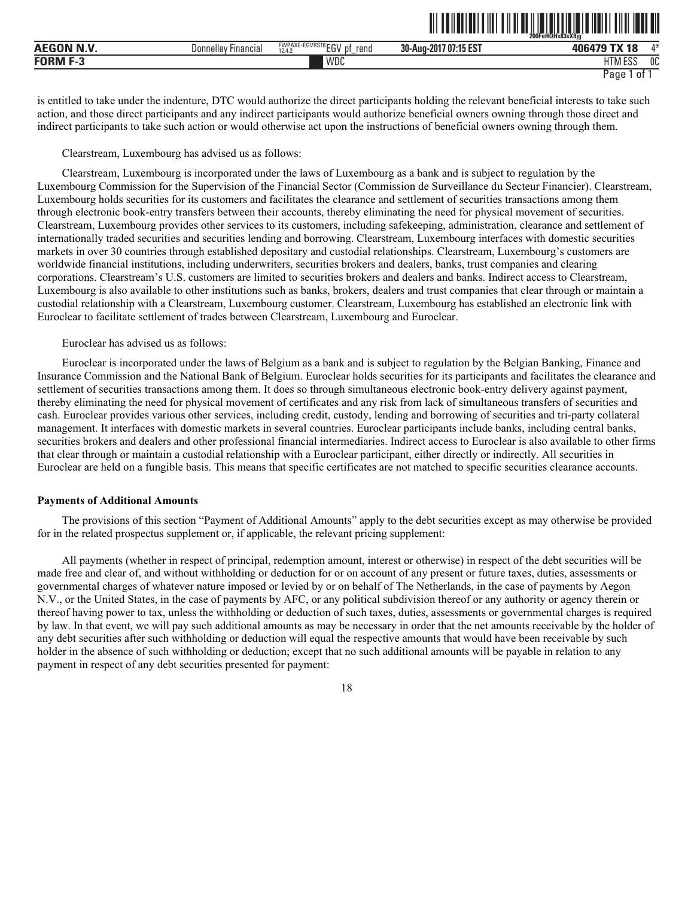|                  |                        |                                                                                     | 200FeHQHs83sX8ia                            |                              |                |
|------------------|------------------------|-------------------------------------------------------------------------------------|---------------------------------------------|------------------------------|----------------|
| <b>AEGON N.V</b> | Financia.<br>Donnelley | $E-EGVRS16$ $F$ $N$<br><b>DAIDAVE</b><br><b>WPAXE</b><br>rend<br>DŤ<br>12.4.2<br>∟ບ | <b>AF FOT</b><br>30-Aug-2017<br>' U/:15 ES. | $-1$<br>-46<br>0.00000       | A.3L<br>,,     |
| <b>CODME?</b>    |                        | WDC                                                                                 |                                             | 1.711700<br>IIIVI LOC<br>___ | <sub>0</sub> C |

<u>oli toimittui tiiti tiiti oli liittitui min tuliti tiiti mon oli</u>

is entitled to take under the indenture, DTC would authorize the direct participants holding the relevant beneficial interests to take such action, and those direct participants and any indirect participants would authorize beneficial owners owning through those direct and indirect participants to take such action or would otherwise act upon the instructions of beneficial owners owning through them.

#### Clearstream, Luxembourg has advised us as follows:

Clearstream, Luxembourg is incorporated under the laws of Luxembourg as a bank and is subject to regulation by the Luxembourg Commission for the Supervision of the Financial Sector (Commission de Surveillance du Secteur Financier). Clearstream, Luxembourg holds securities for its customers and facilitates the clearance and settlement of securities transactions among them through electronic book-entry transfers between their accounts, thereby eliminating the need for physical movement of securities. Clearstream, Luxembourg provides other services to its customers, including safekeeping, administration, clearance and settlement of internationally traded securities and securities lending and borrowing. Clearstream, Luxembourg interfaces with domestic securities markets in over 30 countries through established depositary and custodial relationships. Clearstream, Luxembourg's customers are worldwide financial institutions, including underwriters, securities brokers and dealers, banks, trust companies and clearing corporations. Clearstream's U.S. customers are limited to securities brokers and dealers and banks. Indirect access to Clearstream, Luxembourg is also available to other institutions such as banks, brokers, dealers and trust companies that clear through or maintain a custodial relationship with a Clearstream, Luxembourg customer. Clearstream, Luxembourg has established an electronic link with Euroclear to facilitate settlement of trades between Clearstream, Luxembourg and Euroclear.

# Euroclear has advised us as follows:

Euroclear is incorporated under the laws of Belgium as a bank and is subject to regulation by the Belgian Banking, Finance and Insurance Commission and the National Bank of Belgium. Euroclear holds securities for its participants and facilitates the clearance and settlement of securities transactions among them. It does so through simultaneous electronic book-entry delivery against payment, thereby eliminating the need for physical movement of certificates and any risk from lack of simultaneous transfers of securities and cash. Euroclear provides various other services, including credit, custody, lending and borrowing of securities and tri-party collateral management. It interfaces with domestic markets in several countries. Euroclear participants include banks, including central banks, securities brokers and dealers and other professional financial intermediaries. Indirect access to Euroclear is also available to other firms that clear through or maintain a custodial relationship with a Euroclear participant, either directly or indirectly. All securities in Euroclear are held on a fungible basis. This means that specific certificates are not matched to specific securities clearance accounts.

#### **Payments of Additional Amounts**

The provisions of this section "Payment of Additional Amounts" apply to the debt securities except as may otherwise be provided for in the related prospectus supplement or, if applicable, the relevant pricing supplement:

All payments (whether in respect of principal, redemption amount, interest or otherwise) in respect of the debt securities will be made free and clear of, and without withholding or deduction for or on account of any present or future taxes, duties, assessments or governmental charges of whatever nature imposed or levied by or on behalf of The Netherlands, in the case of payments by Aegon N.V., or the United States, in the case of payments by AFC, or any political subdivision thereof or any authority or agency therein or thereof having power to tax, unless the withholding or deduction of such taxes, duties, assessments or governmental charges is required by law. In that event, we will pay such additional amounts as may be necessary in order that the net amounts receivable by the holder of any debt securities after such withholding or deduction will equal the respective amounts that would have been receivable by such holder in the absence of such withholding or deduction; except that no such additional amounts will be payable in relation to any payment in respect of any debt securities presented for payment:

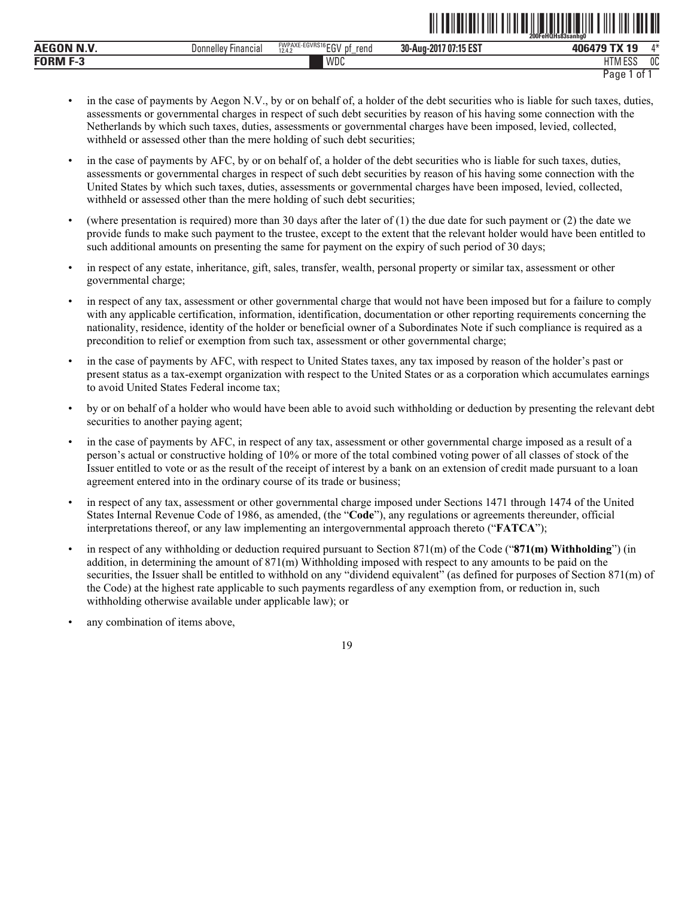| <b>AEGON N.V</b> | Donnelley<br><b>Hinancial</b> | FWPAXE-EGVRS16 ECV<br>рţ<br>rend<br>12.4.2<br>cυ<br>- | 707:15 EST<br>30-Aug-2017 | <b>406479 TY 19</b>        | л* |
|------------------|-------------------------------|-------------------------------------------------------|---------------------------|----------------------------|----|
| FORM<br>- 5      |                               | WDC                                                   |                           | <b>ITALCO</b><br>1 I M ESS | 0C |
|                  |                               |                                                       |                           | Page<br>0t                 |    |

<u>oli taliatiani titi tila tali istoriala ishla tili ilal tart oli</u>

- in the case of payments by Aegon N.V., by or on behalf of, a holder of the debt securities who is liable for such taxes, duties, assessments or governmental charges in respect of such debt securities by reason of his having some connection with the Netherlands by which such taxes, duties, assessments or governmental charges have been imposed, levied, collected, withheld or assessed other than the mere holding of such debt securities;
- in the case of payments by AFC, by or on behalf of, a holder of the debt securities who is liable for such taxes, duties, assessments or governmental charges in respect of such debt securities by reason of his having some connection with the United States by which such taxes, duties, assessments or governmental charges have been imposed, levied, collected, withheld or assessed other than the mere holding of such debt securities;
- (where presentation is required) more than 30 days after the later of (1) the due date for such payment or (2) the date we provide funds to make such payment to the trustee, except to the extent that the relevant holder would have been entitled to such additional amounts on presenting the same for payment on the expiry of such period of 30 days;
- in respect of any estate, inheritance, gift, sales, transfer, wealth, personal property or similar tax, assessment or other governmental charge;
- in respect of any tax, assessment or other governmental charge that would not have been imposed but for a failure to comply with any applicable certification, information, identification, documentation or other reporting requirements concerning the nationality, residence, identity of the holder or beneficial owner of a Subordinates Note if such compliance is required as a precondition to relief or exemption from such tax, assessment or other governmental charge;
- in the case of payments by AFC, with respect to United States taxes, any tax imposed by reason of the holder's past or present status as a tax-exempt organization with respect to the United States or as a corporation which accumulates earnings to avoid United States Federal income tax;
- by or on behalf of a holder who would have been able to avoid such withholding or deduction by presenting the relevant debt securities to another paying agent;
- in the case of payments by AFC, in respect of any tax, assessment or other governmental charge imposed as a result of a person's actual or constructive holding of 10% or more of the total combined voting power of all classes of stock of the Issuer entitled to vote or as the result of the receipt of interest by a bank on an extension of credit made pursuant to a loan agreement entered into in the ordinary course of its trade or business;
- in respect of any tax, assessment or other governmental charge imposed under Sections 1471 through 1474 of the United States Internal Revenue Code of 1986, as amended, (the "**Code**"), any regulations or agreements thereunder, official interpretations thereof, or any law implementing an intergovernmental approach thereto ("**FATCA**");
- in respect of any withholding or deduction required pursuant to Section 871(m) of the Code ("**871(m) Withholding**") (in addition, in determining the amount of 871(m) Withholding imposed with respect to any amounts to be paid on the securities, the Issuer shall be entitled to withhold on any "dividend equivalent" (as defined for purposes of Section 871(m) of the Code) at the highest rate applicable to such payments regardless of any exemption from, or reduction in, such withholding otherwise available under applicable law); or
- any combination of items above,

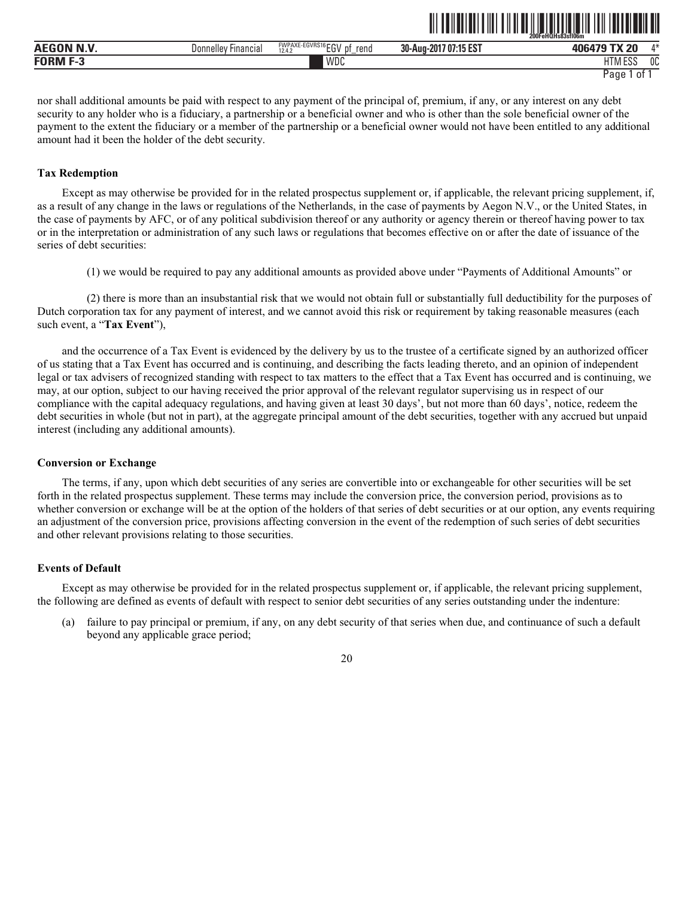|                        |                          |                                                                    |                                      | 200FeHQHs83sfl06m                  |              |
|------------------------|--------------------------|--------------------------------------------------------------------|--------------------------------------|------------------------------------|--------------|
| 200011111<br>$A^{\mu}$ | -<br>Donnelley Financial | <sup>E-EGVRS16</sup> EGV<br><b>FWPAXE-</b><br>rend<br>DŤ<br>12.4.2 | $.107:15 FS^{-}$<br>30-Aug-201<br>EЭ | <b>ANGAZA TY 20</b>                | $A - L$      |
| <b>CODME</b> -         |                          | WDC                                                                |                                      | шті<br>$F^{\alpha}$<br>ועור<br>LUC | $\sim$<br>υu |

ˆ200FeHQHs83sfl06mŠ **200FeHQHs83sfl06m**

nor shall additional amounts be paid with respect to any payment of the principal of, premium, if any, or any interest on any debt security to any holder who is a fiduciary, a partnership or a beneficial owner and who is other than the sole beneficial owner of the payment to the extent the fiduciary or a member of the partnership or a beneficial owner would not have been entitled to any additional amount had it been the holder of the debt security.

#### **Tax Redemption**

Except as may otherwise be provided for in the related prospectus supplement or, if applicable, the relevant pricing supplement, if, as a result of any change in the laws or regulations of the Netherlands, in the case of payments by Aegon N.V., or the United States, in the case of payments by AFC, or of any political subdivision thereof or any authority or agency therein or thereof having power to tax or in the interpretation or administration of any such laws or regulations that becomes effective on or after the date of issuance of the series of debt securities:

(1) we would be required to pay any additional amounts as provided above under "Payments of Additional Amounts" or

(2) there is more than an insubstantial risk that we would not obtain full or substantially full deductibility for the purposes of Dutch corporation tax for any payment of interest, and we cannot avoid this risk or requirement by taking reasonable measures (each such event, a "**Tax Event**"),

and the occurrence of a Tax Event is evidenced by the delivery by us to the trustee of a certificate signed by an authorized officer of us stating that a Tax Event has occurred and is continuing, and describing the facts leading thereto, and an opinion of independent legal or tax advisers of recognized standing with respect to tax matters to the effect that a Tax Event has occurred and is continuing, we may, at our option, subject to our having received the prior approval of the relevant regulator supervising us in respect of our compliance with the capital adequacy regulations, and having given at least 30 days', but not more than 60 days', notice, redeem the debt securities in whole (but not in part), at the aggregate principal amount of the debt securities, together with any accrued but unpaid interest (including any additional amounts).

#### **Conversion or Exchange**

The terms, if any, upon which debt securities of any series are convertible into or exchangeable for other securities will be set forth in the related prospectus supplement. These terms may include the conversion price, the conversion period, provisions as to whether conversion or exchange will be at the option of the holders of that series of debt securities or at our option, any events requiring an adjustment of the conversion price, provisions affecting conversion in the event of the redemption of such series of debt securities and other relevant provisions relating to those securities.

# **Events of Default**

Except as may otherwise be provided for in the related prospectus supplement or, if applicable, the relevant pricing supplement, the following are defined as events of default with respect to senior debt securities of any series outstanding under the indenture:

(a) failure to pay principal or premium, if any, on any debt security of that series when due, and continuance of such a default beyond any applicable grace period;

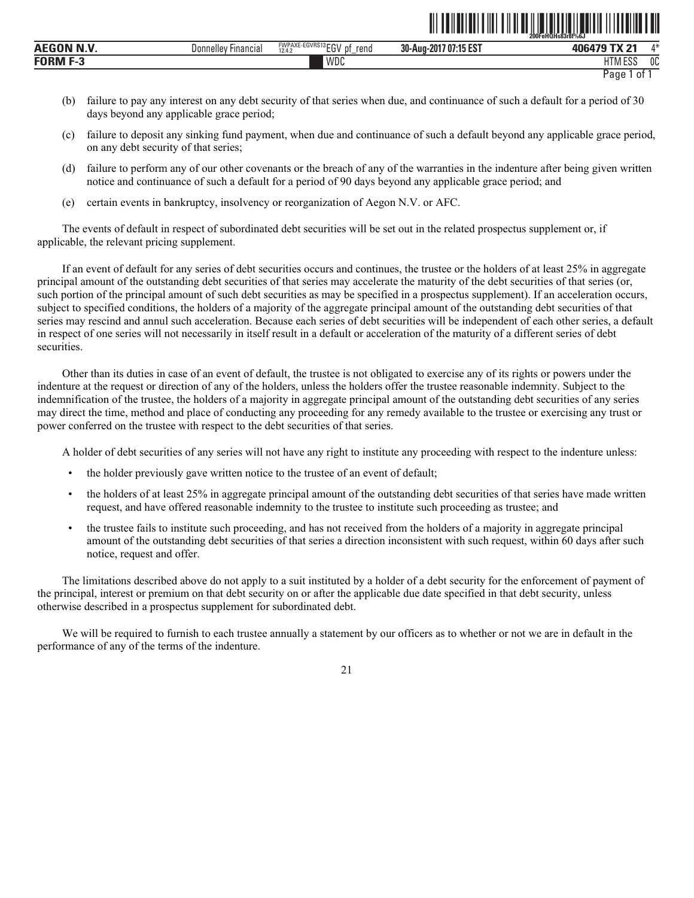|                   |                     |                                            | ∭                     | <u>TII II TII JAJAJA JA T</u><br>I I III I III<br>200FeHQHs83r8f%6J |             |
|-------------------|---------------------|--------------------------------------------|-----------------------|---------------------------------------------------------------------|-------------|
| <b>AEGON N.V.</b> | Donnelley Financial | FWPAXE-EGVRS13EGV<br>rend<br>12.4.2<br>IJΙ | 30-Aug-2017 07:15 EST | 406479 TX 21                                                        | $\Lambda^*$ |
| <b>FORM F-3</b>   |                     | WDC                                        |                       | <b>HTM ESS</b>                                                      | 0C          |

```
Page 1 of 1
```
- (b) failure to pay any interest on any debt security of that series when due, and continuance of such a default for a period of 30 days beyond any applicable grace period;
- (c) failure to deposit any sinking fund payment, when due and continuance of such a default beyond any applicable grace period, on any debt security of that series;
- (d) failure to perform any of our other covenants or the breach of any of the warranties in the indenture after being given written notice and continuance of such a default for a period of 90 days beyond any applicable grace period; and
- (e) certain events in bankruptcy, insolvency or reorganization of Aegon N.V. or AFC.

The events of default in respect of subordinated debt securities will be set out in the related prospectus supplement or, if applicable, the relevant pricing supplement.

If an event of default for any series of debt securities occurs and continues, the trustee or the holders of at least 25% in aggregate principal amount of the outstanding debt securities of that series may accelerate the maturity of the debt securities of that series (or, such portion of the principal amount of such debt securities as may be specified in a prospectus supplement). If an acceleration occurs, subject to specified conditions, the holders of a majority of the aggregate principal amount of the outstanding debt securities of that series may rescind and annul such acceleration. Because each series of debt securities will be independent of each other series, a default in respect of one series will not necessarily in itself result in a default or acceleration of the maturity of a different series of debt securities.

Other than its duties in case of an event of default, the trustee is not obligated to exercise any of its rights or powers under the indenture at the request or direction of any of the holders, unless the holders offer the trustee reasonable indemnity. Subject to the indemnification of the trustee, the holders of a majority in aggregate principal amount of the outstanding debt securities of any series may direct the time, method and place of conducting any proceeding for any remedy available to the trustee or exercising any trust or power conferred on the trustee with respect to the debt securities of that series.

A holder of debt securities of any series will not have any right to institute any proceeding with respect to the indenture unless:

- the holder previously gave written notice to the trustee of an event of default;
- the holders of at least 25% in aggregate principal amount of the outstanding debt securities of that series have made written request, and have offered reasonable indemnity to the trustee to institute such proceeding as trustee; and
- the trustee fails to institute such proceeding, and has not received from the holders of a majority in aggregate principal amount of the outstanding debt securities of that series a direction inconsistent with such request, within 60 days after such notice, request and offer.

The limitations described above do not apply to a suit instituted by a holder of a debt security for the enforcement of payment of the principal, interest or premium on that debt security on or after the applicable due date specified in that debt security, unless otherwise described in a prospectus supplement for subordinated debt.

We will be required to furnish to each trustee annually a statement by our officers as to whether or not we are in default in the performance of any of the terms of the indenture.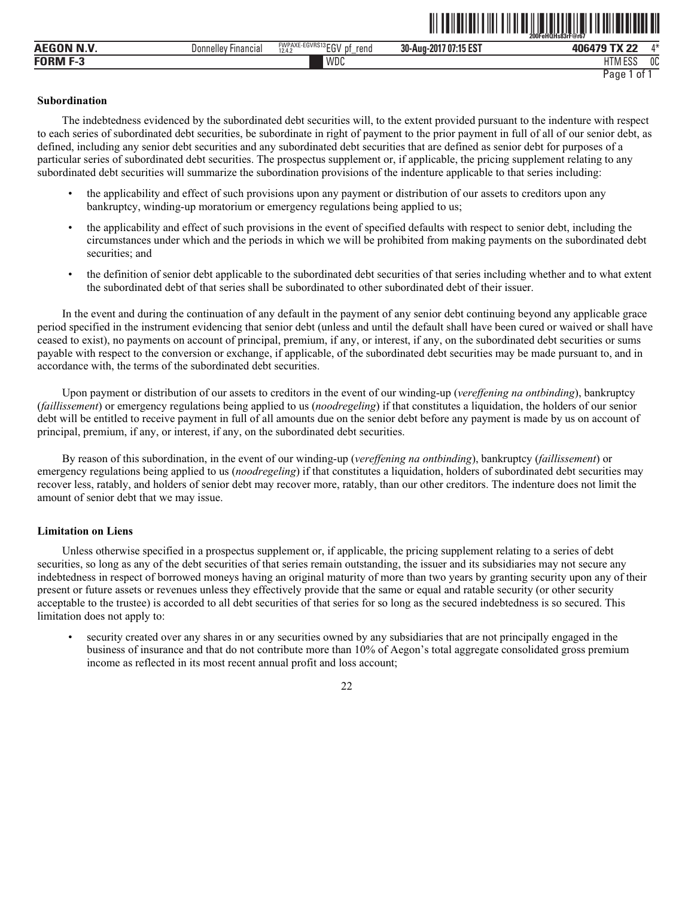|                        |                         |                                          |                           | ---<br>200FeHQHs83rF@r67       |         |
|------------------------|-------------------------|------------------------------------------|---------------------------|--------------------------------|---------|
| <b>AEGON N.V</b>       | Donnelley'<br>Financia, | FWPAXE-EGVRS13EGV<br>rend<br>12.4.2<br>u | 707:15 EST<br>30-Aug-2017 | ני עד הדו <i>ח</i> מ<br>71 I I | $A - L$ |
| <b>FORM F-3</b><br>--- |                         | WDC                                      |                           | 1.500<br><b>ו דו</b><br>LOC    | 0C      |

ˆ200FeHQHs83rF@r67Š **200FeHQHs83rF@r67**

# **Subordination**

The indebtedness evidenced by the subordinated debt securities will, to the extent provided pursuant to the indenture with respect to each series of subordinated debt securities, be subordinate in right of payment to the prior payment in full of all of our senior debt, as defined, including any senior debt securities and any subordinated debt securities that are defined as senior debt for purposes of a particular series of subordinated debt securities. The prospectus supplement or, if applicable, the pricing supplement relating to any subordinated debt securities will summarize the subordination provisions of the indenture applicable to that series including:

- the applicability and effect of such provisions upon any payment or distribution of our assets to creditors upon any bankruptcy, winding-up moratorium or emergency regulations being applied to us;
- the applicability and effect of such provisions in the event of specified defaults with respect to senior debt, including the circumstances under which and the periods in which we will be prohibited from making payments on the subordinated debt securities; and
- the definition of senior debt applicable to the subordinated debt securities of that series including whether and to what extent the subordinated debt of that series shall be subordinated to other subordinated debt of their issuer.

In the event and during the continuation of any default in the payment of any senior debt continuing beyond any applicable grace period specified in the instrument evidencing that senior debt (unless and until the default shall have been cured or waived or shall have ceased to exist), no payments on account of principal, premium, if any, or interest, if any, on the subordinated debt securities or sums payable with respect to the conversion or exchange, if applicable, of the subordinated debt securities may be made pursuant to, and in accordance with, the terms of the subordinated debt securities.

Upon payment or distribution of our assets to creditors in the event of our winding-up (*vereffening na ontbinding*), bankruptcy (*faillissement*) or emergency regulations being applied to us (*noodregeling*) if that constitutes a liquidation, the holders of our senior debt will be entitled to receive payment in full of all amounts due on the senior debt before any payment is made by us on account of principal, premium, if any, or interest, if any, on the subordinated debt securities.

By reason of this subordination, in the event of our winding-up (*vereffening na ontbinding*), bankruptcy (*faillissement*) or emergency regulations being applied to us (*noodregeling*) if that constitutes a liquidation, holders of subordinated debt securities may recover less, ratably, and holders of senior debt may recover more, ratably, than our other creditors. The indenture does not limit the amount of senior debt that we may issue.

# **Limitation on Liens**

Unless otherwise specified in a prospectus supplement or, if applicable, the pricing supplement relating to a series of debt securities, so long as any of the debt securities of that series remain outstanding, the issuer and its subsidiaries may not secure any indebtedness in respect of borrowed moneys having an original maturity of more than two years by granting security upon any of their present or future assets or revenues unless they effectively provide that the same or equal and ratable security (or other security acceptable to the trustee) is accorded to all debt securities of that series for so long as the secured indebtedness is so secured. This limitation does not apply to:

• security created over any shares in or any securities owned by any subsidiaries that are not principally engaged in the business of insurance and that do not contribute more than 10% of Aegon's total aggregate consolidated gross premium income as reflected in its most recent annual profit and loss account;

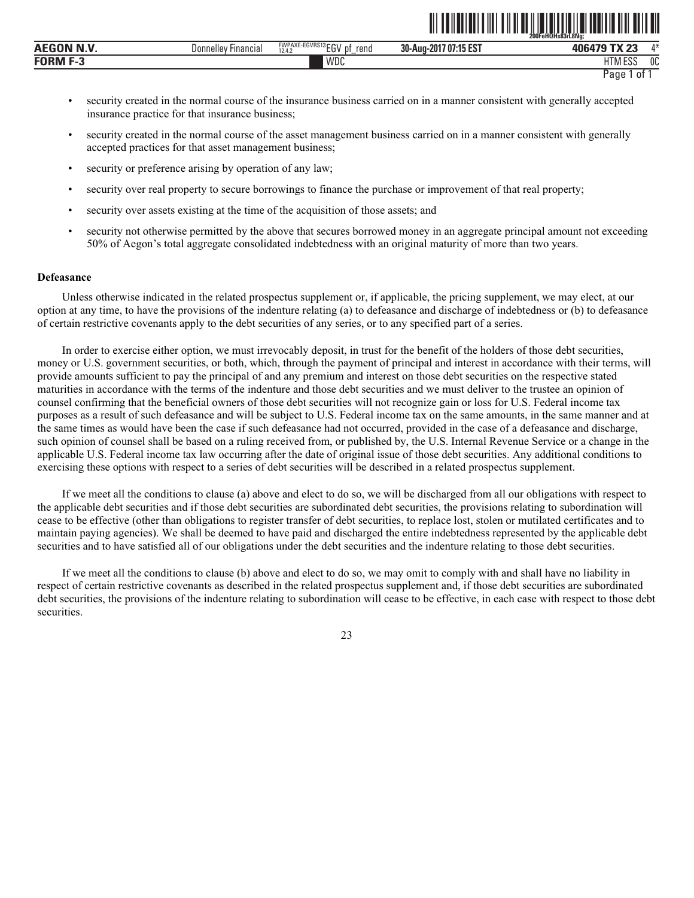|                                          |                               |                                                             | _______<br>-------                 | 200FeHOHs83rL8Na                          | ______       |
|------------------------------------------|-------------------------------|-------------------------------------------------------------|------------------------------------|-------------------------------------------|--------------|
| $\sim$ - $\sim$ - $\sim$<br>$A E^{\sim}$ | <b>Financial</b><br>Jonnellev | <b>FWPAXE-EGVRS13FOV</b><br>rend<br>рt<br>--<br>12.4.<br>∟u | $1107:15 Fo-$<br>30-Aug-201<br>ົ∟ບ | T11.05<br>40 <sup>c</sup>                 | $A - L$      |
| FORM                                     |                               | <b>IMDC</b><br>VVUU                                         |                                    | <b>FOO</b><br><b>IT</b><br>. I IVI<br>LUL | $\sim$<br>υu |

```
Page 1 of 1
```
<u>ni tehelu ili tili tili tehelu ili tehelu ili tehelu ili tehelu </u>

- security created in the normal course of the insurance business carried on in a manner consistent with generally accepted insurance practice for that insurance business;
- security created in the normal course of the asset management business carried on in a manner consistent with generally accepted practices for that asset management business;
- security or preference arising by operation of any law;
- security over real property to secure borrowings to finance the purchase or improvement of that real property;
- security over assets existing at the time of the acquisition of those assets; and
- security not otherwise permitted by the above that secures borrowed money in an aggregate principal amount not exceeding 50% of Aegon's total aggregate consolidated indebtedness with an original maturity of more than two years.

#### **Defeasance**

Unless otherwise indicated in the related prospectus supplement or, if applicable, the pricing supplement, we may elect, at our option at any time, to have the provisions of the indenture relating (a) to defeasance and discharge of indebtedness or (b) to defeasance of certain restrictive covenants apply to the debt securities of any series, or to any specified part of a series.

In order to exercise either option, we must irrevocably deposit, in trust for the benefit of the holders of those debt securities, money or U.S. government securities, or both, which, through the payment of principal and interest in accordance with their terms, will provide amounts sufficient to pay the principal of and any premium and interest on those debt securities on the respective stated maturities in accordance with the terms of the indenture and those debt securities and we must deliver to the trustee an opinion of counsel confirming that the beneficial owners of those debt securities will not recognize gain or loss for U.S. Federal income tax purposes as a result of such defeasance and will be subject to U.S. Federal income tax on the same amounts, in the same manner and at the same times as would have been the case if such defeasance had not occurred, provided in the case of a defeasance and discharge, such opinion of counsel shall be based on a ruling received from, or published by, the U.S. Internal Revenue Service or a change in the applicable U.S. Federal income tax law occurring after the date of original issue of those debt securities. Any additional conditions to exercising these options with respect to a series of debt securities will be described in a related prospectus supplement.

If we meet all the conditions to clause (a) above and elect to do so, we will be discharged from all our obligations with respect to the applicable debt securities and if those debt securities are subordinated debt securities, the provisions relating to subordination will cease to be effective (other than obligations to register transfer of debt securities, to replace lost, stolen or mutilated certificates and to maintain paying agencies). We shall be deemed to have paid and discharged the entire indebtedness represented by the applicable debt securities and to have satisfied all of our obligations under the debt securities and the indenture relating to those debt securities.

If we meet all the conditions to clause (b) above and elect to do so, we may omit to comply with and shall have no liability in respect of certain restrictive covenants as described in the related prospectus supplement and, if those debt securities are subordinated debt securities, the provisions of the indenture relating to subordination will cease to be effective, in each case with respect to those debt securities.

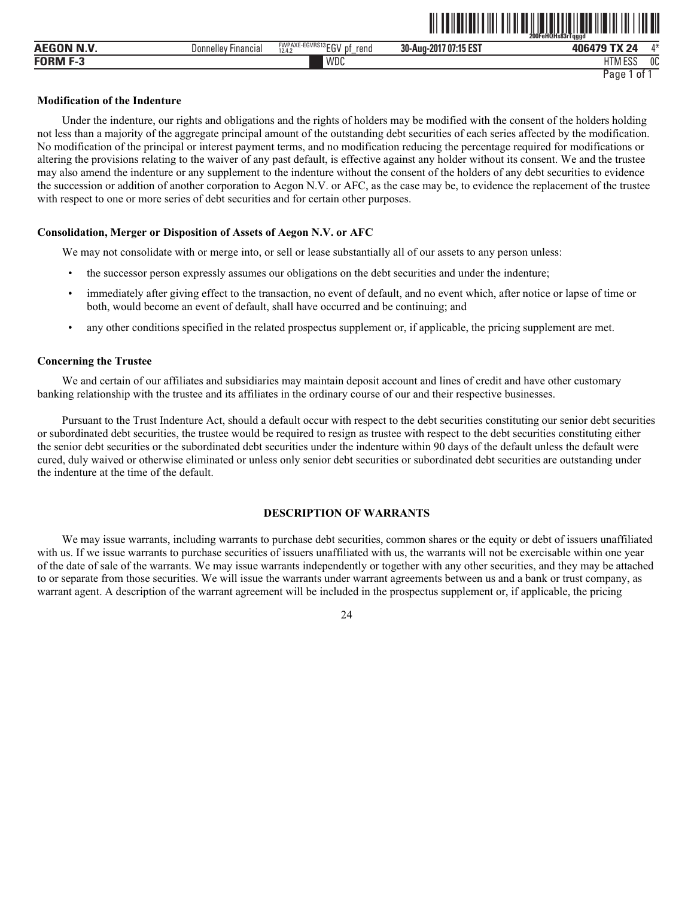|              |                     |                                                               |                                                                              | 200FeHQHs83rTagad |      |
|--------------|---------------------|---------------------------------------------------------------|------------------------------------------------------------------------------|-------------------|------|
| <b>AEGON</b> | Donnellev Financial | EGVRS13rrw<br><b>FWPAXE-EG</b><br>rend<br>$-1$<br>12.4.2<br>∼ | 37.45,027<br>30-Aug-2017<br>. 1 0 T<br>27.1 <sub>h</sub><br>7 U I<br>. IJ EJ | TV OL<br>0.000000 | A.3L |
| <b>FORM</b>  |                     | WDC                                                           |                                                                              | 11T11F00<br>یں ب  | 0C   |

<u>oli tuliutiti tiid tiid situs valtuudi tuliuti ile saa</u>

#### **Modification of the Indenture**

Under the indenture, our rights and obligations and the rights of holders may be modified with the consent of the holders holding not less than a majority of the aggregate principal amount of the outstanding debt securities of each series affected by the modification. No modification of the principal or interest payment terms, and no modification reducing the percentage required for modifications or altering the provisions relating to the waiver of any past default, is effective against any holder without its consent. We and the trustee may also amend the indenture or any supplement to the indenture without the consent of the holders of any debt securities to evidence the succession or addition of another corporation to Aegon N.V. or AFC, as the case may be, to evidence the replacement of the trustee with respect to one or more series of debt securities and for certain other purposes.

# **Consolidation, Merger or Disposition of Assets of Aegon N.V. or AFC**

We may not consolidate with or merge into, or sell or lease substantially all of our assets to any person unless:

- the successor person expressly assumes our obligations on the debt securities and under the indenture;
- immediately after giving effect to the transaction, no event of default, and no event which, after notice or lapse of time or both, would become an event of default, shall have occurred and be continuing; and
- any other conditions specified in the related prospectus supplement or, if applicable, the pricing supplement are met.

#### **Concerning the Trustee**

We and certain of our affiliates and subsidiaries may maintain deposit account and lines of credit and have other customary banking relationship with the trustee and its affiliates in the ordinary course of our and their respective businesses.

Pursuant to the Trust Indenture Act, should a default occur with respect to the debt securities constituting our senior debt securities or subordinated debt securities, the trustee would be required to resign as trustee with respect to the debt securities constituting either the senior debt securities or the subordinated debt securities under the indenture within 90 days of the default unless the default were cured, duly waived or otherwise eliminated or unless only senior debt securities or subordinated debt securities are outstanding under the indenture at the time of the default.

# **DESCRIPTION OF WARRANTS**

We may issue warrants, including warrants to purchase debt securities, common shares or the equity or debt of issuers unaffiliated with us. If we issue warrants to purchase securities of issuers unaffiliated with us, the warrants will not be exercisable within one year of the date of sale of the warrants. We may issue warrants independently or together with any other securities, and they may be attached to or separate from those securities. We will issue the warrants under warrant agreements between us and a bank or trust company, as warrant agent. A description of the warrant agreement will be included in the prospectus supplement or, if applicable, the pricing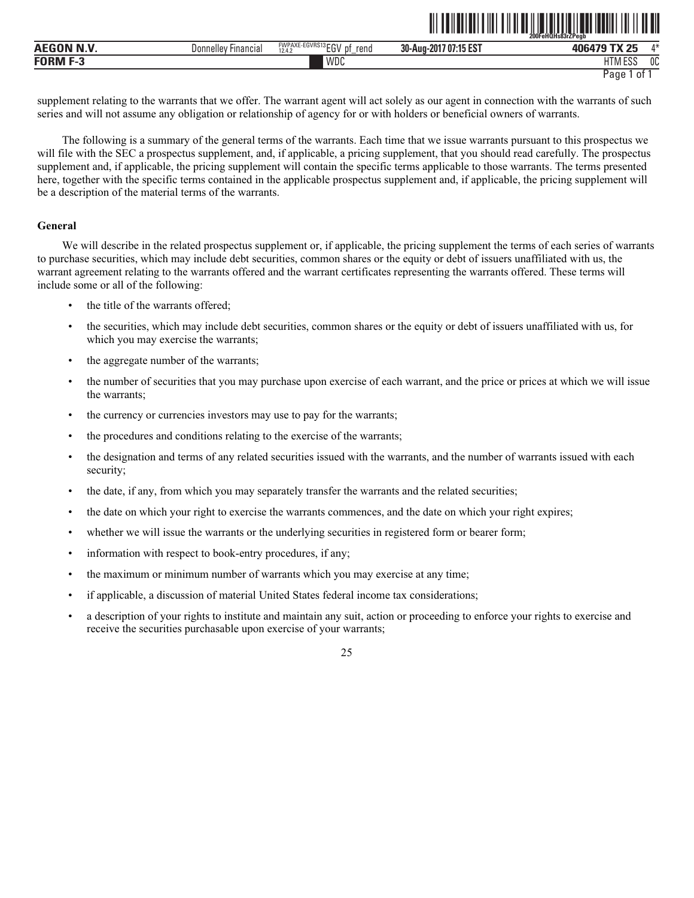|              |                               |                                                             |                           | 200FeHQHs83rZPeab         |         |
|--------------|-------------------------------|-------------------------------------------------------------|---------------------------|---------------------------|---------|
|              | Financial<br><b>Jonnelley</b> | <b>FWPAXE-EGVRS</b><br>S13F01<br>rend<br>DŤ<br>12.4.2<br>∟ບ | /07:15 EST<br>30-Aug-2017 | $TV$ or                   | $A - A$ |
| <b>TODM.</b> |                               | WDC                                                         |                           | <b>FOO</b><br>הכם ועו ו ח | 0C      |

<u>al teherleti ili salah sama sebagai penduduk seba</u>

supplement relating to the warrants that we offer. The warrant agent will act solely as our agent in connection with the warrants of such series and will not assume any obligation or relationship of agency for or with holders or beneficial owners of warrants.

The following is a summary of the general terms of the warrants. Each time that we issue warrants pursuant to this prospectus we will file with the SEC a prospectus supplement, and, if applicable, a pricing supplement, that you should read carefully. The prospectus supplement and, if applicable, the pricing supplement will contain the specific terms applicable to those warrants. The terms presented here, together with the specific terms contained in the applicable prospectus supplement and, if applicable, the pricing supplement will be a description of the material terms of the warrants.

# **General**

We will describe in the related prospectus supplement or, if applicable, the pricing supplement the terms of each series of warrants to purchase securities, which may include debt securities, common shares or the equity or debt of issuers unaffiliated with us, the warrant agreement relating to the warrants offered and the warrant certificates representing the warrants offered. These terms will include some or all of the following:

- the title of the warrants offered:
- the securities, which may include debt securities, common shares or the equity or debt of issuers unaffiliated with us, for which you may exercise the warrants;
- the aggregate number of the warrants;
- the number of securities that you may purchase upon exercise of each warrant, and the price or prices at which we will issue the warrants;
- the currency or currencies investors may use to pay for the warrants;
- the procedures and conditions relating to the exercise of the warrants;
- the designation and terms of any related securities issued with the warrants, and the number of warrants issued with each security;
- the date, if any, from which you may separately transfer the warrants and the related securities;
- the date on which your right to exercise the warrants commences, and the date on which your right expires;
- whether we will issue the warrants or the underlying securities in registered form or bearer form;
- information with respect to book-entry procedures, if any;
- the maximum or minimum number of warrants which you may exercise at any time;
- if applicable, a discussion of material United States federal income tax considerations;
- a description of your rights to institute and maintain any suit, action or proceeding to enforce your rights to exercise and receive the securities purchasable upon exercise of your warrants;

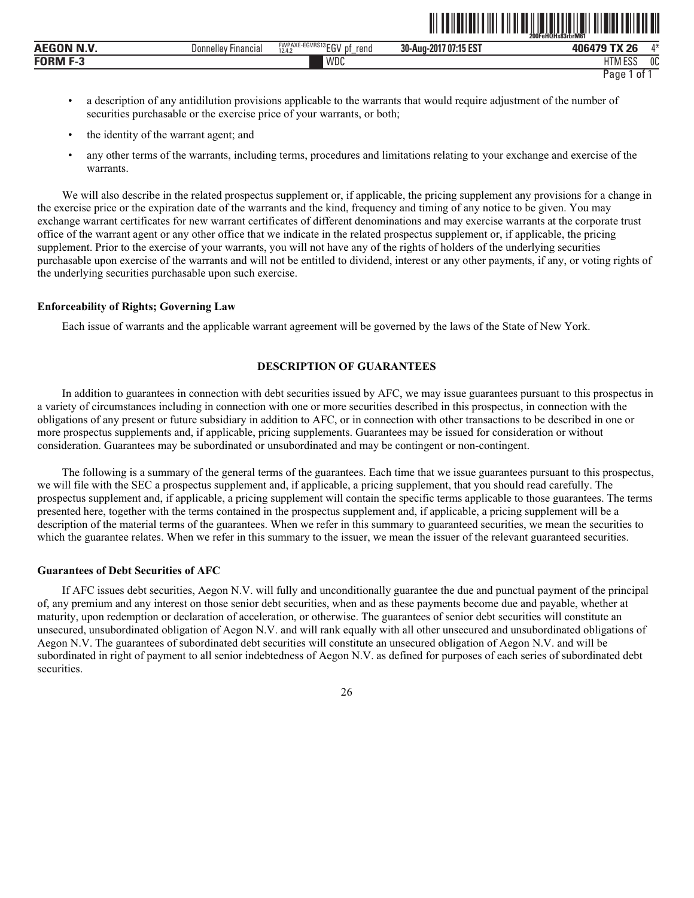|                                                          |                               |                                                          |                                              | 200FeHQHs83rbrM61            |         |
|----------------------------------------------------------|-------------------------------|----------------------------------------------------------|----------------------------------------------|------------------------------|---------|
| $\sim$ $\sim$ $\sim$<br><b>BU 34</b><br>AEG <sup>r</sup> | <b>Financial</b><br>Jonnellev | FWPAXE-EGVRS13 ECV<br>rend<br>рţ<br>LU'<br>12.4.2<br>$-$ | AF FOT<br>30-Aug-201<br>/ 07:15 '<br>. IJ LO | <b>TV OC</b><br>406479       | $A - L$ |
| <b>FORM</b>                                              |                               | WDC                                                      |                                              | <b>FOC</b><br>טם י<br>טורי - | 0C      |

ˆ200FeHQHs83rbrM61Š **200FeHQHs83rbrM61**

- a description of any antidilution provisions applicable to the warrants that would require adjustment of the number of securities purchasable or the exercise price of your warrants, or both;
- the identity of the warrant agent; and
- any other terms of the warrants, including terms, procedures and limitations relating to your exchange and exercise of the warrants.

We will also describe in the related prospectus supplement or, if applicable, the pricing supplement any provisions for a change in the exercise price or the expiration date of the warrants and the kind, frequency and timing of any notice to be given. You may exchange warrant certificates for new warrant certificates of different denominations and may exercise warrants at the corporate trust office of the warrant agent or any other office that we indicate in the related prospectus supplement or, if applicable, the pricing supplement. Prior to the exercise of your warrants, you will not have any of the rights of holders of the underlying securities purchasable upon exercise of the warrants and will not be entitled to dividend, interest or any other payments, if any, or voting rights of the underlying securities purchasable upon such exercise.

# **Enforceability of Rights; Governing Law**

Each issue of warrants and the applicable warrant agreement will be governed by the laws of the State of New York.

# **DESCRIPTION OF GUARANTEES**

In addition to guarantees in connection with debt securities issued by AFC, we may issue guarantees pursuant to this prospectus in a variety of circumstances including in connection with one or more securities described in this prospectus, in connection with the obligations of any present or future subsidiary in addition to AFC, or in connection with other transactions to be described in one or more prospectus supplements and, if applicable, pricing supplements. Guarantees may be issued for consideration or without consideration. Guarantees may be subordinated or unsubordinated and may be contingent or non-contingent.

The following is a summary of the general terms of the guarantees. Each time that we issue guarantees pursuant to this prospectus, we will file with the SEC a prospectus supplement and, if applicable, a pricing supplement, that you should read carefully. The prospectus supplement and, if applicable, a pricing supplement will contain the specific terms applicable to those guarantees. The terms presented here, together with the terms contained in the prospectus supplement and, if applicable, a pricing supplement will be a description of the material terms of the guarantees. When we refer in this summary to guaranteed securities, we mean the securities to which the guarantee relates. When we refer in this summary to the issuer, we mean the issuer of the relevant guaranteed securities.

#### **Guarantees of Debt Securities of AFC**

If AFC issues debt securities, Aegon N.V. will fully and unconditionally guarantee the due and punctual payment of the principal of, any premium and any interest on those senior debt securities, when and as these payments become due and payable, whether at maturity, upon redemption or declaration of acceleration, or otherwise. The guarantees of senior debt securities will constitute an unsecured, unsubordinated obligation of Aegon N.V. and will rank equally with all other unsecured and unsubordinated obligations of Aegon N.V. The guarantees of subordinated debt securities will constitute an unsecured obligation of Aegon N.V. and will be subordinated in right of payment to all senior indebtedness of Aegon N.V. as defined for purposes of each series of subordinated debt securities.

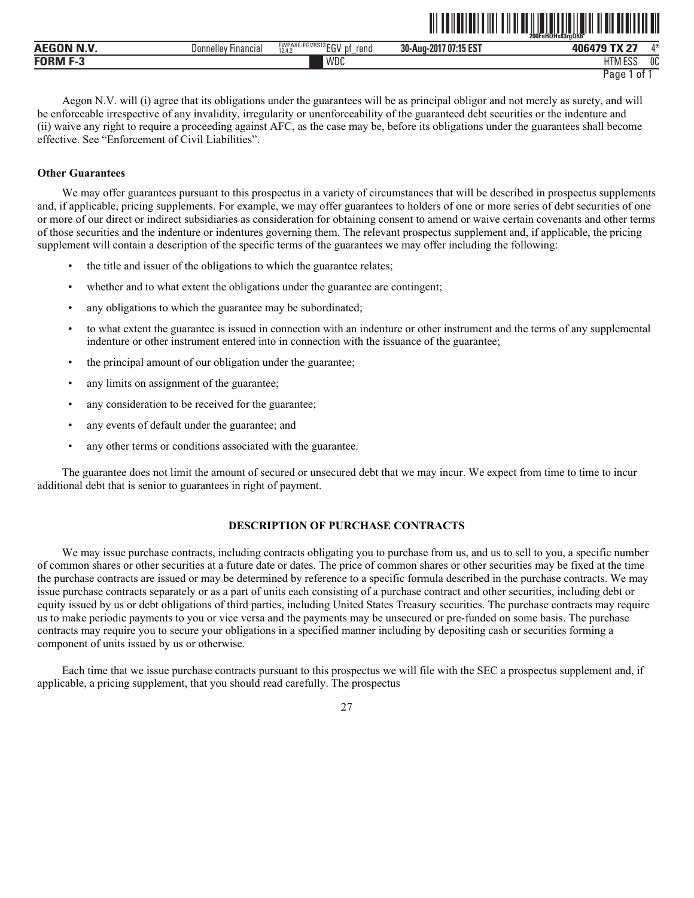|               |                        |                                                                    |                                                            | ------------<br>200FeHQHs83raQK6"<br>---------- |              |  |
|---------------|------------------------|--------------------------------------------------------------------|------------------------------------------------------------|-------------------------------------------------|--------------|--|
| P<br>л.<br>n  | Financial<br>Donnelley | E-EGVRS13rru<br><b>FWPAXE-</b><br>rend<br>DŤ<br>EU.<br>12.4.2<br>- | <b>LAP POT</b><br>30-Aug-<br>$-201$<br>7 07 15<br>. 13 E.S | $-$ TV $-$<br><b>406479 T</b>                   | $A - L$      |  |
| <b>CODME?</b> |                        | WDC                                                                |                                                            | 1.500<br>1.1778<br>ננס ווווח                    | $\sim$<br>υu |  |

```
Page 1 of 1
```
<u>oli toimittui tuli tuli oli valtitui tuli tuli tuli tuli tuli tul</u>

Aegon N.V. will (i) agree that its obligations under the guarantees will be as principal obligor and not merely as surety, and will be enforceable irrespective of any invalidity, irregularity or unenforceability of the guaranteed debt securities or the indenture and (ii) waive any right to require a proceeding against AFC, as the case may be, before its obligations under the guarantees shall become effective. See "Enforcement of Civil Liabilities".

#### **Other Guarantees**

We may offer guarantees pursuant to this prospectus in a variety of circumstances that will be described in prospectus supplements and, if applicable, pricing supplements. For example, we may offer guarantees to holders of one or more series of debt securities of one or more of our direct or indirect subsidiaries as consideration for obtaining consent to amend or waive certain covenants and other terms of those securities and the indenture or indentures governing them. The relevant prospectus supplement and, if applicable, the pricing supplement will contain a description of the specific terms of the guarantees we may offer including the following:

- the title and issuer of the obligations to which the guarantee relates;
- whether and to what extent the obligations under the guarantee are contingent;
- any obligations to which the guarantee may be subordinated;
- to what extent the guarantee is issued in connection with an indenture or other instrument and the terms of any supplemental indenture or other instrument entered into in connection with the issuance of the guarantee;
- the principal amount of our obligation under the guarantee;
- any limits on assignment of the guarantee;
- any consideration to be received for the guarantee;
- any events of default under the guarantee; and
- any other terms or conditions associated with the guarantee.

The guarantee does not limit the amount of secured or unsecured debt that we may incur. We expect from time to time to incur additional debt that is senior to guarantees in right of payment.

# **DESCRIPTION OF PURCHASE CONTRACTS**

We may issue purchase contracts, including contracts obligating you to purchase from us, and us to sell to you, a specific number of common shares or other securities at a future date or dates. The price of common shares or other securities may be fixed at the time the purchase contracts are issued or may be determined by reference to a specific formula described in the purchase contracts. We may issue purchase contracts separately or as a part of units each consisting of a purchase contract and other securities, including debt or equity issued by us or debt obligations of third parties, including United States Treasury securities. The purchase contracts may require us to make periodic payments to you or vice versa and the payments may be unsecured or pre-funded on some basis. The purchase contracts may require you to secure your obligations in a specified manner including by depositing cash or securities forming a component of units issued by us or otherwise.

Each time that we issue purchase contracts pursuant to this prospectus we will file with the SEC a prospectus supplement and, if applicable, a pricing supplement, that you should read carefully. The prospectus

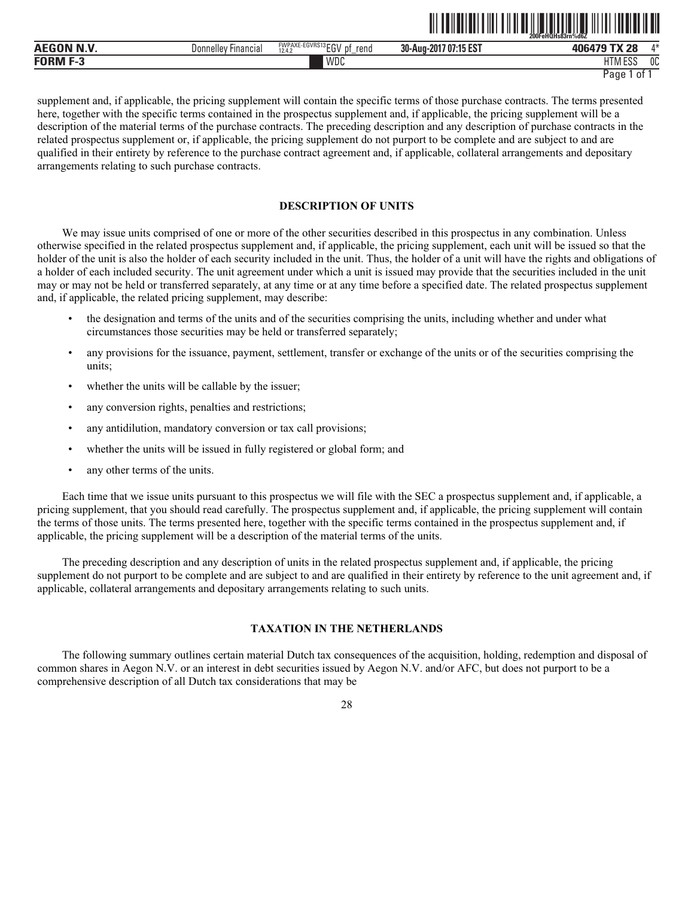|                                  |                        | 200FeHQHs83rn%d6Z                                                |                           |                                        |               |  |
|----------------------------------|------------------------|------------------------------------------------------------------|---------------------------|----------------------------------------|---------------|--|
| AEGON N.V.<br><sup>-1</sup> N.V. | Financial<br>Donnellev | FWPAXE-EGVRS13 FOU<br>rena<br>- pt<br>. .<br>12.4.2<br>∟ບ<br>$-$ | 707:15 EST<br>30-Aug-2017 | າດ<br>$-1$<br>,00070                   | $A +$         |  |
| FORM                             |                        | WDC                                                              |                           | 1.500<br><b>LITE</b><br>1 I IVI<br>LUU | $\sim$<br>็บเ |  |

<u>ali to ilo li bili tali ta katika da katika da katika da katika da katika da katika da katika da katika da kati</u>

supplement and, if applicable, the pricing supplement will contain the specific terms of those purchase contracts. The terms presented here, together with the specific terms contained in the prospectus supplement and, if applicable, the pricing supplement will be a description of the material terms of the purchase contracts. The preceding description and any description of purchase contracts in the related prospectus supplement or, if applicable, the pricing supplement do not purport to be complete and are subject to and are qualified in their entirety by reference to the purchase contract agreement and, if applicable, collateral arrangements and depositary arrangements relating to such purchase contracts.

# **DESCRIPTION OF UNITS**

We may issue units comprised of one or more of the other securities described in this prospectus in any combination. Unless otherwise specified in the related prospectus supplement and, if applicable, the pricing supplement, each unit will be issued so that the holder of the unit is also the holder of each security included in the unit. Thus, the holder of a unit will have the rights and obligations of a holder of each included security. The unit agreement under which a unit is issued may provide that the securities included in the unit may or may not be held or transferred separately, at any time or at any time before a specified date. The related prospectus supplement and, if applicable, the related pricing supplement, may describe:

- the designation and terms of the units and of the securities comprising the units, including whether and under what circumstances those securities may be held or transferred separately;
- any provisions for the issuance, payment, settlement, transfer or exchange of the units or of the securities comprising the units;
- whether the units will be callable by the issuer;
- any conversion rights, penalties and restrictions;
- any antidilution, mandatory conversion or tax call provisions;
- whether the units will be issued in fully registered or global form; and
- any other terms of the units.

Each time that we issue units pursuant to this prospectus we will file with the SEC a prospectus supplement and, if applicable, a pricing supplement, that you should read carefully. The prospectus supplement and, if applicable, the pricing supplement will contain the terms of those units. The terms presented here, together with the specific terms contained in the prospectus supplement and, if applicable, the pricing supplement will be a description of the material terms of the units.

The preceding description and any description of units in the related prospectus supplement and, if applicable, the pricing supplement do not purport to be complete and are subject to and are qualified in their entirety by reference to the unit agreement and, if applicable, collateral arrangements and depositary arrangements relating to such units.

# **TAXATION IN THE NETHERLANDS**

The following summary outlines certain material Dutch tax consequences of the acquisition, holding, redemption and disposal of common shares in Aegon N.V. or an interest in debt securities issued by Aegon N.V. and/or AFC, but does not purport to be a comprehensive description of all Dutch tax considerations that may be

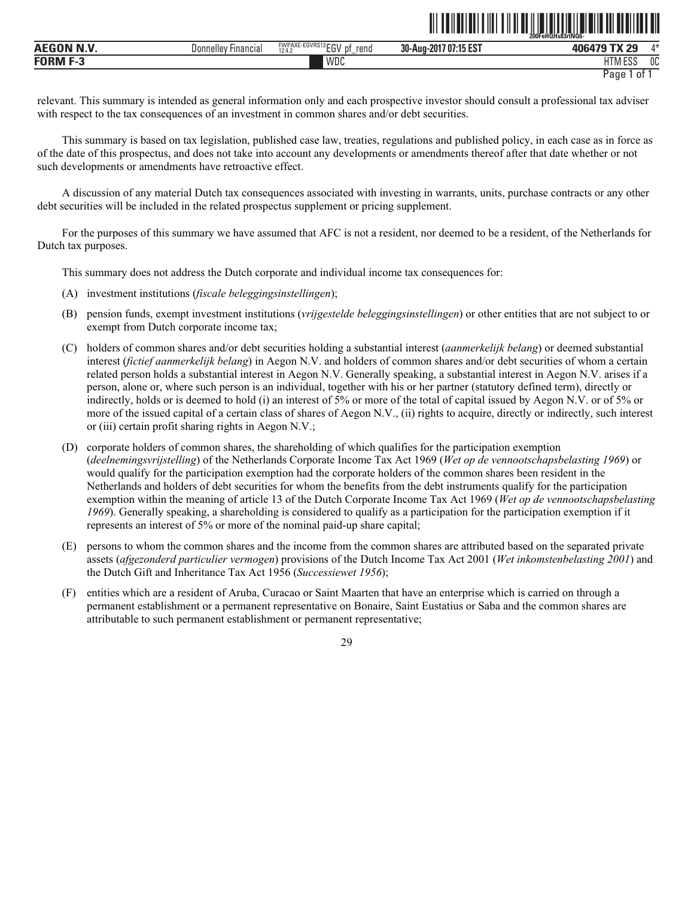|                  |                       |                                                                                            | 200FeHQHs83rtNQ6-                                |                                                 |              |
|------------------|-----------------------|--------------------------------------------------------------------------------------------|--------------------------------------------------|-------------------------------------------------|--------------|
| <b>AEGON N.V</b> | Donnelle<br>Financia. | $F \cap H \cap A \cap A$<br><b>FWPAXE-EGVRS</b><br>513 F.O.I<br>rend<br>рţ<br>12.4.2<br>∟u | <b>AF FOT</b><br>07:15<br>30-Aug-2017<br>. IJ LJ | ാറ<br>40 <sub>f</sub>                           | $A \Delta$   |
| <b>CODME</b> -   |                       | <b>WDC</b>                                                                                 |                                                  | - ^ ^<br>$\overline{\phantom{a}}$<br>LI IVI LOO | $\sim$<br>UU |

ˆ200FeHQHs83rtNQ6-Š **200FeHQHs83rtNQ6-**

relevant. This summary is intended as general information only and each prospective investor should consult a professional tax adviser with respect to the tax consequences of an investment in common shares and/or debt securities.

This summary is based on tax legislation, published case law, treaties, regulations and published policy, in each case as in force as of the date of this prospectus, and does not take into account any developments or amendments thereof after that date whether or not such developments or amendments have retroactive effect.

A discussion of any material Dutch tax consequences associated with investing in warrants, units, purchase contracts or any other debt securities will be included in the related prospectus supplement or pricing supplement.

For the purposes of this summary we have assumed that AFC is not a resident, nor deemed to be a resident, of the Netherlands for Dutch tax purposes.

This summary does not address the Dutch corporate and individual income tax consequences for:

- (A) investment institutions (*fiscale beleggingsinstellingen*);
- (B) pension funds, exempt investment institutions (*vrijgestelde beleggingsinstellingen*) or other entities that are not subject to or exempt from Dutch corporate income tax;
- (C) holders of common shares and/or debt securities holding a substantial interest (*aanmerkelijk belang*) or deemed substantial interest (*fictief aanmerkelijk belang*) in Aegon N.V. and holders of common shares and/or debt securities of whom a certain related person holds a substantial interest in Aegon N.V. Generally speaking, a substantial interest in Aegon N.V. arises if a person, alone or, where such person is an individual, together with his or her partner (statutory defined term), directly or indirectly, holds or is deemed to hold (i) an interest of 5% or more of the total of capital issued by Aegon N.V. or of 5% or more of the issued capital of a certain class of shares of Aegon N.V., (ii) rights to acquire, directly or indirectly, such interest or (iii) certain profit sharing rights in Aegon N.V.;
- (D) corporate holders of common shares, the shareholding of which qualifies for the participation exemption (*deelnemingsvrijstelling*) of the Netherlands Corporate Income Tax Act 1969 (*Wet op de vennootschapsbelasting 1969*) or would qualify for the participation exemption had the corporate holders of the common shares been resident in the Netherlands and holders of debt securities for whom the benefits from the debt instruments qualify for the participation exemption within the meaning of article 13 of the Dutch Corporate Income Tax Act 1969 (*Wet op de vennootschapsbelasting 1969*). Generally speaking, a shareholding is considered to qualify as a participation for the participation exemption if it represents an interest of 5% or more of the nominal paid-up share capital;
- (E) persons to whom the common shares and the income from the common shares are attributed based on the separated private assets (*afgezonderd particulier vermogen*) provisions of the Dutch Income Tax Act 2001 (*Wet inkomstenbelasting 2001*) and the Dutch Gift and Inheritance Tax Act 1956 (*Successiewet 1956*);
- (F) entities which are a resident of Aruba, Curacao or Saint Maarten that have an enterprise which is carried on through a permanent establishment or a permanent representative on Bonaire, Saint Eustatius or Saba and the common shares are attributable to such permanent establishment or permanent representative;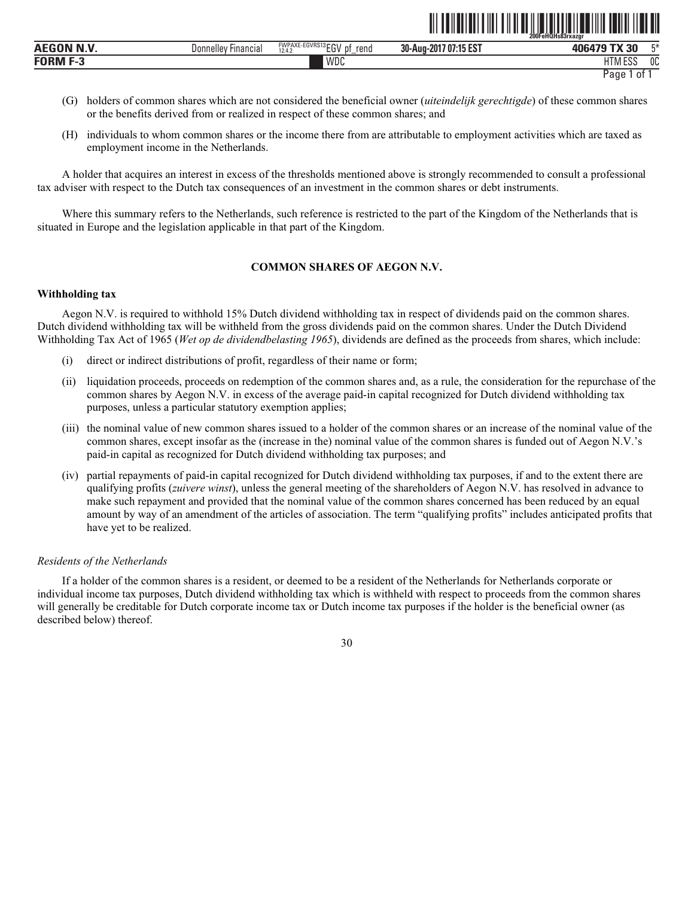|                 |                        |                                                                            | 200FeHQHs83rxazgr                                     |                                                     |      |
|-----------------|------------------------|----------------------------------------------------------------------------|-------------------------------------------------------|-----------------------------------------------------|------|
| .<br><b>AEG</b> | Financia.<br>Donnelley | $EGVRS13$ $F''$<br><b>FWPAXE</b><br>reno<br>D1<br>.<br>12A<br>--<br>12.4.2 | $A$ ar rom.<br>--<br>07:1<br>30-Aug-201<br>נטו<br>. . | $\sim$<br>---<br>$\sim$ $\sim$ $\sim$ $\sim$ $\sim$ | $-x$ |
| - -<br>E∩D      |                        | WDC                                                                        |                                                       | 1.500<br><b>IT</b><br>- U I 1                       | 0C   |

ˆ200FeHQHs83rxazgrŠ

- (G) holders of common shares which are not considered the beneficial owner (*uiteindelijk gerechtigde*) of these common shares or the benefits derived from or realized in respect of these common shares; and
- (H) individuals to whom common shares or the income there from are attributable to employment activities which are taxed as employment income in the Netherlands.

A holder that acquires an interest in excess of the thresholds mentioned above is strongly recommended to consult a professional tax adviser with respect to the Dutch tax consequences of an investment in the common shares or debt instruments.

Where this summary refers to the Netherlands, such reference is restricted to the part of the Kingdom of the Netherlands that is situated in Europe and the legislation applicable in that part of the Kingdom.

# **COMMON SHARES OF AEGON N.V.**

# **Withholding tax**

Aegon N.V. is required to withhold 15% Dutch dividend withholding tax in respect of dividends paid on the common shares. Dutch dividend withholding tax will be withheld from the gross dividends paid on the common shares. Under the Dutch Dividend Withholding Tax Act of 1965 (*Wet op de dividendbelasting 1965*), dividends are defined as the proceeds from shares, which include:

- (i) direct or indirect distributions of profit, regardless of their name or form;
- (ii) liquidation proceeds, proceeds on redemption of the common shares and, as a rule, the consideration for the repurchase of the common shares by Aegon N.V. in excess of the average paid-in capital recognized for Dutch dividend withholding tax purposes, unless a particular statutory exemption applies;
- (iii) the nominal value of new common shares issued to a holder of the common shares or an increase of the nominal value of the common shares, except insofar as the (increase in the) nominal value of the common shares is funded out of Aegon N.V.'s paid-in capital as recognized for Dutch dividend withholding tax purposes; and
- (iv) partial repayments of paid-in capital recognized for Dutch dividend withholding tax purposes, if and to the extent there are qualifying profits (*zuivere winst*), unless the general meeting of the shareholders of Aegon N.V. has resolved in advance to make such repayment and provided that the nominal value of the common shares concerned has been reduced by an equal amount by way of an amendment of the articles of association. The term "qualifying profits" includes anticipated profits that have yet to be realized.

# *Residents of the Netherlands*

If a holder of the common shares is a resident, or deemed to be a resident of the Netherlands for Netherlands corporate or individual income tax purposes, Dutch dividend withholding tax which is withheld with respect to proceeds from the common shares will generally be creditable for Dutch corporate income tax or Dutch income tax purposes if the holder is the beneficial owner (as described below) thereof.

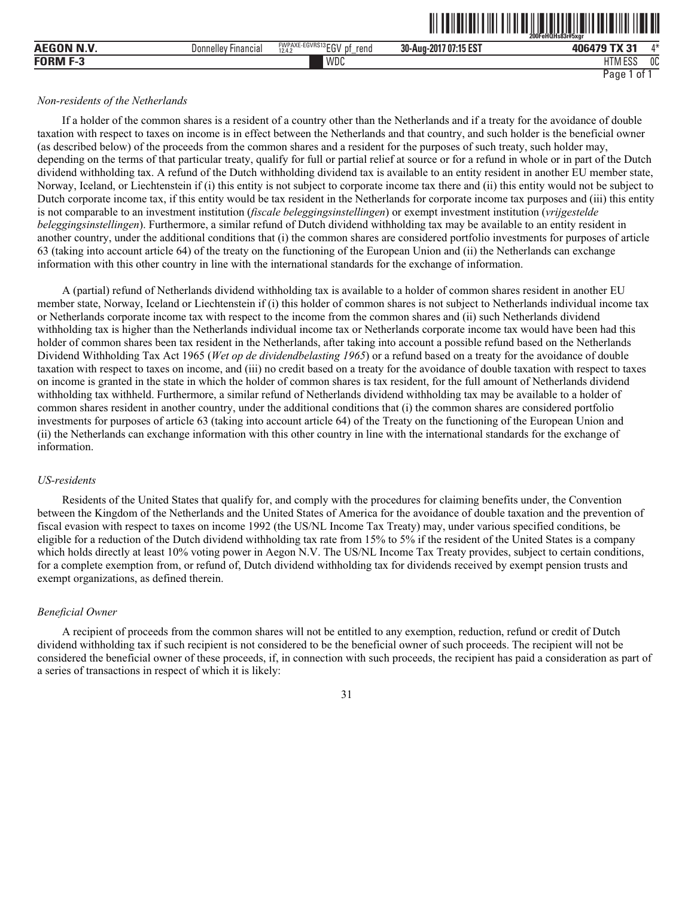|                 |                     |                                                                                                        | - - -  -- . -- . -    -                           | 200FeHQHs83r#5xar          |           |
|-----------------|---------------------|--------------------------------------------------------------------------------------------------------|---------------------------------------------------|----------------------------|-----------|
| AE <sup>r</sup> | Financial<br>Donnel | ECVDC12<br><b><i>EMPAVE</i></b><br>$3 - 0.5$<br>FWPAXE<br>≔⊏uvnai<br>rend<br>D1<br>10.15<br>12.4.<br>∼ | $A$ ar row<br>30-Aug-201<br>.7 U/:15 °<br>. IJ LJ | <b>TV OF</b><br>$-0.01$    | A M<br>,, |
| <b>CODME?</b>   |                     | WDC                                                                                                    |                                                   | 1.500<br>u m<br>11 IVI LOC | 0C        |

<u>oli toiluttuut oli tulittuut oli toimaan kuningasta saarin oli tulittuut oli t</u>

## *Non-residents of the Netherlands*

If a holder of the common shares is a resident of a country other than the Netherlands and if a treaty for the avoidance of double taxation with respect to taxes on income is in effect between the Netherlands and that country, and such holder is the beneficial owner (as described below) of the proceeds from the common shares and a resident for the purposes of such treaty, such holder may, depending on the terms of that particular treaty, qualify for full or partial relief at source or for a refund in whole or in part of the Dutch dividend withholding tax. A refund of the Dutch withholding dividend tax is available to an entity resident in another EU member state, Norway, Iceland, or Liechtenstein if (i) this entity is not subject to corporate income tax there and (ii) this entity would not be subject to Dutch corporate income tax, if this entity would be tax resident in the Netherlands for corporate income tax purposes and (iii) this entity is not comparable to an investment institution (*fiscale beleggingsinstellingen*) or exempt investment institution (*vrijgestelde beleggingsinstellingen*). Furthermore, a similar refund of Dutch dividend withholding tax may be available to an entity resident in another country, under the additional conditions that (i) the common shares are considered portfolio investments for purposes of article 63 (taking into account article 64) of the treaty on the functioning of the European Union and (ii) the Netherlands can exchange information with this other country in line with the international standards for the exchange of information.

A (partial) refund of Netherlands dividend withholding tax is available to a holder of common shares resident in another EU member state, Norway, Iceland or Liechtenstein if (i) this holder of common shares is not subject to Netherlands individual income tax or Netherlands corporate income tax with respect to the income from the common shares and (ii) such Netherlands dividend withholding tax is higher than the Netherlands individual income tax or Netherlands corporate income tax would have been had this holder of common shares been tax resident in the Netherlands, after taking into account a possible refund based on the Netherlands Dividend Withholding Tax Act 1965 (*Wet op de dividendbelasting 1965*) or a refund based on a treaty for the avoidance of double taxation with respect to taxes on income, and (iii) no credit based on a treaty for the avoidance of double taxation with respect to taxes on income is granted in the state in which the holder of common shares is tax resident, for the full amount of Netherlands dividend withholding tax withheld. Furthermore, a similar refund of Netherlands dividend withholding tax may be available to a holder of common shares resident in another country, under the additional conditions that (i) the common shares are considered portfolio investments for purposes of article 63 (taking into account article 64) of the Treaty on the functioning of the European Union and (ii) the Netherlands can exchange information with this other country in line with the international standards for the exchange of information.

## *US-residents*

Residents of the United States that qualify for, and comply with the procedures for claiming benefits under, the Convention between the Kingdom of the Netherlands and the United States of America for the avoidance of double taxation and the prevention of fiscal evasion with respect to taxes on income 1992 (the US/NL Income Tax Treaty) may, under various specified conditions, be eligible for a reduction of the Dutch dividend withholding tax rate from 15% to 5% if the resident of the United States is a company which holds directly at least 10% voting power in Aegon N.V. The US/NL Income Tax Treaty provides, subject to certain conditions, for a complete exemption from, or refund of, Dutch dividend withholding tax for dividends received by exempt pension trusts and exempt organizations, as defined therein.

## *Beneficial Owner*

A recipient of proceeds from the common shares will not be entitled to any exemption, reduction, refund or credit of Dutch dividend withholding tax if such recipient is not considered to be the beneficial owner of such proceeds. The recipient will not be considered the beneficial owner of these proceeds, if, in connection with such proceeds, the recipient has paid a consideration as part of a series of transactions in respect of which it is likely:

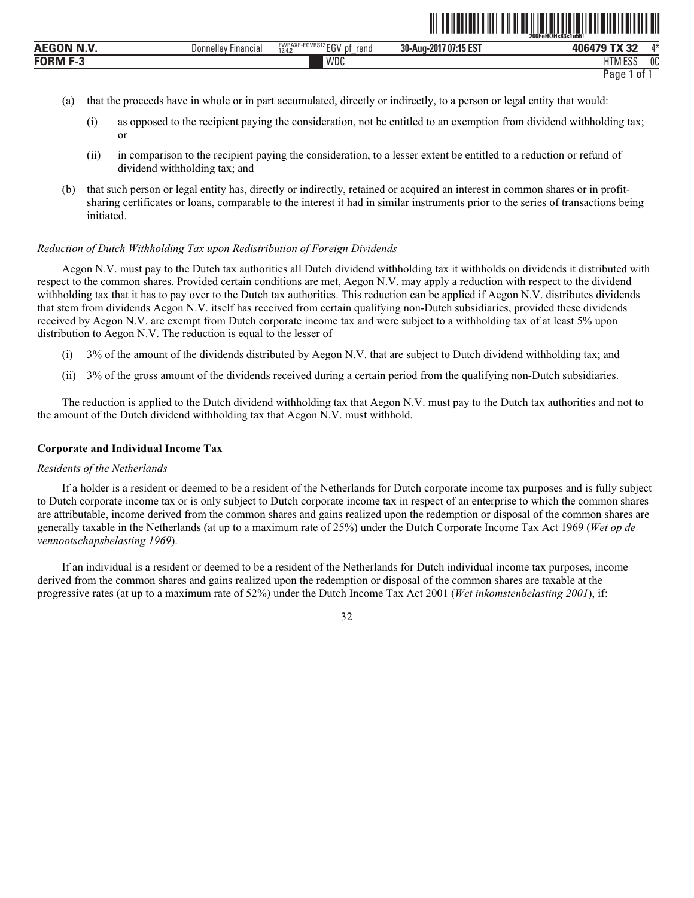|                                               |                               |                                            |                                           | 200FeHQHs83s1u56!                          |              |
|-----------------------------------------------|-------------------------------|--------------------------------------------|-------------------------------------------|--------------------------------------------|--------------|
| .<br><b>AEGON</b>                             | Financial<br><b>Donnelley</b> | FWPAXE-EGVRS13 $EGV_{h}$<br>rend<br>$\sim$ | <b>70715FST</b><br>30-Aug-2017<br>. IJ LJ | 1001707V00                                 | $A - L$      |
| <b>FORM</b><br>$\overline{\phantom{a}}$<br>۰. |                               | WDC                                        |                                           | $F^{\alpha}$<br><b>IT</b><br><b>INIEOO</b> | $\sim$<br>υu |

Page 1 of 1

ˆ200FeHQHs83s1u56!Š **200FeHQHs83s1u56!**

- (a) that the proceeds have in whole or in part accumulated, directly or indirectly, to a person or legal entity that would:
	- (i) as opposed to the recipient paying the consideration, not be entitled to an exemption from dividend withholding tax; or
	- (ii) in comparison to the recipient paying the consideration, to a lesser extent be entitled to a reduction or refund of dividend withholding tax; and
- (b) that such person or legal entity has, directly or indirectly, retained or acquired an interest in common shares or in profitsharing certificates or loans, comparable to the interest it had in similar instruments prior to the series of transactions being initiated.

# *Reduction of Dutch Withholding Tax upon Redistribution of Foreign Dividends*

Aegon N.V. must pay to the Dutch tax authorities all Dutch dividend withholding tax it withholds on dividends it distributed with respect to the common shares. Provided certain conditions are met, Aegon N.V. may apply a reduction with respect to the dividend withholding tax that it has to pay over to the Dutch tax authorities. This reduction can be applied if Aegon N.V. distributes dividends that stem from dividends Aegon N.V. itself has received from certain qualifying non-Dutch subsidiaries, provided these dividends received by Aegon N.V. are exempt from Dutch corporate income tax and were subject to a withholding tax of at least 5% upon distribution to Aegon N.V. The reduction is equal to the lesser of

- (i) 3% of the amount of the dividends distributed by Aegon N.V. that are subject to Dutch dividend withholding tax; and
- (ii) 3% of the gross amount of the dividends received during a certain period from the qualifying non-Dutch subsidiaries.

The reduction is applied to the Dutch dividend withholding tax that Aegon N.V. must pay to the Dutch tax authorities and not to the amount of the Dutch dividend withholding tax that Aegon N.V. must withhold.

# **Corporate and Individual Income Tax**

# *Residents of the Netherlands*

If a holder is a resident or deemed to be a resident of the Netherlands for Dutch corporate income tax purposes and is fully subject to Dutch corporate income tax or is only subject to Dutch corporate income tax in respect of an enterprise to which the common shares are attributable, income derived from the common shares and gains realized upon the redemption or disposal of the common shares are generally taxable in the Netherlands (at up to a maximum rate of 25%) under the Dutch Corporate Income Tax Act 1969 (*Wet op de vennootschapsbelasting 1969*).

If an individual is a resident or deemed to be a resident of the Netherlands for Dutch individual income tax purposes, income derived from the common shares and gains realized upon the redemption or disposal of the common shares are taxable at the progressive rates (at up to a maximum rate of 52%) under the Dutch Income Tax Act 2001 (*Wet inkomstenbelasting 2001*), if:

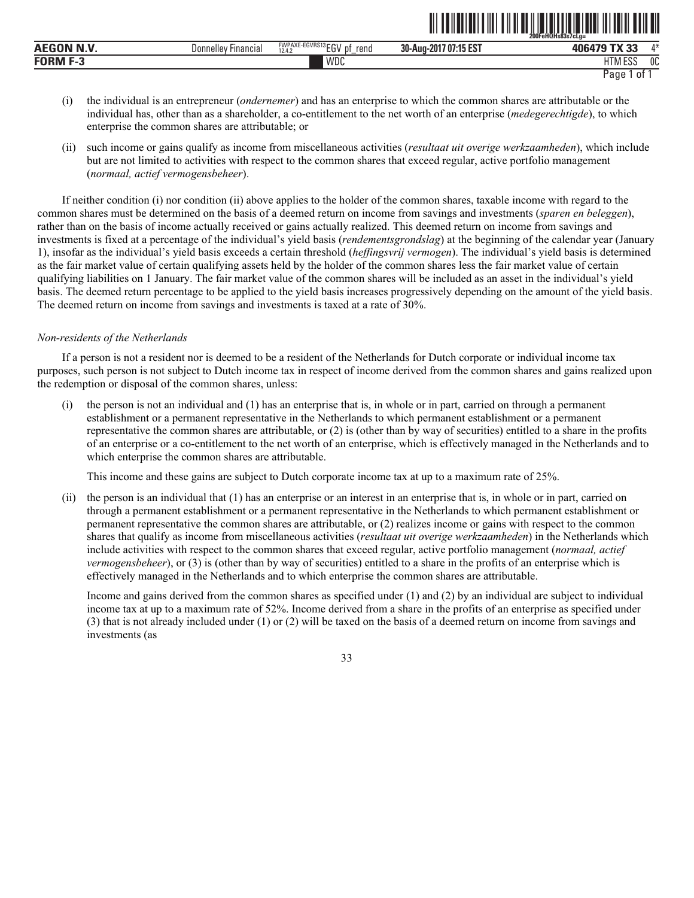|                               |                          |                                                            | $-11 - 20 - 11 - 11 = -11 - 11 - 11 = -2000$  | 200FeHOHs83s7cLa=               |     |
|-------------------------------|--------------------------|------------------------------------------------------------|-----------------------------------------------|---------------------------------|-----|
| <b>OBL BLAZ</b><br><b>AEC</b> | Donnelley !<br>Financia, | FWPAXE-EGVRS13 FOU<br>rena<br>ŋt<br><br>12.4.<br>--<br>$-$ | <b>JAF FOT</b><br>$1707:15$ ES.<br>30-Aug-201 | $\mathbf{r}$<br>406470<br>-     | A M |
| <b>FORM F-3</b>               |                          | WDC                                                        |                                               | 1.500<br><b>ITM</b><br>טם ואווח | 0C  |

<u>oli toimuttuut oli tiid oli toimuttuut valtaan liittuut oli tiid</u>

- (i) the individual is an entrepreneur (*ondernemer*) and has an enterprise to which the common shares are attributable or the individual has, other than as a shareholder, a co-entitlement to the net worth of an enterprise (*medegerechtigde*), to which enterprise the common shares are attributable; or
- (ii) such income or gains qualify as income from miscellaneous activities (*resultaat uit overige werkzaamheden*), which include but are not limited to activities with respect to the common shares that exceed regular, active portfolio management (*normaal, actief vermogensbeheer*).

If neither condition (i) nor condition (ii) above applies to the holder of the common shares, taxable income with regard to the common shares must be determined on the basis of a deemed return on income from savings and investments (*sparen en beleggen*), rather than on the basis of income actually received or gains actually realized. This deemed return on income from savings and investments is fixed at a percentage of the individual's yield basis (*rendementsgrondslag*) at the beginning of the calendar year (January 1), insofar as the individual's yield basis exceeds a certain threshold (*heffingsvrij vermogen*). The individual's yield basis is determined as the fair market value of certain qualifying assets held by the holder of the common shares less the fair market value of certain qualifying liabilities on 1 January. The fair market value of the common shares will be included as an asset in the individual's yield basis. The deemed return percentage to be applied to the yield basis increases progressively depending on the amount of the yield basis. The deemed return on income from savings and investments is taxed at a rate of 30%.

# *Non-residents of the Netherlands*

If a person is not a resident nor is deemed to be a resident of the Netherlands for Dutch corporate or individual income tax purposes, such person is not subject to Dutch income tax in respect of income derived from the common shares and gains realized upon the redemption or disposal of the common shares, unless:

(i) the person is not an individual and (1) has an enterprise that is, in whole or in part, carried on through a permanent establishment or a permanent representative in the Netherlands to which permanent establishment or a permanent representative the common shares are attributable, or (2) is (other than by way of securities) entitled to a share in the profits of an enterprise or a co-entitlement to the net worth of an enterprise, which is effectively managed in the Netherlands and to which enterprise the common shares are attributable.

This income and these gains are subject to Dutch corporate income tax at up to a maximum rate of 25%.

(ii) the person is an individual that (1) has an enterprise or an interest in an enterprise that is, in whole or in part, carried on through a permanent establishment or a permanent representative in the Netherlands to which permanent establishment or permanent representative the common shares are attributable, or (2) realizes income or gains with respect to the common shares that qualify as income from miscellaneous activities (*resultaat uit overige werkzaamheden*) in the Netherlands which include activities with respect to the common shares that exceed regular, active portfolio management (*normaal, actief vermogensbeheer*), or (3) is (other than by way of securities) entitled to a share in the profits of an enterprise which is effectively managed in the Netherlands and to which enterprise the common shares are attributable.

Income and gains derived from the common shares as specified under (1) and (2) by an individual are subject to individual income tax at up to a maximum rate of 52%. Income derived from a share in the profits of an enterprise as specified under (3) that is not already included under (1) or (2) will be taxed on the basis of a deemed return on income from savings and investments (as

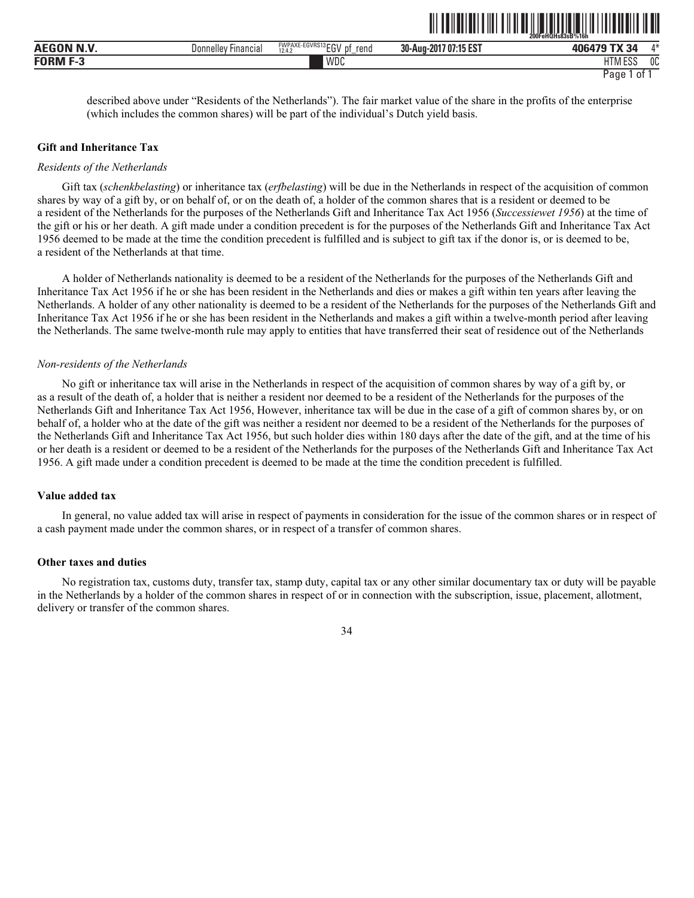|                    |                     |                                           |                       | 200FeHQHs83sB%16h      |    |
|--------------------|---------------------|-------------------------------------------|-----------------------|------------------------|----|
| <b>AEGON N.V.</b>  | Donnelley Financial | FWPAXE-EGVRS13EGV<br>rend<br>D1<br>12.4.2 | 30-Aug-2017 07:15 EST | <b>TX 34</b><br>406479 | A* |
| <b>FORM</b><br>- - |                     | WDC                                       |                       | <b>HTM ESS</b>         | 0C |
|                    |                     |                                           |                       | Page<br>0t             |    |

described above under "Residents of the Netherlands"). The fair market value of the share in the profits of the enterprise (which includes the common shares) will be part of the individual's Dutch yield basis.

<u>an an ini an ama an ama an ama an ama an ama an ama an ama an ama an ama an ama an ama an ama an ama an ama an </u>

#### **Gift and Inheritance Tax**

#### *Residents of the Netherlands*

Gift tax (*schenkbelasting*) or inheritance tax (*erfbelasting*) will be due in the Netherlands in respect of the acquisition of common shares by way of a gift by, or on behalf of, or on the death of, a holder of the common shares that is a resident or deemed to be a resident of the Netherlands for the purposes of the Netherlands Gift and Inheritance Tax Act 1956 (*Successiewet 1956*) at the time of the gift or his or her death. A gift made under a condition precedent is for the purposes of the Netherlands Gift and Inheritance Tax Act 1956 deemed to be made at the time the condition precedent is fulfilled and is subject to gift tax if the donor is, or is deemed to be, a resident of the Netherlands at that time.

A holder of Netherlands nationality is deemed to be a resident of the Netherlands for the purposes of the Netherlands Gift and Inheritance Tax Act 1956 if he or she has been resident in the Netherlands and dies or makes a gift within ten years after leaving the Netherlands. A holder of any other nationality is deemed to be a resident of the Netherlands for the purposes of the Netherlands Gift and Inheritance Tax Act 1956 if he or she has been resident in the Netherlands and makes a gift within a twelve-month period after leaving the Netherlands. The same twelve-month rule may apply to entities that have transferred their seat of residence out of the Netherlands

#### *Non-residents of the Netherlands*

No gift or inheritance tax will arise in the Netherlands in respect of the acquisition of common shares by way of a gift by, or as a result of the death of, a holder that is neither a resident nor deemed to be a resident of the Netherlands for the purposes of the Netherlands Gift and Inheritance Tax Act 1956, However, inheritance tax will be due in the case of a gift of common shares by, or on behalf of, a holder who at the date of the gift was neither a resident nor deemed to be a resident of the Netherlands for the purposes of the Netherlands Gift and Inheritance Tax Act 1956, but such holder dies within 180 days after the date of the gift, and at the time of his or her death is a resident or deemed to be a resident of the Netherlands for the purposes of the Netherlands Gift and Inheritance Tax Act 1956. A gift made under a condition precedent is deemed to be made at the time the condition precedent is fulfilled.

## **Value added tax**

In general, no value added tax will arise in respect of payments in consideration for the issue of the common shares or in respect of a cash payment made under the common shares, or in respect of a transfer of common shares.

# **Other taxes and duties**

No registration tax, customs duty, transfer tax, stamp duty, capital tax or any other similar documentary tax or duty will be payable in the Netherlands by a holder of the common shares in respect of or in connection with the subscription, issue, placement, allotment, delivery or transfer of the common shares.

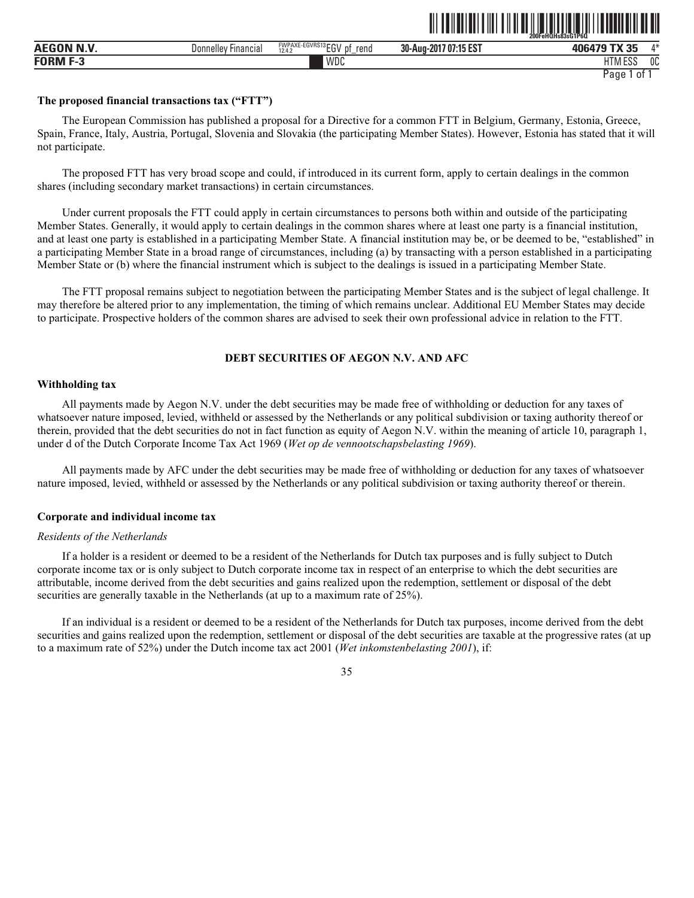|                |                              |                                                             | --- - - - - - - - -<br>--------------- | $ 2005$<br>FeHQHs83sG1P6Q<br>ZUUF    |                |
|----------------|------------------------------|-------------------------------------------------------------|----------------------------------------|--------------------------------------|----------------|
| <br><b>AEG</b> | <b>Financia</b><br>Donnelley | <b>FWPAXE-EGVRS13 ECU</b><br>rend<br>DŤ<br>cu<br>12.4.<br>- | 30-Aug-2017 07:15 EST                  | FV AF                                | $A \Delta$     |
| FUBM<br>--     |                              | WDC                                                         |                                        | $F^{\alpha}$<br>பா<br>−<br>LIINI LƏƏ | 0 <sup>C</sup> |

ˆ200FeHQHs83sG1P6QŠ **200FeHQHs83sG1P6Q**

# **The proposed financial transactions tax ("FTT")**

The European Commission has published a proposal for a Directive for a common FTT in Belgium, Germany, Estonia, Greece, Spain, France, Italy, Austria, Portugal, Slovenia and Slovakia (the participating Member States). However, Estonia has stated that it will not participate.

The proposed FTT has very broad scope and could, if introduced in its current form, apply to certain dealings in the common shares (including secondary market transactions) in certain circumstances.

Under current proposals the FTT could apply in certain circumstances to persons both within and outside of the participating Member States. Generally, it would apply to certain dealings in the common shares where at least one party is a financial institution, and at least one party is established in a participating Member State. A financial institution may be, or be deemed to be, "established" in a participating Member State in a broad range of circumstances, including (a) by transacting with a person established in a participating Member State or (b) where the financial instrument which is subject to the dealings is issued in a participating Member State.

The FTT proposal remains subject to negotiation between the participating Member States and is the subject of legal challenge. It may therefore be altered prior to any implementation, the timing of which remains unclear. Additional EU Member States may decide to participate. Prospective holders of the common shares are advised to seek their own professional advice in relation to the FTT.

# **DEBT SECURITIES OF AEGON N.V. AND AFC**

# **Withholding tax**

All payments made by Aegon N.V. under the debt securities may be made free of withholding or deduction for any taxes of whatsoever nature imposed, levied, withheld or assessed by the Netherlands or any political subdivision or taxing authority thereof or therein, provided that the debt securities do not in fact function as equity of Aegon N.V. within the meaning of article 10, paragraph 1, under d of the Dutch Corporate Income Tax Act 1969 (*Wet op de vennootschapsbelasting 1969*).

All payments made by AFC under the debt securities may be made free of withholding or deduction for any taxes of whatsoever nature imposed, levied, withheld or assessed by the Netherlands or any political subdivision or taxing authority thereof or therein.

## **Corporate and individual income tax**

## *Residents of the Netherlands*

If a holder is a resident or deemed to be a resident of the Netherlands for Dutch tax purposes and is fully subject to Dutch corporate income tax or is only subject to Dutch corporate income tax in respect of an enterprise to which the debt securities are attributable, income derived from the debt securities and gains realized upon the redemption, settlement or disposal of the debt securities are generally taxable in the Netherlands (at up to a maximum rate of 25%).

If an individual is a resident or deemed to be a resident of the Netherlands for Dutch tax purposes, income derived from the debt securities and gains realized upon the redemption, settlement or disposal of the debt securities are taxable at the progressive rates (at up to a maximum rate of 52%) under the Dutch income tax act 2001 (*Wet inkomstenbelasting 2001*), if:

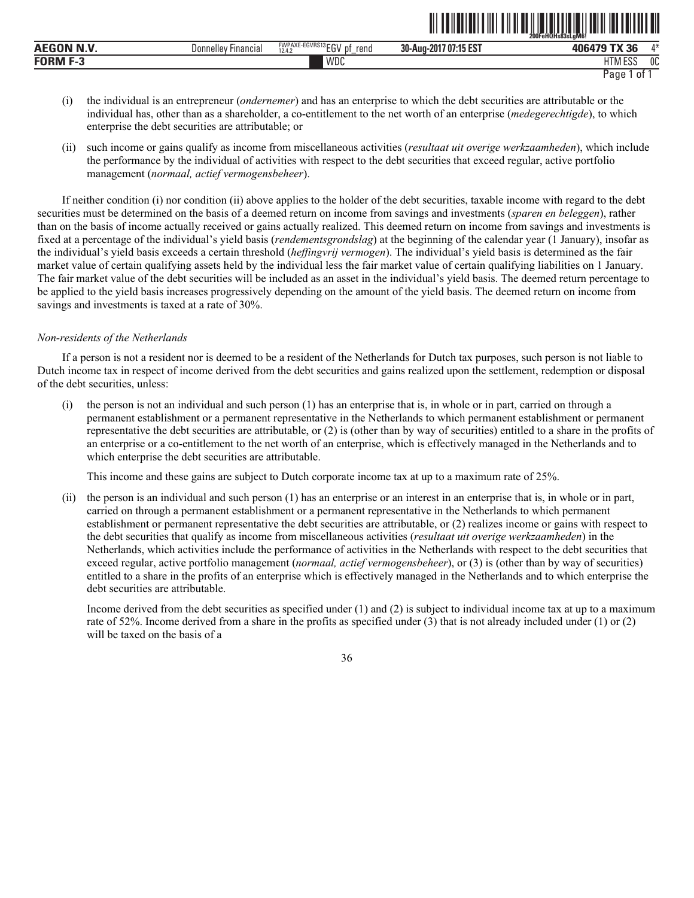| <b>Jonnelle</b><br><b>Hinancial</b> | <b>FWPAXE-EGVRS13r</b><br>$3 - 01$<br>rend<br>ŋt<br>.<br>12.4.7<br>-- | 707:15 EST<br>30-Aug-201 | $\sim$ TV oc          | $A \Delta$                                             |
|-------------------------------------|-----------------------------------------------------------------------|--------------------------|-----------------------|--------------------------------------------------------|
|                                     | WDC                                                                   |                          | $B = 0.50$<br>I M ESS | $\sim$<br>υu                                           |
|                                     |                                                                       |                          |                       | 200FeHOHs83sLaM6<br>__<br>and the contract of the con- |

<u>oli toimuttuut oli tuli tuli tuli toimuttuut oli tuli tuli tuli tul</u>

- (i) the individual is an entrepreneur (*ondernemer*) and has an enterprise to which the debt securities are attributable or the individual has, other than as a shareholder, a co-entitlement to the net worth of an enterprise (*medegerechtigde*), to which enterprise the debt securities are attributable; or
- (ii) such income or gains qualify as income from miscellaneous activities (*resultaat uit overige werkzaamheden*), which include the performance by the individual of activities with respect to the debt securities that exceed regular, active portfolio management (*normaal, actief vermogensbeheer*).

If neither condition (i) nor condition (ii) above applies to the holder of the debt securities, taxable income with regard to the debt securities must be determined on the basis of a deemed return on income from savings and investments (*sparen en beleggen*), rather than on the basis of income actually received or gains actually realized. This deemed return on income from savings and investments is fixed at a percentage of the individual's yield basis (*rendementsgrondslag*) at the beginning of the calendar year (1 January), insofar as the individual's yield basis exceeds a certain threshold (*heffingvrij vermogen*). The individual's yield basis is determined as the fair market value of certain qualifying assets held by the individual less the fair market value of certain qualifying liabilities on 1 January. The fair market value of the debt securities will be included as an asset in the individual's yield basis. The deemed return percentage to be applied to the yield basis increases progressively depending on the amount of the yield basis. The deemed return on income from savings and investments is taxed at a rate of 30%.

## *Non-residents of the Netherlands*

If a person is not a resident nor is deemed to be a resident of the Netherlands for Dutch tax purposes, such person is not liable to Dutch income tax in respect of income derived from the debt securities and gains realized upon the settlement, redemption or disposal of the debt securities, unless:

(i) the person is not an individual and such person (1) has an enterprise that is, in whole or in part, carried on through a permanent establishment or a permanent representative in the Netherlands to which permanent establishment or permanent representative the debt securities are attributable, or (2) is (other than by way of securities) entitled to a share in the profits of an enterprise or a co-entitlement to the net worth of an enterprise, which is effectively managed in the Netherlands and to which enterprise the debt securities are attributable.

This income and these gains are subject to Dutch corporate income tax at up to a maximum rate of 25%.

(ii) the person is an individual and such person (1) has an enterprise or an interest in an enterprise that is, in whole or in part, carried on through a permanent establishment or a permanent representative in the Netherlands to which permanent establishment or permanent representative the debt securities are attributable, or (2) realizes income or gains with respect to the debt securities that qualify as income from miscellaneous activities (*resultaat uit overige werkzaamheden*) in the Netherlands, which activities include the performance of activities in the Netherlands with respect to the debt securities that exceed regular, active portfolio management (*normaal, actief vermogensbeheer*), or (3) is (other than by way of securities) entitled to a share in the profits of an enterprise which is effectively managed in the Netherlands and to which enterprise the debt securities are attributable.

Income derived from the debt securities as specified under (1) and (2) is subject to individual income tax at up to a maximum rate of 52%. Income derived from a share in the profits as specified under (3) that is not already included under (1) or (2) will be taxed on the basis of a

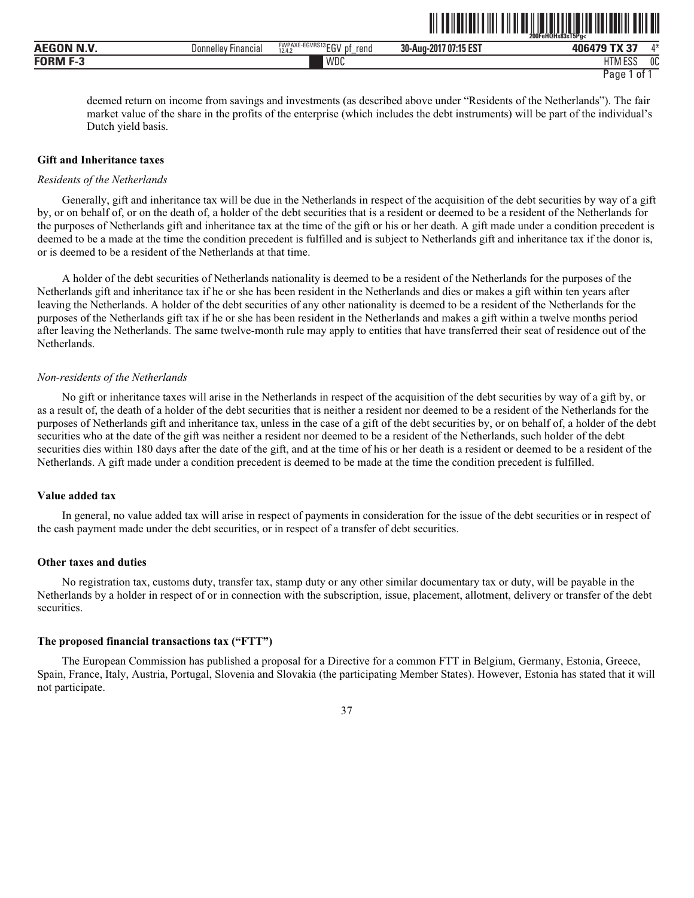|             |                        |                                                                      | ------------                     | 200FeHQHs83sT5Pa<<br>---------- | ------------ |
|-------------|------------------------|----------------------------------------------------------------------|----------------------------------|---------------------------------|--------------|
| P<br>ЛH<br> | ⊦ınancıal<br>Donnelley | `-EGVRS13 <b>EC\</b><br><b>FWPAXE-</b><br>rena<br>D1<br>12.4.2<br>-- | 707:15 EST<br>30-Aug-201<br>nna: | $-11 - 1$<br>------<br>- 1      | $A - L$      |
| EODM E      |                        | WDC                                                                  |                                  | 1.500<br><b>ITN</b><br>۔ تاب    | 0C           |

<u>oli toiluttuut oli tila oli toiluttuut loituut oli tulettiin oli </u>

deemed return on income from savings and investments (as described above under "Residents of the Netherlands"). The fair market value of the share in the profits of the enterprise (which includes the debt instruments) will be part of the individual's Dutch yield basis.

#### **Gift and Inheritance taxes**

#### *Residents of the Netherlands*

Generally, gift and inheritance tax will be due in the Netherlands in respect of the acquisition of the debt securities by way of a gift by, or on behalf of, or on the death of, a holder of the debt securities that is a resident or deemed to be a resident of the Netherlands for the purposes of Netherlands gift and inheritance tax at the time of the gift or his or her death. A gift made under a condition precedent is deemed to be a made at the time the condition precedent is fulfilled and is subject to Netherlands gift and inheritance tax if the donor is, or is deemed to be a resident of the Netherlands at that time.

A holder of the debt securities of Netherlands nationality is deemed to be a resident of the Netherlands for the purposes of the Netherlands gift and inheritance tax if he or she has been resident in the Netherlands and dies or makes a gift within ten years after leaving the Netherlands. A holder of the debt securities of any other nationality is deemed to be a resident of the Netherlands for the purposes of the Netherlands gift tax if he or she has been resident in the Netherlands and makes a gift within a twelve months period after leaving the Netherlands. The same twelve-month rule may apply to entities that have transferred their seat of residence out of the Netherlands.

#### *Non-residents of the Netherlands*

No gift or inheritance taxes will arise in the Netherlands in respect of the acquisition of the debt securities by way of a gift by, or as a result of, the death of a holder of the debt securities that is neither a resident nor deemed to be a resident of the Netherlands for the purposes of Netherlands gift and inheritance tax, unless in the case of a gift of the debt securities by, or on behalf of, a holder of the debt securities who at the date of the gift was neither a resident nor deemed to be a resident of the Netherlands, such holder of the debt securities dies within 180 days after the date of the gift, and at the time of his or her death is a resident or deemed to be a resident of the Netherlands. A gift made under a condition precedent is deemed to be made at the time the condition precedent is fulfilled.

## **Value added tax**

In general, no value added tax will arise in respect of payments in consideration for the issue of the debt securities or in respect of the cash payment made under the debt securities, or in respect of a transfer of debt securities.

### **Other taxes and duties**

No registration tax, customs duty, transfer tax, stamp duty or any other similar documentary tax or duty, will be payable in the Netherlands by a holder in respect of or in connection with the subscription, issue, placement, allotment, delivery or transfer of the debt securities.

#### **The proposed financial transactions tax ("FTT")**

The European Commission has published a proposal for a Directive for a common FTT in Belgium, Germany, Estonia, Greece, Spain, France, Italy, Austria, Portugal, Slovenia and Slovakia (the participating Member States). However, Estonia has stated that it will not participate.

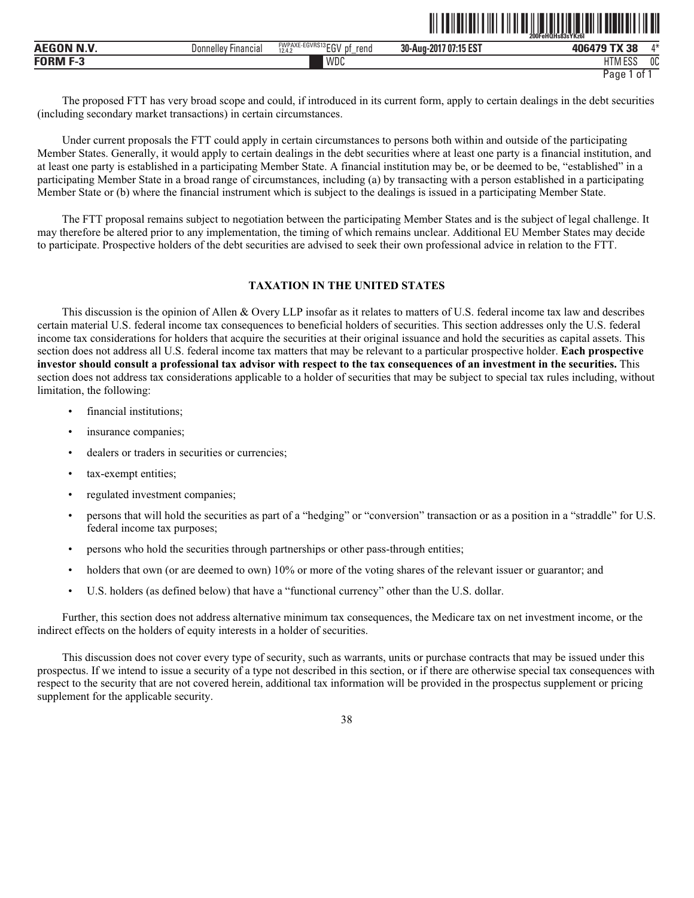|                  |                         |                                                                |                       | 200FeHQHs83sYKz6I            |              |
|------------------|-------------------------|----------------------------------------------------------------|-----------------------|------------------------------|--------------|
| <b>AEGON N.V</b> | '-ınancıaı<br>Donnelley | FWPAXE-EGVRS13 EC11<br>.nt<br>rena<br>-14<br>12.4.2<br>LU<br>– | 30-Aug-2017 07:15 EST | T1100<br>406479              | $A - L$      |
| <b>FORM F-3</b>  |                         | WDC                                                            |                       | 1000<br>דו ו<br>ועוור<br>LUL | $\sim$<br>υu |

ˆ200FeHQHs83sYKz6IŠ **200FeHQHs83sYKz6I**

The proposed FTT has very broad scope and could, if introduced in its current form, apply to certain dealings in the debt securities (including secondary market transactions) in certain circumstances.

Under current proposals the FTT could apply in certain circumstances to persons both within and outside of the participating Member States. Generally, it would apply to certain dealings in the debt securities where at least one party is a financial institution, and at least one party is established in a participating Member State. A financial institution may be, or be deemed to be, "established" in a participating Member State in a broad range of circumstances, including (a) by transacting with a person established in a participating Member State or (b) where the financial instrument which is subject to the dealings is issued in a participating Member State.

The FTT proposal remains subject to negotiation between the participating Member States and is the subject of legal challenge. It may therefore be altered prior to any implementation, the timing of which remains unclear. Additional EU Member States may decide to participate. Prospective holders of the debt securities are advised to seek their own professional advice in relation to the FTT.

# **TAXATION IN THE UNITED STATES**

This discussion is the opinion of Allen & Overy LLP insofar as it relates to matters of U.S. federal income tax law and describes certain material U.S. federal income tax consequences to beneficial holders of securities. This section addresses only the U.S. federal income tax considerations for holders that acquire the securities at their original issuance and hold the securities as capital assets. This section does not address all U.S. federal income tax matters that may be relevant to a particular prospective holder. **Each prospective investor should consult a professional tax advisor with respect to the tax consequences of an investment in the securities.** This section does not address tax considerations applicable to a holder of securities that may be subject to special tax rules including, without limitation, the following:

- financial institutions;
- insurance companies;
- dealers or traders in securities or currencies;
- tax-exempt entities;
- regulated investment companies;
- persons that will hold the securities as part of a "hedging" or "conversion" transaction or as a position in a "straddle" for U.S. federal income tax purposes;
- persons who hold the securities through partnerships or other pass-through entities;
- holders that own (or are deemed to own) 10% or more of the voting shares of the relevant issuer or guarantor; and
- U.S. holders (as defined below) that have a "functional currency" other than the U.S. dollar.

Further, this section does not address alternative minimum tax consequences, the Medicare tax on net investment income, or the indirect effects on the holders of equity interests in a holder of securities.

This discussion does not cover every type of security, such as warrants, units or purchase contracts that may be issued under this prospectus. If we intend to issue a security of a type not described in this section, or if there are otherwise special tax consequences with respect to the security that are not covered herein, additional tax information will be provided in the prospectus supplement or pricing supplement for the applicable security.

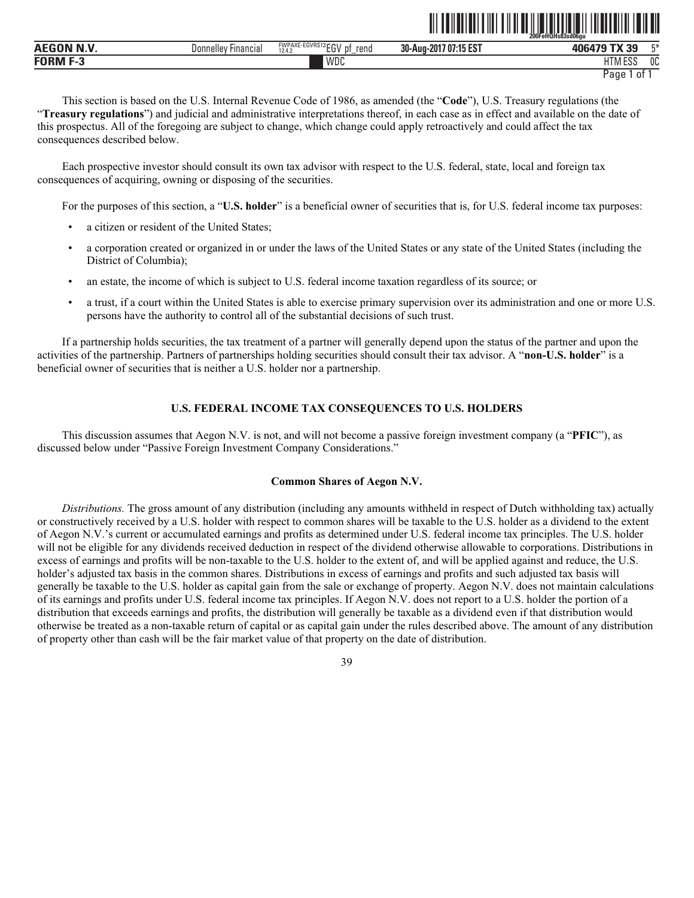|                   |                               |                                         |                       | 200FeHQHs83sd06qu    |
|-------------------|-------------------------------|-----------------------------------------|-----------------------|----------------------|
| <b>AEGON N.V.</b> | Donnelley<br><b>Hinancial</b> | FWPAXE-EGVRS13 EGV pf<br>rend<br>12.4.2 | 30-Aug-2017 07:15 EST | 406479 TX 39<br>Г*   |
| <b>FORM F-3</b>   |                               | WDC                                     |                       | <b>HTM ESS</b><br>0C |

```
Page 1 of 1
```
This section is based on the U.S. Internal Revenue Code of 1986, as amended (the "**Code**"), U.S. Treasury regulations (the "**Treasury regulations**") and judicial and administrative interpretations thereof, in each case as in effect and available on the date of this prospectus. All of the foregoing are subject to change, which change could apply retroactively and could affect the tax consequences described below.

Each prospective investor should consult its own tax advisor with respect to the U.S. federal, state, local and foreign tax consequences of acquiring, owning or disposing of the securities.

For the purposes of this section, a "**U.S. holder**" is a beneficial owner of securities that is, for U.S. federal income tax purposes:

- a citizen or resident of the United States;
- a corporation created or organized in or under the laws of the United States or any state of the United States (including the District of Columbia);
- an estate, the income of which is subject to U.S. federal income taxation regardless of its source; or
- a trust, if a court within the United States is able to exercise primary supervision over its administration and one or more U.S. persons have the authority to control all of the substantial decisions of such trust.

If a partnership holds securities, the tax treatment of a partner will generally depend upon the status of the partner and upon the activities of the partnership. Partners of partnerships holding securities should consult their tax advisor. A "**non-U.S. holder**" is a beneficial owner of securities that is neither a U.S. holder nor a partnership.

# **U.S. FEDERAL INCOME TAX CONSEQUENCES TO U.S. HOLDERS**

This discussion assumes that Aegon N.V. is not, and will not become a passive foreign investment company (a "**PFIC**"), as discussed below under "Passive Foreign Investment Company Considerations."

#### **Common Shares of Aegon N.V.**

*Distributions.* The gross amount of any distribution (including any amounts withheld in respect of Dutch withholding tax) actually or constructively received by a U.S. holder with respect to common shares will be taxable to the U.S. holder as a dividend to the extent of Aegon N.V.'s current or accumulated earnings and profits as determined under U.S. federal income tax principles. The U.S. holder will not be eligible for any dividends received deduction in respect of the dividend otherwise allowable to corporations. Distributions in excess of earnings and profits will be non-taxable to the U.S. holder to the extent of, and will be applied against and reduce, the U.S. holder's adjusted tax basis in the common shares. Distributions in excess of earnings and profits and such adjusted tax basis will generally be taxable to the U.S. holder as capital gain from the sale or exchange of property. Aegon N.V. does not maintain calculations of its earnings and profits under U.S. federal income tax principles. If Aegon N.V. does not report to a U.S. holder the portion of a distribution that exceeds earnings and profits, the distribution will generally be taxable as a dividend even if that distribution would otherwise be treated as a non-taxable return of capital or as capital gain under the rules described above. The amount of any distribution of property other than cash will be the fair market value of that property on the date of distribution.

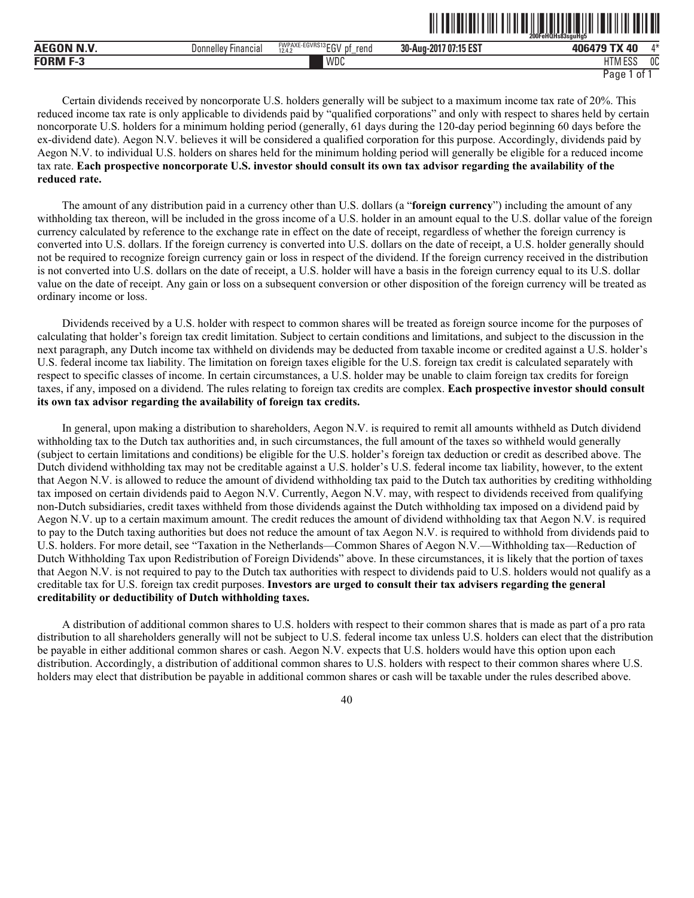|                 |                        |                                                             | - - -  -- . -- . -   .                         | 200FeHQHs83sauHa5   |          |
|-----------------|------------------------|-------------------------------------------------------------|------------------------------------------------|---------------------|----------|
| <b>AEC</b>      | Financia.<br>Donnelley | <b>FWPAXE-EGVRS13FOV</b><br>reno<br>D1<br>10A<br>∟ບ<br>12.4 | 4FFAT<br>30-Aug-<br>-201<br>. <b>''15 E</b> ა. | ΛO<br>1በፎ<br>. .    | $A - A$  |
| <b>FORM F-7</b> |                        | WDC                                                         |                                                | $-0o$<br>טסם ועו רח | በቦ<br>UU |

<u>oli toimittui tiiti tiid oli ilmintituomitti loitii toimittii tii</u>

Certain dividends received by noncorporate U.S. holders generally will be subject to a maximum income tax rate of 20%. This reduced income tax rate is only applicable to dividends paid by "qualified corporations" and only with respect to shares held by certain noncorporate U.S. holders for a minimum holding period (generally, 61 days during the 120-day period beginning 60 days before the ex-dividend date). Aegon N.V. believes it will be considered a qualified corporation for this purpose. Accordingly, dividends paid by Aegon N.V. to individual U.S. holders on shares held for the minimum holding period will generally be eligible for a reduced income tax rate. **Each prospective noncorporate U.S. investor should consult its own tax advisor regarding the availability of the reduced rate.**

The amount of any distribution paid in a currency other than U.S. dollars (a "**foreign currency**") including the amount of any withholding tax thereon, will be included in the gross income of a U.S. holder in an amount equal to the U.S. dollar value of the foreign currency calculated by reference to the exchange rate in effect on the date of receipt, regardless of whether the foreign currency is converted into U.S. dollars. If the foreign currency is converted into U.S. dollars on the date of receipt, a U.S. holder generally should not be required to recognize foreign currency gain or loss in respect of the dividend. If the foreign currency received in the distribution is not converted into U.S. dollars on the date of receipt, a U.S. holder will have a basis in the foreign currency equal to its U.S. dollar value on the date of receipt. Any gain or loss on a subsequent conversion or other disposition of the foreign currency will be treated as ordinary income or loss.

Dividends received by a U.S. holder with respect to common shares will be treated as foreign source income for the purposes of calculating that holder's foreign tax credit limitation. Subject to certain conditions and limitations, and subject to the discussion in the next paragraph, any Dutch income tax withheld on dividends may be deducted from taxable income or credited against a U.S. holder's U.S. federal income tax liability. The limitation on foreign taxes eligible for the U.S. foreign tax credit is calculated separately with respect to specific classes of income. In certain circumstances, a U.S. holder may be unable to claim foreign tax credits for foreign taxes, if any, imposed on a dividend. The rules relating to foreign tax credits are complex. **Each prospective investor should consult its own tax advisor regarding the availability of foreign tax credits.**

In general, upon making a distribution to shareholders, Aegon N.V. is required to remit all amounts withheld as Dutch dividend withholding tax to the Dutch tax authorities and, in such circumstances, the full amount of the taxes so withheld would generally (subject to certain limitations and conditions) be eligible for the U.S. holder's foreign tax deduction or credit as described above. The Dutch dividend withholding tax may not be creditable against a U.S. holder's U.S. federal income tax liability, however, to the extent that Aegon N.V. is allowed to reduce the amount of dividend withholding tax paid to the Dutch tax authorities by crediting withholding tax imposed on certain dividends paid to Aegon N.V. Currently, Aegon N.V. may, with respect to dividends received from qualifying non-Dutch subsidiaries, credit taxes withheld from those dividends against the Dutch withholding tax imposed on a dividend paid by Aegon N.V. up to a certain maximum amount. The credit reduces the amount of dividend withholding tax that Aegon N.V. is required to pay to the Dutch taxing authorities but does not reduce the amount of tax Aegon N.V. is required to withhold from dividends paid to U.S. holders. For more detail, see "Taxation in the Netherlands—Common Shares of Aegon N.V.—Withholding tax—Reduction of Dutch Withholding Tax upon Redistribution of Foreign Dividends" above. In these circumstances, it is likely that the portion of taxes that Aegon N.V. is not required to pay to the Dutch tax authorities with respect to dividends paid to U.S. holders would not qualify as a creditable tax for U.S. foreign tax credit purposes. **Investors are urged to consult their tax advisers regarding the general creditability or deductibility of Dutch withholding taxes.**

A distribution of additional common shares to U.S. holders with respect to their common shares that is made as part of a pro rata distribution to all shareholders generally will not be subject to U.S. federal income tax unless U.S. holders can elect that the distribution be payable in either additional common shares or cash. Aegon N.V. expects that U.S. holders would have this option upon each distribution. Accordingly, a distribution of additional common shares to U.S. holders with respect to their common shares where U.S. holders may elect that distribution be payable in additional common shares or cash will be taxable under the rules described above.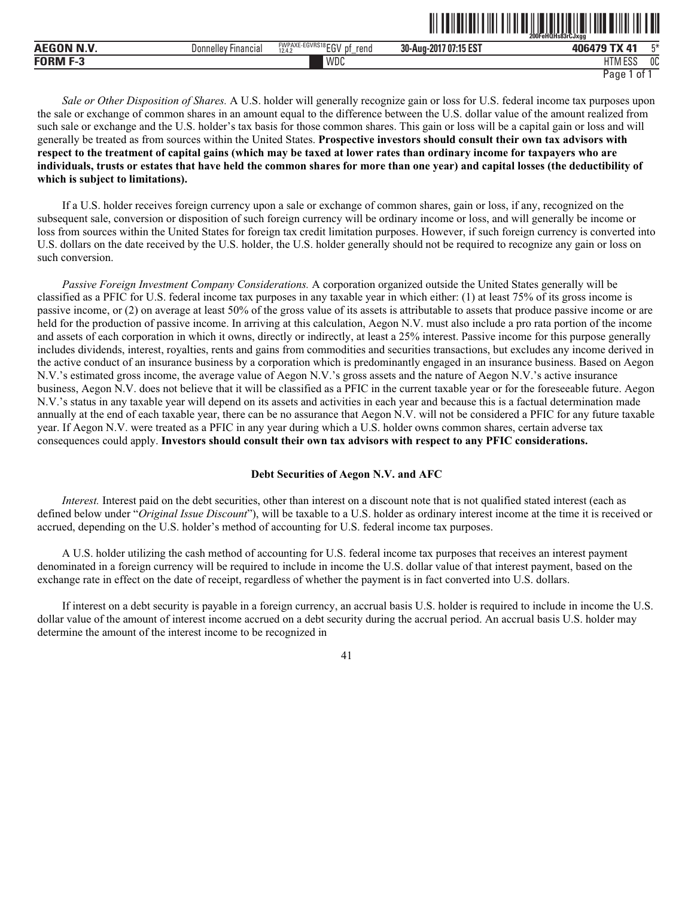|                     |                        |                                                                   |                       | 200FeHQHs83rCJxaa                        |    |
|---------------------|------------------------|-------------------------------------------------------------------|-----------------------|------------------------------------------|----|
| N.V<br><b>AEGON</b> | Financial<br>Donnelley | <b>FWPAXE-EGVRS18FOLL</b><br>rend<br>n1<br>12.4.2<br>u<br>∟ບ<br>- | 30-Aug-2017 07:15 EST | $-71$<br>406479                          | 口米 |
| <b>FORM</b>         |                        | WDC                                                               |                       | <b>I ITA A FOO</b><br>. E99<br>1 I IVI 1 | 0C |

ˆ200FeHQHs83rCJxggŠ

*Sale or Other Disposition of Shares.* A U.S. holder will generally recognize gain or loss for U.S. federal income tax purposes upon the sale or exchange of common shares in an amount equal to the difference between the U.S. dollar value of the amount realized from such sale or exchange and the U.S. holder's tax basis for those common shares. This gain or loss will be a capital gain or loss and will generally be treated as from sources within the United States. **Prospective investors should consult their own tax advisors with respect to the treatment of capital gains (which may be taxed at lower rates than ordinary income for taxpayers who are individuals, trusts or estates that have held the common shares for more than one year) and capital losses (the deductibility of which is subject to limitations).**

If a U.S. holder receives foreign currency upon a sale or exchange of common shares, gain or loss, if any, recognized on the subsequent sale, conversion or disposition of such foreign currency will be ordinary income or loss, and will generally be income or loss from sources within the United States for foreign tax credit limitation purposes. However, if such foreign currency is converted into U.S. dollars on the date received by the U.S. holder, the U.S. holder generally should not be required to recognize any gain or loss on such conversion.

*Passive Foreign Investment Company Considerations.* A corporation organized outside the United States generally will be classified as a PFIC for U.S. federal income tax purposes in any taxable year in which either: (1) at least 75% of its gross income is passive income, or (2) on average at least 50% of the gross value of its assets is attributable to assets that produce passive income or are held for the production of passive income. In arriving at this calculation, Aegon N.V. must also include a pro rata portion of the income and assets of each corporation in which it owns, directly or indirectly, at least a 25% interest. Passive income for this purpose generally includes dividends, interest, royalties, rents and gains from commodities and securities transactions, but excludes any income derived in the active conduct of an insurance business by a corporation which is predominantly engaged in an insurance business. Based on Aegon N.V.'s estimated gross income, the average value of Aegon N.V.'s gross assets and the nature of Aegon N.V.'s active insurance business, Aegon N.V. does not believe that it will be classified as a PFIC in the current taxable year or for the foreseeable future. Aegon N.V.'s status in any taxable year will depend on its assets and activities in each year and because this is a factual determination made annually at the end of each taxable year, there can be no assurance that Aegon N.V. will not be considered a PFIC for any future taxable year. If Aegon N.V. were treated as a PFIC in any year during which a U.S. holder owns common shares, certain adverse tax consequences could apply. **Investors should consult their own tax advisors with respect to any PFIC considerations.**

# **Debt Securities of Aegon N.V. and AFC**

*Interest.* Interest paid on the debt securities, other than interest on a discount note that is not qualified stated interest (each as defined below under "*Original Issue Discount*"), will be taxable to a U.S. holder as ordinary interest income at the time it is received or accrued, depending on the U.S. holder's method of accounting for U.S. federal income tax purposes.

A U.S. holder utilizing the cash method of accounting for U.S. federal income tax purposes that receives an interest payment denominated in a foreign currency will be required to include in income the U.S. dollar value of that interest payment, based on the exchange rate in effect on the date of receipt, regardless of whether the payment is in fact converted into U.S. dollars.

If interest on a debt security is payable in a foreign currency, an accrual basis U.S. holder is required to include in income the U.S. dollar value of the amount of interest income accrued on a debt security during the accrual period. An accrual basis U.S. holder may determine the amount of the interest income to be recognized in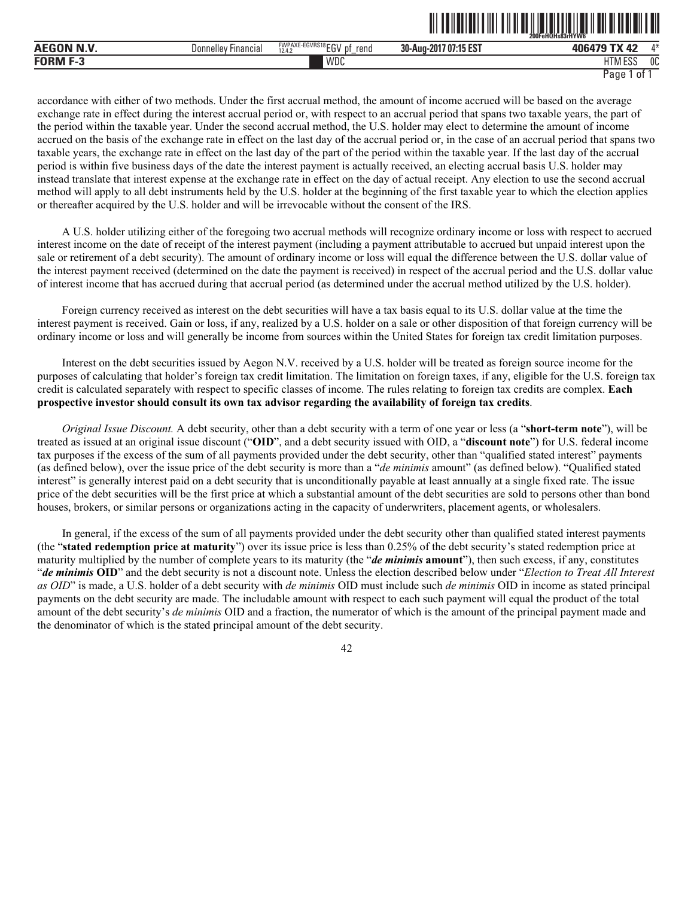|          |                                 |                                                                    |                                              | 200FeHQHs83rHYW6         |              |
|----------|---------------------------------|--------------------------------------------------------------------|----------------------------------------------|--------------------------|--------------|
| м<br>. . | <br>⊦ınancıal<br>Jor<br>inellev | FWPAXE-EGVRS18 ECN<br>rend<br>D.<br>10A<br>∼<br>12.4 <sub>14</sub> | AF FOT<br>nn.<br>30-Aug-2017<br>'N<br>15 E.S | --<br>10G170             | $A - L$      |
| END      |                                 | WDC                                                                |                                              | 1.000<br>דו ו<br>1 I IVI | $\sim$<br>uu |

ˆ200FeHQHs83rHYW6ÅŠ **200FeHQHs83rHYW6¯**

accordance with either of two methods. Under the first accrual method, the amount of income accrued will be based on the average exchange rate in effect during the interest accrual period or, with respect to an accrual period that spans two taxable years, the part of the period within the taxable year. Under the second accrual method, the U.S. holder may elect to determine the amount of income accrued on the basis of the exchange rate in effect on the last day of the accrual period or, in the case of an accrual period that spans two taxable years, the exchange rate in effect on the last day of the part of the period within the taxable year. If the last day of the accrual period is within five business days of the date the interest payment is actually received, an electing accrual basis U.S. holder may instead translate that interest expense at the exchange rate in effect on the day of actual receipt. Any election to use the second accrual method will apply to all debt instruments held by the U.S. holder at the beginning of the first taxable year to which the election applies or thereafter acquired by the U.S. holder and will be irrevocable without the consent of the IRS.

A U.S. holder utilizing either of the foregoing two accrual methods will recognize ordinary income or loss with respect to accrued interest income on the date of receipt of the interest payment (including a payment attributable to accrued but unpaid interest upon the sale or retirement of a debt security). The amount of ordinary income or loss will equal the difference between the U.S. dollar value of the interest payment received (determined on the date the payment is received) in respect of the accrual period and the U.S. dollar value of interest income that has accrued during that accrual period (as determined under the accrual method utilized by the U.S. holder).

Foreign currency received as interest on the debt securities will have a tax basis equal to its U.S. dollar value at the time the interest payment is received. Gain or loss, if any, realized by a U.S. holder on a sale or other disposition of that foreign currency will be ordinary income or loss and will generally be income from sources within the United States for foreign tax credit limitation purposes.

Interest on the debt securities issued by Aegon N.V. received by a U.S. holder will be treated as foreign source income for the purposes of calculating that holder's foreign tax credit limitation. The limitation on foreign taxes, if any, eligible for the U.S. foreign tax credit is calculated separately with respect to specific classes of income. The rules relating to foreign tax credits are complex. **Each prospective investor should consult its own tax advisor regarding the availability of foreign tax credits**.

*Original Issue Discount.* A debt security, other than a debt security with a term of one year or less (a "**short-term note**"), will be treated as issued at an original issue discount ("**OID**", and a debt security issued with OID, a "**discount note**") for U.S. federal income tax purposes if the excess of the sum of all payments provided under the debt security, other than "qualified stated interest" payments (as defined below), over the issue price of the debt security is more than a "*de minimis* amount" (as defined below). "Qualified stated interest" is generally interest paid on a debt security that is unconditionally payable at least annually at a single fixed rate. The issue price of the debt securities will be the first price at which a substantial amount of the debt securities are sold to persons other than bond houses, brokers, or similar persons or organizations acting in the capacity of underwriters, placement agents, or wholesalers.

In general, if the excess of the sum of all payments provided under the debt security other than qualified stated interest payments (the "**stated redemption price at maturity**") over its issue price is less than 0.25% of the debt security's stated redemption price at maturity multiplied by the number of complete years to its maturity (the "*de minimis* **amount**"), then such excess, if any, constitutes "*de minimis* **OID**" and the debt security is not a discount note. Unless the election described below under "*Election to Treat All Interest as OID*" is made, a U.S. holder of a debt security with *de minimis* OID must include such *de minimis* OID in income as stated principal payments on the debt security are made. The includable amount with respect to each such payment will equal the product of the total amount of the debt security's *de minimis* OID and a fraction, the numerator of which is the amount of the principal payment made and the denominator of which is the stated principal amount of the debt security.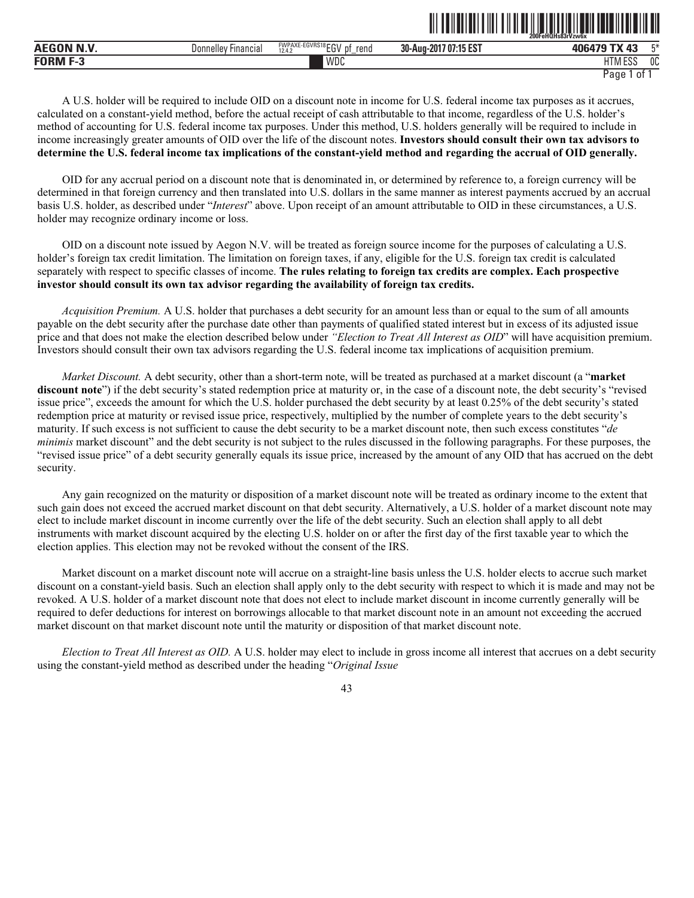|            |                                    |                                                                                                                                            | --------------<br>200FeHQHs83rVzw6x |                                               |    |
|------------|------------------------------------|--------------------------------------------------------------------------------------------------------------------------------------------|-------------------------------------|-----------------------------------------------|----|
| <b>AEC</b> | Financia.<br>Donnelle <sup>,</sup> | $-21$<br>$\sqrt{R}$ S <sub>18</sub> $\sqrt{R}$<br><b><i>FIAIDAVE</i></b><br>EGVRS 181<br><b>WPAAL</b><br>rend<br>рţ<br>10.11<br>∼<br>12.4. | 17 07:15 EST<br>30-Aug-2017         | $\mathbf{a}$<br>406479<br>$\sim$ 700 $\times$ | 口米 |
| FORM F-?   |                                    | WDC                                                                                                                                        |                                     | TTABF00<br>1 I IVI<br>LUL                     | OC |

ˆ200FeHQHs83rVzw6xŠ **200FeHQHs83rVzw6x**

A U.S. holder will be required to include OID on a discount note in income for U.S. federal income tax purposes as it accrues, calculated on a constant-yield method, before the actual receipt of cash attributable to that income, regardless of the U.S. holder's method of accounting for U.S. federal income tax purposes. Under this method, U.S. holders generally will be required to include in income increasingly greater amounts of OID over the life of the discount notes. **Investors should consult their own tax advisors to determine the U.S. federal income tax implications of the constant-yield method and regarding the accrual of OID generally.**

OID for any accrual period on a discount note that is denominated in, or determined by reference to, a foreign currency will be determined in that foreign currency and then translated into U.S. dollars in the same manner as interest payments accrued by an accrual basis U.S. holder, as described under "*Interest*" above. Upon receipt of an amount attributable to OID in these circumstances, a U.S. holder may recognize ordinary income or loss.

OID on a discount note issued by Aegon N.V. will be treated as foreign source income for the purposes of calculating a U.S. holder's foreign tax credit limitation. The limitation on foreign taxes, if any, eligible for the U.S. foreign tax credit is calculated separately with respect to specific classes of income. **The rules relating to foreign tax credits are complex. Each prospective investor should consult its own tax advisor regarding the availability of foreign tax credits.**

*Acquisition Premium.* A U.S. holder that purchases a debt security for an amount less than or equal to the sum of all amounts payable on the debt security after the purchase date other than payments of qualified stated interest but in excess of its adjusted issue price and that does not make the election described below under *"Election to Treat All Interest as OID*" will have acquisition premium. Investors should consult their own tax advisors regarding the U.S. federal income tax implications of acquisition premium.

*Market Discount.* A debt security, other than a short-term note, will be treated as purchased at a market discount (a "**market discount note**") if the debt security's stated redemption price at maturity or, in the case of a discount note, the debt security's "revised issue price", exceeds the amount for which the U.S. holder purchased the debt security by at least 0.25% of the debt security's stated redemption price at maturity or revised issue price, respectively, multiplied by the number of complete years to the debt security's maturity. If such excess is not sufficient to cause the debt security to be a market discount note, then such excess constitutes "*de minimis* market discount" and the debt security is not subject to the rules discussed in the following paragraphs. For these purposes, the "revised issue price" of a debt security generally equals its issue price, increased by the amount of any OID that has accrued on the debt security.

Any gain recognized on the maturity or disposition of a market discount note will be treated as ordinary income to the extent that such gain does not exceed the accrued market discount on that debt security. Alternatively, a U.S. holder of a market discount note may elect to include market discount in income currently over the life of the debt security. Such an election shall apply to all debt instruments with market discount acquired by the electing U.S. holder on or after the first day of the first taxable year to which the election applies. This election may not be revoked without the consent of the IRS.

Market discount on a market discount note will accrue on a straight-line basis unless the U.S. holder elects to accrue such market discount on a constant-yield basis. Such an election shall apply only to the debt security with respect to which it is made and may not be revoked. A U.S. holder of a market discount note that does not elect to include market discount in income currently generally will be required to defer deductions for interest on borrowings allocable to that market discount note in an amount not exceeding the accrued market discount on that market discount note until the maturity or disposition of that market discount note.

*Election to Treat All Interest as OID.* A U.S. holder may elect to include in gross income all interest that accrues on a debt security using the constant-yield method as described under the heading "*Original Issue*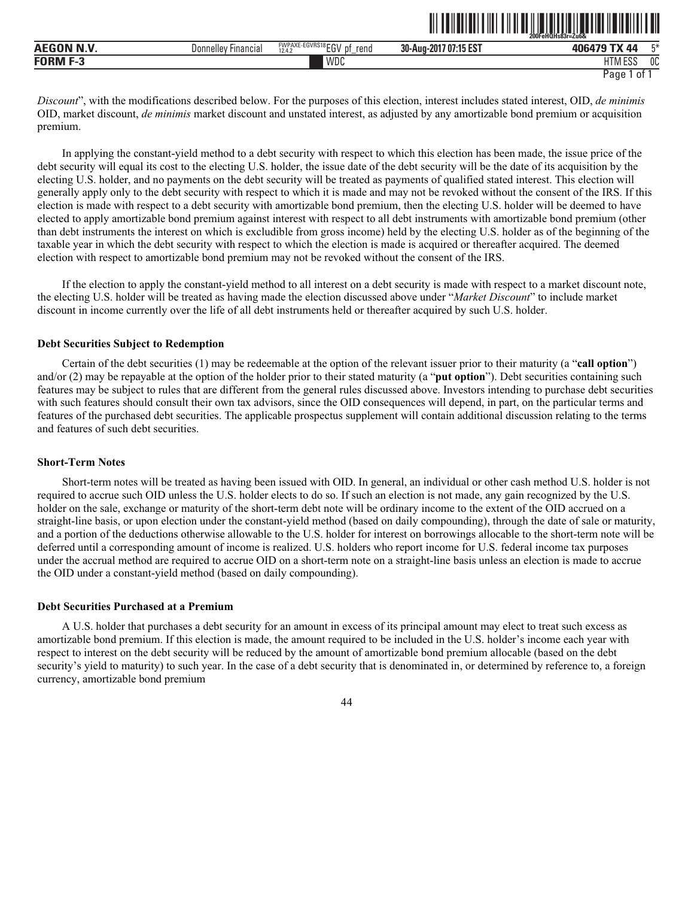|             |                                         |                                                        | 200FeHQHs83r=Zu6&                             |                          |              |
|-------------|-----------------------------------------|--------------------------------------------------------|-----------------------------------------------|--------------------------|--------------|
| .<br>л<br>. | $\cdots$<br>⊦ınancıal<br>Jor<br>nnellev | FWPAXE-EGVRS18 ECN<br>rena<br>D.<br>10A<br>∼<br>ے۔14.4 | AF FOT<br>nn.<br>30-Aug-2017<br>-07<br>15 E.S | 106170<br>/1             | mм           |
| END         |                                         | WDC                                                    |                                               | 1.500<br>דו ו<br>1 I IVI | $\sim$<br>υu |

ˆ200FeHQHs83r=Zu6&Š **200FeHQHs83r=Zu6&**

*Discount*", with the modifications described below. For the purposes of this election, interest includes stated interest, OID, *de minimis* OID, market discount, *de minimis* market discount and unstated interest, as adjusted by any amortizable bond premium or acquisition premium.

In applying the constant-yield method to a debt security with respect to which this election has been made, the issue price of the debt security will equal its cost to the electing U.S. holder, the issue date of the debt security will be the date of its acquisition by the electing U.S. holder, and no payments on the debt security will be treated as payments of qualified stated interest. This election will generally apply only to the debt security with respect to which it is made and may not be revoked without the consent of the IRS. If this election is made with respect to a debt security with amortizable bond premium, then the electing U.S. holder will be deemed to have elected to apply amortizable bond premium against interest with respect to all debt instruments with amortizable bond premium (other than debt instruments the interest on which is excludible from gross income) held by the electing U.S. holder as of the beginning of the taxable year in which the debt security with respect to which the election is made is acquired or thereafter acquired. The deemed election with respect to amortizable bond premium may not be revoked without the consent of the IRS.

If the election to apply the constant-yield method to all interest on a debt security is made with respect to a market discount note, the electing U.S. holder will be treated as having made the election discussed above under "*Market Discount*" to include market discount in income currently over the life of all debt instruments held or thereafter acquired by such U.S. holder.

#### **Debt Securities Subject to Redemption**

Certain of the debt securities (1) may be redeemable at the option of the relevant issuer prior to their maturity (a "**call option**") and/or (2) may be repayable at the option of the holder prior to their stated maturity (a "**put option**"). Debt securities containing such features may be subject to rules that are different from the general rules discussed above. Investors intending to purchase debt securities with such features should consult their own tax advisors, since the OID consequences will depend, in part, on the particular terms and features of the purchased debt securities. The applicable prospectus supplement will contain additional discussion relating to the terms and features of such debt securities.

### **Short-Term Notes**

Short-term notes will be treated as having been issued with OID. In general, an individual or other cash method U.S. holder is not required to accrue such OID unless the U.S. holder elects to do so. If such an election is not made, any gain recognized by the U.S. holder on the sale, exchange or maturity of the short-term debt note will be ordinary income to the extent of the OID accrued on a straight-line basis, or upon election under the constant-yield method (based on daily compounding), through the date of sale or maturity, and a portion of the deductions otherwise allowable to the U.S. holder for interest on borrowings allocable to the short-term note will be deferred until a corresponding amount of income is realized. U.S. holders who report income for U.S. federal income tax purposes under the accrual method are required to accrue OID on a short-term note on a straight-line basis unless an election is made to accrue the OID under a constant-yield method (based on daily compounding).

## **Debt Securities Purchased at a Premium**

A U.S. holder that purchases a debt security for an amount in excess of its principal amount may elect to treat such excess as amortizable bond premium. If this election is made, the amount required to be included in the U.S. holder's income each year with respect to interest on the debt security will be reduced by the amount of amortizable bond premium allocable (based on the debt security's yield to maturity) to such year. In the case of a debt security that is denominated in, or determined by reference to, a foreign currency, amortizable bond premium

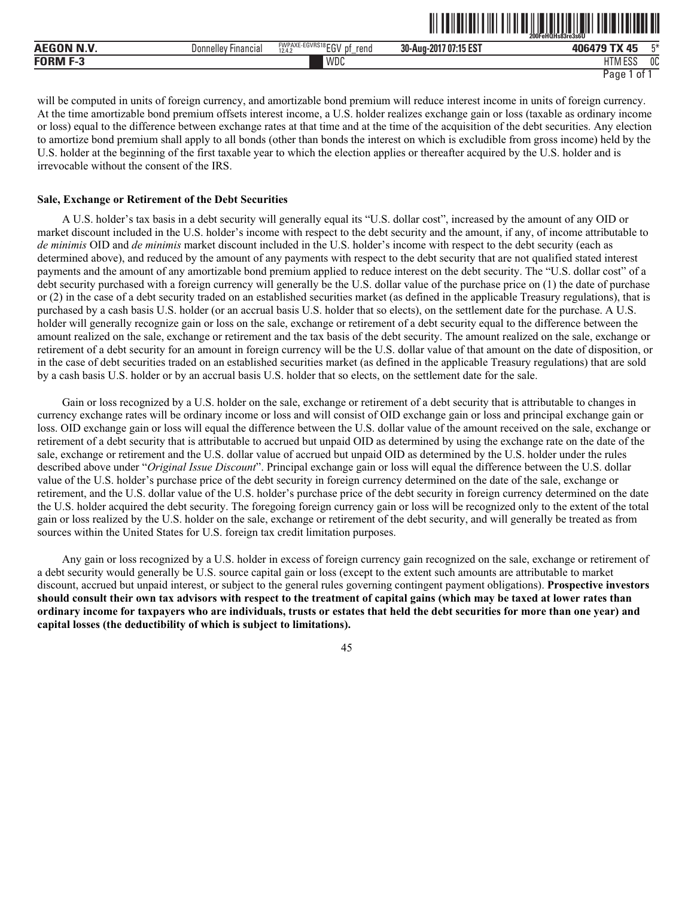|                   |                                        |                                                        |                       | $200$ Fe $\overline{H}$ OHs $\overline{8}3$ re $3s$ 6U |    |
|-------------------|----------------------------------------|--------------------------------------------------------|-----------------------|--------------------------------------------------------|----|
| <b>AEGON N.V.</b> | Donnelley <b>F</b><br><b>Financial</b> | <b>FWPAXE-EGVRS18FOV</b><br>rend<br>12.4.2<br>IJΙ<br>ື | 30-Aug-2017 07:15 EST | T <sub>0</sub><br>$\sqrt{5}$<br>406479                 | 口米 |
| FORM              |                                        | WDC                                                    |                       | 11 F O O<br>י דו<br>ועוור<br>Luc                       | 0C |

ˆ200FeHQHs83re3s6UŠ **200FeHQHs83re3s6U**

will be computed in units of foreign currency, and amortizable bond premium will reduce interest income in units of foreign currency. At the time amortizable bond premium offsets interest income, a U.S. holder realizes exchange gain or loss (taxable as ordinary income or loss) equal to the difference between exchange rates at that time and at the time of the acquisition of the debt securities. Any election to amortize bond premium shall apply to all bonds (other than bonds the interest on which is excludible from gross income) held by the U.S. holder at the beginning of the first taxable year to which the election applies or thereafter acquired by the U.S. holder and is irrevocable without the consent of the IRS.

### **Sale, Exchange or Retirement of the Debt Securities**

A U.S. holder's tax basis in a debt security will generally equal its "U.S. dollar cost", increased by the amount of any OID or market discount included in the U.S. holder's income with respect to the debt security and the amount, if any, of income attributable to *de minimis* OID and *de minimis* market discount included in the U.S. holder's income with respect to the debt security (each as determined above), and reduced by the amount of any payments with respect to the debt security that are not qualified stated interest payments and the amount of any amortizable bond premium applied to reduce interest on the debt security. The "U.S. dollar cost" of a debt security purchased with a foreign currency will generally be the U.S. dollar value of the purchase price on (1) the date of purchase or (2) in the case of a debt security traded on an established securities market (as defined in the applicable Treasury regulations), that is purchased by a cash basis U.S. holder (or an accrual basis U.S. holder that so elects), on the settlement date for the purchase. A U.S. holder will generally recognize gain or loss on the sale, exchange or retirement of a debt security equal to the difference between the amount realized on the sale, exchange or retirement and the tax basis of the debt security. The amount realized on the sale, exchange or retirement of a debt security for an amount in foreign currency will be the U.S. dollar value of that amount on the date of disposition, or in the case of debt securities traded on an established securities market (as defined in the applicable Treasury regulations) that are sold by a cash basis U.S. holder or by an accrual basis U.S. holder that so elects, on the settlement date for the sale.

Gain or loss recognized by a U.S. holder on the sale, exchange or retirement of a debt security that is attributable to changes in currency exchange rates will be ordinary income or loss and will consist of OID exchange gain or loss and principal exchange gain or loss. OID exchange gain or loss will equal the difference between the U.S. dollar value of the amount received on the sale, exchange or retirement of a debt security that is attributable to accrued but unpaid OID as determined by using the exchange rate on the date of the sale, exchange or retirement and the U.S. dollar value of accrued but unpaid OID as determined by the U.S. holder under the rules described above under "*Original Issue Discount*". Principal exchange gain or loss will equal the difference between the U.S. dollar value of the U.S. holder's purchase price of the debt security in foreign currency determined on the date of the sale, exchange or retirement, and the U.S. dollar value of the U.S. holder's purchase price of the debt security in foreign currency determined on the date the U.S. holder acquired the debt security. The foregoing foreign currency gain or loss will be recognized only to the extent of the total gain or loss realized by the U.S. holder on the sale, exchange or retirement of the debt security, and will generally be treated as from sources within the United States for U.S. foreign tax credit limitation purposes.

Any gain or loss recognized by a U.S. holder in excess of foreign currency gain recognized on the sale, exchange or retirement of a debt security would generally be U.S. source capital gain or loss (except to the extent such amounts are attributable to market discount, accrued but unpaid interest, or subject to the general rules governing contingent payment obligations). **Prospective investors should consult their own tax advisors with respect to the treatment of capital gains (which may be taxed at lower rates than ordinary income for taxpayers who are individuals, trusts or estates that held the debt securities for more than one year) and capital losses (the deductibility of which is subject to limitations).**

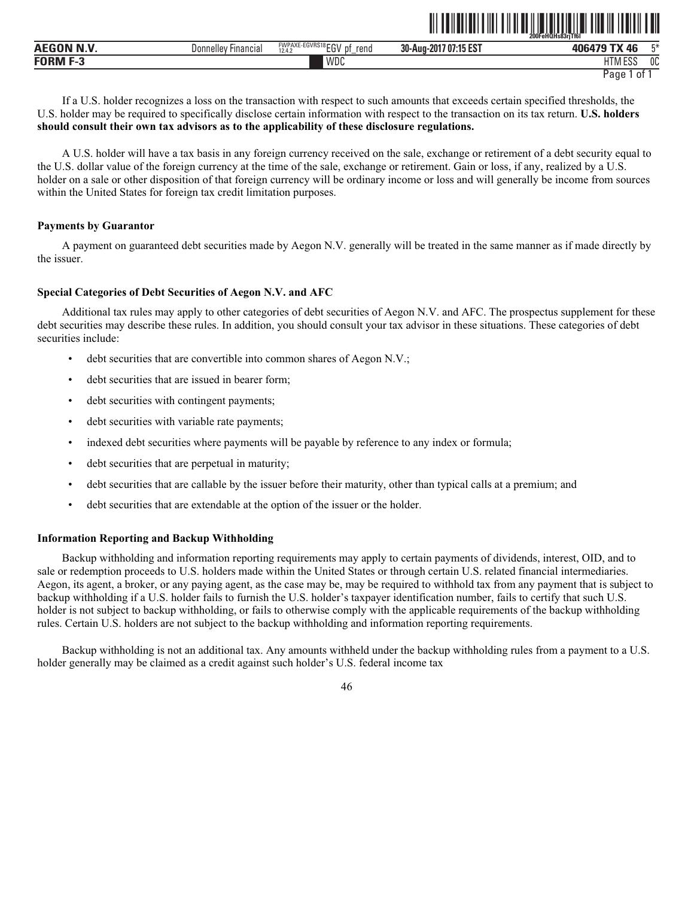| <b>AEGON N Y</b> | <b>Financial</b><br>Donnellev | FWPAXE-EGVRS18 ECV<br>rend<br>D1<br>.<br>12.4.2<br>◡ | 30-Aug-2<br>1.47.707<br>.<br>$-201$ <sup>-</sup><br>, 07:15 '<br>. IJ LJ | 406479<br>∦ ∆F                                      | FЖ |
|------------------|-------------------------------|------------------------------------------------------|--------------------------------------------------------------------------|-----------------------------------------------------|----|
| <b>EORM E.3</b>  |                               | WDC                                                  |                                                                          | $\overline{\phantom{a}}$<br>$F^{\alpha}$<br>HIM ESS | 0C |

If a U.S. holder recognizes a loss on the transaction with respect to such amounts that exceeds certain specified thresholds, the U.S. holder may be required to specifically disclose certain information with respect to the transaction on its tax return. **U.S. holders should consult their own tax advisors as to the applicability of these disclosure regulations.**

A U.S. holder will have a tax basis in any foreign currency received on the sale, exchange or retirement of a debt security equal to the U.S. dollar value of the foreign currency at the time of the sale, exchange or retirement. Gain or loss, if any, realized by a U.S. holder on a sale or other disposition of that foreign currency will be ordinary income or loss and will generally be income from sources within the United States for foreign tax credit limitation purposes.

## **Payments by Guarantor**

A payment on guaranteed debt securities made by Aegon N.V. generally will be treated in the same manner as if made directly by the issuer.

# **Special Categories of Debt Securities of Aegon N.V. and AFC**

Additional tax rules may apply to other categories of debt securities of Aegon N.V. and AFC. The prospectus supplement for these debt securities may describe these rules. In addition, you should consult your tax advisor in these situations. These categories of debt securities include:

- debt securities that are convertible into common shares of Aegon N.V.;
- debt securities that are issued in bearer form;
- debt securities with contingent payments;
- debt securities with variable rate payments;
- indexed debt securities where payments will be payable by reference to any index or formula;
- debt securities that are perpetual in maturity;
- debt securities that are callable by the issuer before their maturity, other than typical calls at a premium; and
- debt securities that are extendable at the option of the issuer or the holder.

## **Information Reporting and Backup Withholding**

Backup withholding and information reporting requirements may apply to certain payments of dividends, interest, OID, and to sale or redemption proceeds to U.S. holders made within the United States or through certain U.S. related financial intermediaries. Aegon, its agent, a broker, or any paying agent, as the case may be, may be required to withhold tax from any payment that is subject to backup withholding if a U.S. holder fails to furnish the U.S. holder's taxpayer identification number, fails to certify that such U.S. holder is not subject to backup withholding, or fails to otherwise comply with the applicable requirements of the backup withholding rules. Certain U.S. holders are not subject to the backup withholding and information reporting requirements.

Backup withholding is not an additional tax. Any amounts withheld under the backup withholding rules from a payment to a U.S. holder generally may be claimed as a credit against such holder's U.S. federal income tax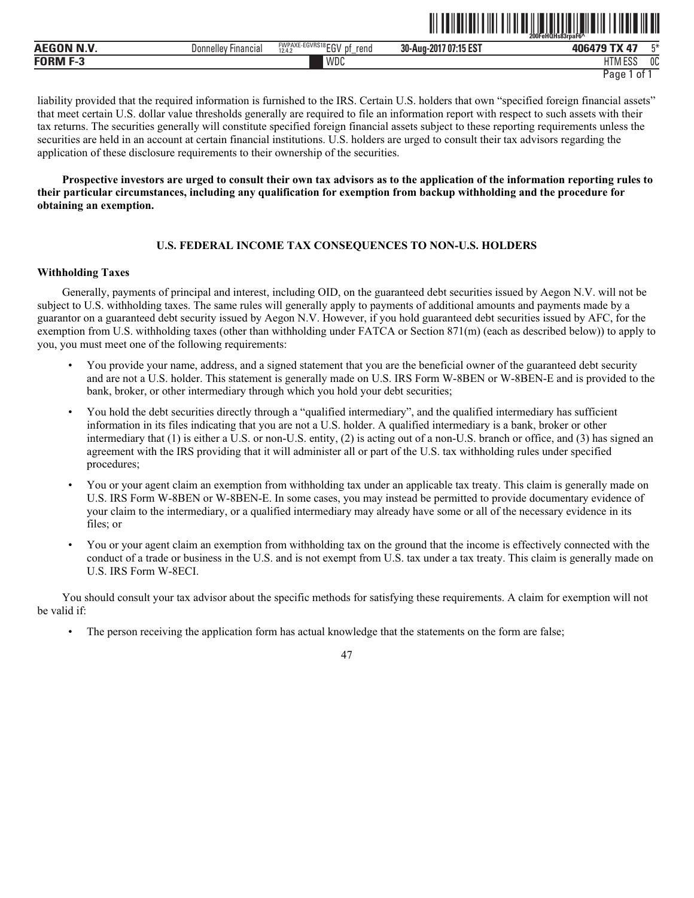|                |                                      |                                                        | ---------                                 | 200FeHQHs83rpaF6^<br>--------<br>---------- |              |
|----------------|--------------------------------------|--------------------------------------------------------|-------------------------------------------|---------------------------------------------|--------------|
| AECON NW<br>יי | <b>Donnellev</b><br><b>Financial</b> | <b>FWPAXE-EGVRS18FOL</b><br>rend<br>рţ<br>12.4.2<br>∟ບ | 1.45,007<br>30-Aug-<br>-201<br>' 07:15 ES | $-$                                         | mм           |
| - -<br>FORM    |                                      | WDC                                                    |                                           | 1000<br>LITI<br>ועור                        | $\sim$<br>UU |

<u>îlî de hemar di navçeya Fehan û Birê</u>

liability provided that the required information is furnished to the IRS. Certain U.S. holders that own "specified foreign financial assets" that meet certain U.S. dollar value thresholds generally are required to file an information report with respect to such assets with their tax returns. The securities generally will constitute specified foreign financial assets subject to these reporting requirements unless the securities are held in an account at certain financial institutions. U.S. holders are urged to consult their tax advisors regarding the application of these disclosure requirements to their ownership of the securities.

**Prospective investors are urged to consult their own tax advisors as to the application of the information reporting rules to their particular circumstances, including any qualification for exemption from backup withholding and the procedure for obtaining an exemption.** 

# **U.S. FEDERAL INCOME TAX CONSEQUENCES TO NON-U.S. HOLDERS**

#### **Withholding Taxes**

Generally, payments of principal and interest, including OID, on the guaranteed debt securities issued by Aegon N.V. will not be subject to U.S. withholding taxes. The same rules will generally apply to payments of additional amounts and payments made by a guarantor on a guaranteed debt security issued by Aegon N.V. However, if you hold guaranteed debt securities issued by AFC, for the exemption from U.S. withholding taxes (other than withholding under FATCA or Section 871(m) (each as described below)) to apply to you, you must meet one of the following requirements:

- You provide your name, address, and a signed statement that you are the beneficial owner of the guaranteed debt security and are not a U.S. holder. This statement is generally made on U.S. IRS Form W-8BEN or W-8BEN-E and is provided to the bank, broker, or other intermediary through which you hold your debt securities;
- You hold the debt securities directly through a "qualified intermediary", and the qualified intermediary has sufficient information in its files indicating that you are not a U.S. holder. A qualified intermediary is a bank, broker or other intermediary that (1) is either a U.S. or non-U.S. entity, (2) is acting out of a non-U.S. branch or office, and (3) has signed an agreement with the IRS providing that it will administer all or part of the U.S. tax withholding rules under specified procedures;
- You or your agent claim an exemption from withholding tax under an applicable tax treaty. This claim is generally made on U.S. IRS Form W-8BEN or W-8BEN-E. In some cases, you may instead be permitted to provide documentary evidence of your claim to the intermediary, or a qualified intermediary may already have some or all of the necessary evidence in its files; or
- You or your agent claim an exemption from withholding tax on the ground that the income is effectively connected with the conduct of a trade or business in the U.S. and is not exempt from U.S. tax under a tax treaty. This claim is generally made on U.S. IRS Form W-8ECI.

You should consult your tax advisor about the specific methods for satisfying these requirements. A claim for exemption will not be valid if:

• The person receiving the application form has actual knowledge that the statements on the form are false;

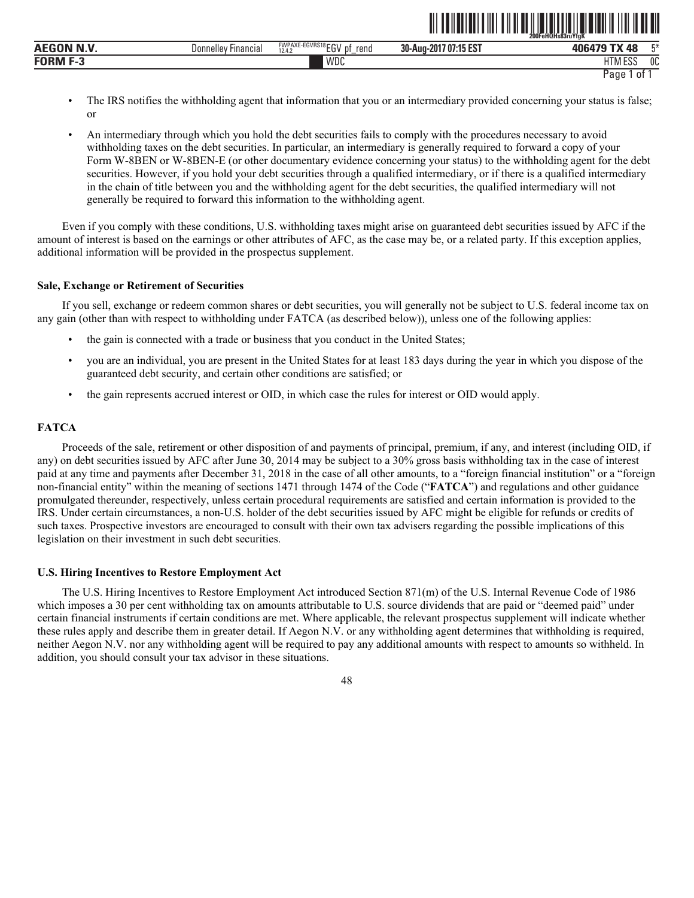|                   |                     |                                                    | $\parallel$<br>$"$ $\blacksquare$ | IIIII<br>║<br>$\mathbb I$<br>200FeHQHs83ruYfaK | ║║  |
|-------------------|---------------------|----------------------------------------------------|-----------------------------------|------------------------------------------------|-----|
| <b>AEGON N.V.</b> | Donnelley Financial | FWPAXE-EGVRS18 ECV<br>rend<br>cu۷<br>12.4.2<br>IJΙ | 30-Aug-2017 07:15 EST             | 406479 TX 48                                   | г.* |
| <b>FORM F-3</b>   |                     | WDC                                                |                                   | <b>HTM ESS</b>                                 | 0C  |

- Page 1 of 1
- The IRS notifies the withholding agent that information that you or an intermediary provided concerning your status is false; or
- An intermediary through which you hold the debt securities fails to comply with the procedures necessary to avoid withholding taxes on the debt securities. In particular, an intermediary is generally required to forward a copy of your Form W-8BEN or W-8BEN-E (or other documentary evidence concerning your status) to the withholding agent for the debt securities. However, if you hold your debt securities through a qualified intermediary, or if there is a qualified intermediary in the chain of title between you and the withholding agent for the debt securities, the qualified intermediary will not generally be required to forward this information to the withholding agent.

Even if you comply with these conditions, U.S. withholding taxes might arise on guaranteed debt securities issued by AFC if the amount of interest is based on the earnings or other attributes of AFC, as the case may be, or a related party. If this exception applies, additional information will be provided in the prospectus supplement.

#### **Sale, Exchange or Retirement of Securities**

If you sell, exchange or redeem common shares or debt securities, you will generally not be subject to U.S. federal income tax on any gain (other than with respect to withholding under FATCA (as described below)), unless one of the following applies:

- the gain is connected with a trade or business that you conduct in the United States;
- you are an individual, you are present in the United States for at least 183 days during the year in which you dispose of the guaranteed debt security, and certain other conditions are satisfied; or
- the gain represents accrued interest or OID, in which case the rules for interest or OID would apply.

#### **FATCA**

Proceeds of the sale, retirement or other disposition of and payments of principal, premium, if any, and interest (including OID, if any) on debt securities issued by AFC after June 30, 2014 may be subject to a 30% gross basis withholding tax in the case of interest paid at any time and payments after December 31, 2018 in the case of all other amounts, to a "foreign financial institution" or a "foreign non-financial entity" within the meaning of sections 1471 through 1474 of the Code ("**FATCA**") and regulations and other guidance promulgated thereunder, respectively, unless certain procedural requirements are satisfied and certain information is provided to the IRS. Under certain circumstances, a non-U.S. holder of the debt securities issued by AFC might be eligible for refunds or credits of such taxes. Prospective investors are encouraged to consult with their own tax advisers regarding the possible implications of this legislation on their investment in such debt securities.

#### **U.S. Hiring Incentives to Restore Employment Act**

The U.S. Hiring Incentives to Restore Employment Act introduced Section 871(m) of the U.S. Internal Revenue Code of 1986 which imposes a 30 per cent withholding tax on amounts attributable to U.S. source dividends that are paid or "deemed paid" under certain financial instruments if certain conditions are met. Where applicable, the relevant prospectus supplement will indicate whether these rules apply and describe them in greater detail. If Aegon N.V. or any withholding agent determines that withholding is required, neither Aegon N.V. nor any withholding agent will be required to pay any additional amounts with respect to amounts so withheld. In addition, you should consult your tax advisor in these situations.

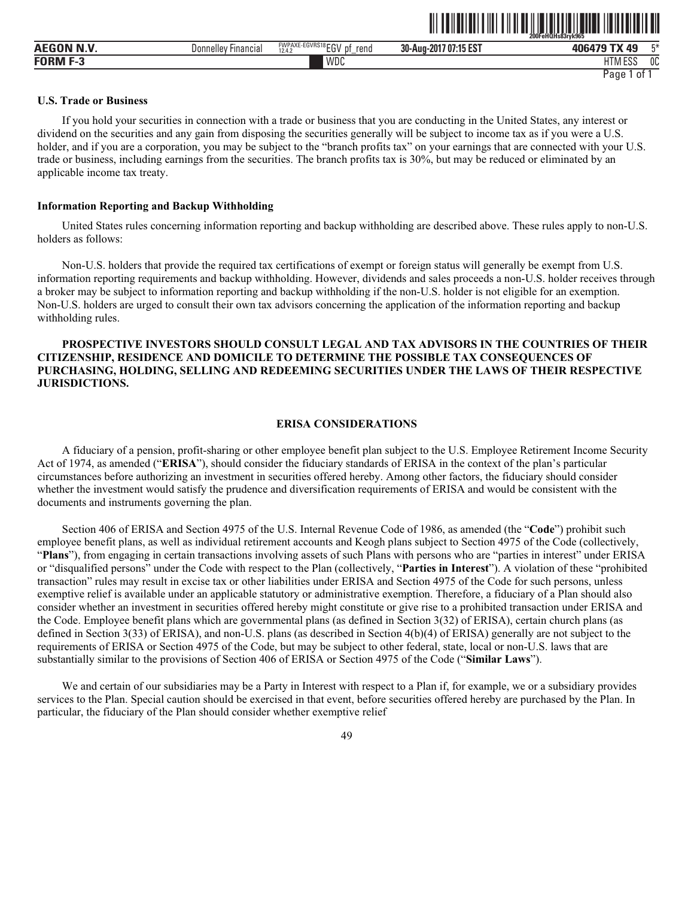| <b>AEGON N.V.</b>       | Donnellev Financial | <b>FWPAXE-EGVRS18FOL</b><br>rend<br>n1<br>12.4.2<br>∟ບ<br>- | 30-Aug-2017 07:15 EST | 工米<br>406479 TX<br>ло             |
|-------------------------|---------------------|-------------------------------------------------------------|-----------------------|-----------------------------------|
| <b>FORM F-3</b><br>т-з. |                     | WDC                                                         |                       | 1000<br>0C<br><b>HTM</b><br>י בטט |
|                         |                     |                                                             |                       | Page<br>01                        |

ˆ200FeHQHs83ryk965Š

#### **U.S. Trade or Business**

If you hold your securities in connection with a trade or business that you are conducting in the United States, any interest or dividend on the securities and any gain from disposing the securities generally will be subject to income tax as if you were a U.S. holder, and if you are a corporation, you may be subject to the "branch profits tax" on your earnings that are connected with your U.S. trade or business, including earnings from the securities. The branch profits tax is 30%, but may be reduced or eliminated by an applicable income tax treaty.

## **Information Reporting and Backup Withholding**

United States rules concerning information reporting and backup withholding are described above. These rules apply to non-U.S. holders as follows:

Non-U.S. holders that provide the required tax certifications of exempt or foreign status will generally be exempt from U.S. information reporting requirements and backup withholding. However, dividends and sales proceeds a non-U.S. holder receives through a broker may be subject to information reporting and backup withholding if the non-U.S. holder is not eligible for an exemption. Non-U.S. holders are urged to consult their own tax advisors concerning the application of the information reporting and backup withholding rules.

# **PROSPECTIVE INVESTORS SHOULD CONSULT LEGAL AND TAX ADVISORS IN THE COUNTRIES OF THEIR CITIZENSHIP, RESIDENCE AND DOMICILE TO DETERMINE THE POSSIBLE TAX CONSEQUENCES OF PURCHASING, HOLDING, SELLING AND REDEEMING SECURITIES UNDER THE LAWS OF THEIR RESPECTIVE JURISDICTIONS.**

# **ERISA CONSIDERATIONS**

A fiduciary of a pension, profit-sharing or other employee benefit plan subject to the U.S. Employee Retirement Income Security Act of 1974, as amended ("**ERISA**"), should consider the fiduciary standards of ERISA in the context of the plan's particular circumstances before authorizing an investment in securities offered hereby. Among other factors, the fiduciary should consider whether the investment would satisfy the prudence and diversification requirements of ERISA and would be consistent with the documents and instruments governing the plan.

Section 406 of ERISA and Section 4975 of the U.S. Internal Revenue Code of 1986, as amended (the "**Code**") prohibit such employee benefit plans, as well as individual retirement accounts and Keogh plans subject to Section 4975 of the Code (collectively, "**Plans**"), from engaging in certain transactions involving assets of such Plans with persons who are "parties in interest" under ERISA or "disqualified persons" under the Code with respect to the Plan (collectively, "**Parties in Interest**"). A violation of these "prohibited transaction" rules may result in excise tax or other liabilities under ERISA and Section 4975 of the Code for such persons, unless exemptive relief is available under an applicable statutory or administrative exemption. Therefore, a fiduciary of a Plan should also consider whether an investment in securities offered hereby might constitute or give rise to a prohibited transaction under ERISA and the Code. Employee benefit plans which are governmental plans (as defined in Section 3(32) of ERISA), certain church plans (as defined in Section 3(33) of ERISA), and non-U.S. plans (as described in Section 4(b)(4) of ERISA) generally are not subject to the requirements of ERISA or Section 4975 of the Code, but may be subject to other federal, state, local or non-U.S. laws that are substantially similar to the provisions of Section 406 of ERISA or Section 4975 of the Code ("**Similar Laws**").

We and certain of our subsidiaries may be a Party in Interest with respect to a Plan if, for example, we or a subsidiary provides services to the Plan. Special caution should be exercised in that event, before securities offered hereby are purchased by the Plan. In particular, the fiduciary of the Plan should consider whether exemptive relief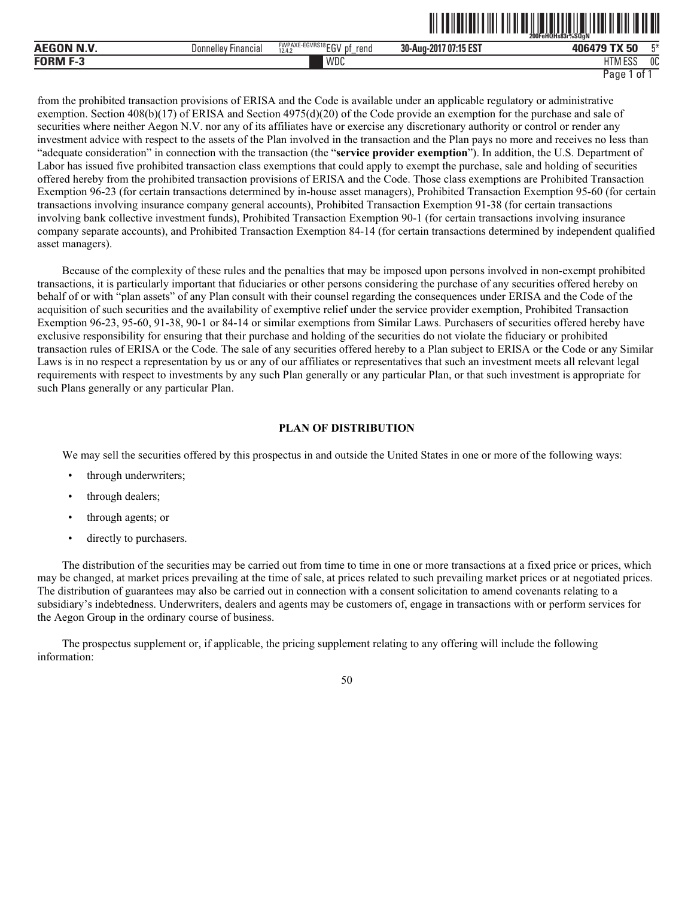|                    | ,,,,,,,,,,,,,,,,,,<br>200FeHQHs83r%SQaN |                                                           |                             |                                    |    |
|--------------------|-----------------------------------------|-----------------------------------------------------------|-----------------------------|------------------------------------|----|
| <b>AEGON N.V</b>   | ' Financial<br><b>Donnelley</b>         | FWPAXE-EGVRS18FOV<br>rena<br>рt<br><br>12.4.2<br>◡<br>$-$ | .7 07:15 EST<br>30-Aug-2017 | <b>TV EN</b><br>$\mathbf{A}$<br>JU | FЖ |
| <b>FORM</b><br>- 3 |                                         | WDC                                                       |                             | 1.500<br>ШT<br>HIM ESS             | 0C |

ˆ200FeHQHs83r%SQgNŠ

from the prohibited transaction provisions of ERISA and the Code is available under an applicable regulatory or administrative exemption. Section 408(b)(17) of ERISA and Section 4975(d)(20) of the Code provide an exemption for the purchase and sale of securities where neither Aegon N.V. nor any of its affiliates have or exercise any discretionary authority or control or render any investment advice with respect to the assets of the Plan involved in the transaction and the Plan pays no more and receives no less than "adequate consideration" in connection with the transaction (the "**service provider exemption**"). In addition, the U.S. Department of Labor has issued five prohibited transaction class exemptions that could apply to exempt the purchase, sale and holding of securities offered hereby from the prohibited transaction provisions of ERISA and the Code. Those class exemptions are Prohibited Transaction Exemption 96-23 (for certain transactions determined by in-house asset managers), Prohibited Transaction Exemption 95-60 (for certain transactions involving insurance company general accounts), Prohibited Transaction Exemption 91-38 (for certain transactions involving bank collective investment funds), Prohibited Transaction Exemption 90-1 (for certain transactions involving insurance company separate accounts), and Prohibited Transaction Exemption 84-14 (for certain transactions determined by independent qualified asset managers).

Because of the complexity of these rules and the penalties that may be imposed upon persons involved in non-exempt prohibited transactions, it is particularly important that fiduciaries or other persons considering the purchase of any securities offered hereby on behalf of or with "plan assets" of any Plan consult with their counsel regarding the consequences under ERISA and the Code of the acquisition of such securities and the availability of exemptive relief under the service provider exemption, Prohibited Transaction Exemption 96-23, 95-60, 91-38, 90-1 or 84-14 or similar exemptions from Similar Laws. Purchasers of securities offered hereby have exclusive responsibility for ensuring that their purchase and holding of the securities do not violate the fiduciary or prohibited transaction rules of ERISA or the Code. The sale of any securities offered hereby to a Plan subject to ERISA or the Code or any Similar Laws is in no respect a representation by us or any of our affiliates or representatives that such an investment meets all relevant legal requirements with respect to investments by any such Plan generally or any particular Plan, or that such investment is appropriate for such Plans generally or any particular Plan.

## **PLAN OF DISTRIBUTION**

We may sell the securities offered by this prospectus in and outside the United States in one or more of the following ways:

- through underwriters;
- through dealers;
- through agents; or
- directly to purchasers.

The distribution of the securities may be carried out from time to time in one or more transactions at a fixed price or prices, which may be changed, at market prices prevailing at the time of sale, at prices related to such prevailing market prices or at negotiated prices. The distribution of guarantees may also be carried out in connection with a consent solicitation to amend covenants relating to a subsidiary's indebtedness. Underwriters, dealers and agents may be customers of, engage in transactions with or perform services for the Aegon Group in the ordinary course of business.

The prospectus supplement or, if applicable, the pricing supplement relating to any offering will include the following information: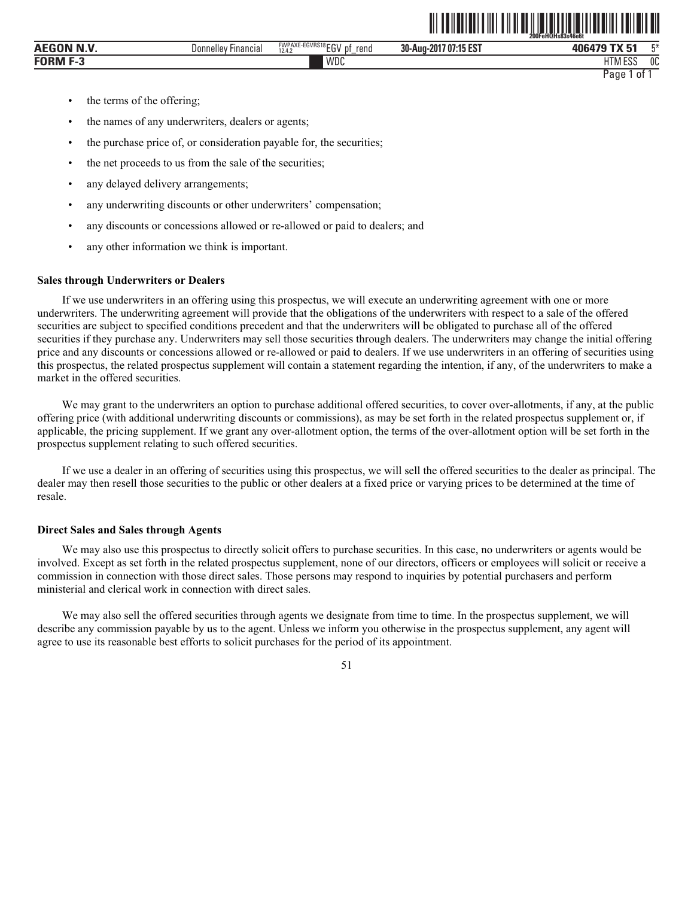|                  |                               |                                                 | 200FeHQHs83s46e6t        |                                  |    |
|------------------|-------------------------------|-------------------------------------------------|--------------------------|----------------------------------|----|
| <b>AEGON N.V</b> | llev<br>Financial<br>Donnelle | FWPAXE-EGVRS18EGV<br>rend<br>12.4.2<br>υ<br>$-$ | 707:15 EST<br>30-Aug-201 | TV E4<br>406479                  | 工米 |
| FORM<br>-- J     |                               | WDC                                             |                          | 11T11T00<br>$\blacksquare$<br>டப | 0C |
|                  |                               |                                                 |                          | Page<br>-01                      |    |

ˆ200FeHQHs83s46e6tŠ **200FeHQHs83s46e6t**

- the terms of the offering;
- the names of any underwriters, dealers or agents;
- the purchase price of, or consideration payable for, the securities;
- the net proceeds to us from the sale of the securities;
- any delayed delivery arrangements;
- any underwriting discounts or other underwriters' compensation;
- any discounts or concessions allowed or re-allowed or paid to dealers; and
- any other information we think is important.

#### **Sales through Underwriters or Dealers**

If we use underwriters in an offering using this prospectus, we will execute an underwriting agreement with one or more underwriters. The underwriting agreement will provide that the obligations of the underwriters with respect to a sale of the offered securities are subject to specified conditions precedent and that the underwriters will be obligated to purchase all of the offered securities if they purchase any. Underwriters may sell those securities through dealers. The underwriters may change the initial offering price and any discounts or concessions allowed or re-allowed or paid to dealers. If we use underwriters in an offering of securities using this prospectus, the related prospectus supplement will contain a statement regarding the intention, if any, of the underwriters to make a market in the offered securities.

We may grant to the underwriters an option to purchase additional offered securities, to cover over-allotments, if any, at the public offering price (with additional underwriting discounts or commissions), as may be set forth in the related prospectus supplement or, if applicable, the pricing supplement. If we grant any over-allotment option, the terms of the over-allotment option will be set forth in the prospectus supplement relating to such offered securities.

If we use a dealer in an offering of securities using this prospectus, we will sell the offered securities to the dealer as principal. The dealer may then resell those securities to the public or other dealers at a fixed price or varying prices to be determined at the time of resale.

#### **Direct Sales and Sales through Agents**

We may also use this prospectus to directly solicit offers to purchase securities. In this case, no underwriters or agents would be involved. Except as set forth in the related prospectus supplement, none of our directors, officers or employees will solicit or receive a commission in connection with those direct sales. Those persons may respond to inquiries by potential purchasers and perform ministerial and clerical work in connection with direct sales.

We may also sell the offered securities through agents we designate from time to time. In the prospectus supplement, we will describe any commission payable by us to the agent. Unless we inform you otherwise in the prospectus supplement, any agent will agree to use its reasonable best efforts to solicit purchases for the period of its appointment.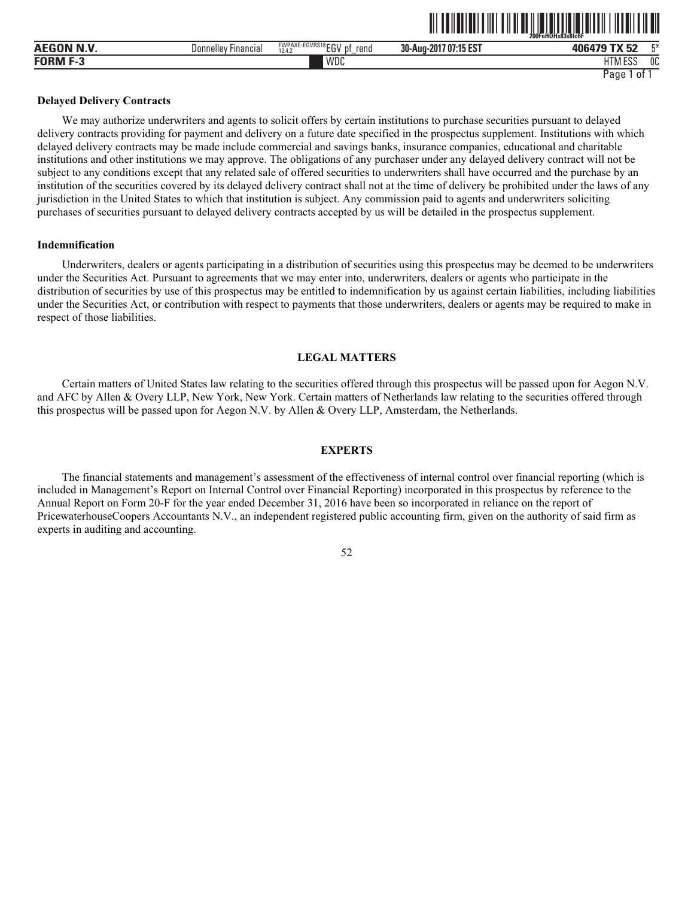|             |                                      |                                                      |                                                     | 200FeHOHs83s81c6F          |           |
|-------------|--------------------------------------|------------------------------------------------------|-----------------------------------------------------|----------------------------|-----------|
|             | <b>Donnellev</b><br><b>Financial</b> | FWPAXE-EGVRS18 ECV<br>reno<br>D1<br>.<br>12.4.<br>∟ບ | $-1.45$ FOT<br>nn.<br>$1707:15 E5$ .<br>30-Aug-2017 | $T^*M$<br>-0<br>-170<br>J4 | <b>FM</b> |
| <b>FORM</b> |                                      | WDC                                                  |                                                     | 11T11F00<br>טטם ווווו      | 0C        |

ˆ200FeHQHs83s8lc6FŠ **200FeHQHs83s8lc6F**

## **Delayed Delivery Contracts**

We may authorize underwriters and agents to solicit offers by certain institutions to purchase securities pursuant to delayed delivery contracts providing for payment and delivery on a future date specified in the prospectus supplement. Institutions with which delayed delivery contracts may be made include commercial and savings banks, insurance companies, educational and charitable institutions and other institutions we may approve. The obligations of any purchaser under any delayed delivery contract will not be subject to any conditions except that any related sale of offered securities to underwriters shall have occurred and the purchase by an institution of the securities covered by its delayed delivery contract shall not at the time of delivery be prohibited under the laws of any jurisdiction in the United States to which that institution is subject. Any commission paid to agents and underwriters soliciting purchases of securities pursuant to delayed delivery contracts accepted by us will be detailed in the prospectus supplement.

#### **Indemnification**

Underwriters, dealers or agents participating in a distribution of securities using this prospectus may be deemed to be underwriters under the Securities Act. Pursuant to agreements that we may enter into, underwriters, dealers or agents who participate in the distribution of securities by use of this prospectus may be entitled to indemnification by us against certain liabilities, including liabilities under the Securities Act, or contribution with respect to payments that those underwriters, dealers or agents may be required to make in respect of those liabilities.

## **LEGAL MATTERS**

Certain matters of United States law relating to the securities offered through this prospectus will be passed upon for Aegon N.V. and AFC by Allen & Overy LLP, New York, New York. Certain matters of Netherlands law relating to the securities offered through this prospectus will be passed upon for Aegon N.V. by Allen & Overy LLP, Amsterdam, the Netherlands.

# **EXPERTS**

The financial statements and management's assessment of the effectiveness of internal control over financial reporting (which is included in Management's Report on Internal Control over Financial Reporting) incorporated in this prospectus by reference to the Annual Report on Form 20-F for the year ended December 31, 2016 have been so incorporated in reliance on the report of PricewaterhouseCoopers Accountants N.V., an independent registered public accounting firm, given on the authority of said firm as experts in auditing and accounting.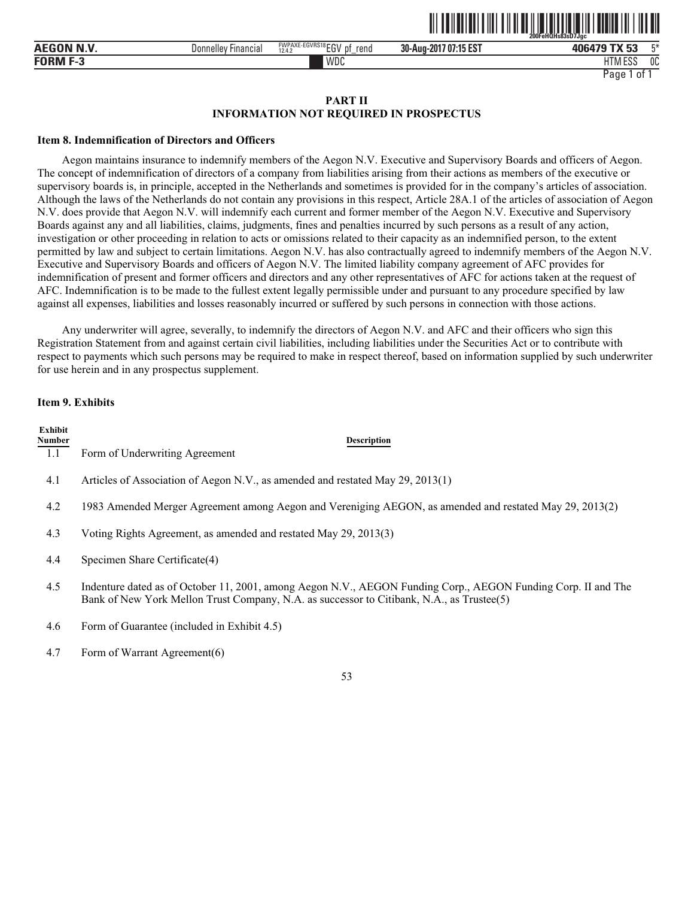|                    |                                       |                                     | .                          | .<br>.<br>200FeHQHs83sD7Jac |      |
|--------------------|---------------------------------------|-------------------------------------|----------------------------|-----------------------------|------|
| <b>AEGON N.V.</b>  | $- \cdot$<br>Donnelley<br>: Financiai | FWPAXE-EGVRS18EGV<br>rend<br>12.4.2 | 7 07:15 EST<br>30-Aug-201. | TY 53<br>$\mathbf{v}$<br>JJ | F.X. |
| <b>FORM</b><br>- 3 |                                       | WDC                                 |                            | 1.500<br>1TA<br>ם בטב       | 0C   |

<u>oli taliariani tili tili alah sahib taliar melikut talih tili an</u>

## **PART II INFORMATION NOT REQUIRED IN PROSPECTUS**

#### **Item 8. Indemnification of Directors and Officers**

Aegon maintains insurance to indemnify members of the Aegon N.V. Executive and Supervisory Boards and officers of Aegon. The concept of indemnification of directors of a company from liabilities arising from their actions as members of the executive or supervisory boards is, in principle, accepted in the Netherlands and sometimes is provided for in the company's articles of association. Although the laws of the Netherlands do not contain any provisions in this respect, Article 28A.1 of the articles of association of Aegon N.V. does provide that Aegon N.V. will indemnify each current and former member of the Aegon N.V. Executive and Supervisory Boards against any and all liabilities, claims, judgments, fines and penalties incurred by such persons as a result of any action, investigation or other proceeding in relation to acts or omissions related to their capacity as an indemnified person, to the extent permitted by law and subject to certain limitations. Aegon N.V. has also contractually agreed to indemnify members of the Aegon N.V. Executive and Supervisory Boards and officers of Aegon N.V. The limited liability company agreement of AFC provides for indemnification of present and former officers and directors and any other representatives of AFC for actions taken at the request of AFC. Indemnification is to be made to the fullest extent legally permissible under and pursuant to any procedure specified by law against all expenses, liabilities and losses reasonably incurred or suffered by such persons in connection with those actions.

Any underwriter will agree, severally, to indemnify the directors of Aegon N.V. and AFC and their officers who sign this Registration Statement from and against certain civil liabilities, including liabilities under the Securities Act or to contribute with respect to payments which such persons may be required to make in respect thereof, based on information supplied by such underwriter for use herein and in any prospectus supplement.

#### **Item 9. Exhibits**

| Exhibit<br>Number | <b>Description</b>                                                                                                                                                                                         |
|-------------------|------------------------------------------------------------------------------------------------------------------------------------------------------------------------------------------------------------|
| 1.1               | Form of Underwriting Agreement                                                                                                                                                                             |
| 4.1               | Articles of Association of Aegon N.V., as amended and restated May 29, 2013(1)                                                                                                                             |
| 4.2               | 1983 Amended Merger Agreement among Aegon and Vereniging AEGON, as amended and restated May 29, 2013(2)                                                                                                    |
| 4.3               | Voting Rights Agreement, as amended and restated May 29, 2013(3)                                                                                                                                           |
| 4.4               | Specimen Share Certificate(4)                                                                                                                                                                              |
| 4.5               | Indenture dated as of October 11, 2001, among Aegon N.V., AEGON Funding Corp., AEGON Funding Corp. II and The<br>Bank of New York Mellon Trust Company, N.A. as successor to Citibank, N.A., as Trustee(5) |
| 4.6               | Form of Guarantee (included in Exhibit 4.5)                                                                                                                                                                |

4.7 Form of Warrant Agreement(6)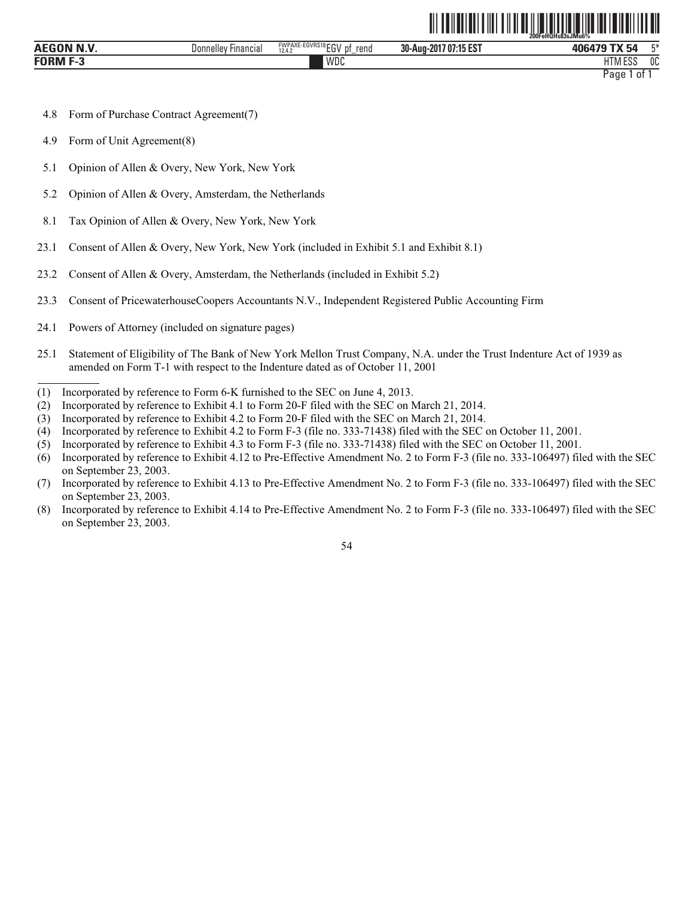|                                 |                        |                                          | ----------------      | 200FeHQHs83sJMu6%                               |
|---------------------------------|------------------------|------------------------------------------|-----------------------|-------------------------------------------------|
| <b>BIB</b><br><b>AEGON</b><br>. | Donnelley<br>Financial | FWPAXE-EGVRS18EGV<br>рt<br>rend<br>12.4. | 30-Aug-2017 07:15 EST | 工米<br>406479 TX 54                              |
| <b>FORM F-3</b>                 |                        | WDC                                      |                       | 1.500<br>0C<br><b>ITN</b><br>ن 10 تا<br><b></b> |
|                                 |                        |                                          |                       | Paqe<br>01                                      |

<u>od teh bilan sahiji da masali da kasas da masali da masali da masali da masali da masali da masali da masali d</u>

- 4.8 Form of Purchase Contract Agreement(7)
- 4.9 Form of Unit Agreement(8)
- 5.1 Opinion of Allen & Overy, New York, New York
- 5.2 Opinion of Allen & Overy, Amsterdam, the Netherlands
- 8.1 Tax Opinion of Allen & Overy, New York, New York
- 23.1 Consent of Allen & Overy, New York, New York (included in Exhibit 5.1 and Exhibit 8.1)
- 23.2 Consent of Allen & Overy, Amsterdam, the Netherlands (included in Exhibit 5.2)
- 23.3 Consent of PricewaterhouseCoopers Accountants N.V., Independent Registered Public Accounting Firm
- 24.1 Powers of Attorney (included on signature pages)
- 25.1 Statement of Eligibility of The Bank of New York Mellon Trust Company, N.A. under the Trust Indenture Act of 1939 as amended on Form T-1 with respect to the Indenture dated as of October 11, 2001
- (1) Incorporated by reference to Form 6-K furnished to the SEC on June 4, 2013.
- (2) Incorporated by reference to Exhibit 4.1 to Form 20-F filed with the SEC on March 21, 2014.
- (3) Incorporated by reference to Exhibit 4.2 to Form 20-F filed with the SEC on March 21, 2014.
- (4) Incorporated by reference to Exhibit 4.2 to Form F-3 (file no. 333-71438) filed with the SEC on October 11, 2001.
- (5) Incorporated by reference to Exhibit 4.3 to Form F-3 (file no. 333-71438) filed with the SEC on October 11, 2001.
- (6) Incorporated by reference to Exhibit 4.12 to Pre-Effective Amendment No. 2 to Form F-3 (file no. 333-106497) filed with the SEC on September 23, 2003.
- (7) Incorporated by reference to Exhibit 4.13 to Pre-Effective Amendment No. 2 to Form F-3 (file no. 333-106497) filed with the SEC on September 23, 2003.
- (8) Incorporated by reference to Exhibit 4.14 to Pre-Effective Amendment No. 2 to Form F-3 (file no. 333-106497) filed with the SEC on September 23, 2003.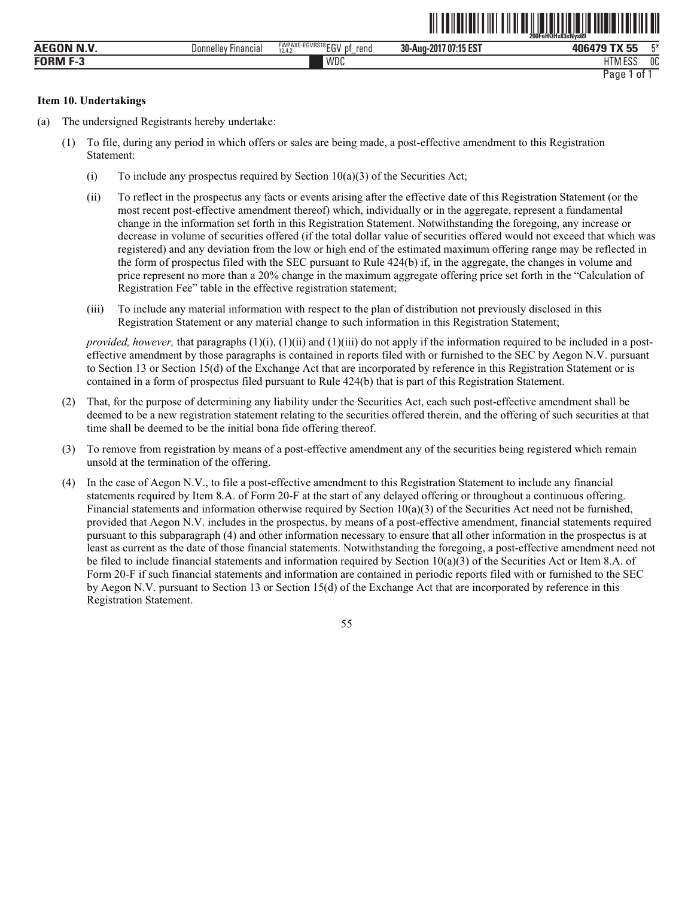|                    |                        |                                           | ----------------------------- | 200FeHQHs83sNvs69            |    |
|--------------------|------------------------|-------------------------------------------|-------------------------------|------------------------------|----|
| <b>AEGON N.V.</b>  | Donnelley<br>Financial | FWPAXE-EGVRS18EGV<br>rena<br>D1<br>12.4.3 | 707:15 EST<br>30-Aug-2017     | <b>TY EE</b><br>406479<br>-- | 口米 |
| <b>FORM</b><br>- 5 |                        | WDC                                       |                               | <b>UTMEDO</b><br>Loc<br>111V | 0C |
|                    |                        |                                           |                               | Page<br>0t                   |    |

<u>oli tehetitisi oli teheti valtaisi oli tehetitisi oli tehetitisi ol</u>

## **Item 10. Undertakings**

- (a) The undersigned Registrants hereby undertake:
	- (1) To file, during any period in which offers or sales are being made, a post-effective amendment to this Registration Statement:
		- (i) To include any prospectus required by Section  $10(a)(3)$  of the Securities Act;
		- (ii) To reflect in the prospectus any facts or events arising after the effective date of this Registration Statement (or the most recent post-effective amendment thereof) which, individually or in the aggregate, represent a fundamental change in the information set forth in this Registration Statement. Notwithstanding the foregoing, any increase or decrease in volume of securities offered (if the total dollar value of securities offered would not exceed that which was registered) and any deviation from the low or high end of the estimated maximum offering range may be reflected in the form of prospectus filed with the SEC pursuant to Rule 424(b) if, in the aggregate, the changes in volume and price represent no more than a 20% change in the maximum aggregate offering price set forth in the "Calculation of Registration Fee" table in the effective registration statement;
		- (iii) To include any material information with respect to the plan of distribution not previously disclosed in this Registration Statement or any material change to such information in this Registration Statement;

*provided, however,* that paragraphs (1)(i), (1)(ii) and (1)(iii) do not apply if the information required to be included in a posteffective amendment by those paragraphs is contained in reports filed with or furnished to the SEC by Aegon N.V. pursuant to Section 13 or Section 15(d) of the Exchange Act that are incorporated by reference in this Registration Statement or is contained in a form of prospectus filed pursuant to Rule 424(b) that is part of this Registration Statement.

- (2) That, for the purpose of determining any liability under the Securities Act, each such post-effective amendment shall be deemed to be a new registration statement relating to the securities offered therein, and the offering of such securities at that time shall be deemed to be the initial bona fide offering thereof.
- (3) To remove from registration by means of a post-effective amendment any of the securities being registered which remain unsold at the termination of the offering.
- (4) In the case of Aegon N.V., to file a post-effective amendment to this Registration Statement to include any financial statements required by Item 8.A. of Form 20-F at the start of any delayed offering or throughout a continuous offering. Financial statements and information otherwise required by Section  $10(a)(3)$  of the Securities Act need not be furnished, provided that Aegon N.V. includes in the prospectus, by means of a post-effective amendment, financial statements required pursuant to this subparagraph (4) and other information necessary to ensure that all other information in the prospectus is at least as current as the date of those financial statements. Notwithstanding the foregoing, a post-effective amendment need not be filed to include financial statements and information required by Section  $10(a)(3)$  of the Securities Act or Item 8.A. of Form 20-F if such financial statements and information are contained in periodic reports filed with or furnished to the SEC by Aegon N.V. pursuant to Section 13 or Section 15(d) of the Exchange Act that are incorporated by reference in this Registration Statement.

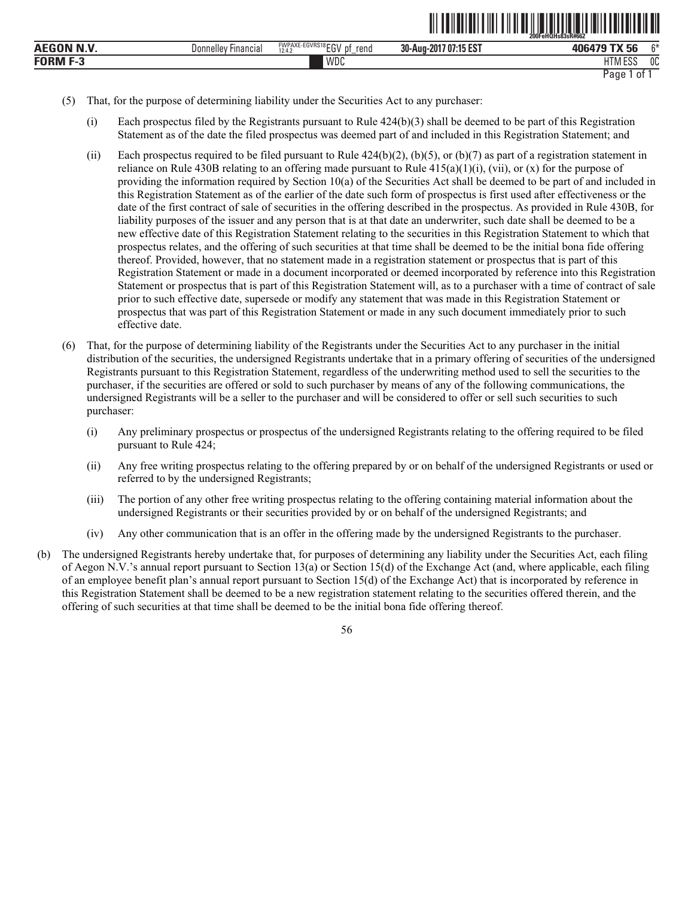|              |                                      |                                               |                          | $-200$ Fe $\overline{\textsf{H}}\overline{\textsf{O}}\overline{\textsf{H}}$ s $\overline{\textsf{8}}\overline{\textsf{3}}$ sr#662 |        |
|--------------|--------------------------------------|-----------------------------------------------|--------------------------|-----------------------------------------------------------------------------------------------------------------------------------|--------|
| N.V<br>AEGON | <b>Donnelley</b><br><b>Financial</b> | FWPAXE-EGVRS18 EGV<br>rend<br>12.4.<br>υ<br>- | 707:15 EST<br>30-Aug-201 | TV EC<br>406479<br>Ju                                                                                                             | $\sim$ |
| FORM         |                                      | WDC                                           |                          | 1.500<br><b>IITN</b><br>HIMESS                                                                                                    | 0C     |

```
Page 1 of 1
```
ˆ200FeHQHs83sR#662Š **200FeHQHs83sR#662**

- (5) That, for the purpose of determining liability under the Securities Act to any purchaser:
	- (i) Each prospectus filed by the Registrants pursuant to Rule  $424(b)(3)$  shall be deemed to be part of this Registration Statement as of the date the filed prospectus was deemed part of and included in this Registration Statement; and
	- (ii) Each prospectus required to be filed pursuant to Rule  $424(b)(2)$ , (b)(5), or (b)(7) as part of a registration statement in reliance on Rule 430B relating to an offering made pursuant to Rule  $415(a)(1)(i)$ , (vii), or (x) for the purpose of providing the information required by Section 10(a) of the Securities Act shall be deemed to be part of and included in this Registration Statement as of the earlier of the date such form of prospectus is first used after effectiveness or the date of the first contract of sale of securities in the offering described in the prospectus. As provided in Rule 430B, for liability purposes of the issuer and any person that is at that date an underwriter, such date shall be deemed to be a new effective date of this Registration Statement relating to the securities in this Registration Statement to which that prospectus relates, and the offering of such securities at that time shall be deemed to be the initial bona fide offering thereof. Provided, however, that no statement made in a registration statement or prospectus that is part of this Registration Statement or made in a document incorporated or deemed incorporated by reference into this Registration Statement or prospectus that is part of this Registration Statement will, as to a purchaser with a time of contract of sale prior to such effective date, supersede or modify any statement that was made in this Registration Statement or prospectus that was part of this Registration Statement or made in any such document immediately prior to such effective date.
- (6) That, for the purpose of determining liability of the Registrants under the Securities Act to any purchaser in the initial distribution of the securities, the undersigned Registrants undertake that in a primary offering of securities of the undersigned Registrants pursuant to this Registration Statement, regardless of the underwriting method used to sell the securities to the purchaser, if the securities are offered or sold to such purchaser by means of any of the following communications, the undersigned Registrants will be a seller to the purchaser and will be considered to offer or sell such securities to such purchaser:
	- (i) Any preliminary prospectus or prospectus of the undersigned Registrants relating to the offering required to be filed pursuant to Rule 424;
	- (ii) Any free writing prospectus relating to the offering prepared by or on behalf of the undersigned Registrants or used or referred to by the undersigned Registrants;
	- (iii) The portion of any other free writing prospectus relating to the offering containing material information about the undersigned Registrants or their securities provided by or on behalf of the undersigned Registrants; and
	- (iv) Any other communication that is an offer in the offering made by the undersigned Registrants to the purchaser.
- (b) The undersigned Registrants hereby undertake that, for purposes of determining any liability under the Securities Act, each filing of Aegon N.V.'s annual report pursuant to Section 13(a) or Section 15(d) of the Exchange Act (and, where applicable, each filing of an employee benefit plan's annual report pursuant to Section 15(d) of the Exchange Act) that is incorporated by reference in this Registration Statement shall be deemed to be a new registration statement relating to the securities offered therein, and the offering of such securities at that time shall be deemed to be the initial bona fide offering thereof.

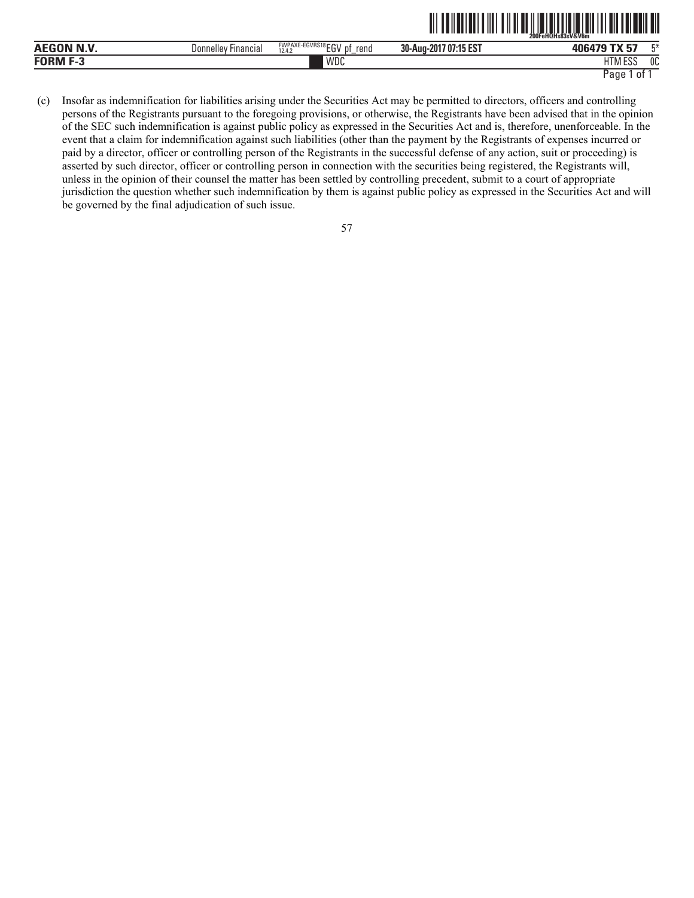| AFGON N V<br>__ | Financial<br>Donnellev | <b>FVVPAAE</b><br>LUVNO <sup>17</sup><br>rend<br>12.4.2<br>ື | 30-Aug-201 <sup>-</sup><br>1707:15E5. | 406<br>v                          | mж. |
|-----------------|------------------------|--------------------------------------------------------------|---------------------------------------|-----------------------------------|-----|
|                 |                        | WDC                                                          |                                       | $-0o$<br>$\cdot$ .<br>H I IVI EƏƏ | 0C  |

(c) Insofar as indemnification for liabilities arising under the Securities Act may be permitted to directors, officers and controlling persons of the Registrants pursuant to the foregoing provisions, or otherwise, the Registrants have been advised that in the opinion of the SEC such indemnification is against public policy as expressed in the Securities Act and is, therefore, unenforceable. In the event that a claim for indemnification against such liabilities (other than the payment by the Registrants of expenses incurred or paid by a director, officer or controlling person of the Registrants in the successful defense of any action, suit or proceeding) is asserted by such director, officer or controlling person in connection with the securities being registered, the Registrants will, unless in the opinion of their counsel the matter has been settled by controlling precedent, submit to a court of appropriate jurisdiction the question whether such indemnification by them is against public policy as expressed in the Securities Act and will be governed by the final adjudication of such issue.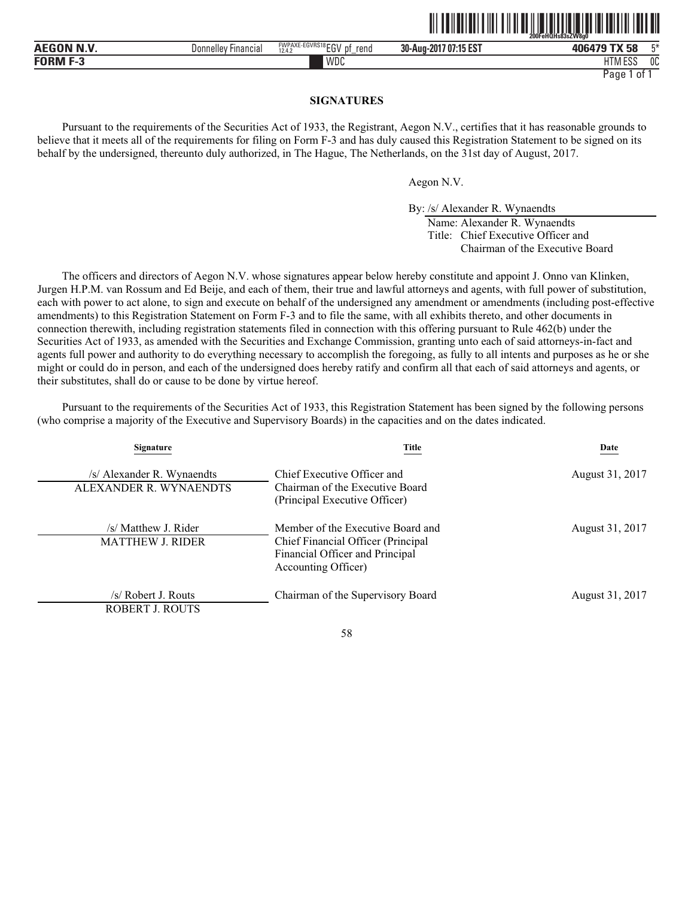|                    |                                      |                                                  | ,,,,,,,,,,,,,,,,,,        | 200FeHQHs83sZW8a0           |
|--------------------|--------------------------------------|--------------------------------------------------|---------------------------|-----------------------------|
| <b>AEGON N.V</b>   | <b>Donnelley</b><br><b>Financial</b> | FWPAXE-EGVRS18 ECV<br>рţ<br>rend<br>12.4.2<br>∟ບ | /07:15 EST<br>30-Aug-2017 | 口米<br>406479 TX 58          |
| FORM<br>r o<br>г-а |                                      | WDC                                              |                           | 0C<br>11T11F00<br>I IVI ESS |

# **SIGNATURES**

Pursuant to the requirements of the Securities Act of 1933, the Registrant, Aegon N.V., certifies that it has reasonable grounds to believe that it meets all of the requirements for filing on Form F-3 and has duly caused this Registration Statement to be signed on its behalf by the undersigned, thereunto duly authorized, in The Hague, The Netherlands, on the 31st day of August, 2017.

Aegon N.V.

By: /s/ Alexander R. Wynaendts

Name: Alexander R. Wynaendts Title: Chief Executive Officer and Chairman of the Executive Board

<u>oli od libologi olio oli oli od libologi oli od lat lai odloli i od oli </u>

The officers and directors of Aegon N.V. whose signatures appear below hereby constitute and appoint J. Onno van Klinken, Jurgen H.P.M. van Rossum and Ed Beije, and each of them, their true and lawful attorneys and agents, with full power of substitution, each with power to act alone, to sign and execute on behalf of the undersigned any amendment or amendments (including post-effective amendments) to this Registration Statement on Form F-3 and to file the same, with all exhibits thereto, and other documents in connection therewith, including registration statements filed in connection with this offering pursuant to Rule 462(b) under the Securities Act of 1933, as amended with the Securities and Exchange Commission, granting unto each of said attorneys-in-fact and agents full power and authority to do everything necessary to accomplish the foregoing, as fully to all intents and purposes as he or she might or could do in person, and each of the undersigned does hereby ratify and confirm all that each of said attorneys and agents, or their substitutes, shall do or cause to be done by virtue hereof.

Pursuant to the requirements of the Securities Act of 1933, this Registration Statement has been signed by the following persons (who comprise a majority of the Executive and Supervisory Boards) in the capacities and on the dates indicated.

| Signature                                            | Title                                                                                                                             | Date            |
|------------------------------------------------------|-----------------------------------------------------------------------------------------------------------------------------------|-----------------|
| /s/ Alexander R. Wynaendts<br>ALEXANDER R. WYNAENDTS | Chief Executive Officer and<br>Chairman of the Executive Board<br>(Principal Executive Officer)                                   | August 31, 2017 |
| /s/ Matthew J. Rider<br><b>MATTHEW J. RIDER</b>      | Member of the Executive Board and<br>Chief Financial Officer (Principal<br>Financial Officer and Principal<br>Accounting Officer) | August 31, 2017 |
| /s/ Robert J. Routs<br>ROBERT J. ROUTS               | Chairman of the Supervisory Board                                                                                                 | August 31, 2017 |

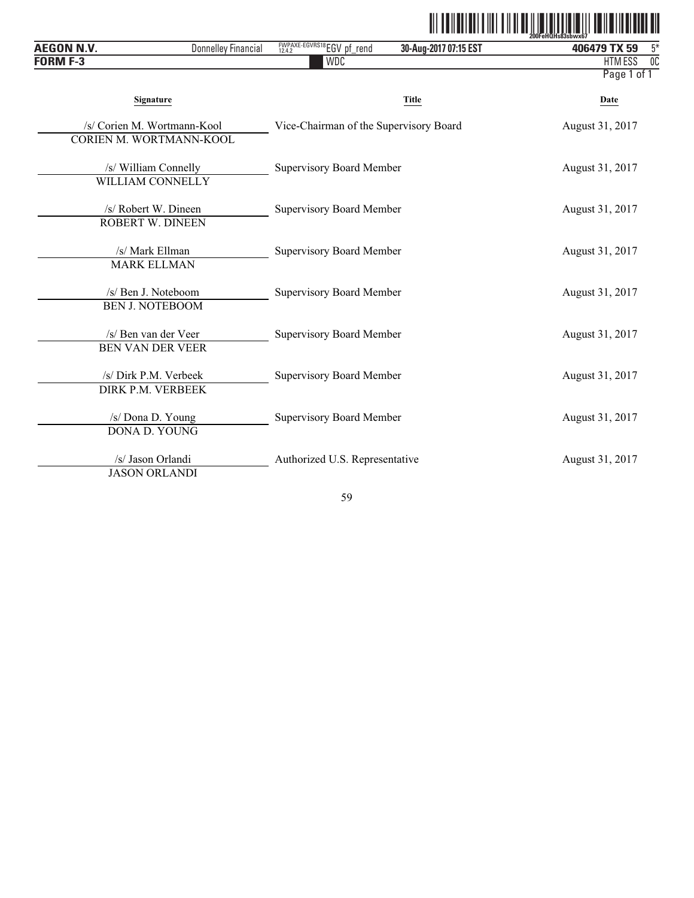|--|

| <b>AEGON N.V.</b><br><b>Donnelley Financial</b>        | FWPAXE-EGVRS18EGV pf_rend              | 30-Aug-2017 07:15 EST | ZUULGITULISOJSUWAU <i>l</i><br>$5*$<br>406479 TX 59 |
|--------------------------------------------------------|----------------------------------------|-----------------------|-----------------------------------------------------|
| <b>FORM F-3</b>                                        | <b>WDC</b>                             |                       | $\overline{00}$<br>HTM ESS                          |
|                                                        |                                        |                       | Page 1 of 1                                         |
| <b>Signature</b>                                       |                                        | Title                 | Date                                                |
| /s/ Corien M. Wortmann-Kool<br>CORIEN M. WORTMANN-KOOL | Vice-Chairman of the Supervisory Board |                       | August 31, 2017                                     |
| /s/ William Connelly<br>WILLIAM CONNELLY               | <b>Supervisory Board Member</b>        |                       | August 31, 2017                                     |
| /s/ Robert W. Dineen<br><b>ROBERT W. DINEEN</b>        | <b>Supervisory Board Member</b>        |                       | August 31, 2017                                     |
| /s/ Mark Ellman<br><b>MARK ELLMAN</b>                  | <b>Supervisory Board Member</b>        |                       | August 31, 2017                                     |
| /s/ Ben J. Noteboom<br><b>BEN J. NOTEBOOM</b>          | <b>Supervisory Board Member</b>        |                       | August 31, 2017                                     |
| /s/ Ben van der Veer<br><b>BEN VAN DER VEER</b>        | <b>Supervisory Board Member</b>        |                       | August 31, 2017                                     |
| /s/ Dirk P.M. Verbeek<br>DIRK P.M. VERBEEK             | <b>Supervisory Board Member</b>        |                       | August 31, 2017                                     |
| /s/ Dona D. Young<br>DONA D. YOUNG                     | <b>Supervisory Board Member</b>        |                       | August 31, 2017                                     |
| /s/ Jason Orlandi<br><b>JASON ORLANDI</b>              | Authorized U.S. Representative         |                       | August 31, 2017                                     |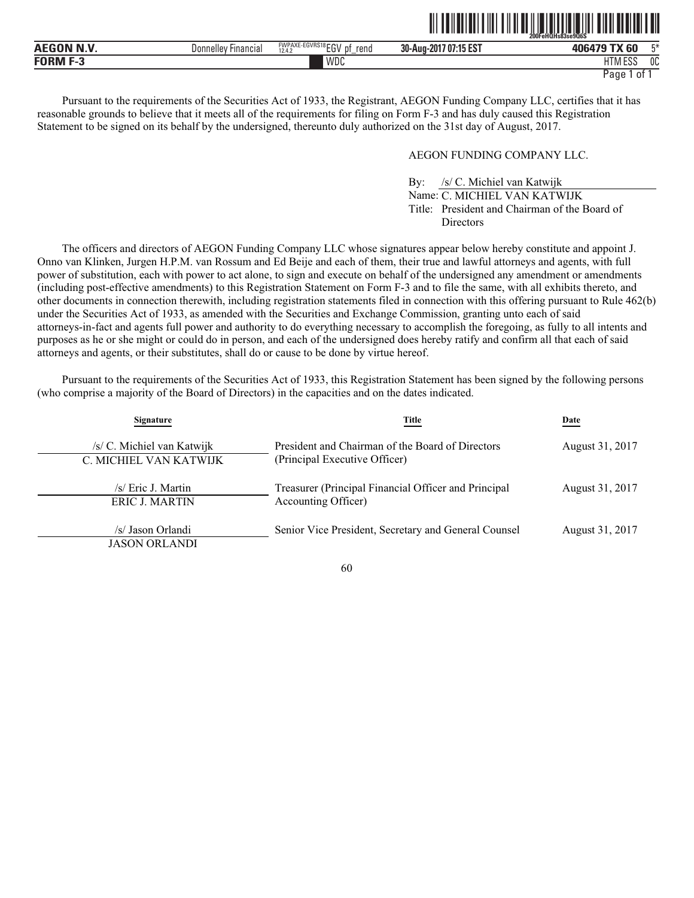|                    |                              |                                                      |                             | $200$ Fe $\overline{0}$ Hs $\overline{8}3$ se $9\overline{0}6\overline{S}$ |                |
|--------------------|------------------------------|------------------------------------------------------|-----------------------------|----------------------------------------------------------------------------|----------------|
| וחו                | Financial<br><b>Donnelle</b> | FWPAXE-EGVRS18 ECL<br>reno<br>D1<br>.<br>12.4.2<br>ື | .7 07:15 EST<br>30-Aug-2017 | $-$ TV $\sim$<br>0.000000<br>C <sub>0</sub><br>υu                          | $- x$          |
| <b>FORM</b><br>- - |                              | WDC                                                  |                             | 1000<br>דו ו<br>-<br>1 I IVI<br>LOD                                        | 0 <sup>C</sup> |

Pursuant to the requirements of the Securities Act of 1933, the Registrant, AEGON Funding Company LLC, certifies that it has reasonable grounds to believe that it meets all of the requirements for filing on Form F-3 and has duly caused this Registration Statement to be signed on its behalf by the undersigned, thereunto duly authorized on the 31st day of August, 2017.

# AEGON FUNDING COMPANY LLC.

By: /s/ C. Michiel van Katwijk Name: C. MICHIEL VAN KATWIJK Title: President and Chairman of the Board of **Directors** 

ˆ200FeHQHs83se9Q6SŠ **200FeHQHs83se9Q6S**

The officers and directors of AEGON Funding Company LLC whose signatures appear below hereby constitute and appoint J. Onno van Klinken, Jurgen H.P.M. van Rossum and Ed Beije and each of them, their true and lawful attorneys and agents, with full power of substitution, each with power to act alone, to sign and execute on behalf of the undersigned any amendment or amendments (including post-effective amendments) to this Registration Statement on Form F-3 and to file the same, with all exhibits thereto, and other documents in connection therewith, including registration statements filed in connection with this offering pursuant to Rule 462(b) under the Securities Act of 1933, as amended with the Securities and Exchange Commission, granting unto each of said attorneys-in-fact and agents full power and authority to do everything necessary to accomplish the foregoing, as fully to all intents and purposes as he or she might or could do in person, and each of the undersigned does hereby ratify and confirm all that each of said attorneys and agents, or their substitutes, shall do or cause to be done by virtue hereof.

Pursuant to the requirements of the Securities Act of 1933, this Registration Statement has been signed by the following persons (who comprise a majority of the Board of Directors) in the capacities and on the dates indicated.

| Signature                                            | Title                                                                             | Date            |
|------------------------------------------------------|-----------------------------------------------------------------------------------|-----------------|
| /s/ C. Michiel van Katwijk<br>C. MICHIEL VAN KATWIJK | President and Chairman of the Board of Directors<br>(Principal Executive Officer) | August 31, 2017 |
| /s/ Eric J. Martin<br><b>ERIC J. MARTIN</b>          | Treasurer (Principal Financial Officer and Principal<br>Accounting Officer)       | August 31, 2017 |
| /s/ Jason Orlandi<br><b>JASON ORLANDI</b>            | Senior Vice President, Secretary and General Counsel                              | August 31, 2017 |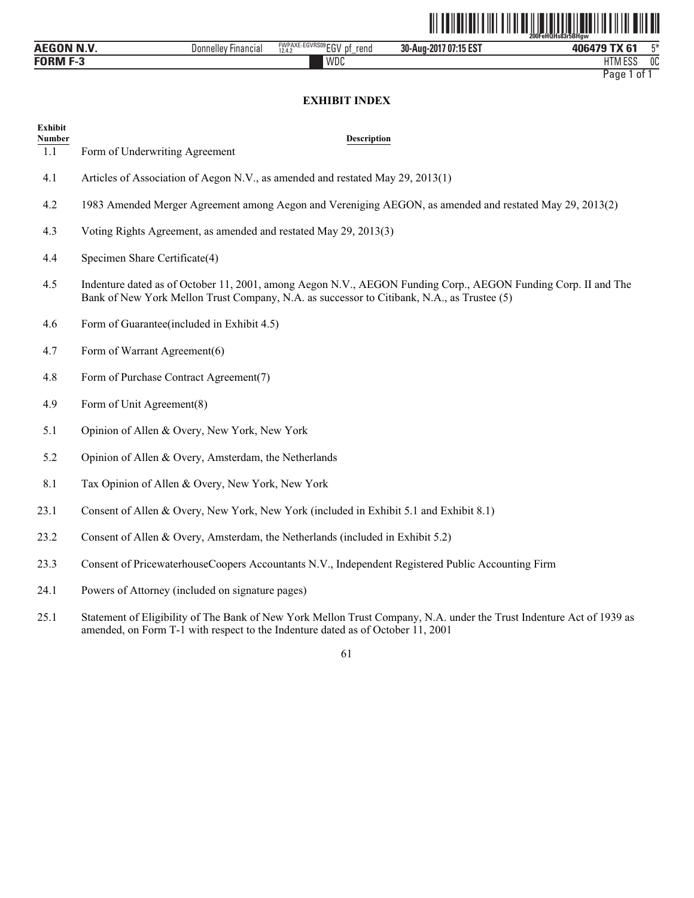|                   |                     |                                              | <u> III IIIIIIIIIIIIIII</u> | <b>FARIT HIJ JE IT IT IT IT IT IT IT IT IT</b><br>200FeHQHs83r5BHaw |    |
|-------------------|---------------------|----------------------------------------------|-----------------------------|---------------------------------------------------------------------|----|
| <b>AEGON N.V.</b> | Donnelley Financial | FWPAXE-EGVRS09 EGV<br>⊤ of<br>rend<br>12.4.2 | 30-Aug-2017 07:15 EST       | 406479 TX 61                                                        | 工米 |
| <b>FORM F-3</b>   |                     | WDC                                          |                             | <b>HTM ESS</b>                                                      | 0C |

# **EXHIBIT INDEX**

| <b>Exhibit</b><br><b>Number</b> | <b>Description</b>                                                                                                                                                                                          |
|---------------------------------|-------------------------------------------------------------------------------------------------------------------------------------------------------------------------------------------------------------|
| $\overline{1.1}$                | Form of Underwriting Agreement                                                                                                                                                                              |
| 4.1                             | Articles of Association of Aegon N.V., as amended and restated May 29, 2013(1)                                                                                                                              |
| 4.2                             | 1983 Amended Merger Agreement among Aegon and Vereniging AEGON, as amended and restated May 29, 2013(2)                                                                                                     |
| 4.3                             | Voting Rights Agreement, as amended and restated May 29, 2013(3)                                                                                                                                            |
| 4.4                             | Specimen Share Certificate(4)                                                                                                                                                                               |
| 4.5                             | Indenture dated as of October 11, 2001, among Aegon N.V., AEGON Funding Corp., AEGON Funding Corp. II and The<br>Bank of New York Mellon Trust Company, N.A. as successor to Citibank, N.A., as Trustee (5) |
| 4.6                             | Form of Guarantee (included in Exhibit 4.5)                                                                                                                                                                 |
| 4.7                             | Form of Warrant Agreement(6)                                                                                                                                                                                |
| 4.8                             | Form of Purchase Contract Agreement(7)                                                                                                                                                                      |
| 4.9                             | Form of Unit Agreement(8)                                                                                                                                                                                   |
| 5.1                             | Opinion of Allen & Overy, New York, New York                                                                                                                                                                |
| 5.2                             | Opinion of Allen & Overy, Amsterdam, the Netherlands                                                                                                                                                        |
| 8.1                             | Tax Opinion of Allen & Overy, New York, New York                                                                                                                                                            |
| 23.1                            | Consent of Allen & Overy, New York, New York (included in Exhibit 5.1 and Exhibit 8.1)                                                                                                                      |
| 23.2                            | Consent of Allen & Overy, Amsterdam, the Netherlands (included in Exhibit 5.2)                                                                                                                              |
| 23.3                            | Consent of PricewaterhouseCoopers Accountants N.V., Independent Registered Public Accounting Firm                                                                                                           |
| 24.1                            | Powers of Attorney (included on signature pages)                                                                                                                                                            |

25.1 Statement of Eligibility of The Bank of New York Mellon Trust Company, N.A. under the Trust Indenture Act of 1939 as amended, on Form T-1 with respect to the Indenture dated as of October 11, 2001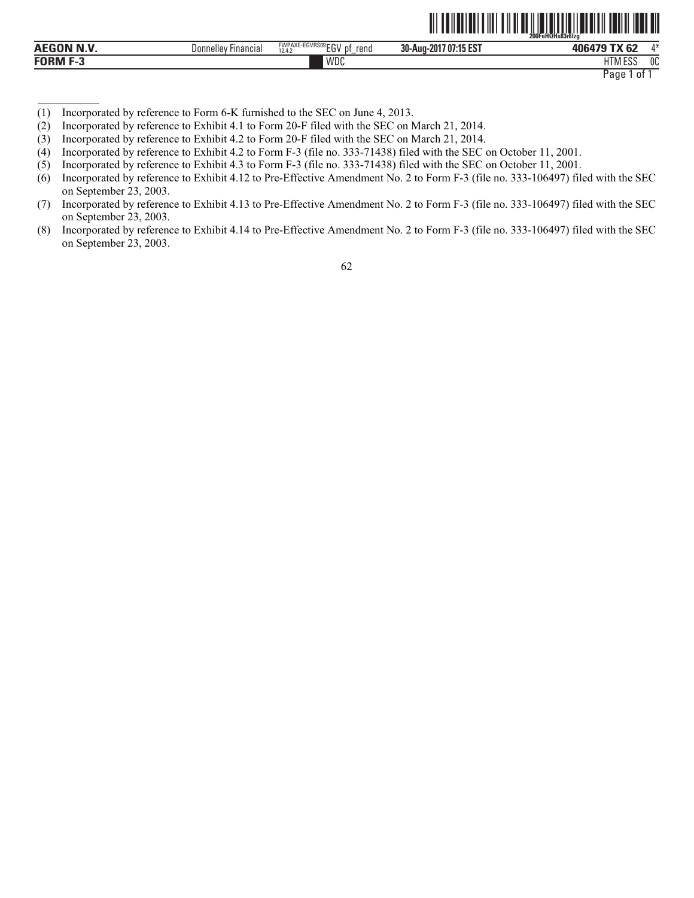|                  |                         |                                                        |                              | 200FeHQHs83r6Izg<br>ההפ             |              |
|------------------|-------------------------|--------------------------------------------------------|------------------------------|-------------------------------------|--------------|
| <b>AEGON N.V</b> | '-ınancıaı<br>Jonnellev | FWPAXE-EGVRS09 FOU<br>rena<br>-nt<br>--<br>12.4.2<br>◡ | 707:15 EST<br>30-Aug-<br>201 | $-1$<br>$\sim$<br>0.00000<br>v<br>æ | $A - L$      |
| FORM             |                         | WDC                                                    |                              | 1.73.500<br>1 I IV<br>LUL           | $\sim$<br>υu |

Page 1 of 1

<u>oli taliatiati ili tuti ali istoritori atomi tarihi ilah al</u>

- (1) Incorporated by reference to Form 6-K furnished to the SEC on June 4, 2013.
- (2) Incorporated by reference to Exhibit 4.1 to Form 20-F filed with the SEC on March 21, 2014.
- (3) Incorporated by reference to Exhibit 4.2 to Form 20-F filed with the SEC on March 21, 2014.
- (4) Incorporated by reference to Exhibit 4.2 to Form F-3 (file no. 333-71438) filed with the SEC on October 11, 2001.
- (5) Incorporated by reference to Exhibit 4.3 to Form F-3 (file no. 333-71438) filed with the SEC on October 11, 2001.
- (6) Incorporated by reference to Exhibit 4.12 to Pre-Effective Amendment No. 2 to Form F-3 (file no. 333-106497) filed with the SEC on September 23, 2003.
- (7) Incorporated by reference to Exhibit 4.13 to Pre-Effective Amendment No. 2 to Form F-3 (file no. 333-106497) filed with the SEC on September 23, 2003.
- (8) Incorporated by reference to Exhibit 4.14 to Pre-Effective Amendment No. 2 to Form F-3 (file no. 333-106497) filed with the SEC on September 23, 2003.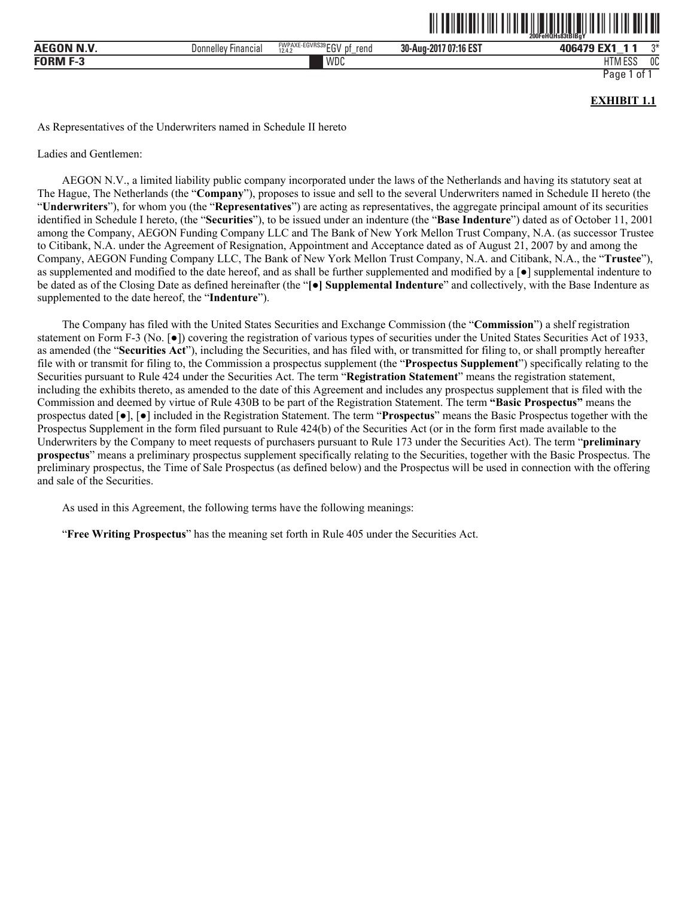|                   |                                 |                                                    |                       | 200FeHQHs83tBIBaY                     |
|-------------------|---------------------------------|----------------------------------------------------|-----------------------|---------------------------------------|
| <b>AEGON N.V.</b> | ' Financial<br><b>Donnelley</b> | FWPAXE-EGVRS39 FOL<br>$-1$<br>rend<br>12.4.2<br>∟ບ | 30-Aug-2017 07:16 EST | ግ∗<br>EV <sub>1</sub><br>406479<br>-- |
| <b>FORM F-3</b>   |                                 | WDC                                                |                       | A ESS<br>0C<br><b>HTM</b>             |
|                   |                                 |                                                    |                       | Page<br>01                            |

**EXHIBIT 1.1** 

ˆ200FeHQHs83tBlBgYŠ

As Representatives of the Underwriters named in Schedule II hereto

Ladies and Gentlemen:

AEGON N.V., a limited liability public company incorporated under the laws of the Netherlands and having its statutory seat at The Hague, The Netherlands (the "**Company**"), proposes to issue and sell to the several Underwriters named in Schedule II hereto (the "**Underwriters**"), for whom you (the "**Representatives**") are acting as representatives, the aggregate principal amount of its securities identified in Schedule I hereto, (the "**Securities**"), to be issued under an indenture (the "**Base Indenture**") dated as of October 11, 2001 among the Company, AEGON Funding Company LLC and The Bank of New York Mellon Trust Company, N.A. (as successor Trustee to Citibank, N.A. under the Agreement of Resignation, Appointment and Acceptance dated as of August 21, 2007 by and among the Company, AEGON Funding Company LLC, The Bank of New York Mellon Trust Company, N.A. and Citibank, N.A., the "**Trustee**"), as supplemented and modified to the date hereof, and as shall be further supplemented and modified by a  $\lceil \bullet \rceil$  supplemental indenture to be dated as of the Closing Date as defined hereinafter (the "**[**●**] Supplemental Indenture**" and collectively, with the Base Indenture as supplemented to the date hereof, the "**Indenture**").

The Company has filed with the United States Securities and Exchange Commission (the "**Commission**") a shelf registration statement on Form F-3 (No. [ $\bullet$ ]) covering the registration of various types of securities under the United States Securities Act of 1933, as amended (the "**Securities Act**"), including the Securities, and has filed with, or transmitted for filing to, or shall promptly hereafter file with or transmit for filing to, the Commission a prospectus supplement (the "**Prospectus Supplement**") specifically relating to the Securities pursuant to Rule 424 under the Securities Act. The term "**Registration Statement**" means the registration statement, including the exhibits thereto, as amended to the date of this Agreement and includes any prospectus supplement that is filed with the Commission and deemed by virtue of Rule 430B to be part of the Registration Statement. The term **"Basic Prospectus"** means the prospectus dated [●], [●] included in the Registration Statement. The term "**Prospectus**" means the Basic Prospectus together with the Prospectus Supplement in the form filed pursuant to Rule 424(b) of the Securities Act (or in the form first made available to the Underwriters by the Company to meet requests of purchasers pursuant to Rule 173 under the Securities Act). The term "**preliminary prospectus**" means a preliminary prospectus supplement specifically relating to the Securities, together with the Basic Prospectus. The preliminary prospectus, the Time of Sale Prospectus (as defined below) and the Prospectus will be used in connection with the offering and sale of the Securities.

As used in this Agreement, the following terms have the following meanings:

"**Free Writing Prospectus**" has the meaning set forth in Rule 405 under the Securities Act.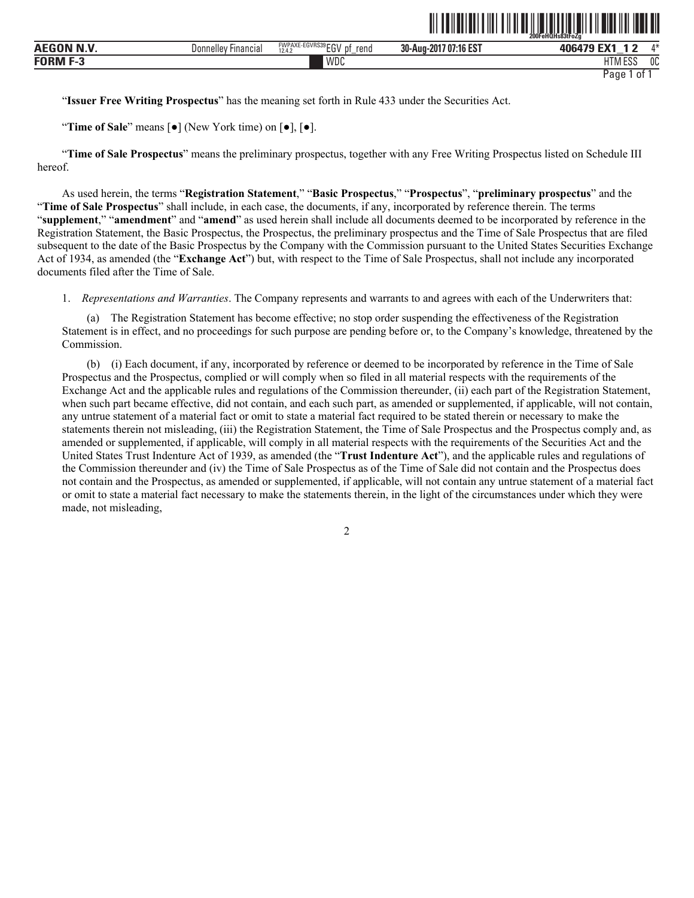|             |                     |                                                                    |                                           | -----<br>.<br>200FeHOHs83tFoZa            |              |
|-------------|---------------------|--------------------------------------------------------------------|-------------------------------------------|-------------------------------------------|--------------|
| .           | Financial<br>Donnel | FWPAXE-EGVRS39r<br>$-01$<br>rend<br>n,<br>. .<br>12.4.2<br>υı<br>ື | 1074000<br>30-Aug-<br>л н.<br>ID ES<br>ИГ | $-1/4$<br><b>MCA70 L</b><br>_             | $A - L$      |
| <b>EODM</b> |                     | <b>WDC</b>                                                         |                                           | $F^{\alpha}$<br>11TA<br>ועוור<br>LUU<br>. | $\sim$<br>υu |

<u>oli od ilo logi olibi olibi od ilo logi olibi olibi il ilo olibi ilo logi oli</u>

"**Issuer Free Writing Prospectus**" has the meaning set forth in Rule 433 under the Securities Act.

"**Time of Sale**" means [●] (New York time) on [●], [●].

"**Time of Sale Prospectus**" means the preliminary prospectus, together with any Free Writing Prospectus listed on Schedule III hereof.

As used herein, the terms "**Registration Statement**," "**Basic Prospectus**," "**Prospectus**", "**preliminary prospectus**" and the "**Time of Sale Prospectus**" shall include, in each case, the documents, if any, incorporated by reference therein. The terms "**supplement**," "**amendment**" and "**amend**" as used herein shall include all documents deemed to be incorporated by reference in the Registration Statement, the Basic Prospectus, the Prospectus, the preliminary prospectus and the Time of Sale Prospectus that are filed subsequent to the date of the Basic Prospectus by the Company with the Commission pursuant to the United States Securities Exchange Act of 1934, as amended (the "**Exchange Act**") but, with respect to the Time of Sale Prospectus, shall not include any incorporated documents filed after the Time of Sale.

1. *Representations and Warranties*. The Company represents and warrants to and agrees with each of the Underwriters that:

(a) The Registration Statement has become effective; no stop order suspending the effectiveness of the Registration Statement is in effect, and no proceedings for such purpose are pending before or, to the Company's knowledge, threatened by the Commission.

(b) (i) Each document, if any, incorporated by reference or deemed to be incorporated by reference in the Time of Sale Prospectus and the Prospectus, complied or will comply when so filed in all material respects with the requirements of the Exchange Act and the applicable rules and regulations of the Commission thereunder, (ii) each part of the Registration Statement, when such part became effective, did not contain, and each such part, as amended or supplemented, if applicable, will not contain, any untrue statement of a material fact or omit to state a material fact required to be stated therein or necessary to make the statements therein not misleading, (iii) the Registration Statement, the Time of Sale Prospectus and the Prospectus comply and, as amended or supplemented, if applicable, will comply in all material respects with the requirements of the Securities Act and the United States Trust Indenture Act of 1939, as amended (the "**Trust Indenture Act**"), and the applicable rules and regulations of the Commission thereunder and (iv) the Time of Sale Prospectus as of the Time of Sale did not contain and the Prospectus does not contain and the Prospectus, as amended or supplemented, if applicable, will not contain any untrue statement of a material fact or omit to state a material fact necessary to make the statements therein, in the light of the circumstances under which they were made, not misleading,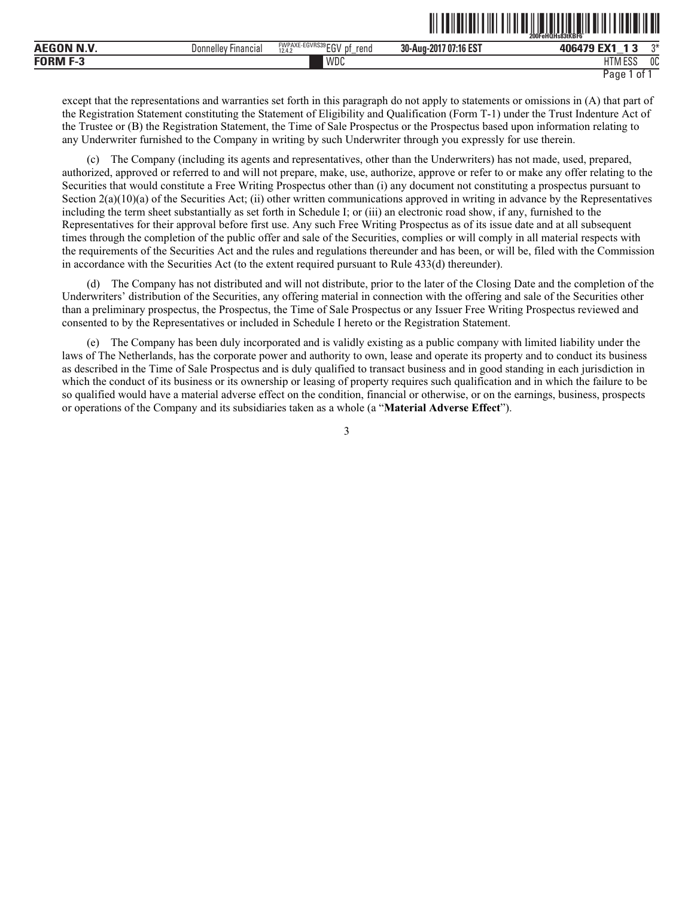|                                          |                                     |                                     |                                                   | --------------------------<br>200FehQHs83tKBF6 |    |
|------------------------------------------|-------------------------------------|-------------------------------------|---------------------------------------------------|------------------------------------------------|----|
| AEGO <sup>N</sup><br><b>BU 3/</b><br>N.V | $- \cdot$<br>Donnellev<br>Financia. | FWPAXE-EGVRS39EGV<br>rend<br>12.4.2 | $A \cap F \cap T$<br>30-Aug-<br>$-201$<br>707.16E | 406479<br>- 1                                  | ግ* |
| <b>FORM</b>                              |                                     | WDC                                 |                                                   | 1.500<br>$1 - 8$<br>LUL                        | 0C |

ˆ200FeHQHs83tKBF6ÆŠ **200FeHQHs83tKBF6˘**

except that the representations and warranties set forth in this paragraph do not apply to statements or omissions in (A) that part of the Registration Statement constituting the Statement of Eligibility and Qualification (Form T-1) under the Trust Indenture Act of the Trustee or (B) the Registration Statement, the Time of Sale Prospectus or the Prospectus based upon information relating to any Underwriter furnished to the Company in writing by such Underwriter through you expressly for use therein.

(c) The Company (including its agents and representatives, other than the Underwriters) has not made, used, prepared, authorized, approved or referred to and will not prepare, make, use, authorize, approve or refer to or make any offer relating to the Securities that would constitute a Free Writing Prospectus other than (i) any document not constituting a prospectus pursuant to Section  $2(a)(10)(a)$  of the Securities Act; (ii) other written communications approved in writing in advance by the Representatives including the term sheet substantially as set forth in Schedule I; or (iii) an electronic road show, if any, furnished to the Representatives for their approval before first use. Any such Free Writing Prospectus as of its issue date and at all subsequent times through the completion of the public offer and sale of the Securities, complies or will comply in all material respects with the requirements of the Securities Act and the rules and regulations thereunder and has been, or will be, filed with the Commission in accordance with the Securities Act (to the extent required pursuant to Rule 433(d) thereunder).

(d) The Company has not distributed and will not distribute, prior to the later of the Closing Date and the completion of the Underwriters' distribution of the Securities, any offering material in connection with the offering and sale of the Securities other than a preliminary prospectus, the Prospectus, the Time of Sale Prospectus or any Issuer Free Writing Prospectus reviewed and consented to by the Representatives or included in Schedule I hereto or the Registration Statement.

(e) The Company has been duly incorporated and is validly existing as a public company with limited liability under the laws of The Netherlands, has the corporate power and authority to own, lease and operate its property and to conduct its business as described in the Time of Sale Prospectus and is duly qualified to transact business and in good standing in each jurisdiction in which the conduct of its business or its ownership or leasing of property requires such qualification and in which the failure to be so qualified would have a material adverse effect on the condition, financial or otherwise, or on the earnings, business, prospects or operations of the Company and its subsidiaries taken as a whole (a "**Material Adverse Effect**").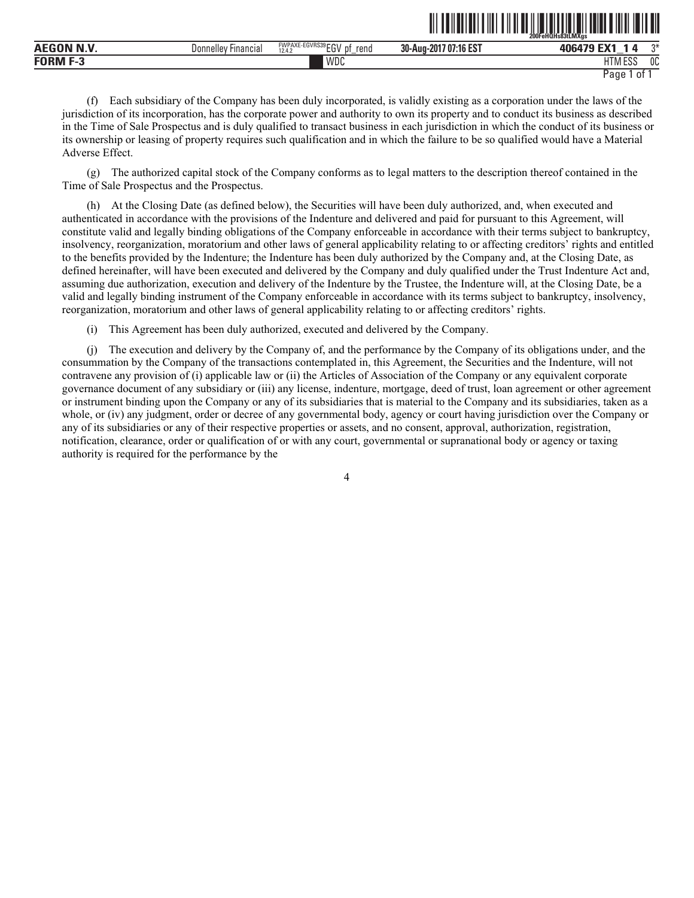|                      |                               |                                                         | ------------                                | 200FeHQHs83tLMXas<br>-------             |              |
|----------------------|-------------------------------|---------------------------------------------------------|---------------------------------------------|------------------------------------------|--------------|
| .<br>AE <sub>C</sub> | Jonnellev<br><b>Hinancial</b> | <b>EWPAXE-EGVRS39FOL</b><br>rend<br>1- V<br>12.4.<br>∟ບ | 140.52<br>30-Aug-<br>7 O.<br>201<br>'16 ES. | rv.<br>_                                 |              |
| <b>FORM</b><br>- 3   |                               | WDC                                                     |                                             | $F^{\alpha}$<br><b>IT</b><br>פפם ועו ו ח | $\sim$<br>υu |

<u>od tehedalisti saati saati meessa saati saati saati saati saat</u>

(f) Each subsidiary of the Company has been duly incorporated, is validly existing as a corporation under the laws of the jurisdiction of its incorporation, has the corporate power and authority to own its property and to conduct its business as described in the Time of Sale Prospectus and is duly qualified to transact business in each jurisdiction in which the conduct of its business or its ownership or leasing of property requires such qualification and in which the failure to be so qualified would have a Material Adverse Effect.

(g) The authorized capital stock of the Company conforms as to legal matters to the description thereof contained in the Time of Sale Prospectus and the Prospectus.

(h) At the Closing Date (as defined below), the Securities will have been duly authorized, and, when executed and authenticated in accordance with the provisions of the Indenture and delivered and paid for pursuant to this Agreement, will constitute valid and legally binding obligations of the Company enforceable in accordance with their terms subject to bankruptcy, insolvency, reorganization, moratorium and other laws of general applicability relating to or affecting creditors' rights and entitled to the benefits provided by the Indenture; the Indenture has been duly authorized by the Company and, at the Closing Date, as defined hereinafter, will have been executed and delivered by the Company and duly qualified under the Trust Indenture Act and, assuming due authorization, execution and delivery of the Indenture by the Trustee, the Indenture will, at the Closing Date, be a valid and legally binding instrument of the Company enforceable in accordance with its terms subject to bankruptcy, insolvency, reorganization, moratorium and other laws of general applicability relating to or affecting creditors' rights.

(i) This Agreement has been duly authorized, executed and delivered by the Company.

(j) The execution and delivery by the Company of, and the performance by the Company of its obligations under, and the consummation by the Company of the transactions contemplated in, this Agreement, the Securities and the Indenture, will not contravene any provision of (i) applicable law or (ii) the Articles of Association of the Company or any equivalent corporate governance document of any subsidiary or (iii) any license, indenture, mortgage, deed of trust, loan agreement or other agreement or instrument binding upon the Company or any of its subsidiaries that is material to the Company and its subsidiaries, taken as a whole, or (iv) any judgment, order or decree of any governmental body, agency or court having jurisdiction over the Company or any of its subsidiaries or any of their respective properties or assets, and no consent, approval, authorization, registration, notification, clearance, order or qualification of or with any court, governmental or supranational body or agency or taxing authority is required for the performance by the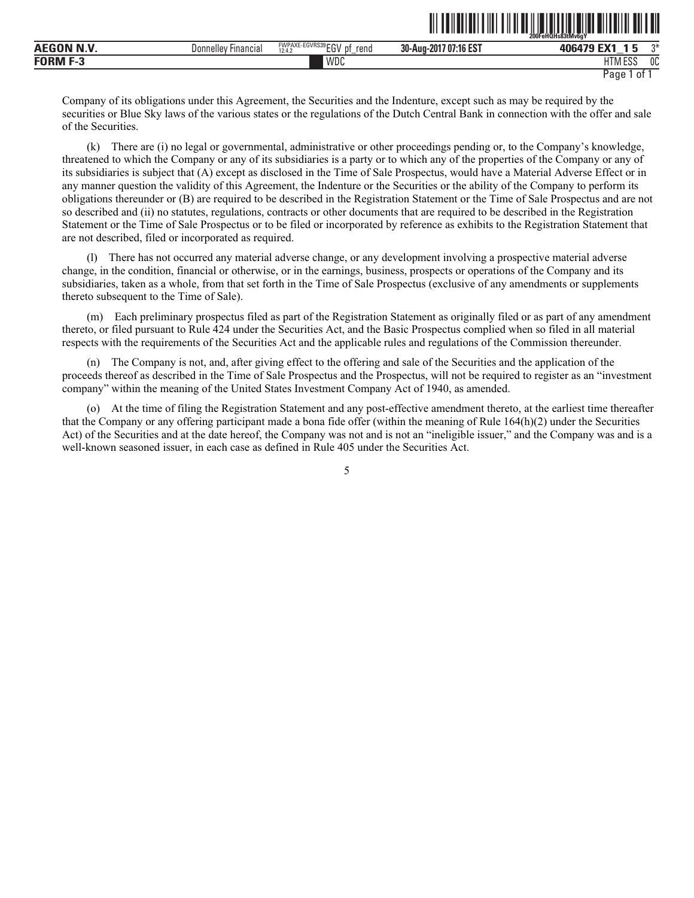|                          |                        |                                                  |                                       | ____<br>200FeHQHs83tMv6aY<br>_________ | _______      |
|--------------------------|------------------------|--------------------------------------------------|---------------------------------------|----------------------------------------|--------------|
| . <i>.</i><br><b>AEG</b> | Donnellev<br>Financia. | FWPAXE-EGVRS39 FOL<br>rena<br>12.4.2<br>IJΙ<br>ື | 707:16 EST<br>30-Aug-201 <sup>-</sup> | 406470<br>_                            | $\sim$       |
| FUBM<br>٠.               |                        | WDC                                              |                                       | 1.500<br>11T<br>TIVI EOO               | $\sim$<br>υu |

<u>oli od india satura sistema satura sistema satura sistema sistema satura sistema satura sistema satura sistema </u>

Company of its obligations under this Agreement, the Securities and the Indenture, except such as may be required by the securities or Blue Sky laws of the various states or the regulations of the Dutch Central Bank in connection with the offer and sale of the Securities.

(k) There are (i) no legal or governmental, administrative or other proceedings pending or, to the Company's knowledge, threatened to which the Company or any of its subsidiaries is a party or to which any of the properties of the Company or any of its subsidiaries is subject that (A) except as disclosed in the Time of Sale Prospectus, would have a Material Adverse Effect or in any manner question the validity of this Agreement, the Indenture or the Securities or the ability of the Company to perform its obligations thereunder or (B) are required to be described in the Registration Statement or the Time of Sale Prospectus and are not so described and (ii) no statutes, regulations, contracts or other documents that are required to be described in the Registration Statement or the Time of Sale Prospectus or to be filed or incorporated by reference as exhibits to the Registration Statement that are not described, filed or incorporated as required.

(l) There has not occurred any material adverse change, or any development involving a prospective material adverse change, in the condition, financial or otherwise, or in the earnings, business, prospects or operations of the Company and its subsidiaries, taken as a whole, from that set forth in the Time of Sale Prospectus (exclusive of any amendments or supplements thereto subsequent to the Time of Sale).

(m) Each preliminary prospectus filed as part of the Registration Statement as originally filed or as part of any amendment thereto, or filed pursuant to Rule 424 under the Securities Act, and the Basic Prospectus complied when so filed in all material respects with the requirements of the Securities Act and the applicable rules and regulations of the Commission thereunder.

(n) The Company is not, and, after giving effect to the offering and sale of the Securities and the application of the proceeds thereof as described in the Time of Sale Prospectus and the Prospectus, will not be required to register as an "investment company" within the meaning of the United States Investment Company Act of 1940, as amended.

(o) At the time of filing the Registration Statement and any post-effective amendment thereto, at the earliest time thereafter that the Company or any offering participant made a bona fide offer (within the meaning of Rule 164(h)(2) under the Securities Act) of the Securities and at the date hereof, the Company was not and is not an "ineligible issuer," and the Company was and is a well-known seasoned issuer, in each case as defined in Rule 405 under the Securities Act.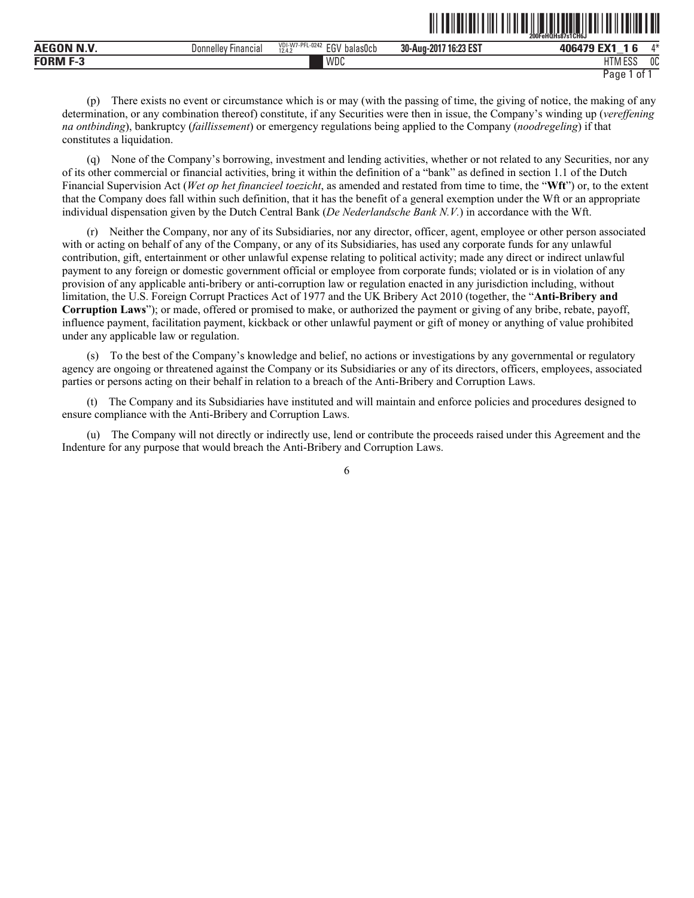|                                      |                               |                                                                           |                                          | 200FeHQHs87s1CH6J                                     |              |
|--------------------------------------|-------------------------------|---------------------------------------------------------------------------|------------------------------------------|-------------------------------------------------------|--------------|
| ,,, ,, , <i>,</i><br>AE <sub>C</sub> | Jonnellev<br><b>Hinancial</b> | VDI-W7-<br>0.01<br>$F^{\wedge}$<br>-UZ4.<br>balasUcb<br>۱۰ - ۱۰<br>12.4.2 | 10.095<br>30-Aug-<br>201<br>' 16.23 ES . | EM.<br>_                                              | $A \Delta$   |
| <b>FORM</b><br>н. е                  |                               | WDC                                                                       |                                          | <b>FOO</b><br><b>IT</b><br>-<br><b>FILIVIL</b><br>∟∪പ | $\sim$<br>υu |

ˆ200FeHQHs87s1CH6JŠ **200FeHQHs87s1CH6J**

(p) There exists no event or circumstance which is or may (with the passing of time, the giving of notice, the making of any determination, or any combination thereof) constitute, if any Securities were then in issue, the Company's winding up (*vereffening na ontbinding*), bankruptcy (*faillissement*) or emergency regulations being applied to the Company (*noodregeling*) if that constitutes a liquidation.

(q) None of the Company's borrowing, investment and lending activities, whether or not related to any Securities, nor any of its other commercial or financial activities, bring it within the definition of a "bank" as defined in section 1.1 of the Dutch Financial Supervision Act (*Wet op het financieel toezicht*, as amended and restated from time to time, the "**Wft**") or, to the extent that the Company does fall within such definition, that it has the benefit of a general exemption under the Wft or an appropriate individual dispensation given by the Dutch Central Bank (*De Nederlandsche Bank N.V.*) in accordance with the Wft.

(r) Neither the Company, nor any of its Subsidiaries, nor any director, officer, agent, employee or other person associated with or acting on behalf of any of the Company, or any of its Subsidiaries, has used any corporate funds for any unlawful contribution, gift, entertainment or other unlawful expense relating to political activity; made any direct or indirect unlawful payment to any foreign or domestic government official or employee from corporate funds; violated or is in violation of any provision of any applicable anti-bribery or anti-corruption law or regulation enacted in any jurisdiction including, without limitation, the U.S. Foreign Corrupt Practices Act of 1977 and the UK Bribery Act 2010 (together, the "**Anti-Bribery and Corruption Laws**"); or made, offered or promised to make, or authorized the payment or giving of any bribe, rebate, payoff, influence payment, facilitation payment, kickback or other unlawful payment or gift of money or anything of value prohibited under any applicable law or regulation.

(s) To the best of the Company's knowledge and belief, no actions or investigations by any governmental or regulatory agency are ongoing or threatened against the Company or its Subsidiaries or any of its directors, officers, employees, associated parties or persons acting on their behalf in relation to a breach of the Anti-Bribery and Corruption Laws.

(t) The Company and its Subsidiaries have instituted and will maintain and enforce policies and procedures designed to ensure compliance with the Anti-Bribery and Corruption Laws.

(u) The Company will not directly or indirectly use, lend or contribute the proceeds raised under this Agreement and the Indenture for any purpose that would breach the Anti-Bribery and Corruption Laws.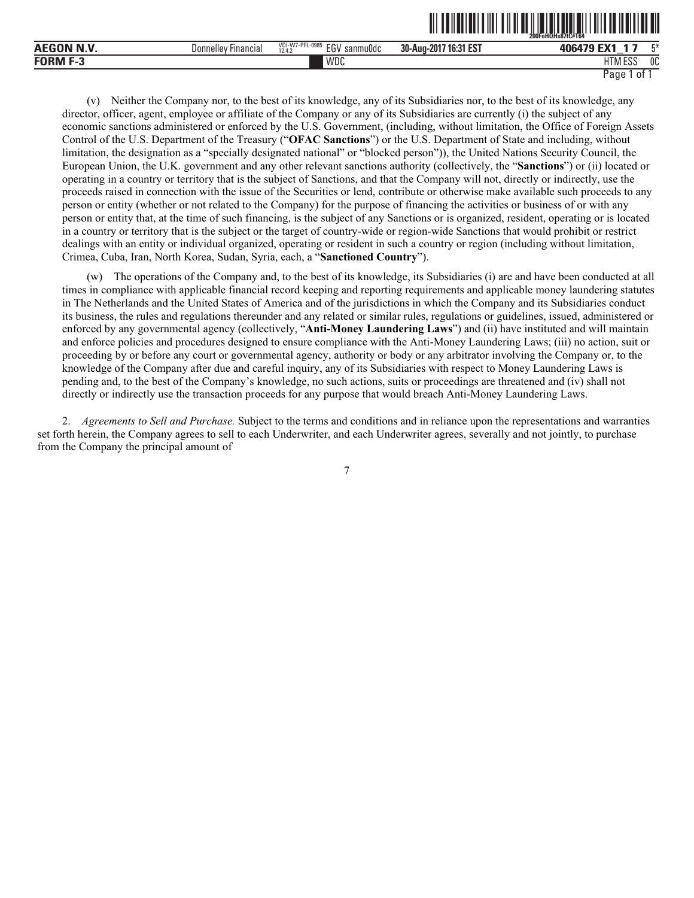|                       |                                      |                                              |                            | 200FeHOHs87tC#T64       |    |  |
|-----------------------|--------------------------------------|----------------------------------------------|----------------------------|-------------------------|----|--|
| <b>AEGON N.V.</b>     | <b>Donnelley</b><br><b>Financial</b> | VDI-W7-PFL-0985<br>EGV<br>sanmuOdc<br>12.4.3 | 7 16:31 EST<br>30-Aug-2017 | 406479 EX <sup>1</sup>  |    |  |
| <b>FORM F-</b><br>г-э |                                      | WDC                                          |                            | $F^{\alpha}$<br>1 I IVI | 0C |  |

ˆ200FeHQHs87tC#T64Š **200FeHQHs87tC#T64**

(v) Neither the Company nor, to the best of its knowledge, any of its Subsidiaries nor, to the best of its knowledge, any director, officer, agent, employee or affiliate of the Company or any of its Subsidiaries are currently (i) the subject of any economic sanctions administered or enforced by the U.S. Government, (including, without limitation, the Office of Foreign Assets Control of the U.S. Department of the Treasury ("**OFAC Sanctions**") or the U.S. Department of State and including, without limitation, the designation as a "specially designated national" or "blocked person")), the United Nations Security Council, the European Union, the U.K. government and any other relevant sanctions authority (collectively, the "**Sanctions**") or (ii) located or operating in a country or territory that is the subject of Sanctions, and that the Company will not, directly or indirectly, use the proceeds raised in connection with the issue of the Securities or lend, contribute or otherwise make available such proceeds to any person or entity (whether or not related to the Company) for the purpose of financing the activities or business of or with any person or entity that, at the time of such financing, is the subject of any Sanctions or is organized, resident, operating or is located in a country or territory that is the subject or the target of country-wide or region-wide Sanctions that would prohibit or restrict dealings with an entity or individual organized, operating or resident in such a country or region (including without limitation, Crimea, Cuba, Iran, North Korea, Sudan, Syria, each, a "**Sanctioned Country**").

(w) The operations of the Company and, to the best of its knowledge, its Subsidiaries (i) are and have been conducted at all times in compliance with applicable financial record keeping and reporting requirements and applicable money laundering statutes in The Netherlands and the United States of America and of the jurisdictions in which the Company and its Subsidiaries conduct its business, the rules and regulations thereunder and any related or similar rules, regulations or guidelines, issued, administered or enforced by any governmental agency (collectively, "**Anti-Money Laundering Laws**") and (ii) have instituted and will maintain and enforce policies and procedures designed to ensure compliance with the Anti-Money Laundering Laws; (iii) no action, suit or proceeding by or before any court or governmental agency, authority or body or any arbitrator involving the Company or, to the knowledge of the Company after due and careful inquiry, any of its Subsidiaries with respect to Money Laundering Laws is pending and, to the best of the Company's knowledge, no such actions, suits or proceedings are threatened and (iv) shall not directly or indirectly use the transaction proceeds for any purpose that would breach Anti-Money Laundering Laws.

2. *Agreements to Sell and Purchase.* Subject to the terms and conditions and in reliance upon the representations and warranties set forth herein, the Company agrees to sell to each Underwriter, and each Underwriter agrees, severally and not jointly, to purchase from the Company the principal amount of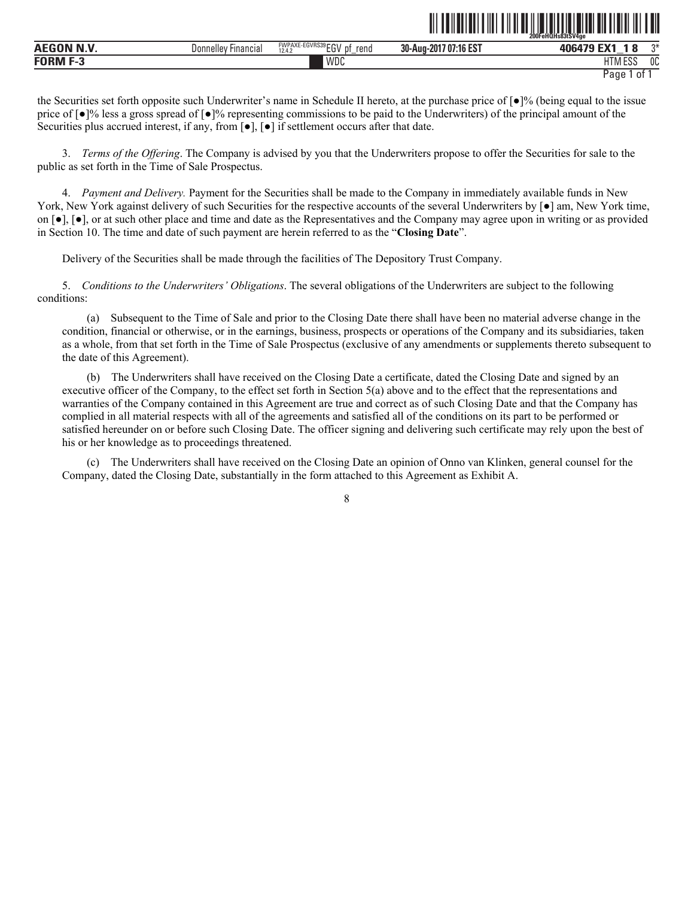|                  |                                      |                                                         |                       | 200FeHQHs83tSV4ge           |                |
|------------------|--------------------------------------|---------------------------------------------------------|-----------------------|-----------------------------|----------------|
| <b>AEGON N.V</b> | <sup>,</sup> Financiai<br>Donnelley' | FWPAXE-EGVRS39 FOU<br>.nt<br>rend<br>cu۲<br>12.4.2<br>_ | 30-Aug-2017 07:16 EST | <b>EV4</b><br>106170<br>_   | ∩⊬             |
| <b>FORM F-3</b>  |                                      | WDC                                                     |                       | IITRAFAC<br>. FPS<br>i IVI. | 0 <sup>C</sup> |

<u>oli toilutivalt liilet liitustustustustustustustustustustustust</u>

the Securities set forth opposite such Underwriter's name in Schedule II hereto, at the purchase price of [●]% (being equal to the issue price of [●]% less a gross spread of [●]% representing commissions to be paid to the Underwriters) of the principal amount of the Securities plus accrued interest, if any, from [●], [●] if settlement occurs after that date.

3. *Terms of the Offering*. The Company is advised by you that the Underwriters propose to offer the Securities for sale to the public as set forth in the Time of Sale Prospectus.

4. *Payment and Delivery.* Payment for the Securities shall be made to the Company in immediately available funds in New York, New York against delivery of such Securities for the respective accounts of the several Underwriters by [●] am, New York time, on [●], [●], or at such other place and time and date as the Representatives and the Company may agree upon in writing or as provided in Section 10. The time and date of such payment are herein referred to as the "**Closing Date**".

Delivery of the Securities shall be made through the facilities of The Depository Trust Company.

5. *Conditions to the Underwriters' Obligations*. The several obligations of the Underwriters are subject to the following conditions:

(a) Subsequent to the Time of Sale and prior to the Closing Date there shall have been no material adverse change in the condition, financial or otherwise, or in the earnings, business, prospects or operations of the Company and its subsidiaries, taken as a whole, from that set forth in the Time of Sale Prospectus (exclusive of any amendments or supplements thereto subsequent to the date of this Agreement).

(b) The Underwriters shall have received on the Closing Date a certificate, dated the Closing Date and signed by an executive officer of the Company, to the effect set forth in Section 5(a) above and to the effect that the representations and warranties of the Company contained in this Agreement are true and correct as of such Closing Date and that the Company has complied in all material respects with all of the agreements and satisfied all of the conditions on its part to be performed or satisfied hereunder on or before such Closing Date. The officer signing and delivering such certificate may rely upon the best of his or her knowledge as to proceedings threatened.

(c) The Underwriters shall have received on the Closing Date an opinion of Onno van Klinken, general counsel for the Company, dated the Closing Date, substantially in the form attached to this Agreement as Exhibit A.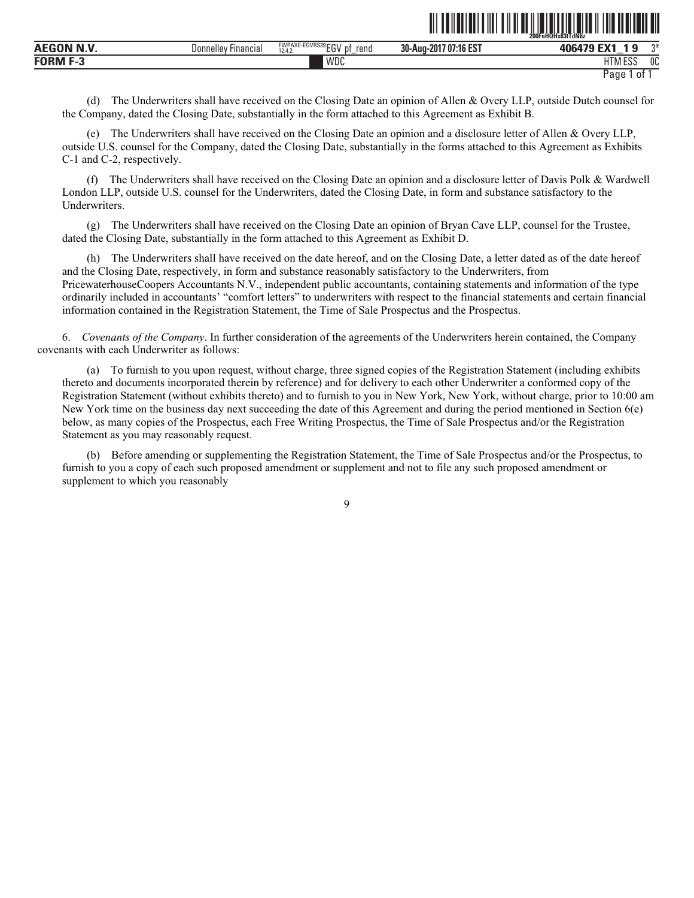|                  |                        |                                                            |                           | ZUUFENUNSÖJI I (INDZ           |      |  |
|------------------|------------------------|------------------------------------------------------------|---------------------------|--------------------------------|------|--|
| <b>AEGON N.V</b> | Financial<br>Donnellev | FWPAXE-EGVRS39 FOU<br>rend<br>۱۰ - ا<br>12.4.7<br>υ.<br>∟ບ | 707:16 EST<br>30-Aug-2017 | FV4.<br>,,,,,,<br>. Л<br>_     | $n+$ |  |
| <b>FORM</b>      |                        | WDC                                                        |                           | 1.500<br>u <del>m</del><br>டபட | 0C   |  |

ˆ200FeHQHs83tTdN6zŠ **200FeHQHs83tTdN6z**

(d) The Underwriters shall have received on the Closing Date an opinion of Allen & Overy LLP, outside Dutch counsel for the Company, dated the Closing Date, substantially in the form attached to this Agreement as Exhibit B.

(e) The Underwriters shall have received on the Closing Date an opinion and a disclosure letter of Allen & Overy LLP, outside U.S. counsel for the Company, dated the Closing Date, substantially in the forms attached to this Agreement as Exhibits C-1 and C-2, respectively.

(f) The Underwriters shall have received on the Closing Date an opinion and a disclosure letter of Davis Polk & Wardwell London LLP, outside U.S. counsel for the Underwriters, dated the Closing Date, in form and substance satisfactory to the Underwriters.

(g) The Underwriters shall have received on the Closing Date an opinion of Bryan Cave LLP, counsel for the Trustee, dated the Closing Date, substantially in the form attached to this Agreement as Exhibit D.

(h) The Underwriters shall have received on the date hereof, and on the Closing Date, a letter dated as of the date hereof and the Closing Date, respectively, in form and substance reasonably satisfactory to the Underwriters, from PricewaterhouseCoopers Accountants N.V., independent public accountants, containing statements and information of the type ordinarily included in accountants' "comfort letters" to underwriters with respect to the financial statements and certain financial information contained in the Registration Statement, the Time of Sale Prospectus and the Prospectus.

6. *Covenants of the Company*. In further consideration of the agreements of the Underwriters herein contained, the Company covenants with each Underwriter as follows:

(a) To furnish to you upon request, without charge, three signed copies of the Registration Statement (including exhibits thereto and documents incorporated therein by reference) and for delivery to each other Underwriter a conformed copy of the Registration Statement (without exhibits thereto) and to furnish to you in New York, New York, without charge, prior to 10:00 am New York time on the business day next succeeding the date of this Agreement and during the period mentioned in Section 6(e) below, as many copies of the Prospectus, each Free Writing Prospectus, the Time of Sale Prospectus and/or the Registration Statement as you may reasonably request.

(b) Before amending or supplementing the Registration Statement, the Time of Sale Prospectus and/or the Prospectus, to furnish to you a copy of each such proposed amendment or supplement and not to file any such proposed amendment or supplement to which you reasonably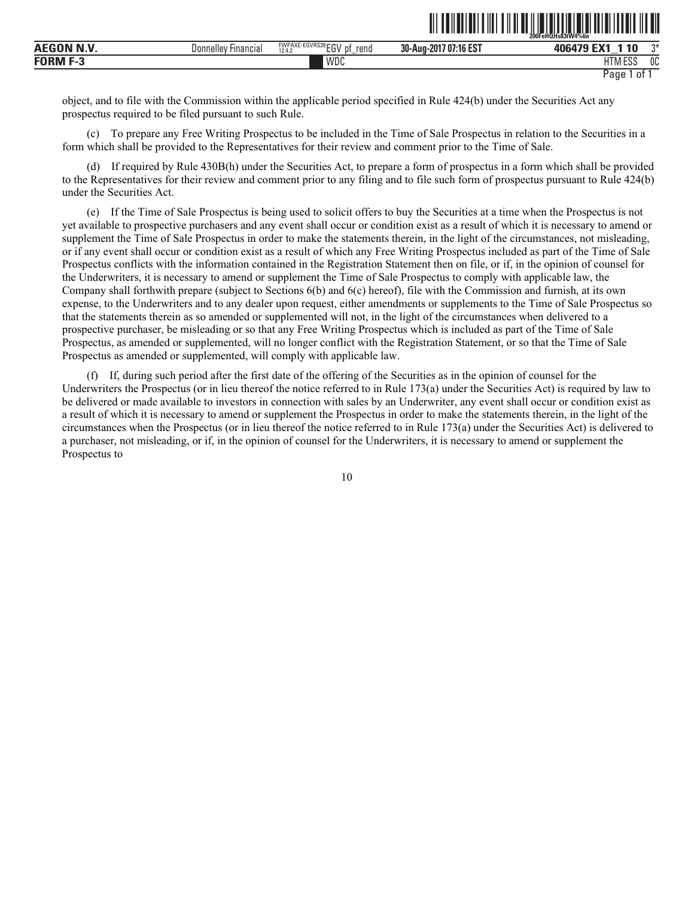|                   |                                     |                                                                     | 200FeHQHs83tW4%6n                       |                                 | .  |
|-------------------|-------------------------------------|---------------------------------------------------------------------|-----------------------------------------|---------------------------------|----|
| .<br><b>AEGON</b> | Donne<br><b>Financial</b><br>$\sim$ | <b>FWPAXE-EGVRS39</b><br>וח-ו?<br>rend<br>рt<br>Ŀи<br>12.4.2<br>$-$ | $1107:16 F$ °<br>חה<br>30-Aug-201<br>ЕJ | <b>40</b><br>$\mathbf{A}$<br>__ | ግ* |
| <b>FORM</b><br>۰. |                                     | WDC                                                                 |                                         | 1.500<br>$\sim$<br>- U I        | 0C |

<u>oli od indijeli olimpiral olimpiral olimpiral olimpiral olimpiral olimpiral olimpiral olimpiral olimpiral olim</u>

object, and to file with the Commission within the applicable period specified in Rule 424(b) under the Securities Act any prospectus required to be filed pursuant to such Rule.

(c) To prepare any Free Writing Prospectus to be included in the Time of Sale Prospectus in relation to the Securities in a form which shall be provided to the Representatives for their review and comment prior to the Time of Sale.

(d) If required by Rule 430B(h) under the Securities Act, to prepare a form of prospectus in a form which shall be provided to the Representatives for their review and comment prior to any filing and to file such form of prospectus pursuant to Rule 424(b) under the Securities Act.

(e) If the Time of Sale Prospectus is being used to solicit offers to buy the Securities at a time when the Prospectus is not yet available to prospective purchasers and any event shall occur or condition exist as a result of which it is necessary to amend or supplement the Time of Sale Prospectus in order to make the statements therein, in the light of the circumstances, not misleading, or if any event shall occur or condition exist as a result of which any Free Writing Prospectus included as part of the Time of Sale Prospectus conflicts with the information contained in the Registration Statement then on file, or if, in the opinion of counsel for the Underwriters, it is necessary to amend or supplement the Time of Sale Prospectus to comply with applicable law, the Company shall forthwith prepare (subject to Sections 6(b) and 6(c) hereof), file with the Commission and furnish, at its own expense, to the Underwriters and to any dealer upon request, either amendments or supplements to the Time of Sale Prospectus so that the statements therein as so amended or supplemented will not, in the light of the circumstances when delivered to a prospective purchaser, be misleading or so that any Free Writing Prospectus which is included as part of the Time of Sale Prospectus, as amended or supplemented, will no longer conflict with the Registration Statement, or so that the Time of Sale Prospectus as amended or supplemented, will comply with applicable law.

(f) If, during such period after the first date of the offering of the Securities as in the opinion of counsel for the Underwriters the Prospectus (or in lieu thereof the notice referred to in Rule 173(a) under the Securities Act) is required by law to be delivered or made available to investors in connection with sales by an Underwriter, any event shall occur or condition exist as a result of which it is necessary to amend or supplement the Prospectus in order to make the statements therein, in the light of the circumstances when the Prospectus (or in lieu thereof the notice referred to in Rule 173(a) under the Securities Act) is delivered to a purchaser, not misleading, or if, in the opinion of counsel for the Underwriters, it is necessary to amend or supplement the Prospectus to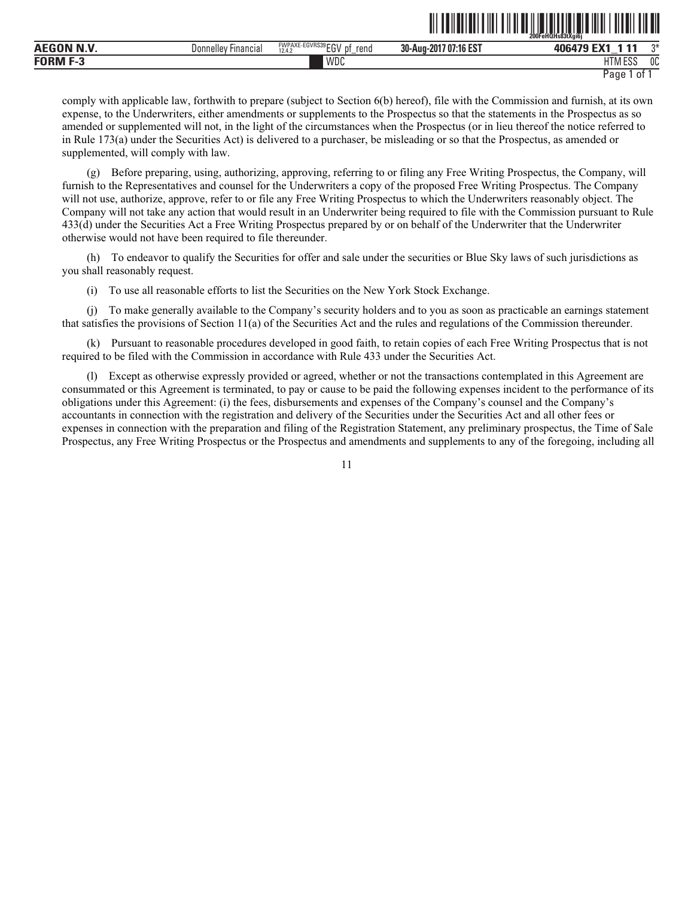|                                                  |                        |                                                                      |                                                  | <b>ODD</b><br>FeHQHs83tXai6i<br>-----------------<br>ZUUF | -------      |
|--------------------------------------------------|------------------------|----------------------------------------------------------------------|--------------------------------------------------|-----------------------------------------------------------|--------------|
| <b>AEC</b>                                       | Financial<br>Donnelley | EGVRS39 CCV<br><b>FWPAXE</b><br>rend<br>n1<br>.<br>12.4.7<br>--<br>- | <b>.1C ECT</b><br>30-Aug-201<br>/ 07:1<br>:16 ES | - 4<br>---<br><b>ANC</b><br>$\overline{\phantom{a}}$      | $\sim$       |
| <b>FORM F</b><br>$\overline{\phantom{a}}$<br>т., |                        | WDC                                                                  |                                                  | 1.500<br>பா<br>LIINI LƏƏ                                  | $\sim$<br>υu |

<u>oli tailati alla liitti tai maalistatti valtiin tai alla li</u>

comply with applicable law, forthwith to prepare (subject to Section 6(b) hereof), file with the Commission and furnish, at its own expense, to the Underwriters, either amendments or supplements to the Prospectus so that the statements in the Prospectus as so amended or supplemented will not, in the light of the circumstances when the Prospectus (or in lieu thereof the notice referred to in Rule 173(a) under the Securities Act) is delivered to a purchaser, be misleading or so that the Prospectus, as amended or supplemented, will comply with law.

(g) Before preparing, using, authorizing, approving, referring to or filing any Free Writing Prospectus, the Company, will furnish to the Representatives and counsel for the Underwriters a copy of the proposed Free Writing Prospectus. The Company will not use, authorize, approve, refer to or file any Free Writing Prospectus to which the Underwriters reasonably object. The Company will not take any action that would result in an Underwriter being required to file with the Commission pursuant to Rule 433(d) under the Securities Act a Free Writing Prospectus prepared by or on behalf of the Underwriter that the Underwriter otherwise would not have been required to file thereunder.

(h) To endeavor to qualify the Securities for offer and sale under the securities or Blue Sky laws of such jurisdictions as you shall reasonably request.

(i) To use all reasonable efforts to list the Securities on the New York Stock Exchange.

(j) To make generally available to the Company's security holders and to you as soon as practicable an earnings statement that satisfies the provisions of Section 11(a) of the Securities Act and the rules and regulations of the Commission thereunder.

(k) Pursuant to reasonable procedures developed in good faith, to retain copies of each Free Writing Prospectus that is not required to be filed with the Commission in accordance with Rule 433 under the Securities Act.

(l) Except as otherwise expressly provided or agreed, whether or not the transactions contemplated in this Agreement are consummated or this Agreement is terminated, to pay or cause to be paid the following expenses incident to the performance of its obligations under this Agreement: (i) the fees, disbursements and expenses of the Company's counsel and the Company's accountants in connection with the registration and delivery of the Securities under the Securities Act and all other fees or expenses in connection with the preparation and filing of the Registration Statement, any preliminary prospectus, the Time of Sale Prospectus, any Free Writing Prospectus or the Prospectus and amendments and supplements to any of the foregoing, including all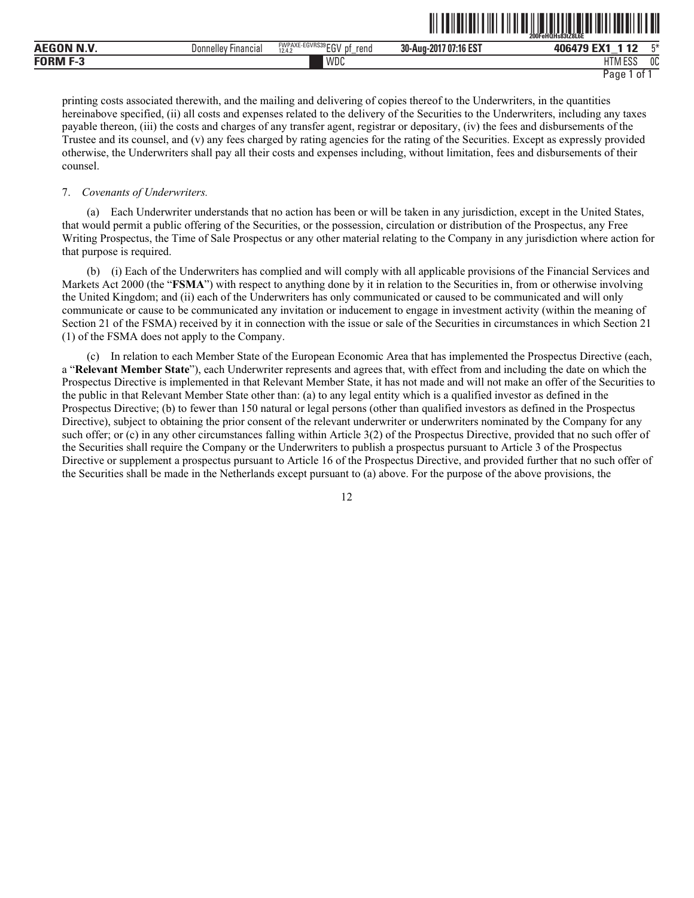|                                           |                        |                                                        |                       | 200FeHQHs83tZ8L6E           |      |
|-------------------------------------------|------------------------|--------------------------------------------------------|-----------------------|-----------------------------|------|
| .<br><b>AEGON</b>                         | Donnelley<br>Financia, | FWPAXE-EGVRS39 FOL<br>rena<br>12.4.2<br>IJΙ<br>∟∪<br>- | 30-Aug-2017 07:16 EST | ,,,,,,<br>$-$               | $-x$ |
| <b>FORM F</b><br>$\overline{\phantom{a}}$ |                        | WDC                                                    |                       | <b>LITAA FOO</b><br>11M ESS | 0C   |

**100FEHQHS83tZ83tZ83tZ83tZ8C6E** 

printing costs associated therewith, and the mailing and delivering of copies thereof to the Underwriters, in the quantities hereinabove specified, (ii) all costs and expenses related to the delivery of the Securities to the Underwriters, including any taxes payable thereon, (iii) the costs and charges of any transfer agent, registrar or depositary, (iv) the fees and disbursements of the Trustee and its counsel, and (v) any fees charged by rating agencies for the rating of the Securities. Except as expressly provided otherwise, the Underwriters shall pay all their costs and expenses including, without limitation, fees and disbursements of their counsel.

### 7. *Covenants of Underwriters.*

(a) Each Underwriter understands that no action has been or will be taken in any jurisdiction, except in the United States, that would permit a public offering of the Securities, or the possession, circulation or distribution of the Prospectus, any Free Writing Prospectus, the Time of Sale Prospectus or any other material relating to the Company in any jurisdiction where action for that purpose is required.

(b) (i) Each of the Underwriters has complied and will comply with all applicable provisions of the Financial Services and Markets Act 2000 (the "**FSMA**") with respect to anything done by it in relation to the Securities in, from or otherwise involving the United Kingdom; and (ii) each of the Underwriters has only communicated or caused to be communicated and will only communicate or cause to be communicated any invitation or inducement to engage in investment activity (within the meaning of Section 21 of the FSMA) received by it in connection with the issue or sale of the Securities in circumstances in which Section 21 (1) of the FSMA does not apply to the Company.

(c) In relation to each Member State of the European Economic Area that has implemented the Prospectus Directive (each, a "**Relevant Member State**"), each Underwriter represents and agrees that, with effect from and including the date on which the Prospectus Directive is implemented in that Relevant Member State, it has not made and will not make an offer of the Securities to the public in that Relevant Member State other than: (a) to any legal entity which is a qualified investor as defined in the Prospectus Directive; (b) to fewer than 150 natural or legal persons (other than qualified investors as defined in the Prospectus Directive), subject to obtaining the prior consent of the relevant underwriter or underwriters nominated by the Company for any such offer; or (c) in any other circumstances falling within Article 3(2) of the Prospectus Directive, provided that no such offer of the Securities shall require the Company or the Underwriters to publish a prospectus pursuant to Article 3 of the Prospectus Directive or supplement a prospectus pursuant to Article 16 of the Prospectus Directive, and provided further that no such offer of the Securities shall be made in the Netherlands except pursuant to (a) above. For the purpose of the above provisions, the

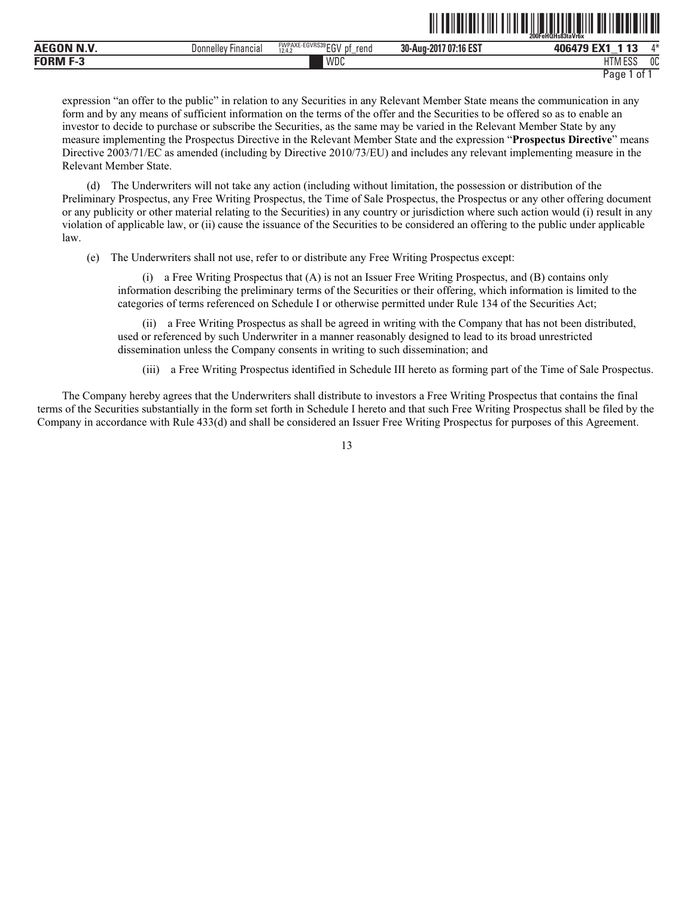|                  |                             |                                                              |                                  | 200FeHQHs83taVr6x                                   |              |
|------------------|-----------------------------|--------------------------------------------------------------|----------------------------------|-----------------------------------------------------|--------------|
| <b>AEGON N.V</b> | -<br>Financial<br>Donnellev | E-EGVRS39rru<br><b>FWPAXE-</b><br>rend<br>DŤ<br>сu<br>12.4.2 | 707:16 EST<br>30-Aug-2<br>$-201$ | <b>FMA</b><br>4.4.7<br>ᢇ<br>ANGA <sup>-</sup><br>__ | $A - L$      |
| <b>EODME?</b>    |                             | WDC                                                          |                                  | LITE<br>1.500<br>פפא ואו ו                          | $\sim$<br>υu |

<u>oo Fehanda ah in dii ah u ah u aan ah in dii ah u ah u ah u ah </u>

expression "an offer to the public" in relation to any Securities in any Relevant Member State means the communication in any form and by any means of sufficient information on the terms of the offer and the Securities to be offered so as to enable an investor to decide to purchase or subscribe the Securities, as the same may be varied in the Relevant Member State by any measure implementing the Prospectus Directive in the Relevant Member State and the expression "**Prospectus Directive**" means Directive 2003/71/EC as amended (including by Directive 2010/73/EU) and includes any relevant implementing measure in the Relevant Member State.

(d) The Underwriters will not take any action (including without limitation, the possession or distribution of the Preliminary Prospectus, any Free Writing Prospectus, the Time of Sale Prospectus, the Prospectus or any other offering document or any publicity or other material relating to the Securities) in any country or jurisdiction where such action would (i) result in any violation of applicable law, or (ii) cause the issuance of the Securities to be considered an offering to the public under applicable law.

(e) The Underwriters shall not use, refer to or distribute any Free Writing Prospectus except:

(i) a Free Writing Prospectus that (A) is not an Issuer Free Writing Prospectus, and (B) contains only information describing the preliminary terms of the Securities or their offering, which information is limited to the categories of terms referenced on Schedule I or otherwise permitted under Rule 134 of the Securities Act;

(ii) a Free Writing Prospectus as shall be agreed in writing with the Company that has not been distributed, used or referenced by such Underwriter in a manner reasonably designed to lead to its broad unrestricted dissemination unless the Company consents in writing to such dissemination; and

(iii) a Free Writing Prospectus identified in Schedule III hereto as forming part of the Time of Sale Prospectus.

The Company hereby agrees that the Underwriters shall distribute to investors a Free Writing Prospectus that contains the final terms of the Securities substantially in the form set forth in Schedule I hereto and that such Free Writing Prospectus shall be filed by the Company in accordance with Rule 433(d) and shall be considered an Issuer Free Writing Prospectus for purposes of this Agreement.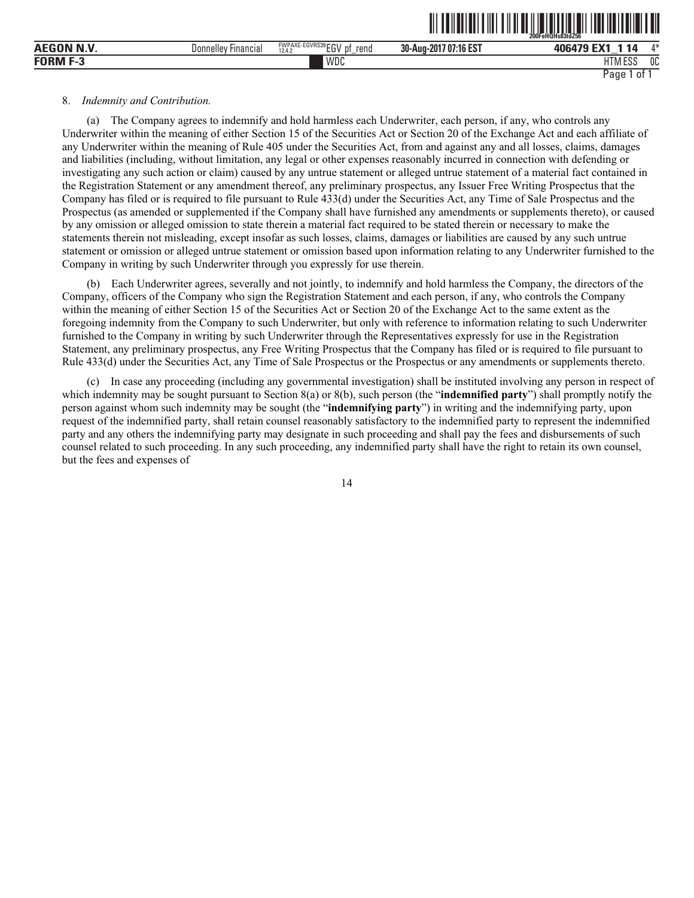|                    |                               |                                           |                       | $200$ Fe $H\overline{O}$ Hs $83$ td $256$<br>.            |
|--------------------|-------------------------------|-------------------------------------------|-----------------------|-----------------------------------------------------------|
| <b>AEGON N.V.</b>  | Donnellev<br><b>Financial</b> | FWPAXE-EGVRS39EGV<br>rend<br>рt<br>12.4.2 | 30-Aug-2017 07:16 EST | л*<br>406479                                              |
| <b>FORM</b><br>г-а |                               | WDC                                       |                       | <b>LITRA FOO</b><br>n <sub>n</sub><br>1 I IV<br>υu<br>LUU |
|                    |                               |                                           |                       | Page<br>0t                                                |

ˆ200FeHQHs83tdZ56‹Š **200FeHQHs83tdZ56**

#### 8. *Indemnity and Contribution.*

(a) The Company agrees to indemnify and hold harmless each Underwriter, each person, if any, who controls any Underwriter within the meaning of either Section 15 of the Securities Act or Section 20 of the Exchange Act and each affiliate of any Underwriter within the meaning of Rule 405 under the Securities Act, from and against any and all losses, claims, damages and liabilities (including, without limitation, any legal or other expenses reasonably incurred in connection with defending or investigating any such action or claim) caused by any untrue statement or alleged untrue statement of a material fact contained in the Registration Statement or any amendment thereof, any preliminary prospectus, any Issuer Free Writing Prospectus that the Company has filed or is required to file pursuant to Rule 433(d) under the Securities Act, any Time of Sale Prospectus and the Prospectus (as amended or supplemented if the Company shall have furnished any amendments or supplements thereto), or caused by any omission or alleged omission to state therein a material fact required to be stated therein or necessary to make the statements therein not misleading, except insofar as such losses, claims, damages or liabilities are caused by any such untrue statement or omission or alleged untrue statement or omission based upon information relating to any Underwriter furnished to the Company in writing by such Underwriter through you expressly for use therein.

(b) Each Underwriter agrees, severally and not jointly, to indemnify and hold harmless the Company, the directors of the Company, officers of the Company who sign the Registration Statement and each person, if any, who controls the Company within the meaning of either Section 15 of the Securities Act or Section 20 of the Exchange Act to the same extent as the foregoing indemnity from the Company to such Underwriter, but only with reference to information relating to such Underwriter furnished to the Company in writing by such Underwriter through the Representatives expressly for use in the Registration Statement, any preliminary prospectus, any Free Writing Prospectus that the Company has filed or is required to file pursuant to Rule 433(d) under the Securities Act, any Time of Sale Prospectus or the Prospectus or any amendments or supplements thereto.

(c) In case any proceeding (including any governmental investigation) shall be instituted involving any person in respect of which indemnity may be sought pursuant to Section 8(a) or 8(b), such person (the "**indemnified party**") shall promptly notify the person against whom such indemnity may be sought (the "**indemnifying party**") in writing and the indemnifying party, upon request of the indemnified party, shall retain counsel reasonably satisfactory to the indemnified party to represent the indemnified party and any others the indemnifying party may designate in such proceeding and shall pay the fees and disbursements of such counsel related to such proceeding. In any such proceeding, any indemnified party shall have the right to retain its own counsel, but the fees and expenses of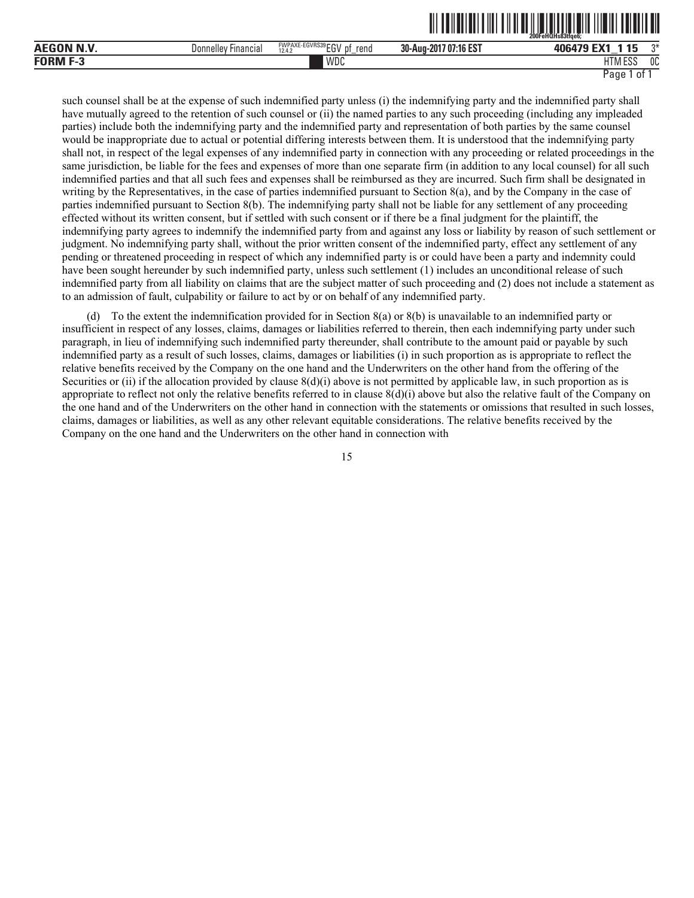| <b>AEGON N.V</b>  | Donnellev<br>Financial | $FMPAYE_EGNRC30 = 01$<br>FWPAXE-EGVRS39 F<br>reno<br>D <sup>1</sup><br>tu<br>12.4.2<br>$\overline{\phantom{0}}$ | $1707:16 F$ °<br>30-Aug<br>-2017<br>:16 ES | 406479                        | $n*$         |
|-------------------|------------------------|-----------------------------------------------------------------------------------------------------------------|--------------------------------------------|-------------------------------|--------------|
| <b>FORM</b><br>٠. |                        | WDC                                                                                                             |                                            | $\cdots$<br>1.50<br>. ۱ M ESS | $\sim$<br>UU |

such counsel shall be at the expense of such indemnified party unless (i) the indemnifying party and the indemnified party shall have mutually agreed to the retention of such counsel or (ii) the named parties to any such proceeding (including any impleaded parties) include both the indemnifying party and the indemnified party and representation of both parties by the same counsel would be inappropriate due to actual or potential differing interests between them. It is understood that the indemnifying party shall not, in respect of the legal expenses of any indemnified party in connection with any proceeding or related proceedings in the same jurisdiction, be liable for the fees and expenses of more than one separate firm (in addition to any local counsel) for all such indemnified parties and that all such fees and expenses shall be reimbursed as they are incurred. Such firm shall be designated in writing by the Representatives, in the case of parties indemnified pursuant to Section 8(a), and by the Company in the case of parties indemnified pursuant to Section 8(b). The indemnifying party shall not be liable for any settlement of any proceeding effected without its written consent, but if settled with such consent or if there be a final judgment for the plaintiff, the indemnifying party agrees to indemnify the indemnified party from and against any loss or liability by reason of such settlement or judgment. No indemnifying party shall, without the prior written consent of the indemnified party, effect any settlement of any pending or threatened proceeding in respect of which any indemnified party is or could have been a party and indemnity could have been sought hereunder by such indemnified party, unless such settlement (1) includes an unconditional release of such indemnified party from all liability on claims that are the subject matter of such proceeding and (2) does not include a statement as to an admission of fault, culpability or failure to act by or on behalf of any indemnified party.

(d) To the extent the indemnification provided for in Section 8(a) or 8(b) is unavailable to an indemnified party or insufficient in respect of any losses, claims, damages or liabilities referred to therein, then each indemnifying party under such paragraph, in lieu of indemnifying such indemnified party thereunder, shall contribute to the amount paid or payable by such indemnified party as a result of such losses, claims, damages or liabilities (i) in such proportion as is appropriate to reflect the relative benefits received by the Company on the one hand and the Underwriters on the other hand from the offering of the Securities or (ii) if the allocation provided by clause  $8(d)(i)$  above is not permitted by applicable law, in such proportion as is appropriate to reflect not only the relative benefits referred to in clause  $8(d)(i)$  above but also the relative fault of the Company on the one hand and of the Underwriters on the other hand in connection with the statements or omissions that resulted in such losses, claims, damages or liabilities, as well as any other relevant equitable considerations. The relative benefits received by the Company on the one hand and the Underwriters on the other hand in connection with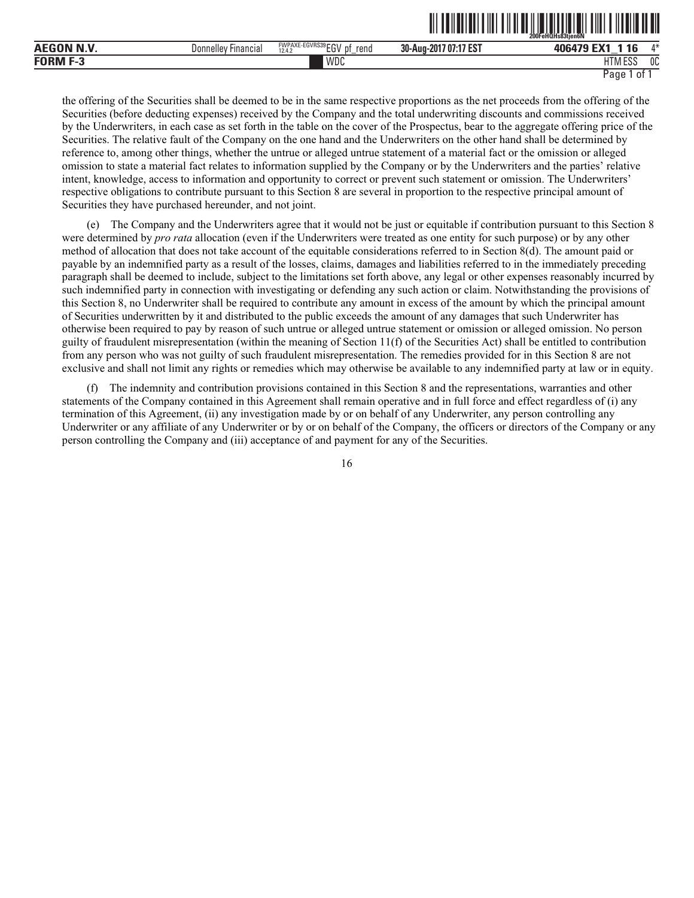|                  |                        |                                                  |                                         | -------<br>----- - ------ -- ---<br>200FeHQHs83tien6N |    |
|------------------|------------------------|--------------------------------------------------|-----------------------------------------|-------------------------------------------------------|----|
| <b>AEGON N.V</b> | Donnellev<br>Financial | FWPAXE-EGVRS39 FOL<br>rend<br>12.4.2<br>IJΙ<br>∼ | :17 ES1<br>30-Aug-<br>$-201$<br>7 07:1. | <b>FMA</b><br><b>ANGA70</b><br>__                     | Л¥ |
| FORM<br>н. т     |                        | WDC                                              |                                         | 1.500<br>$-1$<br>1 I V<br>ᆫᇦ                          | 0C |

<u>oli tuliulitiliti oli tai uliuliti oli tuliuliti oli tai mu</u>

the offering of the Securities shall be deemed to be in the same respective proportions as the net proceeds from the offering of the Securities (before deducting expenses) received by the Company and the total underwriting discounts and commissions received by the Underwriters, in each case as set forth in the table on the cover of the Prospectus, bear to the aggregate offering price of the Securities. The relative fault of the Company on the one hand and the Underwriters on the other hand shall be determined by reference to, among other things, whether the untrue or alleged untrue statement of a material fact or the omission or alleged omission to state a material fact relates to information supplied by the Company or by the Underwriters and the parties' relative intent, knowledge, access to information and opportunity to correct or prevent such statement or omission. The Underwriters' respective obligations to contribute pursuant to this Section 8 are several in proportion to the respective principal amount of Securities they have purchased hereunder, and not joint.

(e) The Company and the Underwriters agree that it would not be just or equitable if contribution pursuant to this Section 8 were determined by *pro rata* allocation (even if the Underwriters were treated as one entity for such purpose) or by any other method of allocation that does not take account of the equitable considerations referred to in Section 8(d). The amount paid or payable by an indemnified party as a result of the losses, claims, damages and liabilities referred to in the immediately preceding paragraph shall be deemed to include, subject to the limitations set forth above, any legal or other expenses reasonably incurred by such indemnified party in connection with investigating or defending any such action or claim. Notwithstanding the provisions of this Section 8, no Underwriter shall be required to contribute any amount in excess of the amount by which the principal amount of Securities underwritten by it and distributed to the public exceeds the amount of any damages that such Underwriter has otherwise been required to pay by reason of such untrue or alleged untrue statement or omission or alleged omission. No person guilty of fraudulent misrepresentation (within the meaning of Section 11(f) of the Securities Act) shall be entitled to contribution from any person who was not guilty of such fraudulent misrepresentation. The remedies provided for in this Section 8 are not exclusive and shall not limit any rights or remedies which may otherwise be available to any indemnified party at law or in equity.

(f) The indemnity and contribution provisions contained in this Section 8 and the representations, warranties and other statements of the Company contained in this Agreement shall remain operative and in full force and effect regardless of (i) any termination of this Agreement, (ii) any investigation made by or on behalf of any Underwriter, any person controlling any Underwriter or any affiliate of any Underwriter or by or on behalf of the Company, the officers or directors of the Company or any person controlling the Company and (iii) acceptance of and payment for any of the Securities.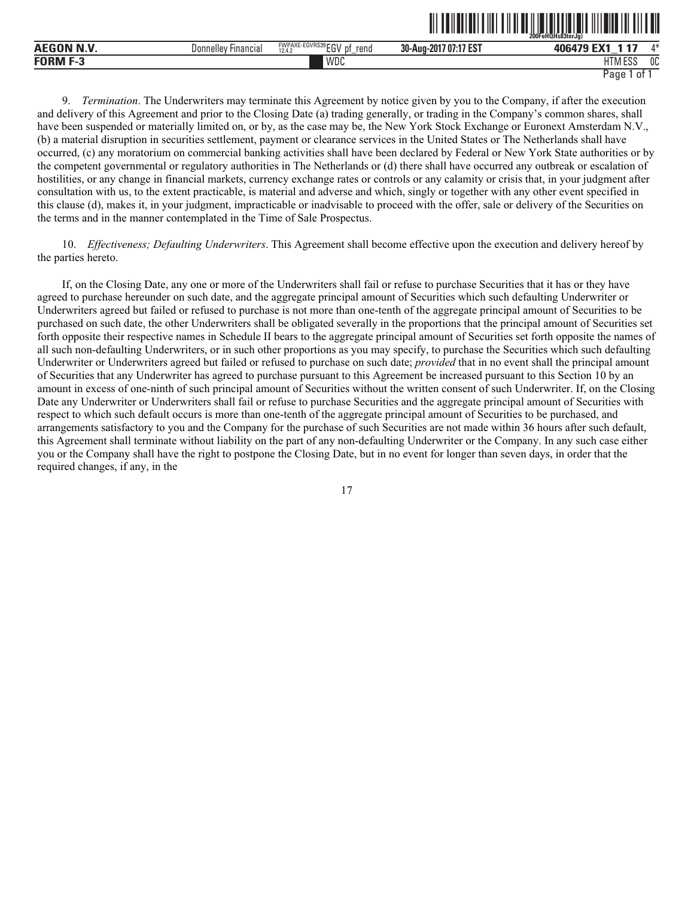|                    |                        |                                                         |                                | . - .- . - . - - . - . - -<br>200FeHQHs83tnrJa |    |
|--------------------|------------------------|---------------------------------------------------------|--------------------------------|------------------------------------------------|----|
| N V<br>ויו ו       | Financial<br>Donnellev | FWPAXE-EGVRS39 ECV<br>.nt<br>rend<br>cu'<br>12.4.2<br>– | :17 EST<br>30-Aug-201<br>17.07 | $-117$<br>--<br>406479                         | л* |
| - -<br><b>EOPM</b> |                        | WDC                                                     |                                | 1.500<br><b>HTM</b><br>ט בי                    | 0C |

ˆ200FeHQHs83tnrJg)Š **200FeHQHs83tnrJg)**

9. *Termination*. The Underwriters may terminate this Agreement by notice given by you to the Company, if after the execution and delivery of this Agreement and prior to the Closing Date (a) trading generally, or trading in the Company's common shares, shall have been suspended or materially limited on, or by, as the case may be, the New York Stock Exchange or Euronext Amsterdam N.V., (b) a material disruption in securities settlement, payment or clearance services in the United States or The Netherlands shall have occurred, (c) any moratorium on commercial banking activities shall have been declared by Federal or New York State authorities or by the competent governmental or regulatory authorities in The Netherlands or (d) there shall have occurred any outbreak or escalation of hostilities, or any change in financial markets, currency exchange rates or controls or any calamity or crisis that, in your judgment after consultation with us, to the extent practicable, is material and adverse and which, singly or together with any other event specified in this clause (d), makes it, in your judgment, impracticable or inadvisable to proceed with the offer, sale or delivery of the Securities on the terms and in the manner contemplated in the Time of Sale Prospectus.

10. *Effectiveness; Defaulting Underwriters*. This Agreement shall become effective upon the execution and delivery hereof by the parties hereto.

If, on the Closing Date, any one or more of the Underwriters shall fail or refuse to purchase Securities that it has or they have agreed to purchase hereunder on such date, and the aggregate principal amount of Securities which such defaulting Underwriter or Underwriters agreed but failed or refused to purchase is not more than one-tenth of the aggregate principal amount of Securities to be purchased on such date, the other Underwriters shall be obligated severally in the proportions that the principal amount of Securities set forth opposite their respective names in Schedule II bears to the aggregate principal amount of Securities set forth opposite the names of all such non-defaulting Underwriters, or in such other proportions as you may specify, to purchase the Securities which such defaulting Underwriter or Underwriters agreed but failed or refused to purchase on such date; *provided* that in no event shall the principal amount of Securities that any Underwriter has agreed to purchase pursuant to this Agreement be increased pursuant to this Section 10 by an amount in excess of one-ninth of such principal amount of Securities without the written consent of such Underwriter. If, on the Closing Date any Underwriter or Underwriters shall fail or refuse to purchase Securities and the aggregate principal amount of Securities with respect to which such default occurs is more than one-tenth of the aggregate principal amount of Securities to be purchased, and arrangements satisfactory to you and the Company for the purchase of such Securities are not made within 36 hours after such default, this Agreement shall terminate without liability on the part of any non-defaulting Underwriter or the Company. In any such case either you or the Company shall have the right to postpone the Closing Date, but in no event for longer than seven days, in order that the required changes, if any, in the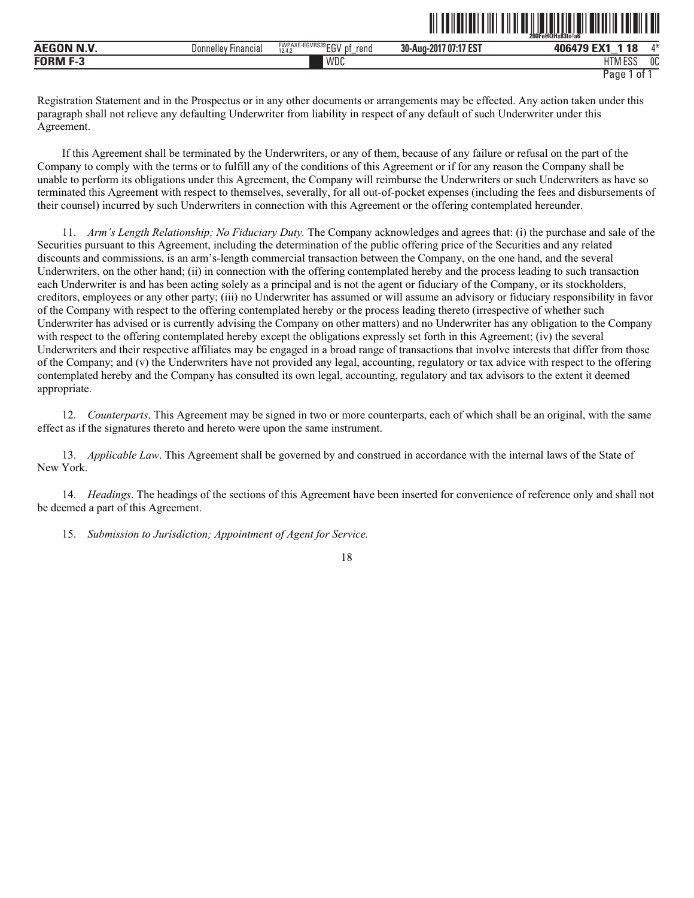|                  |                                      |                                                        |                       | 200FeHQHs83to!a6           |         |
|------------------|--------------------------------------|--------------------------------------------------------|-----------------------|----------------------------|---------|
| <b>AEGON N.V</b> | <sup>,</sup> Financia,<br>Donnelley' | FWPAXE-EGVRS39 EC1/<br>rend<br>.nt<br><br>12.4.2<br>∟ບ | 30-Aug-2017 07:17 EST | ГV4<br>106170<br><b>10</b> | $A - L$ |
| <b>FORM F-3</b>  |                                      | WDC                                                    |                       | 1.711700<br>ESS.<br>i ivi  | 0C      |

ˆ200FeHQHs83to!a6ÅŠ **200FeHQHs83to!a6¯**

Registration Statement and in the Prospectus or in any other documents or arrangements may be effected. Any action taken under this paragraph shall not relieve any defaulting Underwriter from liability in respect of any default of such Underwriter under this Agreement.

If this Agreement shall be terminated by the Underwriters, or any of them, because of any failure or refusal on the part of the Company to comply with the terms or to fulfill any of the conditions of this Agreement or if for any reason the Company shall be unable to perform its obligations under this Agreement, the Company will reimburse the Underwriters or such Underwriters as have so terminated this Agreement with respect to themselves, severally, for all out-of-pocket expenses (including the fees and disbursements of their counsel) incurred by such Underwriters in connection with this Agreement or the offering contemplated hereunder.

11. *Arm's Length Relationship; No Fiduciary Duty.* The Company acknowledges and agrees that: (i) the purchase and sale of the Securities pursuant to this Agreement, including the determination of the public offering price of the Securities and any related discounts and commissions, is an arm's-length commercial transaction between the Company, on the one hand, and the several Underwriters, on the other hand; (ii) in connection with the offering contemplated hereby and the process leading to such transaction each Underwriter is and has been acting solely as a principal and is not the agent or fiduciary of the Company, or its stockholders, creditors, employees or any other party; (iii) no Underwriter has assumed or will assume an advisory or fiduciary responsibility in favor of the Company with respect to the offering contemplated hereby or the process leading thereto (irrespective of whether such Underwriter has advised or is currently advising the Company on other matters) and no Underwriter has any obligation to the Company with respect to the offering contemplated hereby except the obligations expressly set forth in this Agreement; (iv) the several Underwriters and their respective affiliates may be engaged in a broad range of transactions that involve interests that differ from those of the Company; and (v) the Underwriters have not provided any legal, accounting, regulatory or tax advice with respect to the offering contemplated hereby and the Company has consulted its own legal, accounting, regulatory and tax advisors to the extent it deemed appropriate.

12. *Counterparts*. This Agreement may be signed in two or more counterparts, each of which shall be an original, with the same effect as if the signatures thereto and hereto were upon the same instrument.

13. *Applicable Law*. This Agreement shall be governed by and construed in accordance with the internal laws of the State of New York.

14. *Headings*. The headings of the sections of this Agreement have been inserted for convenience of reference only and shall not be deemed a part of this Agreement.

15. *Submission to Jurisdiction; Appointment of Agent for Service.*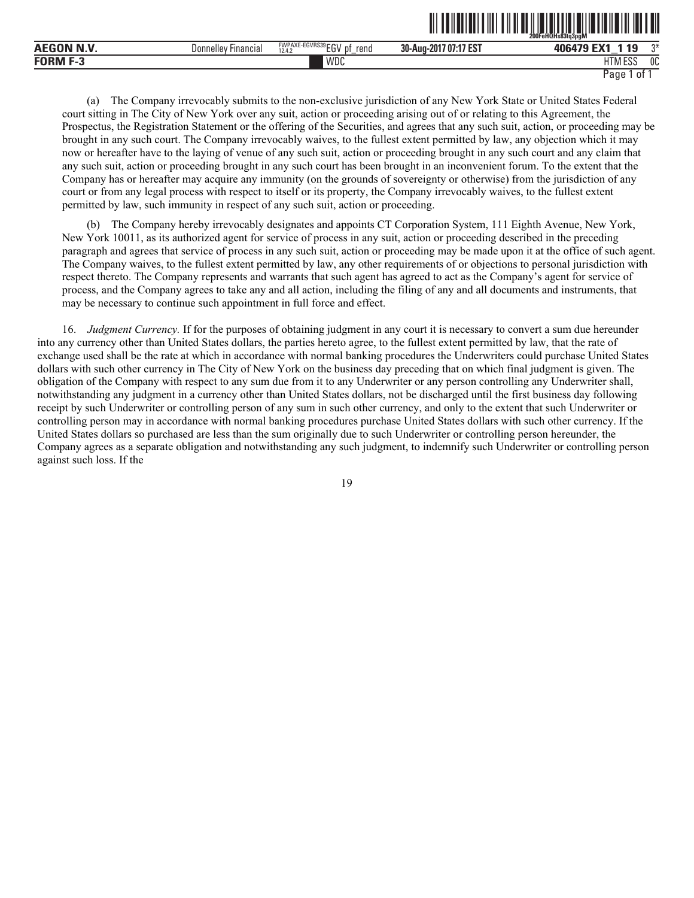|                           |                                     |                                                        | - - -  -- . -- . -    - .                                | 200FeHQHs83tq3pgM              |              |
|---------------------------|-------------------------------------|--------------------------------------------------------|----------------------------------------------------------|--------------------------------|--------------|
| <b>BINE</b><br><b>AEG</b> | $- \cdot$<br>Donnellev<br>Financia. | FWPAXE-EGVRS39 FOL<br>rena<br>12.4.<br>IJΙ<br>ື<br>$-$ | $-1.47007$<br>30-Aug-201 <sup>-</sup><br>7 O7:<br>- ED ' | 1.10<br>406479<br>__           | $n*$         |
| FORM<br>- 1               |                                     | <b>WDC</b>                                             |                                                          | ח הם ו<br>HT.<br><b>INLEOU</b> | $\sim$<br>υu |

<u>oli od india oli olimpia saati ka saati ka saat</u>

(a) The Company irrevocably submits to the non-exclusive jurisdiction of any New York State or United States Federal court sitting in The City of New York over any suit, action or proceeding arising out of or relating to this Agreement, the Prospectus, the Registration Statement or the offering of the Securities, and agrees that any such suit, action, or proceeding may be brought in any such court. The Company irrevocably waives, to the fullest extent permitted by law, any objection which it may now or hereafter have to the laying of venue of any such suit, action or proceeding brought in any such court and any claim that any such suit, action or proceeding brought in any such court has been brought in an inconvenient forum. To the extent that the Company has or hereafter may acquire any immunity (on the grounds of sovereignty or otherwise) from the jurisdiction of any court or from any legal process with respect to itself or its property, the Company irrevocably waives, to the fullest extent permitted by law, such immunity in respect of any such suit, action or proceeding.

(b) The Company hereby irrevocably designates and appoints CT Corporation System, 111 Eighth Avenue, New York, New York 10011, as its authorized agent for service of process in any suit, action or proceeding described in the preceding paragraph and agrees that service of process in any such suit, action or proceeding may be made upon it at the office of such agent. The Company waives, to the fullest extent permitted by law, any other requirements of or objections to personal jurisdiction with respect thereto. The Company represents and warrants that such agent has agreed to act as the Company's agent for service of process, and the Company agrees to take any and all action, including the filing of any and all documents and instruments, that may be necessary to continue such appointment in full force and effect.

16. *Judgment Currency.* If for the purposes of obtaining judgment in any court it is necessary to convert a sum due hereunder into any currency other than United States dollars, the parties hereto agree, to the fullest extent permitted by law, that the rate of exchange used shall be the rate at which in accordance with normal banking procedures the Underwriters could purchase United States dollars with such other currency in The City of New York on the business day preceding that on which final judgment is given. The obligation of the Company with respect to any sum due from it to any Underwriter or any person controlling any Underwriter shall, notwithstanding any judgment in a currency other than United States dollars, not be discharged until the first business day following receipt by such Underwriter or controlling person of any sum in such other currency, and only to the extent that such Underwriter or controlling person may in accordance with normal banking procedures purchase United States dollars with such other currency. If the United States dollars so purchased are less than the sum originally due to such Underwriter or controlling person hereunder, the Company agrees as a separate obligation and notwithstanding any such judgment, to indemnify such Underwriter or controlling person against such loss. If the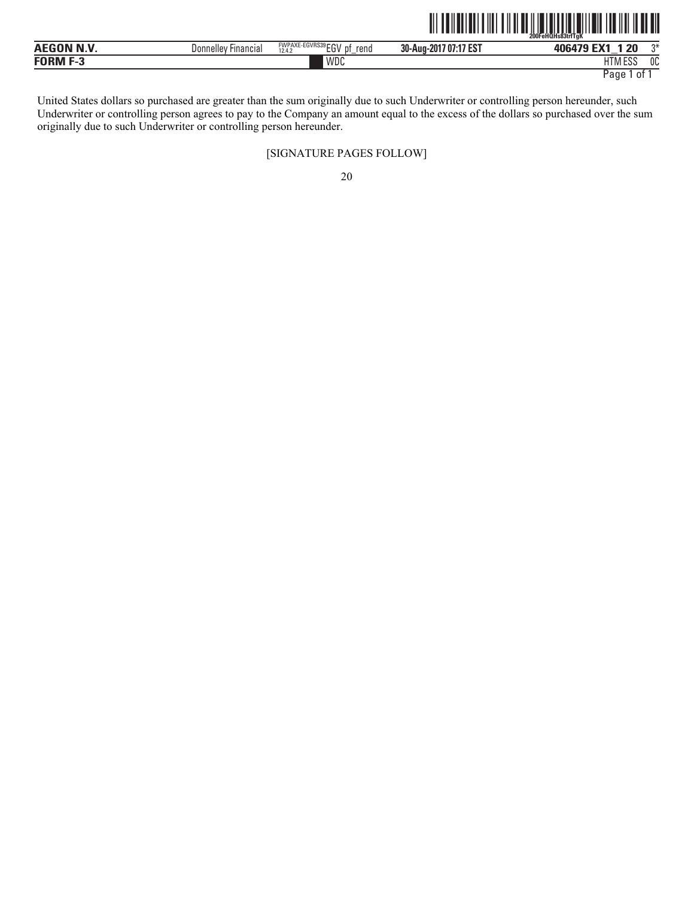|                   |                     |                                         | III IIIIIIIII<br>$\ $ | $\mathbb I$<br>IIIIIIII<br>200FeHQHs83trfTaK |    |
|-------------------|---------------------|-----------------------------------------|-----------------------|----------------------------------------------|----|
| <b>AEGON N.V.</b> | Donnelley Financial | FWPAXE-EGVRS39 EGV pf<br>rend<br>12.4.2 | 30-Aug-2017 07:17 EST | 406479 EX1<br>l 20                           |    |
| <b>FORM F-3</b>   |                     | WDC                                     |                       | <b>HTM ESS</b>                               | 0C |

United States dollars so purchased are greater than the sum originally due to such Underwriter or controlling person hereunder, such Underwriter or controlling person agrees to pay to the Company an amount equal to the excess of the dollars so purchased over the sum originally due to such Underwriter or controlling person hereunder.

#### [SIGNATURE PAGES FOLLOW]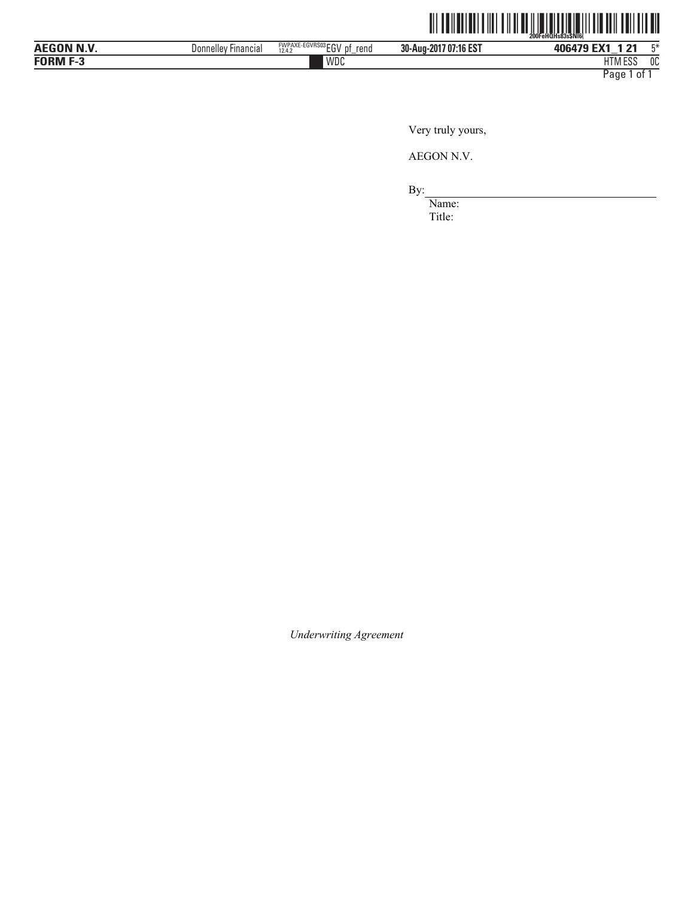

| WDC<br>1.177<br><b>FORM F-3</b><br>roc<br>HIM ESS | AFOOBLELLE<br>חו | <b>Financial</b><br>Donnelle | FWPAXE-EGVRS03 ECV<br>rend<br>рt<br>12.4.2<br>-<br>∟υ<br>- | 707:16 EST<br>30-Aug-201<br>0.04 | 406479<br>$-114$<br>ים ו<br>$-$ | mж. |
|---------------------------------------------------|------------------|------------------------------|------------------------------------------------------------|----------------------------------|---------------------------------|-----|
|                                                   |                  |                              |                                                            |                                  |                                 | 0C  |

Very truly yours,

AEGON N.V.

By:

Name: Title:

*Underwriting Agreement*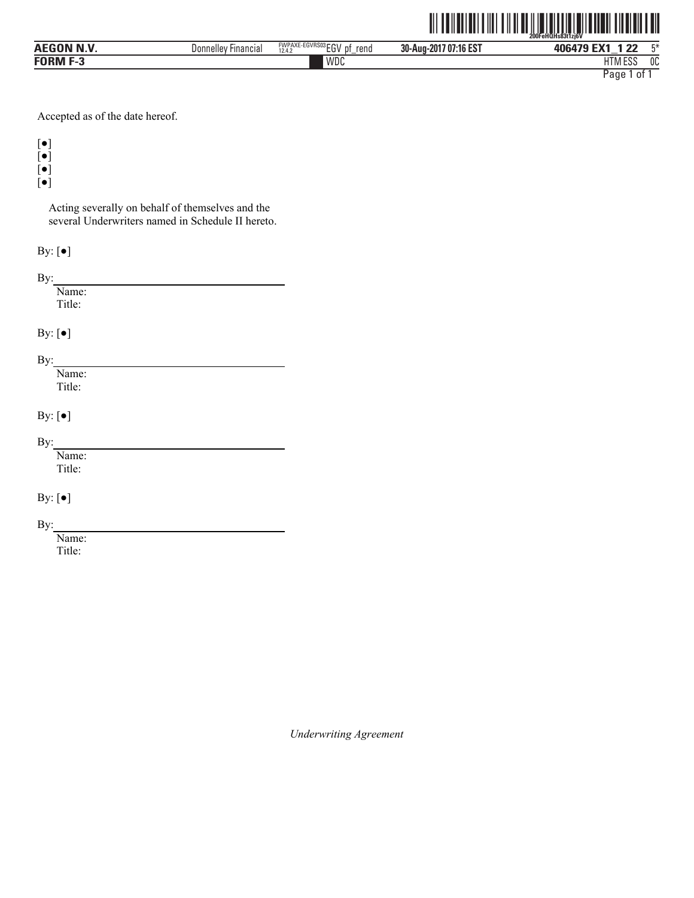|                   |                     |                              | Ⅲ                     | <u> Ali III (Ali IIII)</u><br><b>TI TIITIITIITII</b><br>200FeHQHs83t1zi6V |
|-------------------|---------------------|------------------------------|-----------------------|---------------------------------------------------------------------------|
| <b>AEGON N.V.</b> | Donnelley Financial | FWPAXE-EGVRS03EGV pf<br>rend | 30-Aug-2017 07:16 EST | 長米<br>406479 EX1<br>1 2 2                                                 |
| <b>FORM F-3</b>   |                     | WDC                          |                       | <b>HTM ESS</b><br>0C                                                      |
|                   |                     |                              |                       | Page.<br>0f                                                               |

Accepted as of the date hereof.

[●]

[●]

[●] [●]

Acting severally on behalf of themselves and the

several Underwriters named in Schedule II hereto.

By: [●]

By:

Name: Title:

By:  $[\bullet]$ 

By:

Name: Title:

By: [●]

By:

Name: Title:

By: [●]

By:

Name: Title:

*Underwriting Agreement*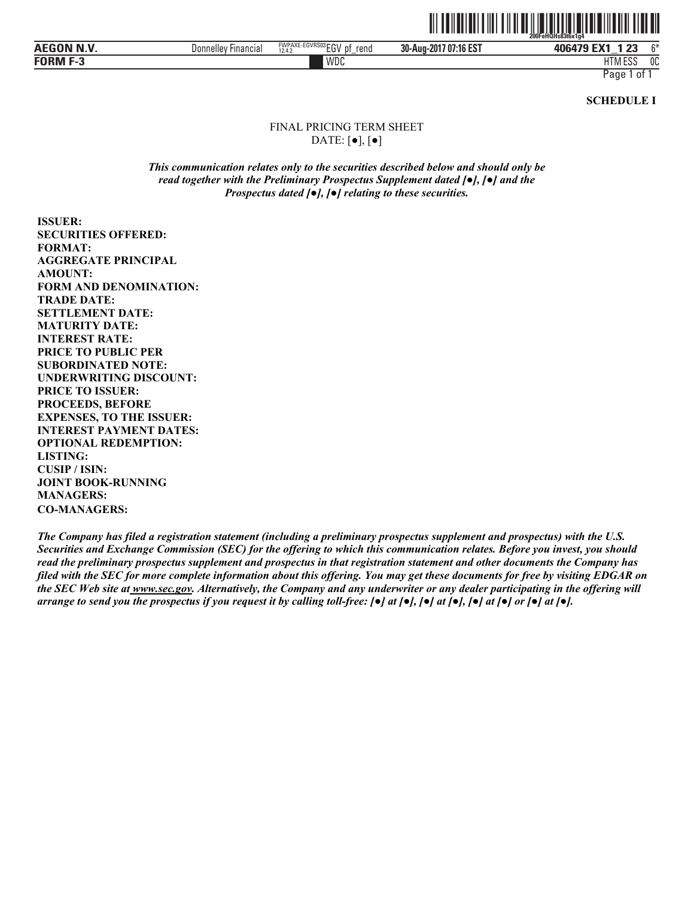

| AECON NIV<br>AEG<br>N<br>m | Financial<br>Donnelle | FWPAXE-EGVRS03 CCV<br>rend<br>рt<br>12.4.2<br>ΕU<br>– | 30-Aug-2017 07:16 EST | 406479<br>ົດໆ<br>$-$<br>e.<br>$-$  | $\sim$ |
|----------------------------|-----------------------|-------------------------------------------------------|-----------------------|------------------------------------|--------|
| <b>FORM F-3</b>            |                       | WDC                                                   |                       | $1 - 1$<br>$F^{\alpha}$<br>HIM ESS | 0C     |

**SCHEDULE I** 

#### FINAL PRICING TERM SHEET DATE:  $\lceil \bullet \rceil$ ,  $\lceil \bullet \rceil$

*This communication relates only to the securities described below and should only be read together with the Preliminary Prospectus Supplement dated [*●*], [*●*] and the Prospectus dated [*●*], [*●*] relating to these securities.* 

**ISSUER: SECURITIES OFFERED: FORMAT: AGGREGATE PRINCIPAL AMOUNT: FORM AND DENOMINATION: TRADE DATE: SETTLEMENT DATE: MATURITY DATE: INTEREST RATE: PRICE TO PUBLIC PER SUBORDINATED NOTE: UNDERWRITING DISCOUNT: PRICE TO ISSUER: PROCEEDS, BEFORE EXPENSES, TO THE ISSUER: INTEREST PAYMENT DATES: OPTIONAL REDEMPTION: LISTING: CUSIP / ISIN: JOINT BOOK-RUNNING MANAGERS: CO-MANAGERS:**

*The Company has filed a registration statement (including a preliminary prospectus supplement and prospectus) with the U.S. Securities and Exchange Commission (SEC) for the offering to which this communication relates. Before you invest, you should read the preliminary prospectus supplement and prospectus in that registration statement and other documents the Company has filed with the SEC for more complete information about this offering. You may get these documents for free by visiting EDGAR on the SEC Web site at www.sec.gov. Alternatively, the Company and any underwriter or any dealer participating in the offering will arrange to send you the prospectus if you request it by calling toll-free: [*●*] at [*●*], [*●*] at [*●*], [*●*] at [*●*] or [*●*] at [*●*].*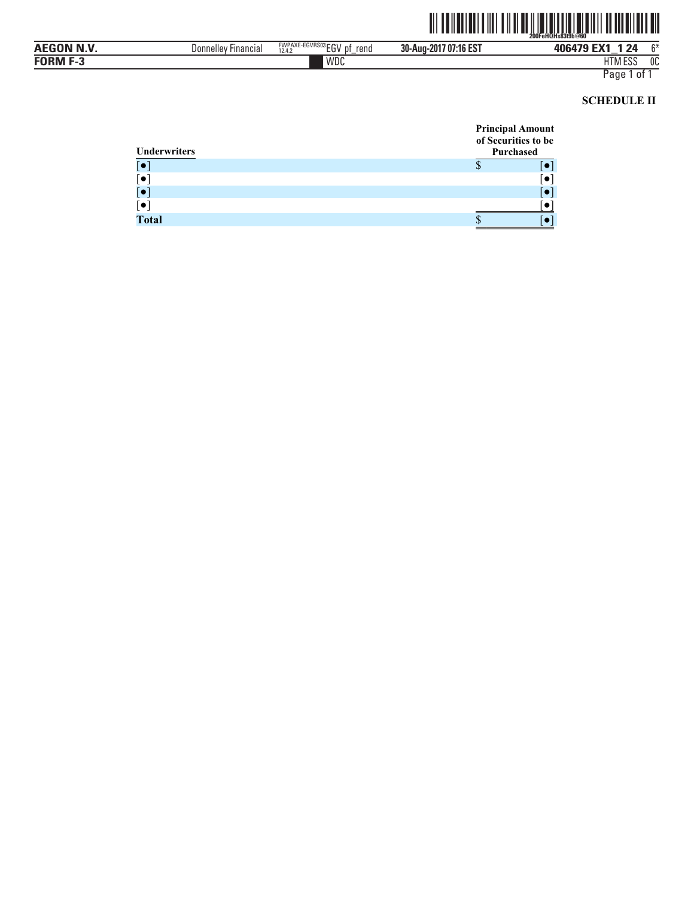

| AECON NIV<br>л н<br>. . | Donnelley<br>-ınancıal | FWPAXE-EGVRS03rru<br>rend<br>12.4.2<br>IJ<br>∟∪ | 30-Aug-2017 07:16 EST | EM.<br>100170<br>24<br>$-$ | $\sim$ |
|-------------------------|------------------------|-------------------------------------------------|-----------------------|----------------------------|--------|
| - - - - -<br>-<br>JKN   |                        | WDC                                             |                       | 11T11F0C<br>טשווו          | OC     |

# **SCHEDULE II**

| Underwriters           | <b>Principal Amount</b><br>of Securities to be<br>Purchased |  |
|------------------------|-------------------------------------------------------------|--|
| $\overline{[\bullet]}$ |                                                             |  |
| $[\bullet]$            |                                                             |  |
| $\left[\bullet\right]$ |                                                             |  |
| $[\bullet]$            |                                                             |  |
| Total                  |                                                             |  |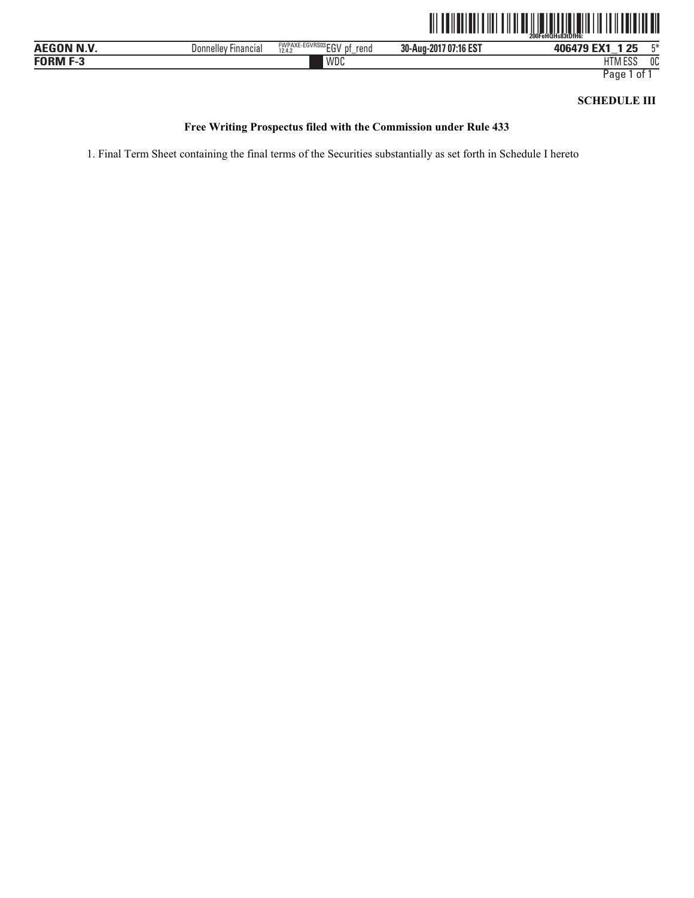

| $R = 0.0111111$<br>л н<br>or        | ' Financial<br>Donnellev | -EGVRS03rrw<br><b>FWPAXL</b><br>rend<br>$1 - V$<br>12.4.2<br>∟ບ | 707:16 EST<br>30-Aug-<br>$-201$ <sup>-</sup> | つに<br><b>ANGAZA EX1</b><br>__ | <b>FM</b> |
|-------------------------------------|--------------------------|-----------------------------------------------------------------|----------------------------------------------|-------------------------------|-----------|
| FORM F-<br>$\overline{\phantom{a}}$ |                          | WDC                                                             |                                              | 1000<br>$\cdots$<br>HIM ESS   | 0C        |

### **SCHEDULE III**

#### **Free Writing Prospectus filed with the Commission under Rule 433**

1. Final Term Sheet containing the final terms of the Securities substantially as set forth in Schedule I hereto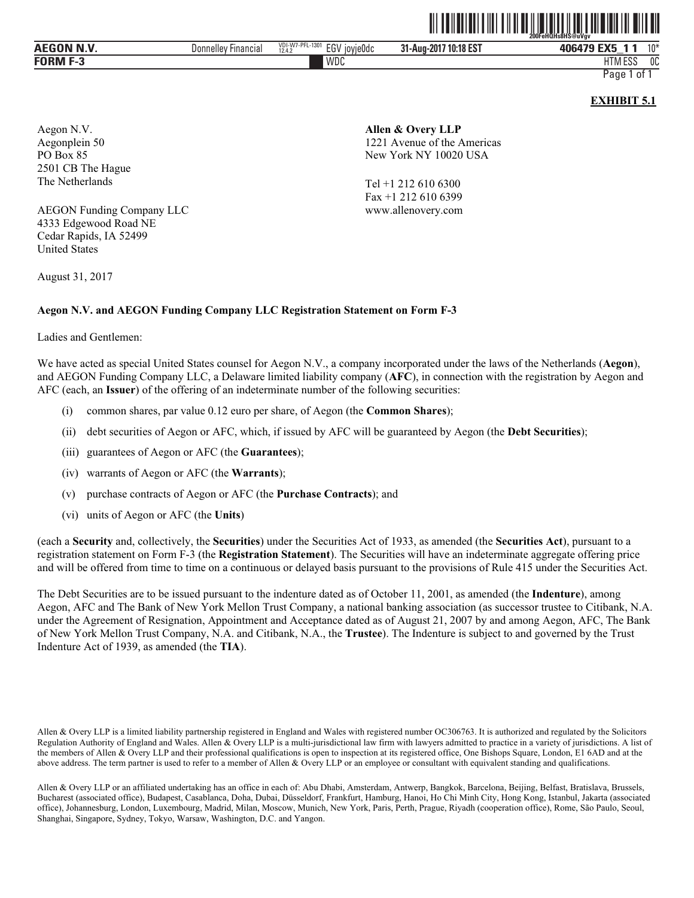|              |                               |                                                    | <br>.                   | .<br>.<br>.<br>.<br>- 200FeHQHs8H\$@uVav                    |       |
|--------------|-------------------------------|----------------------------------------------------|-------------------------|-------------------------------------------------------------|-------|
| N.V<br>AEGON | Donnelley<br><b>Financial</b> | VDI-W7-PFL-1301<br>EG\<br><b>TOVIEUDC</b><br>12.4. | 10:18 EST<br>31-Aug-201 | -w-<br>406479<br>_                                          | $10*$ |
| FORM         |                               | WDC                                                |                         | $\mathsf{r}\circ\mathsf{r}$<br><b>IITN</b><br><b>HIMESS</b> | 0C    |

<u>oli ordinal oli olidi. Suuri olidista ka ja see maasta suuri olidista suuri olidista suuri olidista suuri oli</u>

**EXHIBIT 5.1** 

Aegon N.V. Aegonplein 50 PO Box 85 2501 CB The Hague The Netherlands

AEGON Funding Company LLC 4333 Edgewood Road NE Cedar Rapids, IA 52499 United States

August 31, 2017

#### **Aegon N.V. and AEGON Funding Company LLC Registration Statement on Form F-3**

Ladies and Gentlemen:

We have acted as special United States counsel for Aegon N.V., a company incorporated under the laws of the Netherlands (**Aegon**), and AEGON Funding Company LLC, a Delaware limited liability company (**AFC**), in connection with the registration by Aegon and AFC (each, an **Issuer**) of the offering of an indeterminate number of the following securities:

- (i) common shares, par value 0.12 euro per share, of Aegon (the **Common Shares**);
- (ii) debt securities of Aegon or AFC, which, if issued by AFC will be guaranteed by Aegon (the **Debt Securities**);
- (iii) guarantees of Aegon or AFC (the **Guarantees**);
- (iv) warrants of Aegon or AFC (the **Warrants**);
- (v) purchase contracts of Aegon or AFC (the **Purchase Contracts**); and
- (vi) units of Aegon or AFC (the **Units**)

(each a **Security** and, collectively, the **Securities**) under the Securities Act of 1933, as amended (the **Securities Act**), pursuant to a registration statement on Form F-3 (the **Registration Statement**). The Securities will have an indeterminate aggregate offering price and will be offered from time to time on a continuous or delayed basis pursuant to the provisions of Rule 415 under the Securities Act.

The Debt Securities are to be issued pursuant to the indenture dated as of October 11, 2001, as amended (the **Indenture**), among Aegon, AFC and The Bank of New York Mellon Trust Company, a national banking association (as successor trustee to Citibank, N.A. under the Agreement of Resignation, Appointment and Acceptance dated as of August 21, 2007 by and among Aegon, AFC, The Bank of New York Mellon Trust Company, N.A. and Citibank, N.A., the **Trustee**). The Indenture is subject to and governed by the Trust Indenture Act of 1939, as amended (the **TIA**).

Allen & Overy LLP is a limited liability partnership registered in England and Wales with registered number OC306763. It is authorized and regulated by the Solicitors Regulation Authority of England and Wales. Allen & Overy LLP is a multi-jurisdictional law firm with lawyers admitted to practice in a variety of jurisdictions. A list of the members of Allen & Overy LLP and their professional qualifications is open to inspection at its registered office, One Bishops Square, London, E1 6AD and at the above address. The term partner is used to refer to a member of Allen & Overy LLP or an employee or consultant with equivalent standing and qualifications.

Allen & Overy LLP or an affiliated undertaking has an office in each of: Abu Dhabi, Amsterdam, Antwerp, Bangkok, Barcelona, Beijing, Belfast, Bratislava, Brussels, Bucharest (associated office), Budapest, Casablanca, Doha, Dubai, Düsseldorf, Frankfurt, Hamburg, Hanoi, Ho Chi Minh City, Hong Kong, Istanbul, Jakarta (associated office), Johannesburg, London, Luxembourg, Madrid, Milan, Moscow, Munich, New York, Paris, Perth, Prague, Riyadh (cooperation office), Rome, São Paulo, Seoul, Shanghai, Singapore, Sydney, Tokyo, Warsaw, Washington, D.C. and Yangon.

#### **Allen & Overy LLP** 1221 Avenue of the Americas New York NY 10020 USA

Tel +1 212 610 6300 Fax +1 212 610 6399 www.allenovery.com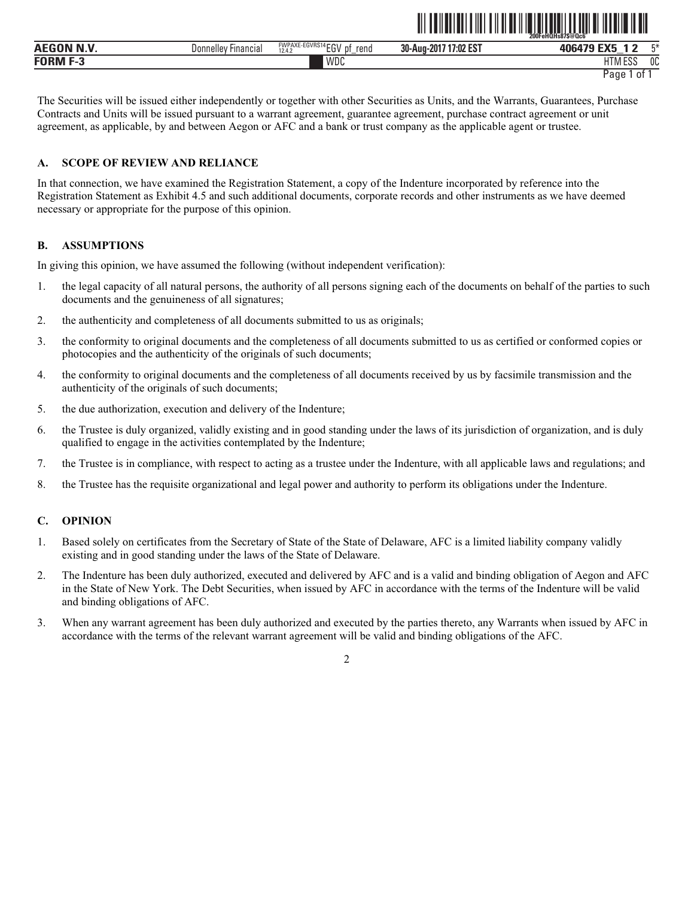|                  |                                      |                                                   | <b>200FeHOHS87S@Qc6</b>  |                         |    |
|------------------|--------------------------------------|---------------------------------------------------|--------------------------|-------------------------|----|
| <b>AEGON N V</b> | <b>Donnelley</b><br><b>Financial</b> | FWPAXE-EGVRS14 EGV<br>rend<br>12.4.2<br>∟∪<br>$-$ | 17:02 EST<br>30-Aug-2017 | <b>ANGAZA EXE</b>       | FЖ |
| <b>FORM F-3</b>  |                                      | WDC                                               |                          | $\Gamma$<br>H I IVI EƏƏ | 0C |

ˆ200FeHQHs87\$@Qc6ÄŠ **200FeHQHs87\$@Qc6˜** 

The Securities will be issued either independently or together with other Securities as Units, and the Warrants, Guarantees, Purchase Contracts and Units will be issued pursuant to a warrant agreement, guarantee agreement, purchase contract agreement or unit agreement, as applicable, by and between Aegon or AFC and a bank or trust company as the applicable agent or trustee.

#### **A. SCOPE OF REVIEW AND RELIANCE**

In that connection, we have examined the Registration Statement, a copy of the Indenture incorporated by reference into the Registration Statement as Exhibit 4.5 and such additional documents, corporate records and other instruments as we have deemed necessary or appropriate for the purpose of this opinion.

#### **B. ASSUMPTIONS**

In giving this opinion, we have assumed the following (without independent verification):

- 1. the legal capacity of all natural persons, the authority of all persons signing each of the documents on behalf of the parties to such documents and the genuineness of all signatures;
- 2. the authenticity and completeness of all documents submitted to us as originals;
- 3. the conformity to original documents and the completeness of all documents submitted to us as certified or conformed copies or photocopies and the authenticity of the originals of such documents;
- 4. the conformity to original documents and the completeness of all documents received by us by facsimile transmission and the authenticity of the originals of such documents;
- 5. the due authorization, execution and delivery of the Indenture;
- 6. the Trustee is duly organized, validly existing and in good standing under the laws of its jurisdiction of organization, and is duly qualified to engage in the activities contemplated by the Indenture;
- 7. the Trustee is in compliance, with respect to acting as a trustee under the Indenture, with all applicable laws and regulations; and
- 8. the Trustee has the requisite organizational and legal power and authority to perform its obligations under the Indenture.

#### **C. OPINION**

- 1. Based solely on certificates from the Secretary of State of the State of Delaware, AFC is a limited liability company validly existing and in good standing under the laws of the State of Delaware.
- 2. The Indenture has been duly authorized, executed and delivered by AFC and is a valid and binding obligation of Aegon and AFC in the State of New York. The Debt Securities, when issued by AFC in accordance with the terms of the Indenture will be valid and binding obligations of AFC.
- 3. When any warrant agreement has been duly authorized and executed by the parties thereto, any Warrants when issued by AFC in accordance with the terms of the relevant warrant agreement will be valid and binding obligations of the AFC.

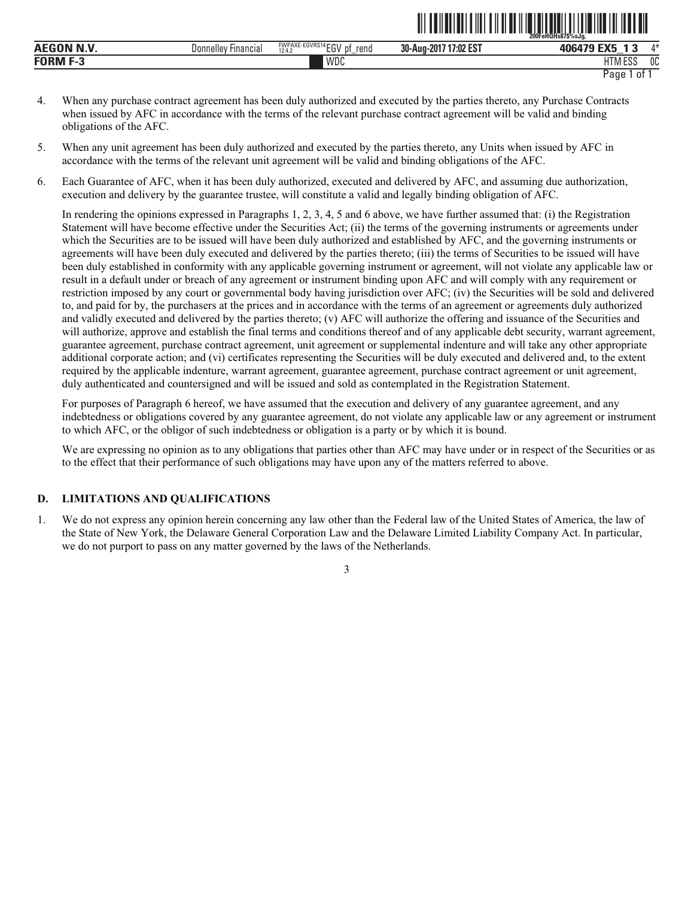|                 |                        |                                                         |                          | 200FeHQHs87\$%sJa.                      |                |
|-----------------|------------------------|---------------------------------------------------------|--------------------------|-----------------------------------------|----------------|
| .<br><b>AEG</b> | Donnelley<br>Financia. | <b>FWPAXE-EGVRS14 FOU</b><br>rend<br>рt<br>EU.<br>12.4. | 17:02 EST<br>30-Aug-2017 | <b>FMF</b><br>,,,,,,<br>-               | $A \Delta$     |
| <b>FORM F-3</b> |                        | <b>WDC</b>                                              |                          | $F^{\alpha}$<br><b>TIT</b><br>LIINI LƏƏ | 0 <sup>C</sup> |

ˆ200FeHQHs87\$%sJg,Š **200FeHQHs87\$%sJg,** 

- 4. When any purchase contract agreement has been duly authorized and executed by the parties thereto, any Purchase Contracts when issued by AFC in accordance with the terms of the relevant purchase contract agreement will be valid and binding obligations of the AFC.
- 5. When any unit agreement has been duly authorized and executed by the parties thereto, any Units when issued by AFC in accordance with the terms of the relevant unit agreement will be valid and binding obligations of the AFC.
- 6. Each Guarantee of AFC, when it has been duly authorized, executed and delivered by AFC, and assuming due authorization, execution and delivery by the guarantee trustee, will constitute a valid and legally binding obligation of AFC.

In rendering the opinions expressed in Paragraphs 1, 2, 3, 4, 5 and 6 above, we have further assumed that: (i) the Registration Statement will have become effective under the Securities Act; (ii) the terms of the governing instruments or agreements under which the Securities are to be issued will have been duly authorized and established by AFC, and the governing instruments or agreements will have been duly executed and delivered by the parties thereto; (iii) the terms of Securities to be issued will have been duly established in conformity with any applicable governing instrument or agreement, will not violate any applicable law or result in a default under or breach of any agreement or instrument binding upon AFC and will comply with any requirement or restriction imposed by any court or governmental body having jurisdiction over AFC; (iv) the Securities will be sold and delivered to, and paid for by, the purchasers at the prices and in accordance with the terms of an agreement or agreements duly authorized and validly executed and delivered by the parties thereto; (v) AFC will authorize the offering and issuance of the Securities and will authorize, approve and establish the final terms and conditions thereof and of any applicable debt security, warrant agreement, guarantee agreement, purchase contract agreement, unit agreement or supplemental indenture and will take any other appropriate additional corporate action; and (vi) certificates representing the Securities will be duly executed and delivered and, to the extent required by the applicable indenture, warrant agreement, guarantee agreement, purchase contract agreement or unit agreement, duly authenticated and countersigned and will be issued and sold as contemplated in the Registration Statement.

For purposes of Paragraph 6 hereof, we have assumed that the execution and delivery of any guarantee agreement, and any indebtedness or obligations covered by any guarantee agreement, do not violate any applicable law or any agreement or instrument to which AFC, or the obligor of such indebtedness or obligation is a party or by which it is bound.

We are expressing no opinion as to any obligations that parties other than AFC may have under or in respect of the Securities or as to the effect that their performance of such obligations may have upon any of the matters referred to above.

#### **D. LIMITATIONS AND QUALIFICATIONS**

1. We do not express any opinion herein concerning any law other than the Federal law of the United States of America, the law of the State of New York, the Delaware General Corporation Law and the Delaware Limited Liability Company Act. In particular, we do not purport to pass on any matter governed by the laws of the Netherlands.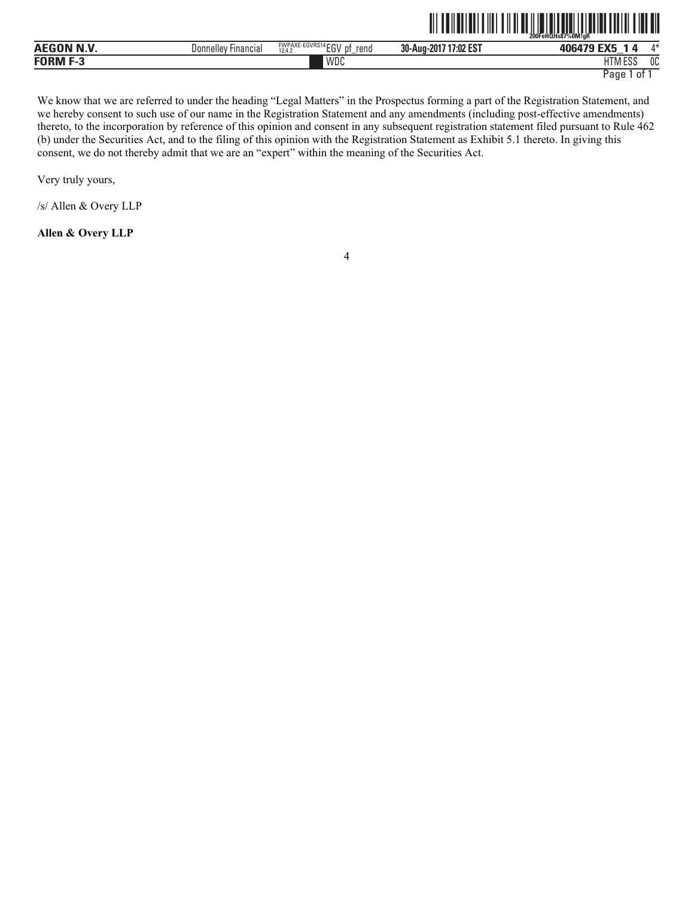|                    |                        |                                                 |                          | 200FeHQHs87%0M!aR         |                |
|--------------------|------------------------|-------------------------------------------------|--------------------------|---------------------------|----------------|
| <b>AEGON N.V</b>   | Donnelley<br>Financia, | EWPAXE-EGVRS14 CON<br>rena<br>DŤ<br>ĔŪ<br>12.4. | 17:02 EST<br>30-Aug-2017 | <b>FMF</b><br>ъ<br>_      | A.3L           |
| <b>FORM</b><br>г-л |                        | WDC                                             |                          | IITRAFAC<br>. . VI .<br>ப | <sub>0</sub> C |

TITE AND AN INTERNATIONAL AND A CONTRACT OF A STATE AND A VEHICLE AND A VEHICLE AND A VEHICLE AND A VEHICLE AN

We know that we are referred to under the heading "Legal Matters" in the Prospectus forming a part of the Registration Statement, and we hereby consent to such use of our name in the Registration Statement and any amendments (including post-effective amendments) thereto, to the incorporation by reference of this opinion and consent in any subsequent registration statement filed pursuant to Rule 462 (b) under the Securities Act, and to the filing of this opinion with the Registration Statement as Exhibit 5.1 thereto. In giving this consent, we do not thereby admit that we are an "expert" within the meaning of the Securities Act.

Very truly yours,

/s/ Allen & Overy LLP

**Allen & Overy LLP**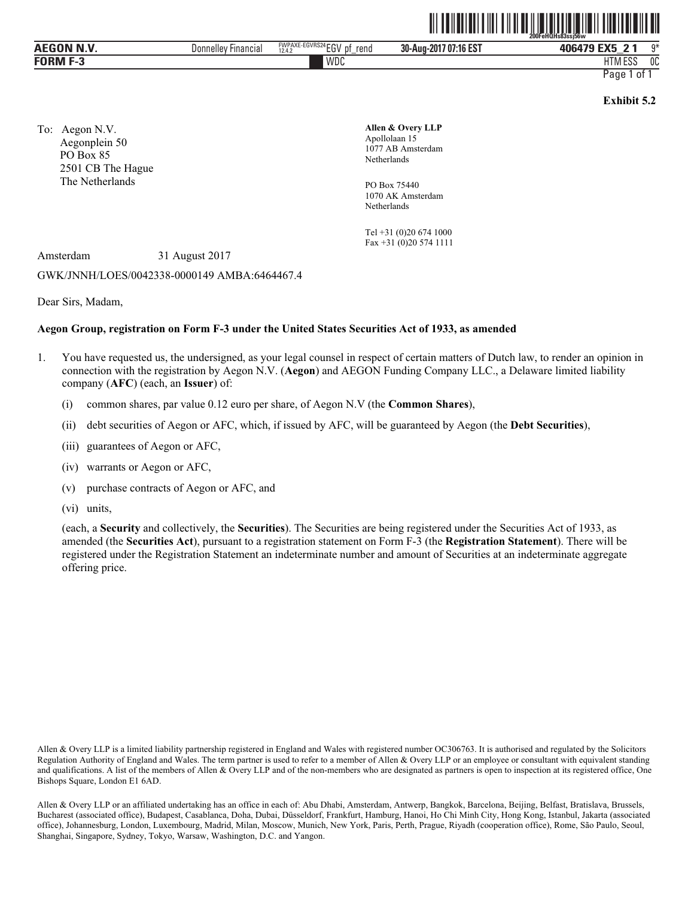| <b>AEGON N.V</b> | -ınancıal<br>Donnellev | <b>ECUDOM</b><br><b>FWPAXE-</b><br>$ \sim$<br>ะบ V หิ้ง 24<br>rend<br>$\mathbf{H}$<br>10A<br>--<br>12.4. | 1074000<br>30-Aug-<br>-2017<br>''16 ES. | $F^{\prime}$<br>ллблэр<br>$\sim$<br>$\overline{\phantom{a}}$ | $\sim$<br>. . |
|------------------|------------------------|----------------------------------------------------------------------------------------------------------|-----------------------------------------|--------------------------------------------------------------|---------------|
| <b>EOPME</b>     |                        | WDC                                                                                                      |                                         | $F^{\alpha}$<br>TIMI EOV                                     | OC            |

**Exhibit 5.2** 

To: Aegon N.V. Aegonplein 50 PO Box 85 2501 CB The Hague The Netherlands

**Allen & Overy LLP** Apollolaan 15 1077 AB Amsterdam Netherlands

PO Box 75440 1070 AK Amsterdam Netherlands

Tel +31 (0)20 674 1000 Fax +31 (0)20 574 1111

Amsterdam 31 August 2017

#### GWK/JNNH/LOES/0042338-0000149 AMBA:6464467.4

Dear Sirs, Madam,

#### **Aegon Group, registration on Form F-3 under the United States Securities Act of 1933, as amended**

- 1. You have requested us, the undersigned, as your legal counsel in respect of certain matters of Dutch law, to render an opinion in connection with the registration by Aegon N.V. (**Aegon**) and AEGON Funding Company LLC., a Delaware limited liability company (**AFC**) (each, an **Issuer**) of:
	- (i) common shares, par value 0.12 euro per share, of Aegon N.V (the **Common Shares**),
	- (ii) debt securities of Aegon or AFC, which, if issued by AFC, will be guaranteed by Aegon (the **Debt Securities**),
	- (iii) guarantees of Aegon or AFC,
	- (iv) warrants or Aegon or AFC,
	- (v) purchase contracts of Aegon or AFC, and
	- (vi) units,

(each, a **Security** and collectively, the **Securities**). The Securities are being registered under the Securities Act of 1933, as amended (the **Securities Act**), pursuant to a registration statement on Form F-3 (the **Registration Statement**). There will be registered under the Registration Statement an indeterminate number and amount of Securities at an indeterminate aggregate offering price.

Allen & Overy LLP is a limited liability partnership registered in England and Wales with registered number OC306763. It is authorised and regulated by the Solicitors Regulation Authority of England and Wales. The term partner is used to refer to a member of Allen & Overy LLP or an employee or consultant with equivalent standing and qualifications. A list of the members of Allen & Overy LLP and of the non-members who are designated as partners is open to inspection at its registered office, One Bishops Square, London E1 6AD.

Allen & Overy LLP or an affiliated undertaking has an office in each of: Abu Dhabi, Amsterdam, Antwerp, Bangkok, Barcelona, Beijing, Belfast, Bratislava, Brussels, Bucharest (associated office), Budapest, Casablanca, Doha, Dubai, Düsseldorf, Frankfurt, Hamburg, Hanoi, Ho Chi Minh City, Hong Kong, Istanbul, Jakarta (associated office), Johannesburg, London, Luxembourg, Madrid, Milan, Moscow, Munich, New York, Paris, Perth, Prague, Riyadh (cooperation office), Rome, São Paulo, Seoul, Shanghai, Singapore, Sydney, Tokyo, Warsaw, Washington, D.C. and Yangon.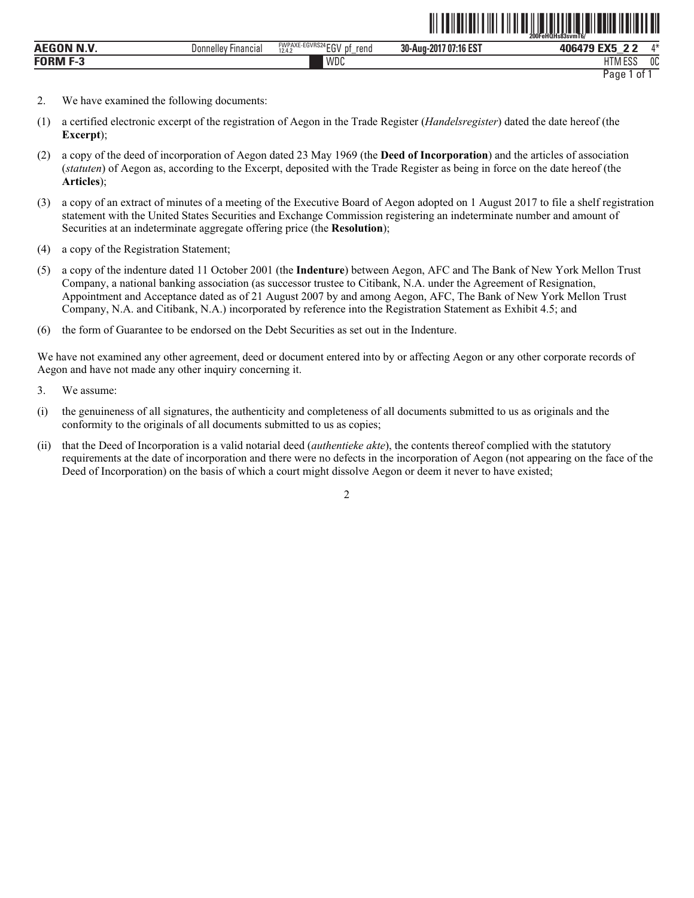|                      |                               |                                                        | ------------                                 | --<br>200FeHQHs83svmT6/                  |              |
|----------------------|-------------------------------|--------------------------------------------------------|----------------------------------------------|------------------------------------------|--------------|
| .<br>AE <sub>C</sub> | Jonnellev<br><b>Hinancial</b> | EWPAXE-EGVRS24 ECU<br>rend<br>1- V<br>12.4.<br>.<br>∟ບ | 1.40 E07<br>30-Aug-<br>7 O.<br>201<br>'16 ES | $T^*$<br>$\sim$<br>_                     | $A - X$      |
| <b>FORM</b><br>-2    |                               | WDC                                                    |                                              | $F^{\alpha}$<br><b>IT</b><br>פפם ועו ו ח | $\sim$<br>υu |

ˆ200FeHQHs83svmT6/Š

- 2. We have examined the following documents:
- (1) a certified electronic excerpt of the registration of Aegon in the Trade Register (*Handelsregister*) dated the date hereof (the **Excerpt**);
- (2) a copy of the deed of incorporation of Aegon dated 23 May 1969 (the **Deed of Incorporation**) and the articles of association (*statuten*) of Aegon as, according to the Excerpt, deposited with the Trade Register as being in force on the date hereof (the **Articles**);
- (3) a copy of an extract of minutes of a meeting of the Executive Board of Aegon adopted on 1 August 2017 to file a shelf registration statement with the United States Securities and Exchange Commission registering an indeterminate number and amount of Securities at an indeterminate aggregate offering price (the **Resolution**);
- (4) a copy of the Registration Statement;
- (5) a copy of the indenture dated 11 October 2001 (the **Indenture**) between Aegon, AFC and The Bank of New York Mellon Trust Company, a national banking association (as successor trustee to Citibank, N.A. under the Agreement of Resignation, Appointment and Acceptance dated as of 21 August 2007 by and among Aegon, AFC, The Bank of New York Mellon Trust Company, N.A. and Citibank, N.A.) incorporated by reference into the Registration Statement as Exhibit 4.5; and
- (6) the form of Guarantee to be endorsed on the Debt Securities as set out in the Indenture.

We have not examined any other agreement, deed or document entered into by or affecting Aegon or any other corporate records of Aegon and have not made any other inquiry concerning it.

- 3. We assume:
- (i) the genuineness of all signatures, the authenticity and completeness of all documents submitted to us as originals and the conformity to the originals of all documents submitted to us as copies;
- (ii) that the Deed of Incorporation is a valid notarial deed (*authentieke akte*), the contents thereof complied with the statutory requirements at the date of incorporation and there were no defects in the incorporation of Aegon (not appearing on the face of the Deed of Incorporation) on the basis of which a court might dissolve Aegon or deem it never to have existed;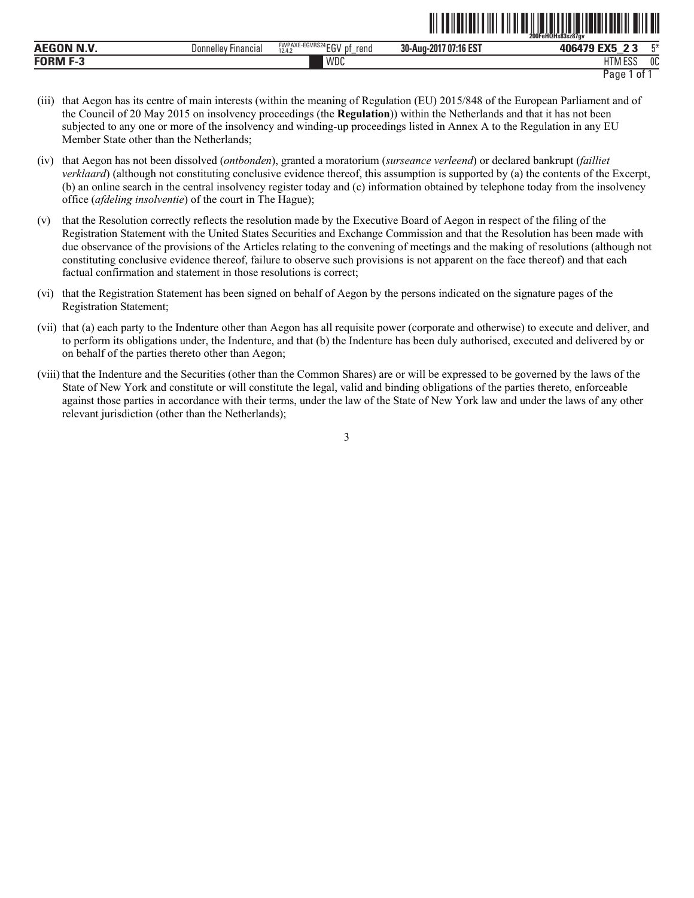|                 |                               |                                                                        | -----------                                      | JFeHQHs83sz87av<br><b>200F</b> |              |
|-----------------|-------------------------------|------------------------------------------------------------------------|--------------------------------------------------|--------------------------------|--------------|
| <b>AEC</b>      | <b>Financial</b><br>Donnellev | TCNRS24FON<br><b>FWPAXE</b><br>™-⊏∪ V Nu.<br>rend<br>D1<br>12.4.2<br>◡ | <b>140 FOT</b><br>30-Aug-2<br>-201<br>/ 07:16 ES | <b>CMC</b><br>וחב              | <b>TA</b>    |
| <b>FORM F-3</b> |                               | WDC                                                                    |                                                  | 1.000<br>шŦ<br>אוור<br>ᆫᇦ      | $\sim$<br>uu |

```
Page 1 of 1
```
<u>od tehedalisti oli tahun 1983 saati peristi oli tehedalisti oli teh</u>

- (iii) that Aegon has its centre of main interests (within the meaning of Regulation (EU) 2015/848 of the European Parliament and of the Council of 20 May 2015 on insolvency proceedings (the **Regulation**)) within the Netherlands and that it has not been subjected to any one or more of the insolvency and winding-up proceedings listed in Annex A to the Regulation in any EU Member State other than the Netherlands;
- (iv) that Aegon has not been dissolved (*ontbonden*), granted a moratorium (*surseance verleend*) or declared bankrupt (*failliet verklaard*) (although not constituting conclusive evidence thereof, this assumption is supported by (a) the contents of the Excerpt, (b) an online search in the central insolvency register today and (c) information obtained by telephone today from the insolvency office (*afdeling insolventie*) of the court in The Hague);
- (v) that the Resolution correctly reflects the resolution made by the Executive Board of Aegon in respect of the filing of the Registration Statement with the United States Securities and Exchange Commission and that the Resolution has been made with due observance of the provisions of the Articles relating to the convening of meetings and the making of resolutions (although not constituting conclusive evidence thereof, failure to observe such provisions is not apparent on the face thereof) and that each factual confirmation and statement in those resolutions is correct;
- (vi) that the Registration Statement has been signed on behalf of Aegon by the persons indicated on the signature pages of the Registration Statement;
- (vii) that (a) each party to the Indenture other than Aegon has all requisite power (corporate and otherwise) to execute and deliver, and to perform its obligations under, the Indenture, and that (b) the Indenture has been duly authorised, executed and delivered by or on behalf of the parties thereto other than Aegon;
- (viii) that the Indenture and the Securities (other than the Common Shares) are or will be expressed to be governed by the laws of the State of New York and constitute or will constitute the legal, valid and binding obligations of the parties thereto, enforceable against those parties in accordance with their terms, under the law of the State of New York law and under the laws of any other relevant jurisdiction (other than the Netherlands);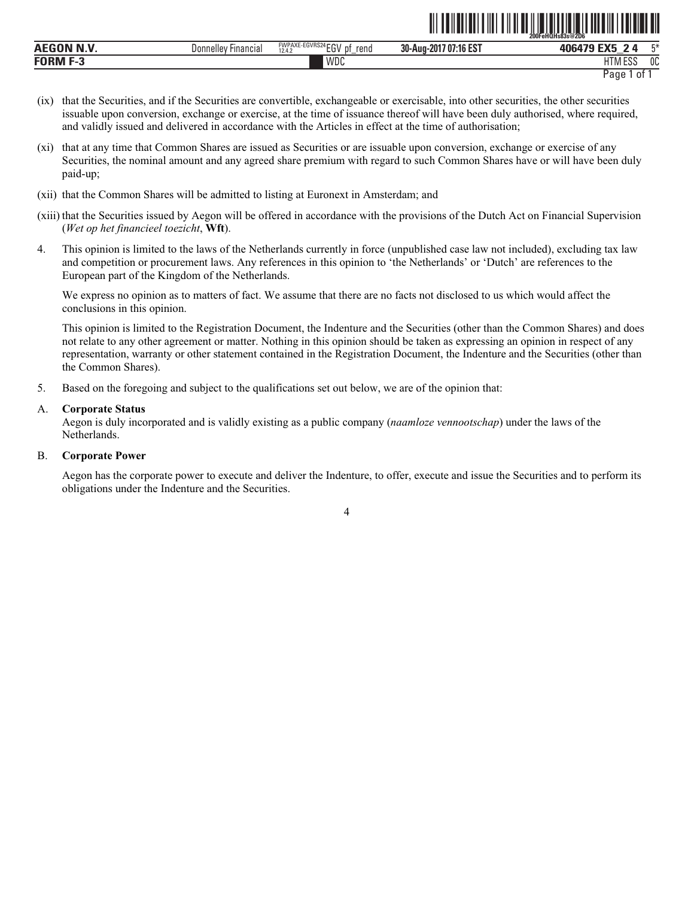|                  |                               |                                                                        |                                          | ZUUFEHUHS83S@ZD6                          |     |
|------------------|-------------------------------|------------------------------------------------------------------------|------------------------------------------|-------------------------------------------|-----|
| <b>AEC</b><br>N. | Financial<br><b>Donnelley</b> | EGVRS24 rru<br><b>FWPAXE</b><br>rend<br>$\sim$<br><br>12.4.7<br>u<br>∼ | 1074000<br>30-Aug-<br>201.<br>/ U/:16 ES | $-1$<br>406479<br>$-$                     | m×. |
| <b>FORM</b>      |                               | WDC                                                                    |                                          | <b>I ITA A FOO</b><br>r<br>1 I IVI<br>∟ບເ | OC  |

```
Page 1 of 1
```
**∂11 FeHELI III III III III III III III III** III III III III III III III III III III

- (ix) that the Securities, and if the Securities are convertible, exchangeable or exercisable, into other securities, the other securities issuable upon conversion, exchange or exercise, at the time of issuance thereof will have been duly authorised, where required, and validly issued and delivered in accordance with the Articles in effect at the time of authorisation;
- (xi) that at any time that Common Shares are issued as Securities or are issuable upon conversion, exchange or exercise of any Securities, the nominal amount and any agreed share premium with regard to such Common Shares have or will have been duly paid-up;
- (xii) that the Common Shares will be admitted to listing at Euronext in Amsterdam; and
- (xiii) that the Securities issued by Aegon will be offered in accordance with the provisions of the Dutch Act on Financial Supervision (*Wet op het financieel toezicht*, **Wft**).
- 4. This opinion is limited to the laws of the Netherlands currently in force (unpublished case law not included), excluding tax law and competition or procurement laws. Any references in this opinion to 'the Netherlands' or 'Dutch' are references to the European part of the Kingdom of the Netherlands.

We express no opinion as to matters of fact. We assume that there are no facts not disclosed to us which would affect the conclusions in this opinion.

This opinion is limited to the Registration Document, the Indenture and the Securities (other than the Common Shares) and does not relate to any other agreement or matter. Nothing in this opinion should be taken as expressing an opinion in respect of any representation, warranty or other statement contained in the Registration Document, the Indenture and the Securities (other than the Common Shares).

5. Based on the foregoing and subject to the qualifications set out below, we are of the opinion that:

# A. **Corporate Status**

Aegon is duly incorporated and is validly existing as a public company (*naamloze vennootschap*) under the laws of the Netherlands.

# B. **Corporate Power**

Aegon has the corporate power to execute and deliver the Indenture, to offer, execute and issue the Securities and to perform its obligations under the Indenture and the Securities.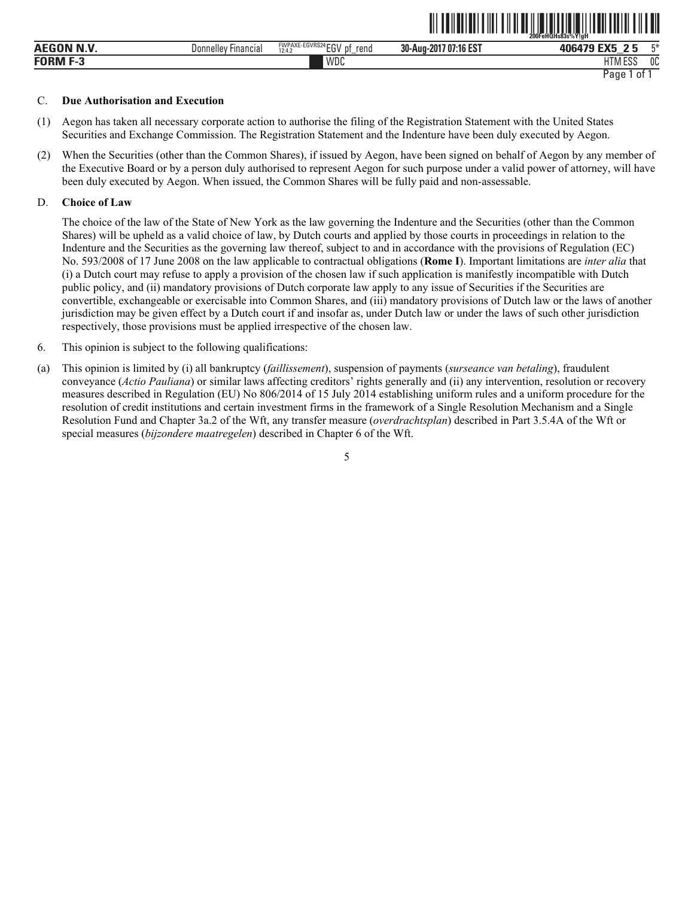|                    |                               |                                                                       |                             | 200FeHQHs83s%Y!aH                               |
|--------------------|-------------------------------|-----------------------------------------------------------------------|-----------------------------|-------------------------------------------------|
| <b>AEGON N.V.</b>  | Donnelley<br><b>Financial</b> | <b>FWPAXE-EGVRS24 FOLL</b><br>rend<br>- nt<br><br>12.4.2<br>∟ບ<br>$-$ | 17 07:16 EST<br>30-Aug-2017 | EVE<br>工米<br>406479<br>$\sqrt{2}$               |
| <b>FORM</b><br>r-s |                               | WDC                                                                   |                             | 1.500<br>0C<br><b>ITA</b><br>$\mathbf{I}$<br>ᆫᇦ |
|                    |                               |                                                                       |                             | Paqe<br>01                                      |

ˆ200FeHQHs83s%Y!gHŠ

#### C. **Due Authorisation and Execution**

- (1) Aegon has taken all necessary corporate action to authorise the filing of the Registration Statement with the United States Securities and Exchange Commission. The Registration Statement and the Indenture have been duly executed by Aegon.
- (2) When the Securities (other than the Common Shares), if issued by Aegon, have been signed on behalf of Aegon by any member of the Executive Board or by a person duly authorised to represent Aegon for such purpose under a valid power of attorney, will have been duly executed by Aegon. When issued, the Common Shares will be fully paid and non-assessable.

#### D. **Choice of Law**

The choice of the law of the State of New York as the law governing the Indenture and the Securities (other than the Common Shares) will be upheld as a valid choice of law, by Dutch courts and applied by those courts in proceedings in relation to the Indenture and the Securities as the governing law thereof, subject to and in accordance with the provisions of Regulation (EC) No. 593/2008 of 17 June 2008 on the law applicable to contractual obligations (**Rome I**). Important limitations are *inter alia* that (i) a Dutch court may refuse to apply a provision of the chosen law if such application is manifestly incompatible with Dutch public policy, and (ii) mandatory provisions of Dutch corporate law apply to any issue of Securities if the Securities are convertible, exchangeable or exercisable into Common Shares, and (iii) mandatory provisions of Dutch law or the laws of another jurisdiction may be given effect by a Dutch court if and insofar as, under Dutch law or under the laws of such other jurisdiction respectively, those provisions must be applied irrespective of the chosen law.

- 6. This opinion is subject to the following qualifications:
- (a) This opinion is limited by (i) all bankruptcy (*faillissement*), suspension of payments (*surseance van betaling*), fraudulent conveyance (*Actio Pauliana*) or similar laws affecting creditors' rights generally and (ii) any intervention, resolution or recovery measures described in Regulation (EU) No 806/2014 of 15 July 2014 establishing uniform rules and a uniform procedure for the resolution of credit institutions and certain investment firms in the framework of a Single Resolution Mechanism and a Single Resolution Fund and Chapter 3a.2 of the Wft, any transfer measure (*overdrachtsplan*) described in Part 3.5.4A of the Wft or special measures (*bijzondere maatregelen*) described in Chapter 6 of the Wft.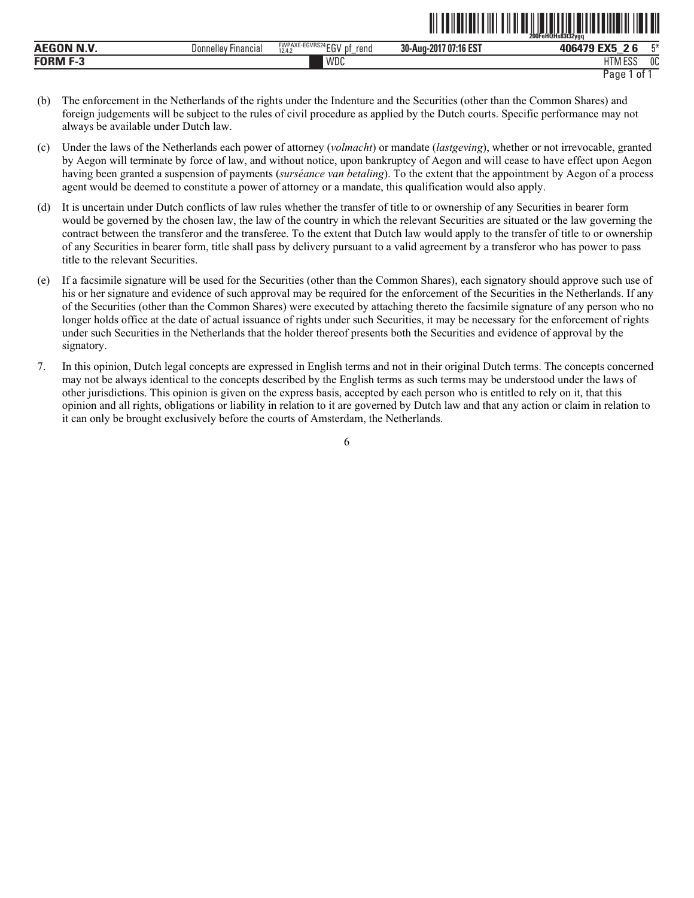|                   |                            |                                         |                       | 200FeHQHs83t32ygq |    |
|-------------------|----------------------------|-----------------------------------------|-----------------------|-------------------|----|
| <b>AEGON N.V.</b> | <b>Donnelley Financial</b> | FWPAXE-EGVRS24 EGV pf<br>rend<br>12.4.2 | 30-Aug-2017 07:16 EST | 406479 EX5 26     | 工米 |
| <b>FORM F-3</b>   |                            | WDC                                     |                       | <b>HTM ESS</b>    | 0C |

- Page 1 of 1
- (b) The enforcement in the Netherlands of the rights under the Indenture and the Securities (other than the Common Shares) and foreign judgements will be subject to the rules of civil procedure as applied by the Dutch courts. Specific performance may not always be available under Dutch law.
- (c) Under the laws of the Netherlands each power of attorney (*volmacht*) or mandate (*lastgeving*), whether or not irrevocable, granted by Aegon will terminate by force of law, and without notice, upon bankruptcy of Aegon and will cease to have effect upon Aegon having been granted a suspension of payments (*surséance van betaling*). To the extent that the appointment by Aegon of a process agent would be deemed to constitute a power of attorney or a mandate, this qualification would also apply.
- (d) It is uncertain under Dutch conflicts of law rules whether the transfer of title to or ownership of any Securities in bearer form would be governed by the chosen law, the law of the country in which the relevant Securities are situated or the law governing the contract between the transferor and the transferee. To the extent that Dutch law would apply to the transfer of title to or ownership of any Securities in bearer form, title shall pass by delivery pursuant to a valid agreement by a transferor who has power to pass title to the relevant Securities.
- (e) If a facsimile signature will be used for the Securities (other than the Common Shares), each signatory should approve such use of his or her signature and evidence of such approval may be required for the enforcement of the Securities in the Netherlands. If any of the Securities (other than the Common Shares) were executed by attaching thereto the facsimile signature of any person who no longer holds office at the date of actual issuance of rights under such Securities, it may be necessary for the enforcement of rights under such Securities in the Netherlands that the holder thereof presents both the Securities and evidence of approval by the signatory.
- 7. In this opinion, Dutch legal concepts are expressed in English terms and not in their original Dutch terms. The concepts concerned may not be always identical to the concepts described by the English terms as such terms may be understood under the laws of other jurisdictions. This opinion is given on the express basis, accepted by each person who is entitled to rely on it, that this opinion and all rights, obligations or liability in relation to it are governed by Dutch law and that any action or claim in relation to it can only be brought exclusively before the courts of Amsterdam, the Netherlands.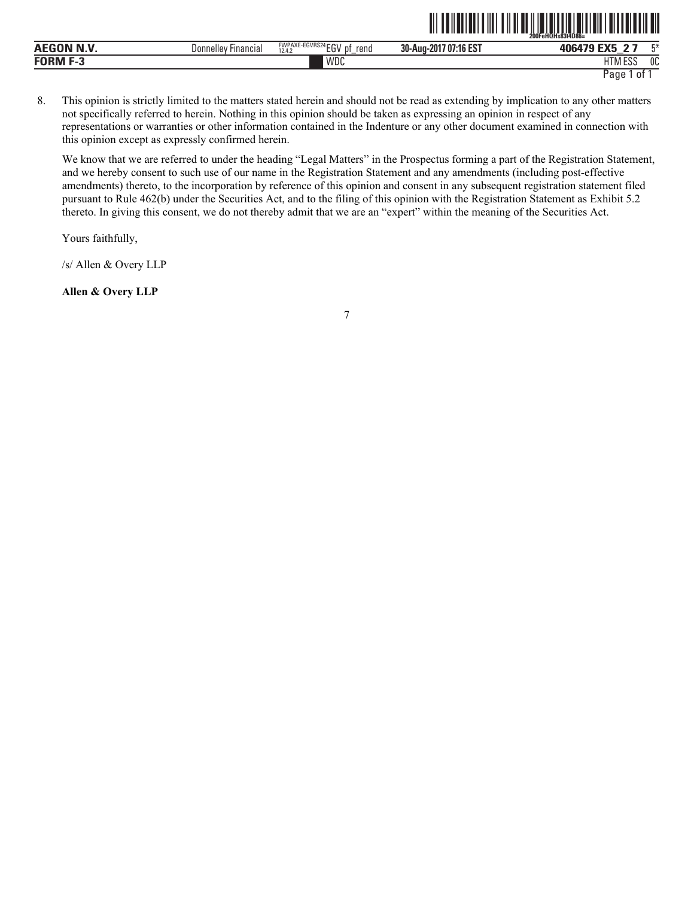|                                               |                               |                                                                      |                               | -----<br>$F$ eHOHs83t4D86=<br><b>SOC</b><br>ZUUF' |                      |
|-----------------------------------------------|-------------------------------|----------------------------------------------------------------------|-------------------------------|---------------------------------------------------|----------------------|
| .<br><b>AEC</b>                               | <b>Financial</b><br>Donnelley | E-EGVRS24 FOL<br><b>FWPAXE-</b><br>rena<br>DŤ<br>. .<br>12.4.2<br>∟ບ | $:16$ EST<br>30-Aug-2017 07:1 | $F^{\prime}$<br>106170<br>_                       | $-x$                 |
| <b>FORM</b><br>$\overline{\phantom{a}}$<br>۰. |                               | WDC                                                                  |                               | 1.500<br><b>HTM</b><br>LUU                        | n <sub>0</sub><br>บบ |

ˆ200FeHQHs83t4D86=Š **200FeHQHs83t4D86=**

8. This opinion is strictly limited to the matters stated herein and should not be read as extending by implication to any other matters not specifically referred to herein. Nothing in this opinion should be taken as expressing an opinion in respect of any representations or warranties or other information contained in the Indenture or any other document examined in connection with this opinion except as expressly confirmed herein.

We know that we are referred to under the heading "Legal Matters" in the Prospectus forming a part of the Registration Statement, and we hereby consent to such use of our name in the Registration Statement and any amendments (including post-effective amendments) thereto, to the incorporation by reference of this opinion and consent in any subsequent registration statement filed pursuant to Rule 462(b) under the Securities Act, and to the filing of this opinion with the Registration Statement as Exhibit 5.2 thereto. In giving this consent, we do not thereby admit that we are an "expert" within the meaning of the Securities Act.

Yours faithfully,

/s/ Allen & Overy LLP

**Allen & Overy LLP**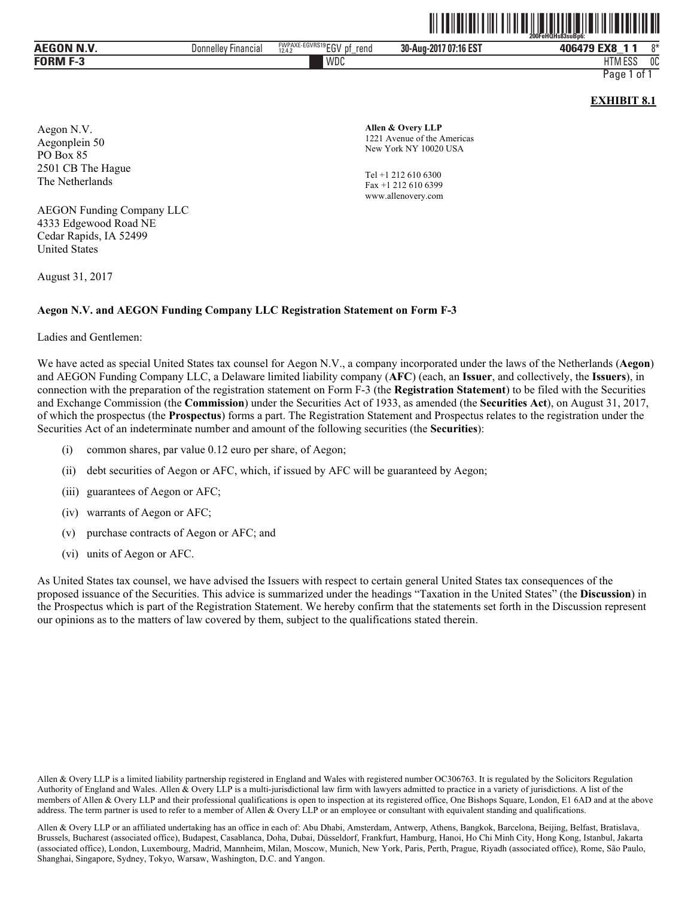|                 |                            |                                        | $\mathbb{I}$<br>$\textcolor{red}{\textbf{N}}\textcolor{blue}{\textbf{N}}\textcolor{blue}{\textbf{N}}\textcolor{blue}{\textbf{N}}\textcolor{blue}{\textbf{N}}\textcolor{blue}{\textbf{N}}\textcolor{blue}{\textbf{N}}\textcolor{blue}{\textbf{N}}\textcolor{blue}{\textbf{N}}\textcolor{blue}{\textbf{N}}\textcolor{blue}{\textbf{N}}\textcolor{blue}{\textbf{N}}\textcolor{blue}{\textbf{N}}\textcolor{blue}{\textbf{N}}\textcolor{blue}{\textbf{N}}\textcolor{blue}{\textbf{N}}\textcolor{blue}{\textbf{N}}\textcolor{blue}{\textbf{N}}\textcolor{$ | 200FeHQHs83suBp6:    |
|-----------------|----------------------------|----------------------------------------|------------------------------------------------------------------------------------------------------------------------------------------------------------------------------------------------------------------------------------------------------------------------------------------------------------------------------------------------------------------------------------------------------------------------------------------------------------------------------------------------------------------------------------------------------|----------------------|
| AEGON N.V.      | <b>Donnelley Financial</b> | FWPAXE-EGVRS19EGV pf<br>rend<br>12.4.2 | 30-Aug-2017 07:16 EST                                                                                                                                                                                                                                                                                                                                                                                                                                                                                                                                | $8*$<br>406479 EX8 1 |
| <b>FORM F-3</b> |                            | WDC                                    |                                                                                                                                                                                                                                                                                                                                                                                                                                                                                                                                                      | <b>HTM ESS</b><br>0C |
|                 |                            |                                        |                                                                                                                                                                                                                                                                                                                                                                                                                                                                                                                                                      | Page 1 of 1          |

#### **EXHIBIT 8.1**

Aegon N.V. Aegonplein 50 PO Box 85 2501 CB The Hague The Netherlands

**Allen & Overy LLP** 1221 Avenue of the Americas New York NY 10020 USA

Tel +1 212 610 6300 Fax +1 212 610 6399 www.allenovery.com

AEGON Funding Company LLC 4333 Edgewood Road NE Cedar Rapids, IA 52499 United States

August 31, 2017

#### **Aegon N.V. and AEGON Funding Company LLC Registration Statement on Form F-3**

Ladies and Gentlemen:

We have acted as special United States tax counsel for Aegon N.V., a company incorporated under the laws of the Netherlands (**Aegon**) and AEGON Funding Company LLC, a Delaware limited liability company (**AFC**) (each, an **Issuer**, and collectively, the **Issuers**), in connection with the preparation of the registration statement on Form F-3 (the **Registration Statement**) to be filed with the Securities and Exchange Commission (the **Commission**) under the Securities Act of 1933, as amended (the **Securities Act**), on August 31, 2017, of which the prospectus (the **Prospectus**) forms a part. The Registration Statement and Prospectus relates to the registration under the Securities Act of an indeterminate number and amount of the following securities (the **Securities**):

- (i) common shares, par value 0.12 euro per share, of Aegon;
- (ii) debt securities of Aegon or AFC, which, if issued by AFC will be guaranteed by Aegon;
- (iii) guarantees of Aegon or AFC;
- (iv) warrants of Aegon or AFC;
- (v) purchase contracts of Aegon or AFC; and
- (vi) units of Aegon or AFC.

As United States tax counsel, we have advised the Issuers with respect to certain general United States tax consequences of the proposed issuance of the Securities. This advice is summarized under the headings "Taxation in the United States" (the **Discussion**) in the Prospectus which is part of the Registration Statement. We hereby confirm that the statements set forth in the Discussion represent our opinions as to the matters of law covered by them, subject to the qualifications stated therein.

Allen & Overy LLP is a limited liability partnership registered in England and Wales with registered number OC306763. It is regulated by the Solicitors Regulation Authority of England and Wales. Allen & Overy LLP is a multi-jurisdictional law firm with lawyers admitted to practice in a variety of jurisdictions. A list of the members of Allen & Overy LLP and their professional qualifications is open to inspection at its registered office, One Bishops Square, London, E1 6AD and at the above address. The term partner is used to refer to a member of Allen & Overy LLP or an employee or consultant with equivalent standing and qualifications.

Allen & Overy LLP or an affiliated undertaking has an office in each of: Abu Dhabi, Amsterdam, Antwerp, Athens, Bangkok, Barcelona, Beijing, Belfast, Bratislava, Brussels, Bucharest (associated office), Budapest, Casablanca, Doha, Dubai, Düsseldorf, Frankfurt, Hamburg, Hanoi, Ho Chi Minh City, Hong Kong, Istanbul, Jakarta (associated office), London, Luxembourg, Madrid, Mannheim, Milan, Moscow, Munich, New York, Paris, Perth, Prague, Riyadh (associated office), Rome, São Paulo, Shanghai, Singapore, Sydney, Tokyo, Warsaw, Washington, D.C. and Yangon.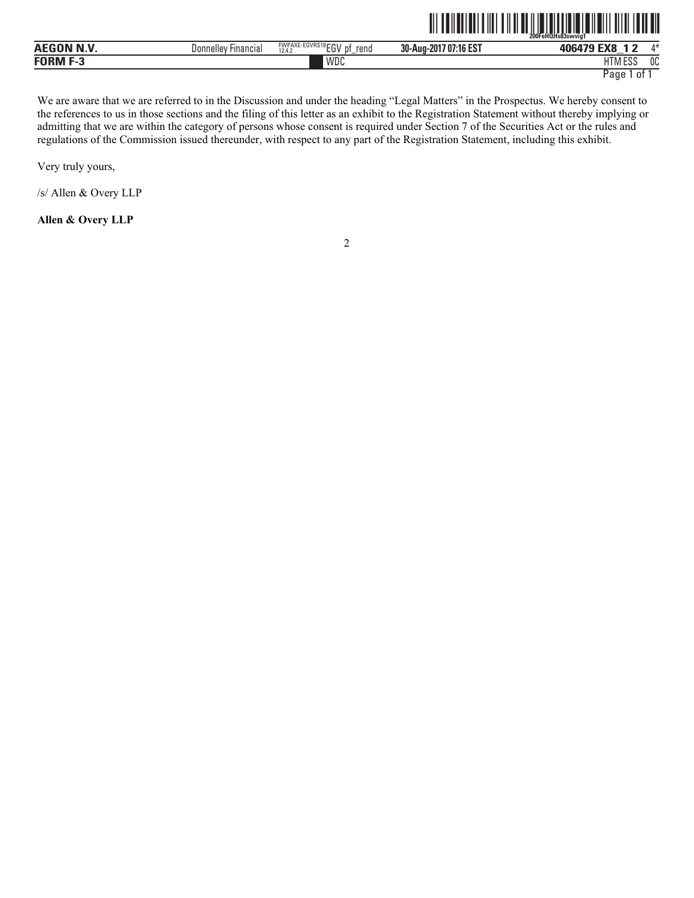|                   |                     |                                        |                       | 200FeHQHs83swvig1 |             |
|-------------------|---------------------|----------------------------------------|-----------------------|-------------------|-------------|
| <b>AEGON N.V.</b> | Donnelley Financial | FWPAXE-EGVRS19EGV pf<br>rend<br>12.4.2 | 30-Aug-2017 07:16 EST | 406479 EX8        | $\Lambda^*$ |
| <b>FORM F-3</b>   |                     | WDC                                    |                       | 0C<br>HTM ESS     |             |

We are aware that we are referred to in the Discussion and under the heading "Legal Matters" in the Prospectus. We hereby consent to the references to us in those sections and the filing of this letter as an exhibit to the Registration Statement without thereby implying or admitting that we are within the category of persons whose consent is required under Section 7 of the Securities Act or the rules and regulations of the Commission issued thereunder, with respect to any part of the Registration Statement, including this exhibit.

Very truly yours,

/s/ Allen & Overy LLP

**Allen & Overy LLP**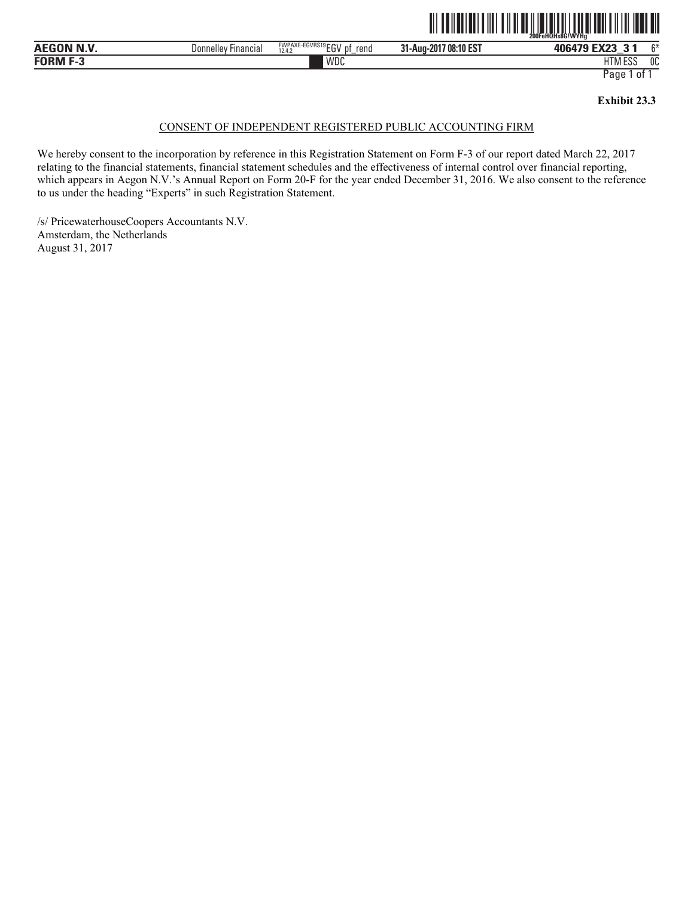

| ----<br>------<br>…<br>$\blacksquare$<br>m<br>. . | Donnelley<br>-ınancıal | <b>FWPAXE-EGVRS19 ECN</b><br>rend<br>–∪∨<br>12.4.2<br>. U F | /08:10 EST<br>31-Aug-201 | $\blacksquare$<br>406479 | $\sim$       |
|---------------------------------------------------|------------------------|-------------------------------------------------------------|--------------------------|--------------------------|--------------|
| ranma<br>- -                                      |                        | <b>WDC</b>                                                  |                          | $-$<br>1.000<br>IIM ESS  | $\sim$<br>υU |

#### **Exhibit 23.3**

## CONSENT OF INDEPENDENT REGISTERED PUBLIC ACCOUNTING FIRM

We hereby consent to the incorporation by reference in this Registration Statement on Form F-3 of our report dated March 22, 2017 relating to the financial statements, financial statement schedules and the effectiveness of internal control over financial reporting, which appears in Aegon N.V.'s Annual Report on Form 20-F for the year ended December 31, 2016. We also consent to the reference to us under the heading "Experts" in such Registration Statement.

/s/ PricewaterhouseCoopers Accountants N.V. Amsterdam, the Netherlands August 31, 2017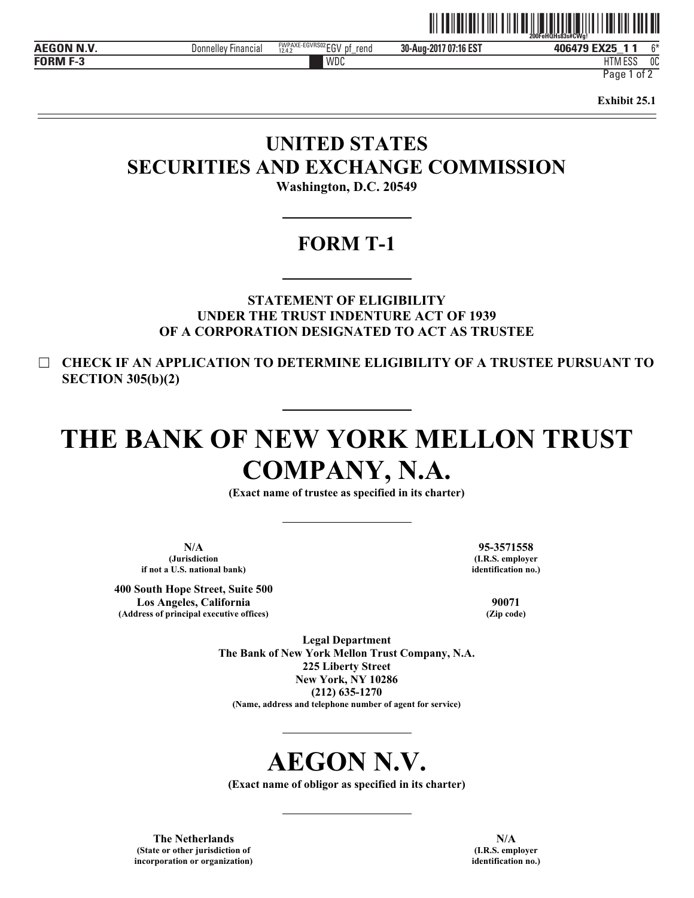|              |                        |                                                         | LUULGITULISUJS#UVVU:                                    |                                  |              |
|--------------|------------------------|---------------------------------------------------------|---------------------------------------------------------|----------------------------------|--------------|
| ------       | Donnelley<br>Financial | FWPAXE-EGVRS02 ⊏C\/<br>rend<br>DŤ<br>tu v<br>12.4.<br>- | 40.507<br>30-Aug-2<br>ኅበ4<br>,,,<br>י טו.<br>' U.<br>டப | $\n  ~~$<br><b>ANGA70</b><br>.   | $\sim$       |
| <b>CODBS</b> |                        | WDC                                                     |                                                         | 1.50 <sub>1</sub><br>111V<br>டபட | $\sim$<br>UU |

HTM ESS 0C

Page 1 of 2

**Exhibit 25.1** 

# **UNITED STATES SECURITIES AND EXCHANGE COMMISSION Washington, D.C. 20549**

**FORM T-1** 

**STATEMENT OF ELIGIBILITY UNDER THE TRUST INDENTURE ACT OF 1939 OF A CORPORATION DESIGNATED TO ACT AS TRUSTEE** 

☐ **CHECK IF AN APPLICATION TO DETERMINE ELIGIBILITY OF A TRUSTEE PURSUANT TO SECTION 305(b)(2)** 

# **THE BANK OF NEW YORK MELLON TRUST COMPANY, N.A.**

**(Exact name of trustee as specified in its charter)** 

**N/A (Jurisdiction if not a U.S. national bank)**

**400 South Hope Street, Suite 500 Los Angeles, California (Address of principal executive offices)**

**95-3571558 (I.R.S. employer identification no.)**

> **90071 (Zip code)**

**Legal Department The Bank of New York Mellon Trust Company, N.A. 225 Liberty Street New York, NY 10286 (212) 635-1270 (Name, address and telephone number of agent for service)** 

# **AEGON N.V.**

**(Exact name of obligor as specified in its charter)** 

**The Netherlands (State or other jurisdiction of incorporation or organization)**

**N/A (I.R.S. employer identification no.)**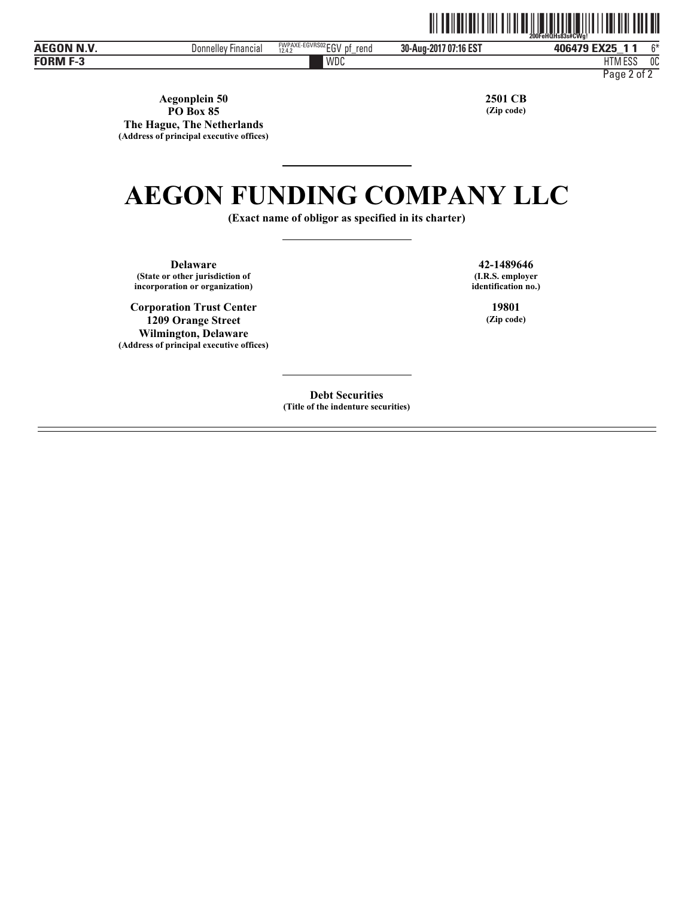|                   |                     |                                                   | <u>                                 </u> | <u>HII II II II II II II II II</u><br>200FeHQHs83s#CWa! |    |
|-------------------|---------------------|---------------------------------------------------|------------------------------------------|---------------------------------------------------------|----|
| <b>AEGON N.V.</b> | Donnelley Financial | FWPAXE-EGVRS02 CCV<br>Dt<br>rend<br>c٥٧<br>12.4.2 | 30-Aug-2017 07:16 EST                    | 406479 EX25                                             | C* |
| <b>FORM F-3</b>   |                     | WDC                                               |                                          | HTM ESS<br>0C                                           |    |

Page 2 of 2

**Aegonplein 50 PO Box 85 The Hague, The Netherlands (Address of principal executive offices)** **2501 CB (Zip code)**

# **AEGON FUNDING COMPANY LLC**

**(Exact name of obligor as specified in its charter)** 

**Delaware (State or other jurisdiction of incorporation or organization)**

**Corporation Trust Center 1209 Orange Street Wilmington, Delaware (Address of principal executive offices)**

**42-1489646 (I.R.S. employer identification no.)**

> **19801 (Zip code)**

**Debt Securities (Title of the indenture securities)**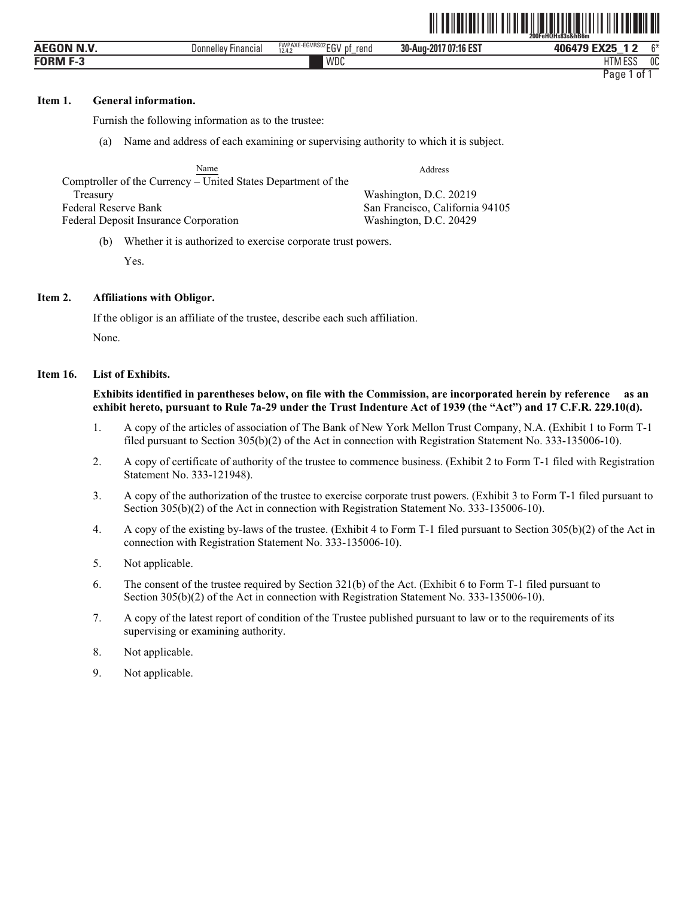|                                 |                     |                                                                |                       | 200FeHQHs83s&hB6m                      |
|---------------------------------|---------------------|----------------------------------------------------------------|-----------------------|----------------------------------------|
| . RI 3 <i>1</i><br><b>AEGON</b> | Donnellev Financial | <b>FWPAXE-EGVRS02rrV</b><br>rend<br>D1<br>-141<br>12.4.2<br>∟ບ | 30-Aug-2017 07:16 EST | 406479 EX25<br>$^{\sim}$<br>$\sqrt{2}$ |
| <b>FORM F-3</b>                 |                     | <b>WDC</b>                                                     |                       | 1.500<br>0C<br>பா<br>HIM ESS           |
|                                 |                     |                                                                |                       | Page<br>0†                             |

ˆ200FeHQHs83s&hB6mŠ **200FeHQHs83s&hB6m**

#### **Item 1. General information.**

Furnish the following information as to the trustee:

(a) Name and address of each examining or supervising authority to which it is subject.

| Name                                                          | Address                         |
|---------------------------------------------------------------|---------------------------------|
| Comptroller of the Currency – United States Department of the |                                 |
| Treasury                                                      | Washington, D.C. 20219          |
| Federal Reserve Bank                                          | San Francisco, California 94105 |
| <b>Federal Deposit Insurance Corporation</b>                  | Washington, D.C. 20429          |

(b) Whether it is authorized to exercise corporate trust powers.

Yes.

### **Item 2. Affiliations with Obligor.**

If the obligor is an affiliate of the trustee, describe each such affiliation. None.

#### **Item 16. List of Exhibits.**

**Exhibits identified in parentheses below, on file with the Commission, are incorporated herein by reference as an exhibit hereto, pursuant to Rule 7a-29 under the Trust Indenture Act of 1939 (the "Act") and 17 C.F.R. 229.10(d).** 

- 1. A copy of the articles of association of The Bank of New York Mellon Trust Company, N.A. (Exhibit 1 to Form T-1 filed pursuant to Section 305(b)(2) of the Act in connection with Registration Statement No. 333-135006-10).
- 2. A copy of certificate of authority of the trustee to commence business. (Exhibit 2 to Form T-1 filed with Registration Statement No. 333-121948).
- 3. A copy of the authorization of the trustee to exercise corporate trust powers. (Exhibit 3 to Form T-1 filed pursuant to Section 305(b)(2) of the Act in connection with Registration Statement No. 333-135006-10).
- 4. A copy of the existing by-laws of the trustee. (Exhibit 4 to Form T-1 filed pursuant to Section 305(b)(2) of the Act in connection with Registration Statement No. 333-135006-10).
- 5. Not applicable.
- 6. The consent of the trustee required by Section 321(b) of the Act. (Exhibit 6 to Form T-1 filed pursuant to Section 305(b)(2) of the Act in connection with Registration Statement No. 333-135006-10).
- 7. A copy of the latest report of condition of the Trustee published pursuant to law or to the requirements of its supervising or examining authority.
- 8. Not applicable.
- 9. Not applicable.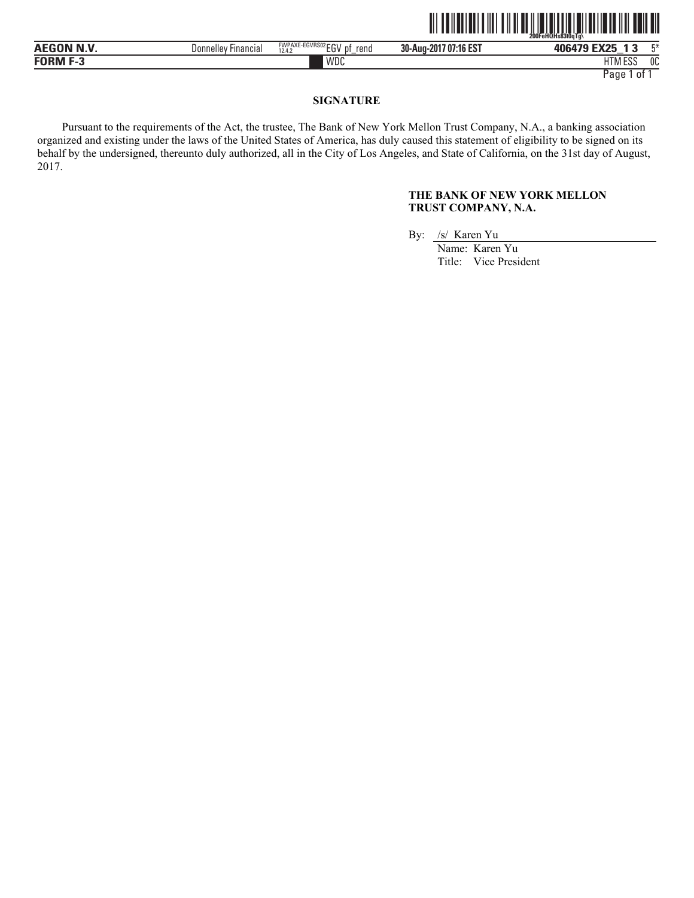|                   |                                       |                                                        |                          | $200$ Fe $H\bar{O}$ Hs $83$ t $0a$ Ta $\lambda$ |    |
|-------------------|---------------------------------------|--------------------------------------------------------|--------------------------|-------------------------------------------------|----|
| <b>AEGON N.V.</b> | $- \cdot$<br>Donnellev<br>' Financial | FWPAXE-EGVRS02 ECV<br>rend<br>рţ<br>12.4.2<br>LU'<br>- | 707:16 EST<br>30-Aug-201 | <b>EV25</b><br>406479<br>$-$                    |    |
| <b>FORM</b><br>-- |                                       | WDC                                                    |                          | <b>FOO</b><br><b>ITN</b><br>IIM ESS             | บบ |

Page 1 of 1

# **SIGNATURE**

Pursuant to the requirements of the Act, the trustee, The Bank of New York Mellon Trust Company, N.A., a banking association organized and existing under the laws of the United States of America, has duly caused this statement of eligibility to be signed on its behalf by the undersigned, thereunto duly authorized, all in the City of Los Angeles, and State of California, on the 31st day of August, 2017.

# **THE BANK OF NEW YORK MELLON TRUST COMPANY, N.A.**

an and an and a state of the Hotel Contract and a state of the Hotel and a state of the Hotel and a state of t

By: /s/ Karen Yu

Name: Karen Yu Title: Vice President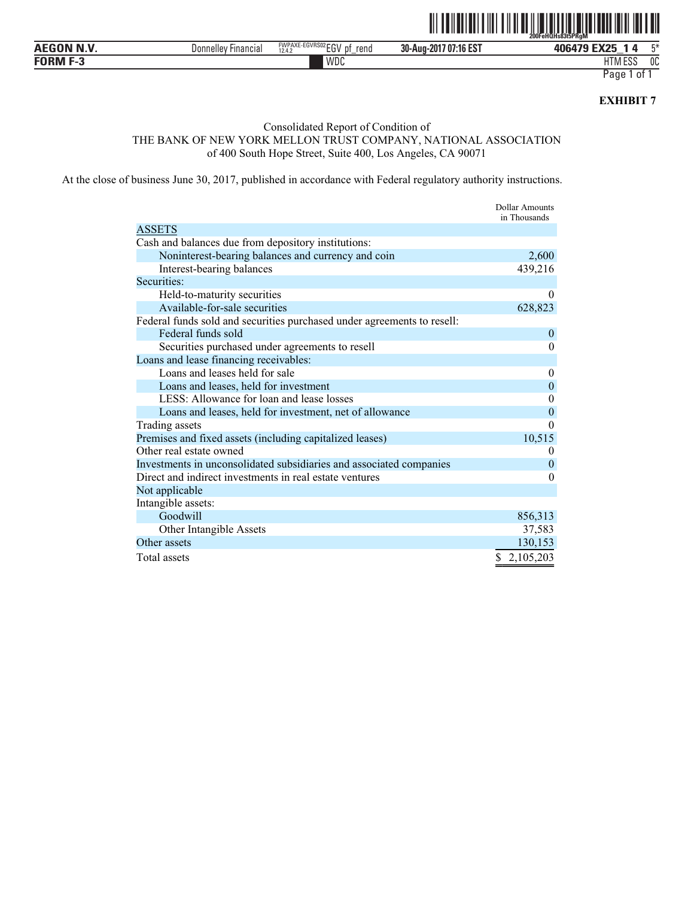

| $\mathbf{A}$ . And $\mathbf{A}$ . And $\mathbf{A}$ , $\mathbf{A}$<br>. | <b>Financial</b><br>Donnelley | <b>FWPAXE</b><br>ะเาขหอม<br>rend<br>.<br>12.4.2<br><br>$-$ | /07:16 EST<br>30-Aug-<br>-2017 | -----<br>406479<br>. .<br>$\mathbf{r}$                    | $ -$   |
|------------------------------------------------------------------------|-------------------------------|------------------------------------------------------------|--------------------------------|-----------------------------------------------------------|--------|
| -----                                                                  |                               | <b>WDC</b>                                                 |                                | $\epsilon$ = $\sigma$ $\epsilon$<br>$\cdots$<br>. INI EOO | $\sim$ |

Page 1 of 1

**EXHIBIT 7** 

## Consolidated Report of Condition of

THE BANK OF NEW YORK MELLON TRUST COMPANY, NATIONAL ASSOCIATION of 400 South Hope Street, Suite 400, Los Angeles, CA 90071

At the close of business June 30, 2017, published in accordance with Federal regulatory authority instructions.

|                                                                         | <b>Dollar Amounts</b><br>in Thousands |
|-------------------------------------------------------------------------|---------------------------------------|
| <b>ASSETS</b>                                                           |                                       |
| Cash and balances due from depository institutions:                     |                                       |
| Noninterest-bearing balances and currency and coin                      | 2,600                                 |
| Interest-bearing balances                                               | 439,216                               |
| Securities:                                                             |                                       |
| Held-to-maturity securities                                             | $\theta$                              |
| Available-for-sale securities                                           | 628,823                               |
| Federal funds sold and securities purchased under agreements to resell: |                                       |
| Federal funds sold                                                      | $\theta$                              |
| Securities purchased under agreements to resell                         | $\theta$                              |
| Loans and lease financing receivables:                                  |                                       |
| Loans and leases held for sale                                          | $\theta$                              |
| Loans and leases, held for investment                                   | $\mathbf{0}$                          |
| LESS: Allowance for loan and lease losses                               | $\overline{0}$                        |
| Loans and leases, held for investment, net of allowance                 | $\overline{0}$                        |
| Trading assets                                                          | $\theta$                              |
| Premises and fixed assets (including capitalized leases)                | 10,515                                |
| Other real estate owned                                                 | $\theta$                              |
| Investments in unconsolidated subsidiaries and associated companies     | $\theta$                              |
| Direct and indirect investments in real estate ventures                 | 0                                     |
| Not applicable                                                          |                                       |
| Intangible assets:                                                      |                                       |
| Goodwill                                                                | 856,313                               |
| Other Intangible Assets                                                 | 37,583                                |
| Other assets                                                            | 130,153                               |
| Total assets                                                            | 2,105,203                             |